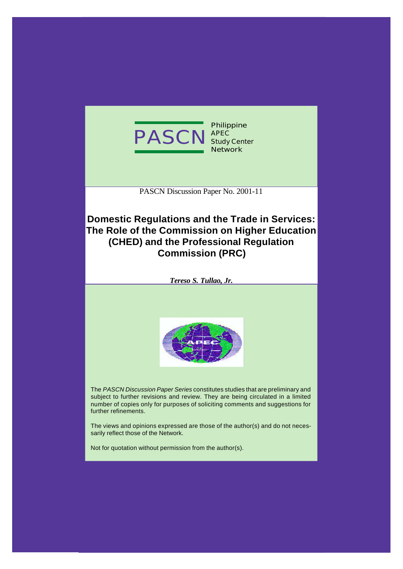

PASCN Discussion Paper No. 2001-11

# **Domestic Regulations and the Trade in Services: The Role of the Commission on Higher Education (CHED) and the Professional Regulation Commission (PRC)**





The *PASCN Discussion Paper Series* constitutes studies that are preliminary and subject to further revisions and review. They are being circulated in a limited number of copies only for purposes of soliciting comments and suggestions for further refinements.

The views and opinions expressed are those of the author(s) and do not necessarily reflect those of the Network.

Not for quotation without permission from the author(s).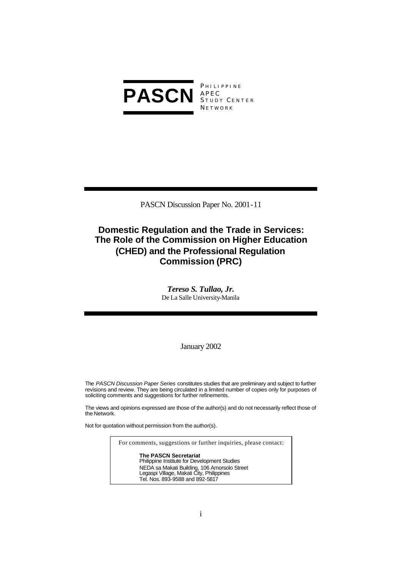

**PHILIPPINE** S TUDY C ENTER **NETWORK** 

PASCN Discussion Paper No. 2001-11

# **Domestic Regulation and the Trade in Services: The Role of the Commission on Higher Education (CHED) and the Professional Regulation Commission (PRC)**

*Tereso S. Tullao, Jr.* De La Salle University-Manila

January 2002

The *PASCN Discussion Paper Series* constitutes studies that are preliminary and subject to further revisions and review. They are being circulated in a limited number of copies only for purposes of soliciting comments and suggestions for further refinements.

The views and opinions expressed are those of the author(s) and do not necessarily reflect those of the Network.

Not for quotation without permission from the author(s).

For comments, suggestions or further inquiries, please contact:

**The PASCN Secretariat** Philippine Institute for Development Studies NEDA sa Makati Building, 106 Amorsolo Street Legaspi Village, Makati City, Philippines Tel. Nos. 893-9588 and 892-5817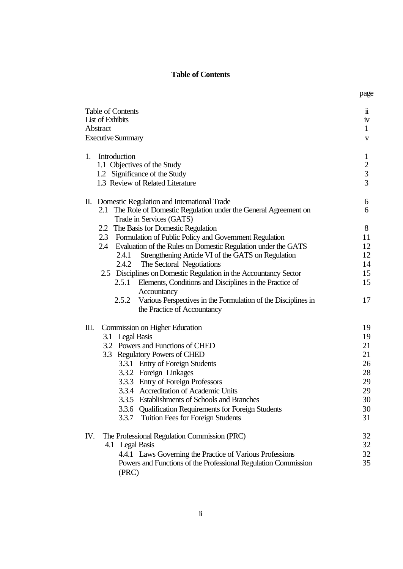## **Table of Contents**

page

| <b>Table of Contents</b><br>List of Exhibits<br>Abstract<br><b>Executive Summary</b>                                                                                                                                                                                                                                                                                                                                                                                                                                                 |                                                                    |  |
|--------------------------------------------------------------------------------------------------------------------------------------------------------------------------------------------------------------------------------------------------------------------------------------------------------------------------------------------------------------------------------------------------------------------------------------------------------------------------------------------------------------------------------------|--------------------------------------------------------------------|--|
| Introduction<br>1.<br>1.1 Objectives of the Study<br>1.2 Significance of the Study<br>1.3 Review of Related Literature                                                                                                                                                                                                                                                                                                                                                                                                               | $\mathbf{1}$<br>$\overline{c}$<br>$\overline{3}$<br>$\overline{3}$ |  |
| II. Domestic Regulation and International Trade<br>2.1 The Role of Domestic Regulation under the General Agreement on<br>Trade in Services (GATS)                                                                                                                                                                                                                                                                                                                                                                                    | 6<br>6                                                             |  |
| 2.2 The Basis for Domestic Regulation<br>2.3 Formulation of Public Policy and Government Regulation<br>2.4 Evaluation of the Rules on Domestic Regulation under the GATS<br>2.4.1 Strengthening Article VI of the GATS on Regulation<br>2.4.2 The Sectoral Negotiations<br>2.5 Disciplines on Domestic Regulation in the Accountancy Sector<br>2.5.1 Elements, Conditions and Disciplines in the Practice of<br>Accountancy<br>Various Perspectives in the Formulation of the Disciplines in<br>2.5.2<br>the Practice of Accountancy | 8<br>11<br>12<br>12<br>14<br>15<br>15<br>17                        |  |
| Ш.<br>Commission on Higher Education<br>3.1 Legal Basis<br>3.2 Powers and Functions of CHED<br>3.3 Regulatory Powers of CHED<br>3.3.1 Entry of Foreign Students<br>3.3.2 Foreign Linkages<br>3.3.3 Entry of Foreign Professors<br>3.3.4 Accreditation of Academic Units<br>3.3.5 Establishments of Schools and Branches<br>3.3.6 Qualification Requirements for Foreign Students<br><b>Tuition Fees for Foreign Students</b><br>3.3.7                                                                                                | 19<br>19<br>21<br>21<br>26<br>28<br>29<br>29<br>30<br>30<br>31     |  |
| The Professional Regulation Commission (PRC)<br>IV.<br>4.1 Legal Basis<br>4.4.1 Laws Governing the Practice of Various Professions<br>Powers and Functions of the Professional Regulation Commission<br>(PRC)                                                                                                                                                                                                                                                                                                                        | 32<br>32<br>32<br>35                                               |  |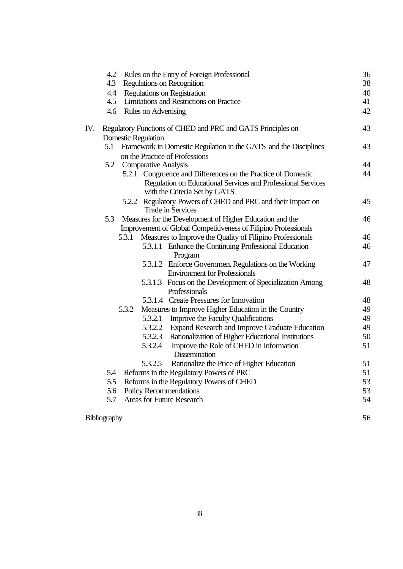|     | 4.2 | Rules on the Entry of Foreign Professional                                                                                                                    | 36 |
|-----|-----|---------------------------------------------------------------------------------------------------------------------------------------------------------------|----|
|     | 4.3 | <b>Regulations on Recognition</b>                                                                                                                             | 38 |
|     | 4.4 | Regulations on Registration                                                                                                                                   | 40 |
|     | 4.5 | Limitations and Restrictions on Practice                                                                                                                      | 41 |
|     |     | 4.6 Rules on Advertising                                                                                                                                      | 42 |
| IV. |     | Regulatory Functions of CHED and PRC and GATS Principles on                                                                                                   | 43 |
|     |     | <b>Domestic Regulation</b>                                                                                                                                    |    |
|     | 5.1 | Framework in Domestic Regulation in the GATS and the Disciplines                                                                                              | 43 |
|     |     | on the Practice of Professions                                                                                                                                |    |
|     |     | 5.2 Comparative Analysis                                                                                                                                      | 44 |
|     |     | 5.2.1 Congruence and Differences on the Practice of Domestic<br>Regulation on Educational Services and Professional Services<br>with the Criteria Set by GATS | 44 |
|     |     | 5.2.2 Regulatory Powers of CHED and PRC and their Impact on<br>Trade in Services                                                                              | 45 |
|     | 5.3 | Measures for the Development of Higher Education and the                                                                                                      | 46 |
|     |     | Improvement of Global Competitiveness of Filipino Professionals                                                                                               |    |
|     |     | Measures to Improve the Quality of Filipino Professionals<br>5.3.1                                                                                            | 46 |
|     |     | 5.3.1.1 Enhance the Continuing Professional Education                                                                                                         | 46 |
|     |     | Program                                                                                                                                                       |    |
|     |     | 5.3.1.2 Enforce Government Regulations on the Working                                                                                                         | 47 |
|     |     | <b>Environment for Professionals</b>                                                                                                                          |    |
|     |     | 5.3.1.3 Focus on the Development of Specialization Among                                                                                                      | 48 |
|     |     | Professionals                                                                                                                                                 |    |
|     |     | 5.3.1.4 Create Pressures for Innovation                                                                                                                       | 48 |
|     |     | Measures to Improve Higher Education in the Country<br>5.3.2                                                                                                  | 49 |
|     |     | 5.3.2.1<br>Improve the Faculty Qualifications                                                                                                                 | 49 |
|     |     | 5.3.2.2<br>Expand Research and Improve Graduate Education                                                                                                     | 49 |
|     |     | Rationalization of Higher Educational Institutions<br>5.3.2.3                                                                                                 | 50 |
|     |     | 5.3.2.4<br>Improve the Role of CHED in Information<br><b>Dissemination</b>                                                                                    | 51 |
|     |     | Rationalize the Price of Higher Education<br>5.3.2.5                                                                                                          | 51 |
|     | 5.4 | Reforms in the Regulatory Powers of PRC                                                                                                                       | 51 |
|     | 5.5 | Reforms in the Regulatory Powers of CHED                                                                                                                      | 53 |
|     | 5.6 | Policy Recommendations                                                                                                                                        | 53 |
|     | 5.7 | <b>Areas for Future Research</b>                                                                                                                              | 54 |
|     |     |                                                                                                                                                               |    |

Bibliography 56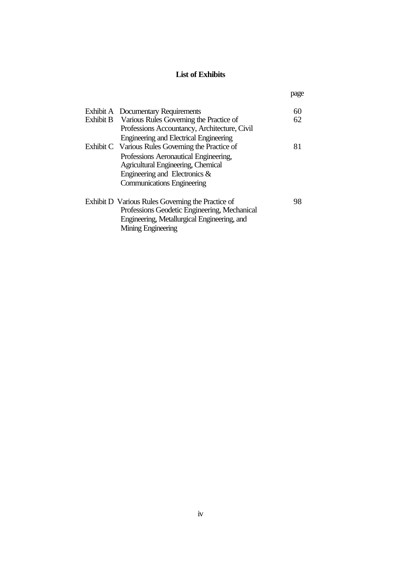## **List of Exhibits**

page

|  | Exhibit A Documentary Requirements                | 60 |
|--|---------------------------------------------------|----|
|  | Exhibit B Various Rules Governing the Practice of | 62 |
|  | Professions Accountancy, Architecture, Civil      |    |
|  | Engineering and Electrical Engineering            |    |
|  | Exhibit C Various Rules Governing the Practice of | 81 |
|  | Professions Aeronautical Engineering,             |    |
|  | Agricultural Engineering, Chemical                |    |
|  | Engineering and Electronics $\&$                  |    |
|  | <b>Communications Engineering</b>                 |    |
|  |                                                   |    |
|  | Exhibit D Various Rules Governing the Practice of | 98 |
|  | Professions Geodetic Engineering, Mechanical      |    |
|  | Engineering, Metallurgical Engineering, and       |    |
|  | Mining Engineering                                |    |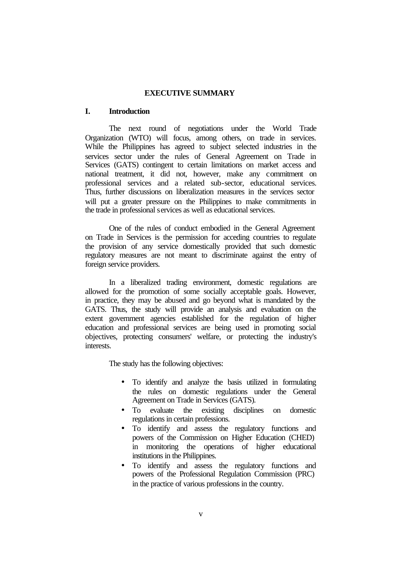## **EXECUTIVE SUMMARY**

## **I. Introduction**

The next round of negotiations under the World Trade Organization (WTO) will focus, among others, on trade in services. While the Philippines has agreed to subject selected industries in the services sector under the rules of General Agreement on Trade in Services (GATS) contingent to certain limitations on market access and national treatment, it did not, however, make any commitment on professional services and a related sub-sector, educational services. Thus, further discussions on liberalization measures in the services sector will put a greater pressure on the Philippines to make commitments in the trade in professional services as well as educational services.

One of the rules of conduct embodied in the General Agreement on Trade in Services is the permission for acceding countries to regulate the provision of any service domestically provided that such domestic regulatory measures are not meant to discriminate against the entry of foreign service providers.

In a liberalized trading environment, domestic regulations are allowed for the promotion of some socially acceptable goals. However, in practice, they may be abused and go beyond what is mandated by the GATS. Thus, the study will provide an analysis and evaluation on the extent government agencies established for the regulation of higher education and professional services are being used in promoting social objectives, protecting consumers' welfare, or protecting the industry's interests.

The study has the following objectives:

- To identify and analyze the basis utilized in formulating the rules on domestic regulations under the General Agreement on Trade in Services (GATS).
- To evaluate the existing disciplines on domestic regulations in certain professions.
- To identify and assess the regulatory functions and powers of the Commission on Higher Education (CHED) in monitoring the operations of higher educational institutions in the Philippines.
- To identify and assess the regulatory functions and powers of the Professional Regulation Commission (PRC) in the practice of various professions in the country.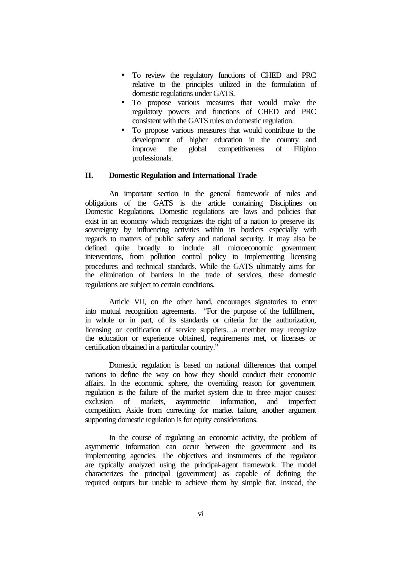- To review the regulatory functions of CHED and PRC relative to the principles utilized in the formulation of domestic regulations under GATS.
- To propose various measures that would make the regulatory powers and functions of CHED and PRC consistent with the GATS rules on domestic regulation.
- To propose various measures that would contribute to the development of higher education in the country and improve the global competitiveness of Filipino professionals.

## **II. Domestic Regulation and International Trade**

An important section in the general framework of rules and obligations of the GATS is the article containing Disciplines on Domestic Regulations. Domestic regulations are laws and policies that exist in an economy which recognizes the right of a nation to preserve its sovereignty by influencing activities within its borders especially with regards to matters of public safety and national security. It may also be defined quite broadly to include all microeconomic government interventions, from pollution control policy to implementing licensing procedures and technical standards. While the GATS ultimately aims for the elimination of barriers in the trade of services, these domestic regulations are subject to certain conditions.

Article VII, on the other hand, encourages signatories to enter into mutual recognition agreements. "For the purpose of the fulfillment, in whole or in part, of its standards or criteria for the authorization, licensing or certification of service suppliers…a member may recognize the education or experience obtained, requirements met, or licenses or certification obtained in a particular country."

Domestic regulation is based on national differences that compel nations to define the way on how they should conduct their economic affairs. In the economic sphere, the overriding reason for government regulation is the failure of the market system due to three major causes: exclusion of markets, asymmetric information, and imperfect competition. Aside from correcting for market failure, another argument supporting domestic regulation is for equity considerations.

In the course of regulating an economic activity, the problem of asymmetric information can occur between the government and its implementing agencies. The objectives and instruments of the regulator are typically analyzed using the principal-agent framework. The model characterizes the principal (government) as capable of defining the required outputs but unable to achieve them by simple fiat. Instead, the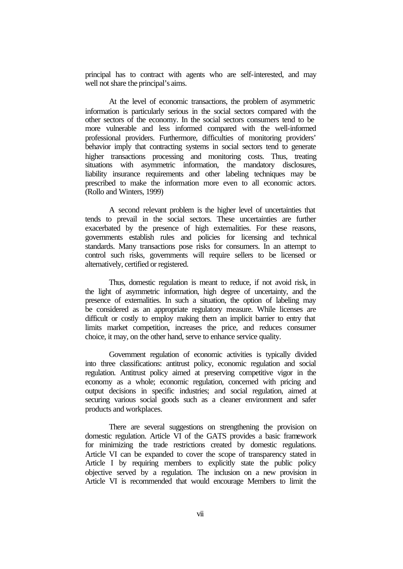principal has to contract with agents who are self-interested, and may well not share the principal's aims.

At the level of economic transactions, the problem of asymmetric information is particularly serious in the social sectors compared with the other sectors of the economy. In the social sectors consumers tend to be more vulnerable and less informed compared with the well-informed professional providers. Furthermore, difficulties of monitoring providers' behavior imply that contracting systems in social sectors tend to generate higher transactions processing and monitoring costs. Thus, treating situations with asymmetric information, the mandatory disclosures, liability insurance requirements and other labeling techniques may be prescribed to make the information more even to all economic actors. (Rollo and Winters, 1999)

A second relevant problem is the higher level of uncertainties that tends to prevail in the social sectors. These uncertainties are further exacerbated by the presence of high externalities. For these reasons, governments establish rules and policies for licensing and technical standards. Many transactions pose risks for consumers. In an attempt to control such risks, governments will require sellers to be licensed or alternatively, certified or registered.

Thus, domestic regulation is meant to reduce, if not avoid risk, in the light of asymmetric information, high degree of uncertainty, and the presence of externalities. In such a situation, the option of labeling may be considered as an appropriate regulatory measure. While licenses are difficult or costly to employ making them an implicit barrier to entry that limits market competition, increases the price, and reduces consumer choice, it may, on the other hand, serve to enhance service quality.

Government regulation of economic activities is typically divided into three classifications: antitrust policy, economic regulation and social regulation. Antitrust policy aimed at preserving competitive vigor in the economy as a whole; economic regulation, concerned with pricing and output decisions in specific industries; and social regulation, aimed at securing various social goods such as a cleaner environment and safer products and workplaces.

There are several suggestions on strengthening the provision on domestic regulation. Article VI of the GATS provides a basic framework for minimizing the trade restrictions created by domestic regulations. Article VI can be expanded to cover the scope of transparency stated in Article I by requiring members to explicitly state the public policy objective served by a regulation. The inclusion on a new provision in Article VI is recommended that would encourage Members to limit the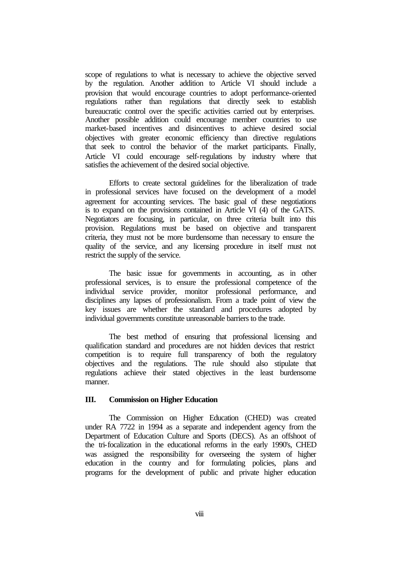scope of regulations to what is necessary to achieve the objective served by the regulation. Another addition to Article VI should include a provision that would encourage countries to adopt performance-oriented regulations rather than regulations that directly seek to establish bureaucratic control over the specific activities carried out by enterprises. Another possible addition could encourage member countries to use market-based incentives and disincentives to achieve desired social objectives with greater economic efficiency than directive regulations that seek to control the behavior of the market participants. Finally, Article VI could encourage self-regulations by industry where that satisfies the achievement of the desired social objective.

Efforts to create sectoral guidelines for the liberalization of trade in professional services have focused on the development of a model agreement for accounting services. The basic goal of these negotiations is to expand on the provisions contained in Article VI (4) of the GATS. Negotiators are focusing, in particular, on three criteria built into this provision. Regulations must be based on objective and transparent criteria, they must not be more burdensome than necessary to ensure the quality of the service, and any licensing procedure in itself must not restrict the supply of the service.

The basic issue for governments in accounting, as in other professional services, is to ensure the professional competence of the individual service provider, monitor professional performance, and disciplines any lapses of professionalism. From a trade point of view the key issues are whether the standard and procedures adopted by individual governments constitute unreasonable barriers to the trade.

The best method of ensuring that professional licensing and qualification standard and procedures are not hidden devices that restrict competition is to require full transparency of both the regulatory objectives and the regulations. The rule should also stipulate that regulations achieve their stated objectives in the least burdensome manner.

### **III. Commission on Higher Education**

 The Commission on Higher Education (CHED) was created under RA 7722 in 1994 as a separate and independent agency from the Department of Education Culture and Sports (DECS). As an offshoot of the tri-focalization in the educational reforms in the early 1990's, CHED was assigned the responsibility for overseeing the system of higher education in the country and for formulating policies, plans and programs for the development of public and private higher education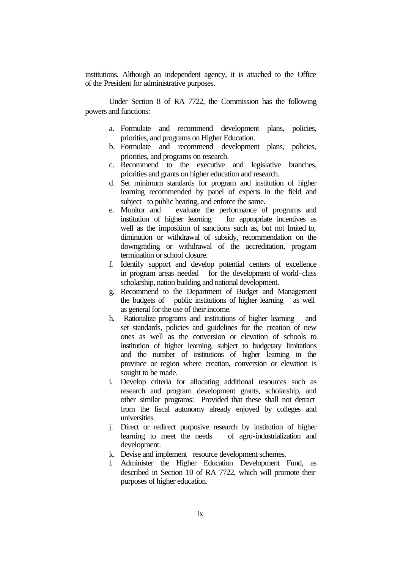institutions. Although an independent agency, it is attached to the Office of the President for administrative purposes.

Under Section 8 of RA 7722, the Commission has the following powers and functions:

- a. Formulate and recommend development plans, policies, priorities, and programs on Higher Education.
- b. Formulate and recommend development plans, policies, priorities, and programs on research.
- c. Recommend to the executive and legislative branches, priorities and grants on higher education and research.
- d. Set minimum standards for program and institution of higher learning recommended by panel of experts in the field and subject to public hearing, and enforce the same.
- e. Monitor and evaluate the performance of programs and institution of higher learning for appropriate incentives as well as the imposition of sanctions such as, but not limited to, diminution or withdrawal of subsidy, recommendation on the downgrading or withdrawal of the accreditation, program termination or school closure.
- f. Identify support and develop potential centers of excellence in program areas needed for the development of world-class scholarship, nation building and national development.
- g. Recommend to the Department of Budget and Management the budgets of public institutions of higher learning as well as general for the use of their income.
- h. Rationalize programs and institutions of higher learning and set standards, policies and guidelines for the creation of new ones as well as the conversion or elevation of schools to institution of higher learning, subject to budgetary limitations and the number of institutions of higher learning in the province or region where creation, conversion or elevation is sought to be made.
- i. Develop criteria for allocating additional resources such as research and program development grants, scholarship, and other similar programs: Provided that these shall not detract from the fiscal autonomy already enjoyed by colleges and universities.
- j. Direct or redirect purposive research by institution of higher learning to meet the needs of agro-industrialization and development.
- k. Devise and implement resource development schemes.
- l. Administer the Higher Education Development Fund, as described in Section 10 of RA 7722, which will promote their purposes of higher education.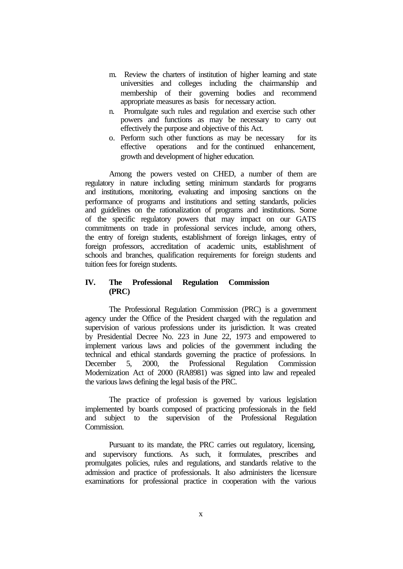- m. Review the charters of institution of higher learning and state universities and colleges including the chairmanship and membership of their governing bodies and recommend appropriate measures as basis for necessary action.
- n. Promulgate such rules and regulation and exercise such other powers and functions as may be necessary to carry out effectively the purpose and objective of this Act.
- o. Perform such other functions as may be necessary for its effective operations and for the continued enhancement, growth and development of higher education.

Among the powers vested on CHED, a number of them are regulatory in nature including setting minimum standards for programs and institutions, monitoring, evaluating and imposing sanctions on the performance of programs and institutions and setting standards, policies and guidelines on the rationalization of programs and institutions. Some of the specific regulatory powers that may impact on our GATS commitments on trade in professional services include, among others, the entry of foreign students, establishment of foreign linkages, entry of foreign professors, accreditation of academic units, establishment of schools and branches, qualification requirements for foreign students and tuition fees for foreign students.

## **IV. The Professional Regulation Commission (PRC)**

The Professional Regulation Commission (PRC) is a government agency under the Office of the President charged with the regulation and supervision of various professions under its jurisdiction. It was created by Presidential Decree No. 223 in June 22, 1973 and empowered to implement various laws and policies of the government including the technical and ethical standards governing the practice of professions. In December 5, 2000, the Professional Regulation Commission Modernization Act of 2000 (RA8981) was signed into law and repealed the various laws defining the legal basis of the PRC.

The practice of profession is governed by various legislation implemented by boards composed of practicing professionals in the field and subject to the supervision of the Professional Regulation Commission.

Pursuant to its mandate, the PRC carries out regulatory, licensing, and supervisory functions. As such, it formulates, prescribes and promulgates policies, rules and regulations, and standards relative to the admission and practice of professionals. It also administers the licensure examinations for professional practice in cooperation with the various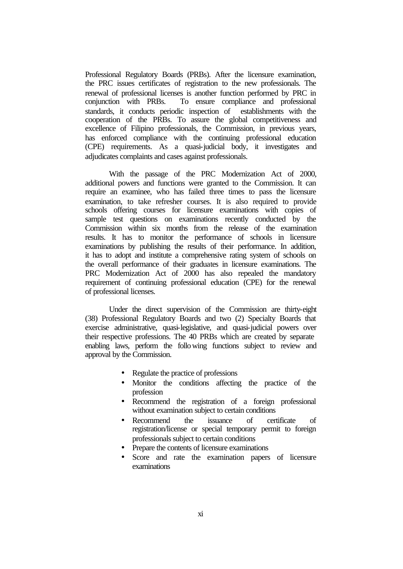Professional Regulatory Boards (PRBs). After the licensure examination, the PRC issues certificates of registration to the new professionals. The renewal of professional licenses is another function performed by PRC in conjunction with PRBs. To ensure compliance and professional standards, it conducts periodic inspection of establishments with the cooperation of the PRBs. To assure the global competitiveness and excellence of Filipino professionals, the Commission, in previous years, has enforced compliance with the continuing professional education (CPE) requirements. As a quasi-judicial body, it investigates and adjudicates complaints and cases against professionals.

With the passage of the PRC Modernization Act of 2000, additional powers and functions were granted to the Commission. It can require an examinee, who has failed three times to pass the licensure examination, to take refresher courses. It is also required to provide schools offering courses for licensure examinations with copies of sample test questions on examinations recently conducted by the Commission within six months from the release of the examination results. It has to monitor the performance of schools in licensure examinations by publishing the results of their performance. In addition, it has to adopt and institute a comprehensive rating system of schools on the overall performance of their graduates in licensure examinations. The PRC Modernization Act of 2000 has also repealed the mandatory requirement of continuing professional education (CPE) for the renewal of professional licenses.

Under the direct supervision of the Commission are thirty-eight (38) Professional Regulatory Boards and two (2) Specialty Boards that exercise administrative, quasi-legislative, and quasi-judicial powers over their respective professions. The 40 PRBs which are created by separate enabling laws, perform the following functions subject to review and approval by the Commission.

- Regulate the practice of professions
- Monitor the conditions affecting the practice of the profession
- Recommend the registration of a foreign professional without examination subject to certain conditions
- Recommend the issuance of certificate of registration/license or special temporary permit to foreign professionals subject to certain conditions
- Prepare the contents of licensure examinations
- Score and rate the examination papers of licensure examinations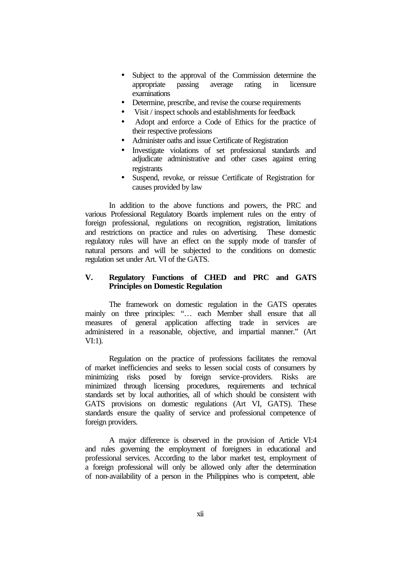- Subject to the approval of the Commission determine the appropriate passing average rating in licensure examinations
- Determine, prescribe, and revise the course requirements
- Visit / inspect schools and establishments for feedback
- Adopt and enforce a Code of Ethics for the practice of their respective professions
- Administer oaths and issue Certificate of Registration
- Investigate violations of set professional standards and adjudicate administrative and other cases against erring registrants
- Suspend, revoke, or reissue Certificate of Registration for causes provided by law

In addition to the above functions and powers, the PRC and various Professional Regulatory Boards implement rules on the entry of foreign professional, regulations on recognition, registration, limitations and restrictions on practice and rules on advertising. These domestic regulatory rules will have an effect on the supply mode of transfer of natural persons and will be subjected to the conditions on domestic regulation set under Art. VI of the GATS.

## **V. Regulatory Functions of CHED and PRC and GATS Principles on Domestic Regulation**

The framework on domestic regulation in the GATS operates mainly on three principles: "… each Member shall ensure that all measures of general application affecting trade in services are administered in a reasonable, objective, and impartial manner." (Art VI:1).

Regulation on the practice of professions facilitates the removal of market inefficiencies and seeks to lessen social costs of consumers by minimizing risks posed by foreign service-providers. Risks are minimized through licensing procedures, requirements and technical standards set by local authorities, all of which should be consistent with GATS provisions on domestic regulations (Art VI, GATS). These standards ensure the quality of service and professional competence of foreign providers.

A major difference is observed in the provision of Article VI:4 and rules governing the employment of foreigners in educational and professional services. According to the labor market test, employment of a foreign professional will only be allowed only after the determination of non-availability of a person in the Philippines who is competent, able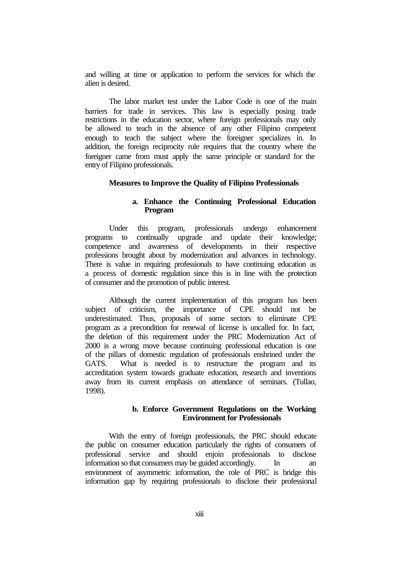and willing at time or application to perform the services for which the alien is desired.

The labor market test under the Labor Code is one of the main barriers for trade in services. This law is especially posing trade restrictions in the education sector, where foreign professionals may only be allowed to teach in the absence of any other Filipino competent enough to teach the subject where the foreigner specializes in. In addition, the foreign reciprocity rule requires that the country where the foreigner came from must apply the same principle or standard for the entry of Filipino professionals.

#### **Measures to Improve the Quality of Filipino Professionals**

## **a. Enhance the Continuing Professional Education Program**

Under this program, professionals undergo enhancement programs to continually upgrade and update their knowledge; competence and awareness of developments in their respective professions brought about by modernization and advances in technology. There is value in requiring professionals to have continuing education as a process of domestic regulation since this is in line with the protection of consumer and the promotion of public interest.

Although the current implementation of this program has been subject of criticism, the importance of CPE should not be underestimated. Thus, proposals of some sectors to eliminate CPE program as a precondition for renewal of license is uncalled for. In fact, the deletion of this requirement under the PRC Modernization Act of 2000 is a wrong move because continuing professional education is one of the pillars of domestic regulation of professionals enshrined under the GATS. What is needed is to restructure the program and its accreditation system towards graduate education, research and inventions away from its current emphasis on attendance of seminars. (Tullao, 1998).

#### **b. Enforce Government Regulations on the Working Environment for Professionals**

With the entry of foreign professionals, the PRC should educate the public on consumer education particularly the rights of consumers of professional service and should enjoin professionals to disclose information so that consumers may be guided accordingly. In an environment of asymmetric information, the role of PRC is bridge this information gap by requiring professionals to disclose their professional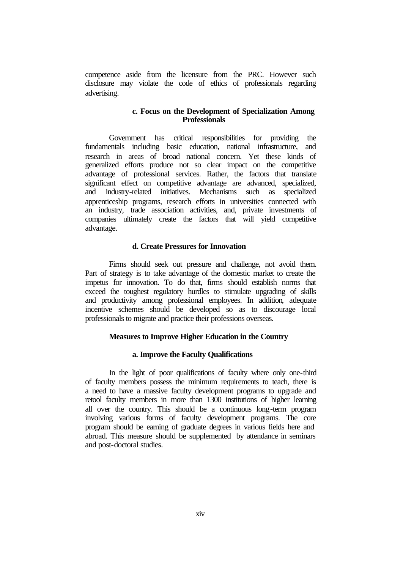competence aside from the licensure from the PRC. However such disclosure may violate the code of ethics of professionals regarding advertising.

## **c. Focus on the Development of Specialization Among Professionals**

Government has critical responsibilities for providing the fundamentals including basic education, national infrastructure, and research in areas of broad national concern. Yet these kinds of generalized efforts produce not so clear impact on the competitive advantage of professional services. Rather, the factors that translate significant effect on competitive advantage are advanced, specialized, and industry-related initiatives. Mechanisms such as specialized apprenticeship programs, research efforts in universities connected with an industry, trade association activities, and, private investments of companies ultimately create the factors that will yield competitive advantage.

#### **d. Create Pressures for Innovation**

Firms should seek out pressure and challenge, not avoid them. Part of strategy is to take advantage of the domestic market to create the impetus for innovation. To do that, firms should establish norms that exceed the toughest regulatory hurdles to stimulate upgrading of skills and productivity among professional employees. In addition, adequate incentive schemes should be developed so as to discourage local professionals to migrate and practice their professions overseas.

#### **Measures to Improve Higher Education in the Country**

#### **a. Improve the Faculty Qualifications**

In the light of poor qualifications of faculty where only one-third of faculty members possess the minimum requirements to teach, there is a need to have a massive faculty development programs to upgrade and retool faculty members in more than 1300 institutions of higher learning all over the country. This should be a continuous long-term program involving various forms of faculty development programs. The core program should be earning of graduate degrees in various fields here and abroad. This measure should be supplemented by attendance in seminars and post-doctoral studies.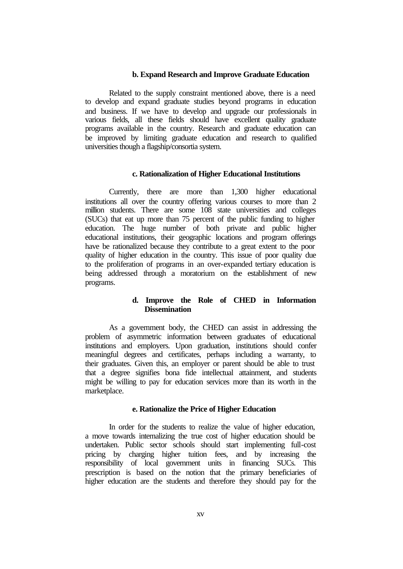#### **b. Expand Research and Improve Graduate Education**

Related to the supply constraint mentioned above, there is a need to develop and expand graduate studies beyond programs in education and business. If we have to develop and upgrade our professionals in various fields, all these fields should have excellent quality graduate programs available in the country. Research and graduate education can be improved by limiting graduate education and research to qualified universities though a flagship/consortia system.

#### **c. Rationalization of Higher Educational Institutions**

Currently, there are more than 1,300 higher educational institutions all over the country offering various courses to more than 2 million students. There are some 108 state universities and colleges (SUCs) that eat up more than 75 percent of the public funding to higher education. The huge number of both private and public higher educational institutions, their geographic locations and program offerings have be rationalized because they contribute to a great extent to the poor quality of higher education in the country. This issue of poor quality due to the proliferation of programs in an over-expanded tertiary education is being addressed through a moratorium on the establishment of new programs.

## **d. Improve the Role of CHED in Information Dissemination**

As a government body, the CHED can assist in addressing the problem of asymmetric information between graduates of educational institutions and employers. Upon graduation, institutions should confer meaningful degrees and certificates, perhaps including a warranty, to their graduates. Given this, an employer or parent should be able to trust that a degree signifies bona fide intellectual attainment, and students might be willing to pay for education services more than its worth in the marketplace.

#### **e. Rationalize the Price of Higher Education**

In order for the students to realize the value of higher education, a move towards internalizing the true cost of higher education should be undertaken. Public sector schools should start implementing full-cost pricing by charging higher tuition fees, and by increasing the responsibility of local government units in financing SUCs. This prescription is based on the notion that the primary beneficiaries of higher education are the students and therefore they should pay for the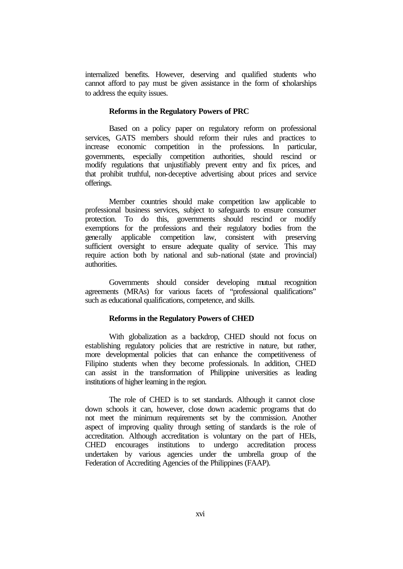internalized benefits. However, deserving and qualified students who cannot afford to pay must be given assistance in the form of scholarships to address the equity issues.

#### **Reforms in the Regulatory Powers of PRC**

Based on a policy paper on regulatory reform on professional services, GATS members should reform their rules and practices to increase economic competition in the professions. In particular, governments, especially competition authorities, should rescind or modify regulations that unjustifiably prevent entry and fix prices, and that prohibit truthful, non-deceptive advertising about prices and service offerings.

Member countries should make competition law applicable to professional business services, subject to safeguards to ensure consumer protection. To do this, governments should rescind or modify exemptions for the professions and their regulatory bodies from the generally applicable competition law, consistent with preserving sufficient oversight to ensure adequate quality of service. This may require action both by national and sub-national (state and provincial) authorities.

Governments should consider developing mutual recognition agreements (MRAs) for various facets of "professional qualifications" such as educational qualifications, competence, and skills.

#### **Reforms in the Regulatory Powers of CHED**

With globalization as a backdrop, CHED should not focus on establishing regulatory policies that are restrictive in nature, but rather, more developmental policies that can enhance the competitiveness of Filipino students when they become professionals. In addition, CHED can assist in the transformation of Philippine universities as leading institutions of higher learning in the region.

The role of CHED is to set standards. Although it cannot close down schools it can, however, close down academic programs that do not meet the minimum requirements set by the commission. Another aspect of improving quality through setting of standards is the role of accreditation. Although accreditation is voluntary on the part of HEIs, CHED encourages institutions to undergo accreditation process undertaken by various agencies under the umbrella group of the Federation of Accrediting Agencies of the Philippines (FAAP).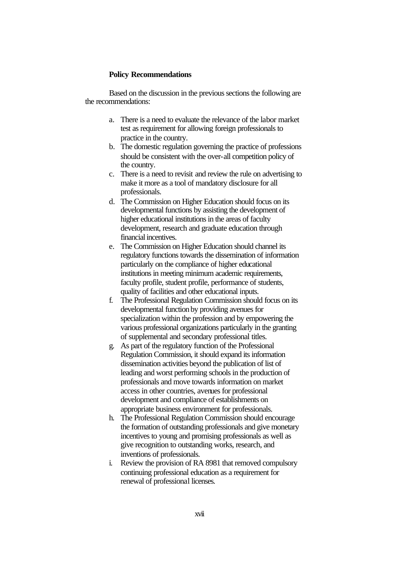#### **Policy Recommendations**

Based on the discussion in the previous sections the following are the recommendations:

- a. There is a need to evaluate the relevance of the labor market test as requirement for allowing foreign professionals to practice in the country.
- b. The domestic regulation governing the practice of professions should be consistent with the over-all competition policy of the country.
- c. There is a need to revisit and review the rule on advertising to make it more as a tool of mandatory disclosure for all professionals.
- d. The Commission on Higher Education should focus on its developmental functions by assisting the development of higher educational institutions in the areas of faculty development, research and graduate education through financial incentives.
- e. The Commission on Higher Education should channel its regulatory functions towards the dissemination of information particularly on the compliance of higher educational institutions in meeting minimum academic requirements, faculty profile, student profile, performance of students, quality of facilities and other educational inputs.
- f. The Professional Regulation Commission should focus on its developmental function by providing avenues for specialization within the profession and by empowering the various professional organizations particularly in the granting of supplemental and secondary professional titles.
- g. As part of the regulatory function of the Professional Regulation Commission, it should expand its information dissemination activities beyond the publication of list of leading and worst performing schools in the production of professionals and move towards information on market access in other countries, avenues for professional development and compliance of establishments on appropriate business environment for professionals.
- h. The Professional Regulation Commission should encourage the formation of outstanding professionals and give monetary incentives to young and promising professionals as well as give recognition to outstanding works, research, and inventions of professionals.
- i. Review the provision of RA 8981 that removed compulsory continuing professional education as a requirement for renewal of professional licenses.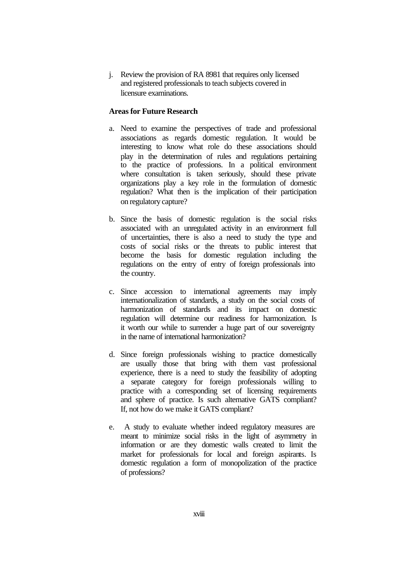j. Review the provision of RA 8981 that requires only licensed and registered professionals to teach subjects covered in licensure examinations.

## **Areas for Future Research**

- a. Need to examine the perspectives of trade and professional associations as regards domestic regulation. It would be interesting to know what role do these associations should play in the determination of rules and regulations pertaining to the practice of professions. In a political environment where consultation is taken seriously, should these private organizations play a key role in the formulation of domestic regulation? What then is the implication of their participation on regulatory capture?
- b. Since the basis of domestic regulation is the social risks associated with an unregulated activity in an environment full of uncertainties, there is also a need to study the type and costs of social risks or the threats to public interest that become the basis for domestic regulation including the regulations on the entry of entry of foreign professionals into the country.
- c. Since accession to international agreements may imply internationalization of standards, a study on the social costs of harmonization of standards and its impact on domestic regulation will determine our readiness for harmonization. Is it worth our while to surrender a huge part of our sovereignty in the name of international harmonization?
- d. Since foreign professionals wishing to practice domestically are usually those that bring with them vast professional experience, there is a need to study the feasibility of adopting a separate category for foreign professionals willing to practice with a corresponding set of licensing requirements and sphere of practice. Is such alternative GATS compliant? If, not how do we make it GATS compliant?
- e. A study to evaluate whether indeed regulatory measures are meant to minimize social risks in the light of asymmetry in information or are they domestic walls created to limit the market for professionals for local and foreign aspirants. Is domestic regulation a form of monopolization of the practice of professions?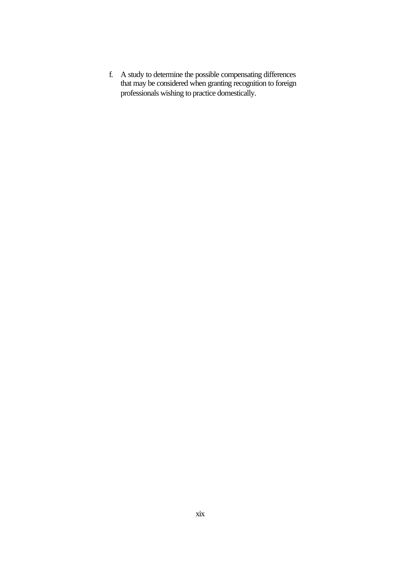f. A study to determine the possible compensating differences that may be considered when granting recognition to foreign professionals wishing to practice domestically.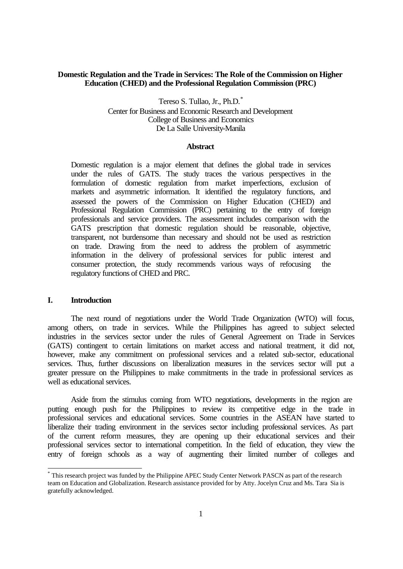### **Domestic Regulation and the Trade in Services: The Role of the Commission on Higher Education (CHED) and the Professional Regulation Commission (PRC)**

Tereso S. Tullao, Jr., Ph.D.\* Center for Business and Economic Research and Development College of Business and Economics De La Salle University-Manila

#### **Abstract**

Domestic regulation is a major element that defines the global trade in services under the rules of GATS. The study traces the various perspectives in the formulation of domestic regulation from market imperfections, exclusion of markets and asymmetric information. It identified the regulatory functions, and assessed the powers of the Commission on Higher Education (CHED) and Professional Regulation Commission (PRC) pertaining to the entry of foreign professionals and service providers. The assessment includes comparison with the GATS prescription that domestic regulation should be reasonable, objective, transparent, not burdensome than necessary and should not be used as restriction on trade. Drawing from the need to address the problem of asymmetric information in the delivery of professional services for public interest and consumer protection, the study recommends various ways of refocusing the regulatory functions of CHED and PRC.

## **I. Introduction**

j

The next round of negotiations under the World Trade Organization (WTO) will focus, among others, on trade in services. While the Philippines has agreed to subject selected industries in the services sector under the rules of General Agreement on Trade in Services (GATS) contingent to certain limitations on market access and national treatment, it did not, however, make any commitment on professional services and a related sub-sector, educational services. Thus, further discussions on liberalization measures in the services sector will put a greater pressure on the Philippines to make commitments in the trade in professional services as well as educational services.

Aside from the stimulus coming from WTO negotiations, developments in the region are putting enough push for the Philippines to review its competitive edge in the trade in professional services and educational services. Some countries in the ASEAN have started to liberalize their trading environment in the services sector including professional services. As part of the current reform measures, they are opening up their educational services and their professional services sector to international competition. In the field of education, they view the entry of foreign schools as a way of augmenting their limited number of colleges and

<sup>\*</sup> This research project was funded by the Philippine APEC Study Center Network PASCN as part of the research team on Education and Globalization. Research assistance provided for by Atty. Jocelyn Cruz and Ms. Tara Sia is gratefully acknowledged.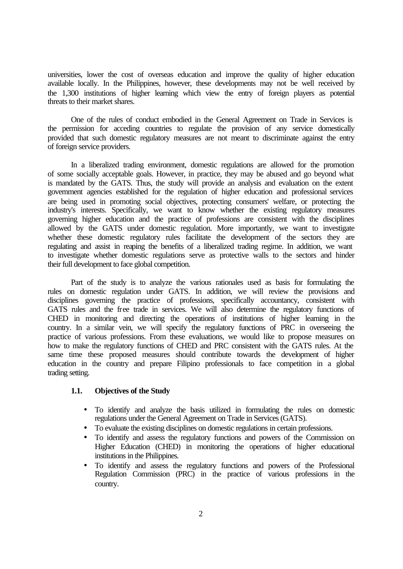universities, lower the cost of overseas education and improve the quality of higher education available locally. In the Philippines, however, these developments may not be well received by the 1,300 institutions of higher learning which view the entry of foreign players as potential threats to their market shares.

One of the rules of conduct embodied in the General Agreement on Trade in Services is the permission for acceding countries to regulate the provision of any service domestically provided that such domestic regulatory measures are not meant to discriminate against the entry of foreign service providers.

In a liberalized trading environment, domestic regulations are allowed for the promotion of some socially acceptable goals. However, in practice, they may be abused and go beyond what is mandated by the GATS. Thus, the study will provide an analysis and evaluation on the extent government agencies established for the regulation of higher education and professional services are being used in promoting social objectives, protecting consumers' welfare, or protecting the industry's interests. Specifically, we want to know whether the existing regulatory measures governing higher education and the practice of professions are consistent with the disciplines allowed by the GATS under domestic regulation. More importantly, we want to investigate whether these domestic regulatory rules facilitate the development of the sectors they are regulating and assist in reaping the benefits of a liberalized trading regime. In addition, we want to investigate whether domestic regulations serve as protective walls to the sectors and hinder their full development to face global competition.

Part of the study is to analyze the various rationales used as basis for formulating the rules on domestic regulation under GATS. In addition, we will review the provisions and disciplines governing the practice of professions, specifically accountancy, consistent with GATS rules and the free trade in services. We will also determine the regulatory functions of CHED in monitoring and directing the operations of institutions of higher learning in the country. In a similar vein, we will specify the regulatory functions of PRC in overseeing the practice of various professions. From these evaluations, we would like to propose measures on how to make the regulatory functions of CHED and PRC consistent with the GATS rules. At the same time these proposed measures should contribute towards the development of higher education in the country and prepare Filipino professionals to face competition in a global trading setting.

### **1.1. Objectives of the Study**

- To identify and analyze the basis utilized in formulating the rules on domestic regulations under the General Agreement on Trade in Services (GATS).
- To evaluate the existing disciplines on domestic regulations in certain professions.
- To identify and assess the regulatory functions and powers of the Commission on Higher Education (CHED) in monitoring the operations of higher educational institutions in the Philippines.
- To identify and assess the regulatory functions and powers of the Professional Regulation Commission (PRC) in the practice of various professions in the country.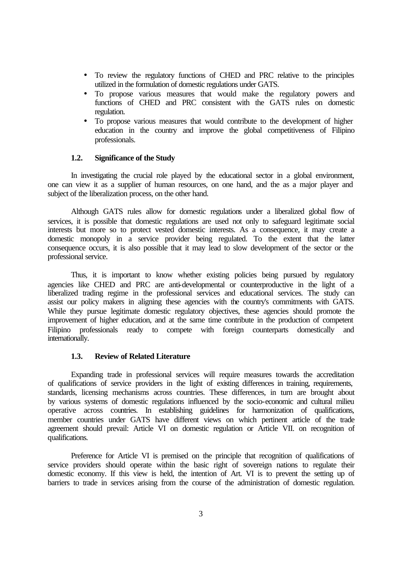- To review the regulatory functions of CHED and PRC relative to the principles utilized in the formulation of domestic regulations under GATS.
- To propose various measures that would make the regulatory powers and functions of CHED and PRC consistent with the GATS rules on domestic regulation.
- To propose various measures that would contribute to the development of higher education in the country and improve the global competitiveness of Filipino professionals.

#### **1.2. Significance of the Study**

In investigating the crucial role played by the educational sector in a global environment, one can view it as a supplier of human resources, on one hand, and the as a major player and subject of the liberalization process, on the other hand.

Although GATS rules allow for domestic regulations under a liberalized global flow of services, it is possible that domestic regulations are used not only to safeguard legitimate social interests but more so to protect vested domestic interests. As a consequence, it may create a domestic monopoly in a service provider being regulated. To the extent that the latter consequence occurs, it is also possible that it may lead to slow development of the sector or the professional service.

Thus, it is important to know whether existing policies being pursued by regulatory agencies like CHED and PRC are anti-developmental or counterproductive in the light of a liberalized trading regime in the professional services and educational services. The study can assist our policy makers in aligning these agencies with the country's commitments with GATS. While they pursue legitimate domestic regulatory objectives, these agencies should promote the improvement of higher education, and at the same time contribute in the production of competent Filipino professionals ready to compete with foreign counterparts domestically and internationally.

#### **1.3. Review of Related Literature**

Expanding trade in professional services will require measures towards the accreditation of qualifications of service providers in the light of existing differences in training, requirements, standards, licensing mechanisms across countries. These differences, in turn are brought about by various systems of domestic regulations influenced by the socio-economic and cultural milieu operative across countries. In establishing guidelines for harmonization of qualifications, member countries under GATS have different views on which pertinent article of the trade agreement should prevail: Article VI on domestic regulation or Article VII. on recognition of qualifications.

Preference for Article VI is premised on the principle that recognition of qualifications of service providers should operate within the basic right of sovereign nations to regulate their domestic economy. If this view is held, the intention of Art. VI is to prevent the setting up of barriers to trade in services arising from the course of the administration of domestic regulation.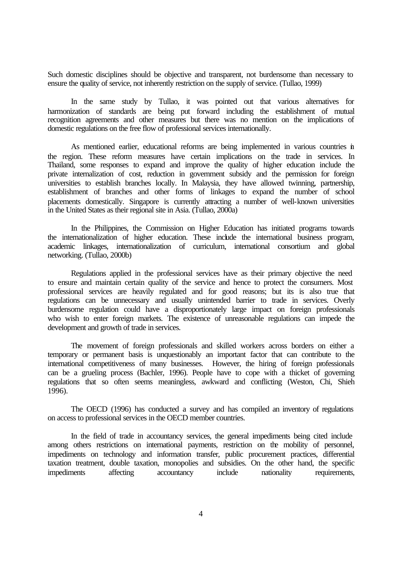Such domestic disciplines should be objective and transparent, not burdensome than necessary to ensure the quality of service, not inherently restriction on the supply of service. (Tullao, 1999)

In the same study by Tullao, it was pointed out that various alternatives for harmonization of standards are being put forward including the establishment of mutual recognition agreements and other measures but there was no mention on the implications of domestic regulations on the free flow of professional services internationally.

As mentioned earlier, educational reforms are being implemented in various countries in the region. These reform measures have certain implications on the trade in services. In Thailand, some responses to expand and improve the quality of higher education include the private internalization of cost, reduction in government subsidy and the permission for foreign universities to establish branches locally. In Malaysia, they have allowed twinning, partnership, establishment of branches and other forms of linkages to expand the number of school placements domestically. Singapore is currently attracting a number of well-known universities in the United States as their regional site in Asia. (Tullao, 2000a)

In the Philippines, the Commission on Higher Education has initiated programs towards the internationalization of higher education. These include the international business program, academic linkages, internationalization of curriculum, international consortium and global networking. (Tullao, 2000b)

Regulations applied in the professional services have as their primary objective the need to ensure and maintain certain quality of the service and hence to protect the consumers. Most professional services are heavily regulated and for good reasons; but its is also true that regulations can be unnecessary and usually unintended barrier to trade in services. Overly burdensome regulation could have a disproportionately large impact on foreign professionals who wish to enter foreign markets. The existence of unreasonable regulations can impede the development and growth of trade in services.

The movement of foreign professionals and skilled workers across borders on either a temporary or permanent basis is unquestionably an important factor that can contribute to the international competitiveness of many businesses. However, the hiring of foreign professionals can be a grueling process (Bachler, 1996). People have to cope with a thicket of governing regulations that so often seems meaningless, awkward and conflicting (Weston, Chi, Shieh 1996).

The OECD (1996) has conducted a survey and has compiled an inventory of regulations on access to professional services in the OECD member countries.

In the field of trade in accountancy services, the general impediments being cited include among others restrictions on international payments, restriction on the mobility of personnel, impediments on technology and information transfer, public procurement practices, differential taxation treatment, double taxation, monopolies and subsidies. On the other hand, the specific impediments affecting accountancy include nationality requirements,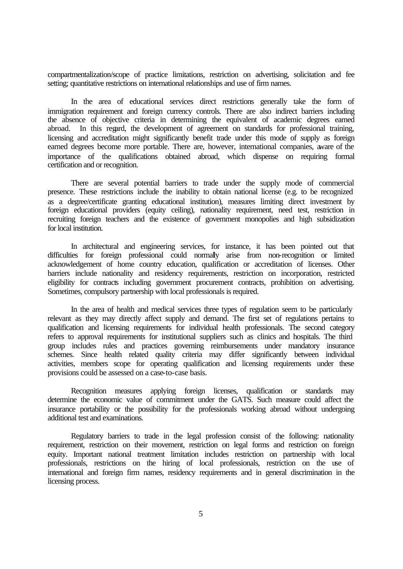compartmentalization/scope of practice limitations, restriction on advertising, solicitation and fee setting; quantitative restrictions on international relationships and use of firm names.

In the area of educational services direct restrictions generally take the form of immigration requirement and foreign currency controls. There are also indirect barriers including the absence of objective criteria in determining the equivalent of academic degrees earned abroad. In this regard, the development of agreement on standards for professional training, licensing and accreditation might significantly benefit trade under this mode of supply as foreign earned degrees become more portable. There are, however, international companies, aware of the importance of the qualifications obtained abroad, which dispense on requiring formal certification and or recognition.

There are several potential barriers to trade under the supply mode of commercial presence. These restrictions include the inability to obtain national license (e.g. to be recognized as a degree/certificate granting educational institution), measures limiting direct investment by foreign educational providers (equity ceiling), nationality requirement, need test, restriction in recruiting foreign teachers and the existence of government monopolies and high subsidization for local institution.

In architectural and engineering services, for instance, it has been pointed out that difficulties for foreign professional could normally arise from non-recognition or limited acknowledgement of home country education, qualification or accreditation of licenses. Other barriers include nationality and residency requirements, restriction on incorporation, restricted eligibility for contracts including government procurement contracts, prohibition on advertising. Sometimes, compulsory partnership with local professionals is required.

In the area of health and medical services three types of regulation seem to be particularly relevant as they may directly affect supply and demand. The first set of regulations pertains to qualification and licensing requirements for individual health professionals. The second category refers to approval requirements for institutional suppliers such as clinics and hospitals. The third group includes rules and practices governing reimbursements under mandatory insurance schemes. Since health related quality criteria may differ significantly between individual activities, members scope for operating qualification and licensing requirements under these provisions could be assessed on a case-to-case basis.

Recognition measures applying foreign licenses, qualification or standards may determine the economic value of commitment under the GATS. Such measure could affect the insurance portability or the possibility for the professionals working abroad without undergoing additional test and examinations.

Regulatory barriers to trade in the legal profession consist of the following: nationality requirement, restriction on their movement, restriction on legal forms and restriction on foreign equity. Important national treatment limitation includes restriction on partnership with local professionals, restrictions on the hiring of local professionals, restriction on the use of international and foreign firm names, residency requirements and in general discrimination in the licensing process.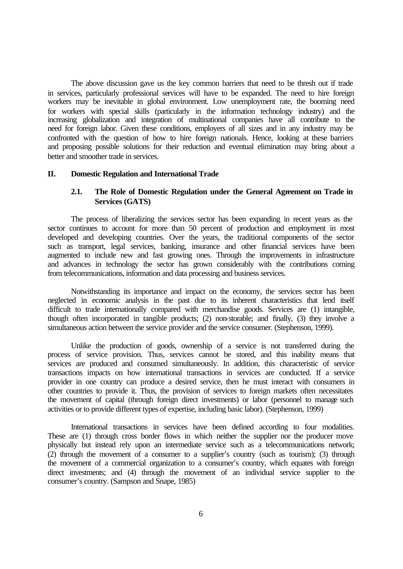The above discussion gave us the key common barriers that need to be thresh out if trade in services, particularly professional services will have to be expanded. The need to hire foreign workers may be inevitable in global environment. Low unemployment rate, the booming need for workers with special skills (particularly in the information technology industry) and the increasing globalization and integration of multinational companies have all contribute to the need for foreign labor. Given these conditions, employers of all sizes and in any industry may be confronted with the question of how to hire foreign nationals. Hence, looking at these barriers and proposing possible solutions for their reduction and eventual elimination may bring about a better and smoother trade in services.

## **II. Domestic Regulation and International Trade**

## **2.1. The Role of Domestic Regulation under the General Agreement on Trade in Services (GATS)**

The process of liberalizing the services sector has been expanding in recent years as the sector continues to account for more than 50 percent of production and employment in most developed and developing countries. Over the years, the traditional components of the sector such as transport, legal services, banking, insurance and other financial services have been augmented to include new and fast growing ones. Through the improvements in infrastructure and advances in technology the sector has grown considerably with the contributions coming from telecommunications, information and data processing and business services.

Notwithstanding its importance and impact on the economy, the services sector has been neglected in economic analysis in the past due to its inherent characteristics that lend itself difficult to trade internationally compared with merchandise goods. Services are (1) intangible, though often incorporated in tangible products; (2) non-storable; and finally, (3) they involve a simultaneous action between the service provider and the service consumer. (Stephenson, 1999).

Unlike the production of goods, ownership of a service is not transferred during the process of service provision. Thus, services cannot be stored, and this inability means that services are produced and consumed simultaneously. In addition, this characteristic of service transactions impacts on how international transactions in services are conducted. If a service provider in one country can produce a desired service, then he must interact with consumers in other countries to provide it. Thus, the provision of services to foreign markets often necessitates the movement of capital (through foreign direct investments) or labor (personnel to manage such activities or to provide different types of expertise, including basic labor). (Stephenson, 1999)

International transactions in services have been defined according to four modalities. These are (1) through cross border flows in which neither the supplier nor the producer move physically but instead rely upon an intermediate service such as a telecommunications network; (2) through the movement of a consumer to a supplier's country (such as tourism); (3) through the movement of a commercial organization to a consumer's country, which equates with foreign direct investments; and (4) through the movement of an individual service supplier to the consumer's country. (Sampson and Snape, 1985)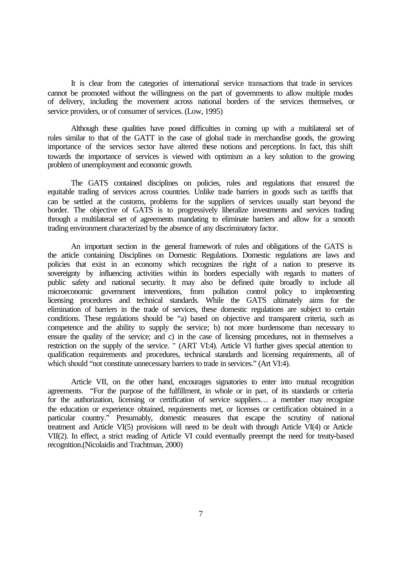It is clear from the categories of international service transactions that trade in services cannot be promoted without the willingness on the part of governments to allow multiple modes of delivery, including the movement across national borders of the services themselves, or service providers, or of consumer of services. (Low, 1995)

Although these qualities have posed difficulties in coming up with a multilateral set of rules similar to that of the GATT in the case of global trade in merchandise goods, the growing importance of the services sector have altered these notions and perceptions. In fact, this shift towards the importance of services is viewed with optimism as a key solution to the growing problem of unemployment and economic growth.

The GATS contained disciplines on policies, rules and regulations that ensured the equitable trading of services across countries. Unlike trade barriers in goods such as tariffs that can be settled at the customs, problems for the suppliers of services usually start beyond the border. The objective of GATS is to progressively liberalize investments and services trading through a multilateral set of agreements mandating to eliminate barriers and allow for a smooth trading environment characterized by the absence of any discriminatory factor.

An important section in the general framework of rules and obligations of the GATS is the article containing Disciplines on Domestic Regulations. Domestic regulations are laws and policies that exist in an economy which recognizes the right of a nation to preserve its sovereignty by influencing activities within its borders especially with regards to matters of public safety and national security. It may also be defined quite broadly to include all microeconomic government interventions, from pollution control policy to implementing licensing procedures and technical standards. While the GATS ultimately aims for the elimination of barriers in the trade of services, these domestic regulations are subject to certain conditions. These regulations should be "a) based on objective and transparent criteria, such as competence and the ability to supply the service; b) not more burdensome than necessary to ensure the quality of the service; and c) in the case of licensing procedures, not in themselves a restriction on the supply of the service. " (ART VI:4). Article VI further gives special attention to qualification requirements and procedures, technical standards and licensing requirements, all of which should "not constitute unnecessary barriers to trade in services." (Art VI:4).

Article VII, on the other hand, encourages signatories to enter into mutual recognition agreements. "For the purpose of the fulfillment, in whole or in part, of its standards or criteria for the authorization, licensing or certification of service suppliers… a member may recognize the education or experience obtained, requirements met, or licenses or certification obtained in a particular country." Presumably, domestic measures that escape the scrutiny of national treatment and Article VI(5) provisions will need to be dealt with through Article VI(4) or Article VII(2). In effect, a strict reading of Article VI could eventually preempt the need for treaty-based recognition.(Nicolaidis and Trachtman, 2000)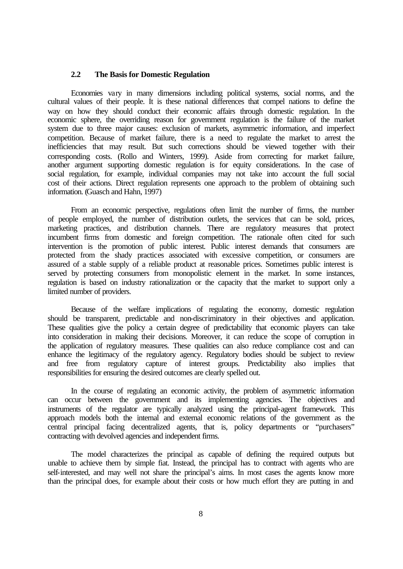#### **2.2 The Basis for Domestic Regulation**

Economies vary in many dimensions including political systems, social norms, and the cultural values of their people. It is these national differences that compel nations to define the way on how they should conduct their economic affairs through domestic regulation. In the economic sphere, the overriding reason for government regulation is the failure of the market system due to three major causes: exclusion of markets, asymmetric information, and imperfect competition. Because of market failure, there is a need to regulate the market to arrest the inefficiencies that may result. But such corrections should be viewed together with their corresponding costs. (Rollo and Winters, 1999). Aside from correcting for market failure, another argument supporting domestic regulation is for equity considerations. In the case of social regulation, for example, individual companies may not take into account the full social cost of their actions. Direct regulation represents one approach to the problem of obtaining such information. (Guasch and Hahn, 1997)

From an economic perspective, regulations often limit the number of firms, the number of people employed, the number of distribution outlets, the services that can be sold, prices, marketing practices, and distribution channels. There are regulatory measures that protect incumbent firms from domestic and foreign competition. The rationale often cited for such intervention is the promotion of public interest. Public interest demands that consumers are protected from the shady practices associated with excessive competition, or consumers are assured of a stable supply of a reliable product at reasonable prices. Sometimes public interest is served by protecting consumers from monopolistic element in the market. In some instances, regulation is based on industry rationalization or the capacity that the market to support only a limited number of providers.

Because of the welfare implications of regulating the economy, domestic regulation should be transparent, predictable and non-discriminatory in their objectives and application. These qualities give the policy a certain degree of predictability that economic players can take into consideration in making their decisions. Moreover, it can reduce the scope of corruption in the application of regulatory measures. These qualities can also reduce compliance cost and can enhance the legitimacy of the regulatory agency. Regulatory bodies should be subject to review and free from regulatory capture of interest groups. Predictability also implies that responsibilities for ensuring the desired outcomes are clearly spelled out.

In the course of regulating an economic activity, the problem of asymmetric information can occur between the government and its implementing agencies. The objectives and instruments of the regulator are typically analyzed using the principal-agent framework. This approach models both the internal and external economic relations of the government as the central principal facing decentralized agents, that is, policy departments or "purchasers" contracting with devolved agencies and independent firms.

The model characterizes the principal as capable of defining the required outputs but unable to achieve them by simple fiat. Instead, the principal has to contract with agents who are self-interested, and may well not share the principal's aims. In most cases the agents know more than the principal does, for example about their costs or how much effort they are putting in and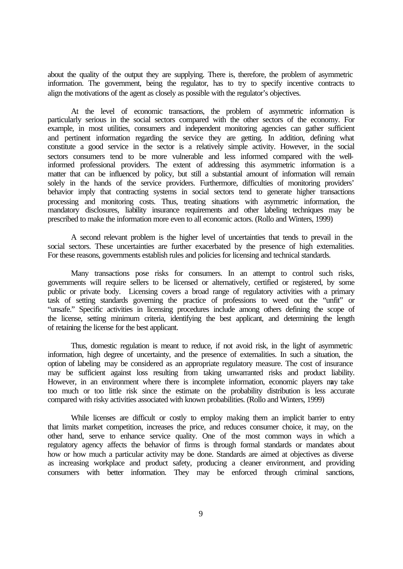about the quality of the output they are supplying. There is, therefore, the problem of asymmetric information. The government, being the regulator, has to try to specify incentive contracts to align the motivations of the agent as closely as possible with the regulator's objectives.

At the level of economic transactions, the problem of asymmetric information is particularly serious in the social sectors compared with the other sectors of the economy. For example, in most utilities, consumers and independent monitoring agencies can gather sufficient and pertinent information regarding the service they are getting. In addition, defining what constitute a good service in the sector is a relatively simple activity. However, in the social sectors consumers tend to be more vulnerable and less informed compared with the wellinformed professional providers. The extent of addressing this asymmetric information is a matter that can be influenced by policy, but still a substantial amount of information will remain solely in the hands of the service providers. Furthermore, difficulties of monitoring providers' behavior imply that contracting systems in social sectors tend to generate higher transactions processing and monitoring costs. Thus, treating situations with asymmetric information, the mandatory disclosures, liability insurance requirements and other labeling techniques may be prescribed to make the information more even to all economic actors. (Rollo and Winters, 1999)

A second relevant problem is the higher level of uncertainties that tends to prevail in the social sectors. These uncertainties are further exacerbated by the presence of high externalities. For these reasons, governments establish rules and policies for licensing and technical standards.

Many transactions pose risks for consumers. In an attempt to control such risks, governments will require sellers to be licensed or alternatively, certified or registered, by some public or private body. Licensing covers a broad range of regulatory activities with a primary task of setting standards governing the practice of professions to weed out the "unfit" or "unsafe." Specific activities in licensing procedures include among others defining the scope of the license, setting minimum criteria, identifying the best applicant, and determining the length of retaining the license for the best applicant.

Thus, domestic regulation is meant to reduce, if not avoid risk, in the light of asymmetric information, high degree of uncertainty, and the presence of externalities. In such a situation, the option of labeling may be considered as an appropriate regulatory measure. The cost of insurance may be sufficient against loss resulting from taking unwarranted risks and product liability. However, in an environment where there is incomplete information, economic players may take too much or too little risk since the estimate on the probability distribution is less accurate compared with risky activities associated with known probabilities. (Rollo and Winters, 1999)

While licenses are difficult or costly to employ making them an implicit barrier to entry that limits market competition, increases the price, and reduces consumer choice, it may, on the other hand, serve to enhance service quality. One of the most common ways in which a regulatory agency affects the behavior of firms is through formal standards or mandates about how or how much a particular activity may be done. Standards are aimed at objectives as diverse as increasing workplace and product safety, producing a cleaner environment, and providing consumers with better information. They may be enforced through criminal sanctions,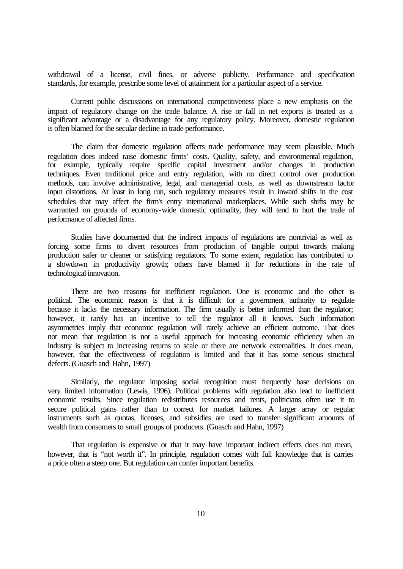withdrawal of a license, civil fines, or adverse publicity. Performance and specification standards, for example, prescribe some level of attainment for a particular aspect of a service.

Current public discussions on international competitiveness place a new emphasis on the impact of regulatory change on the trade balance. A rise or fall in net exports is treated as a significant advantage or a disadvantage for any regulatory policy. Moreover, domestic regulation is often blamed for the secular decline in trade performance.

The claim that domestic regulation affects trade performance may seem plausible. Much regulation does indeed raise domestic firms' costs. Quality, safety, and environmental regulation, for example, typically require specific capital investment and/or changes in production techniques. Even traditional price and entry regulation, with no direct control over production methods, can involve administrative, legal, and managerial costs, as well as downstream factor input distortions. At least in long run, such regulatory measures result in inward shifts in the cost schedules that may affect the firm's entry international marketplaces. While such shifts may be warranted on grounds of economy-wide domestic optimality, they will tend to hurt the trade of performance of affected firms.

Studies have documented that the indirect impacts of regulations are nontrivial as well as forcing some firms to divert resources from production of tangible output towards making production safer or cleaner or satisfying regulators. To some extent, regulation has contributed to a slowdown in productivity growth; others have blamed it for reductions in the rate of technological innovation.

There are two reasons for inefficient regulation. One is economic and the other is political. The economic reason is that it is difficult for a government authority to regulate because it lacks the necessary information. The firm usually is better informed than the regulator; however, it rarely has an incentive to tell the regulator all it knows. Such information asymmetries imply that economic regulation will rarely achieve an efficient outcome. That does not mean that regulation is not a useful approach for increasing economic efficiency when an industry is subject to increasing returns to scale or there are network externalities. It does mean, however, that the effectiveness of regulation is limited and that it has some serious structural defects. (Guasch and Hahn, 1997)

Similarly, the regulator imposing social recognition must frequently base decisions on very limited information (Lewis, 1996). Political problems with regulation also lead to inefficient economic results. Since regulation redistributes resources and rents, politicians often use it to secure political gains rather than to correct for market failures. A larger array or regular instruments such as quotas, licenses, and subsidies are used to transfer significant amounts of wealth from consumers to small groups of producers. (Guasch and Hahn, 1997)

That regulation is expensive or that it may have important indirect effects does not mean, however, that is "not worth it". In principle, regulation comes with full knowledge that is carries a price often a steep one. But regulation can confer important benefits.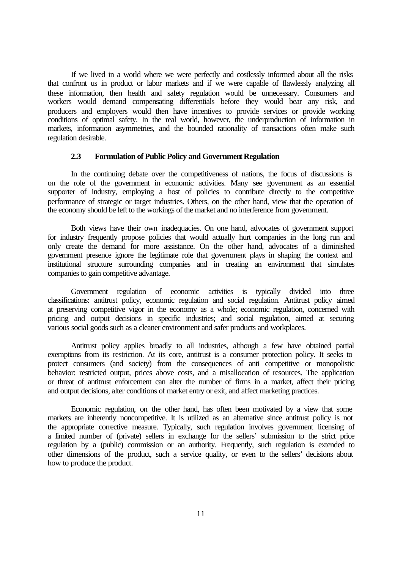If we lived in a world where we were perfectly and costlessly informed about all the risks that confront us in product or labor markets and if we were capable of flawlessly analyzing all these information, then health and safety regulation would be unnecessary. Consumers and workers would demand compensating differentials before they would bear any risk, and producers and employers would then have incentives to provide services or provide working conditions of optimal safety. In the real world, however, the underproduction of information in markets, information asymmetries, and the bounded rationality of transactions often make such regulation desirable.

#### **2.3 Formulation of Public Policy and Government Regulation**

In the continuing debate over the competitiveness of nations, the focus of discussions is on the role of the government in economic activities. Many see government as an essential supporter of industry, employing a host of policies to contribute directly to the competitive performance of strategic or target industries. Others, on the other hand, view that the operation of the economy should be left to the workings of the market and no interference from government.

Both views have their own inadequacies. On one hand, advocates of government support for industry frequently propose policies that would actually hurt companies in the long run and only create the demand for more assistance. On the other hand, advocates of a diminished government presence ignore the legitimate role that government plays in shaping the context and institutional structure surrounding companies and in creating an environment that simulates companies to gain competitive advantage.

Government regulation of economic activities is typically divided into three classifications: antitrust policy, economic regulation and social regulation. Antitrust policy aimed at preserving competitive vigor in the economy as a whole; economic regulation, concerned with pricing and output decisions in specific industries; and social regulation, aimed at securing various social goods such as a cleaner environment and safer products and workplaces.

Antitrust policy applies broadly to all industries, although a few have obtained partial exemptions from its restriction. At its core, antitrust is a consumer protection policy. It seeks to protect consumers (and society) from the consequences of anti competitive or monopolistic behavior: restricted output, prices above costs, and a misallocation of resources. The application or threat of antitrust enforcement can alter the number of firms in a market, affect their pricing and output decisions, alter conditions of market entry or exit, and affect marketing practices.

Economic regulation, on the other hand, has often been motivated by a view that some markets are inherently noncompetitive. It is utilized as an alternative since antitrust policy is not the appropriate corrective measure. Typically, such regulation involves government licensing of a limited number of (private) sellers in exchange for the sellers' submission to the strict price regulation by a (public) commission or an authority. Frequently, such regulation is extended to other dimensions of the product, such a service quality, or even to the sellers' decisions about how to produce the product.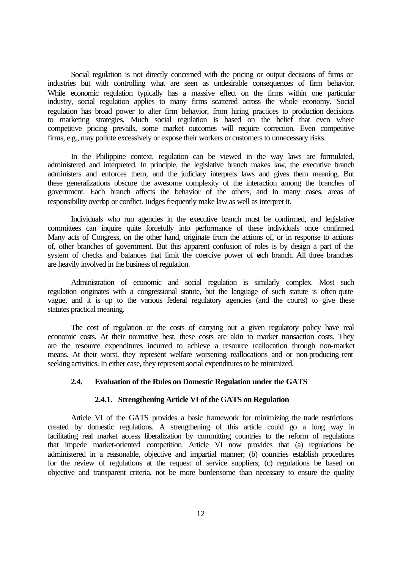Social regulation is not directly concerned with the pricing or output decisions of firms or industries but with controlling what are seen as undesirable consequences of firm behavior. While economic regulation typically has a massive effect on the firms within one particular industry, social regulation applies to many firms scattered across the whole economy. Social regulation has broad power to alter firm behavior, from hiring practices to production decisions to marketing strategies. Much social regulation is based on the belief that even where competitive pricing prevails, some market outcomes will require correction. Even competitive firms, e.g., may pollute excessively or expose their workers or customers to unnecessary risks.

In the Philippine context, regulation can be viewed in the way laws are formulated, administered and interpreted. In principle, the legislative branch makes law, the executive branch administers and enforces them, and the judiciary interprets laws and gives them meaning. But these generalizations obscure the awesome complexity of the interaction among the branches of government. Each branch affects the behavior of the others, and in many cases, areas of responsibility overlap or conflict. Judges frequently make law as well as interpret it.

Individuals who run agencies in the executive branch must be confirmed, and legislative committees can inquire quite forcefully into performance of these individuals once confirmed. Many acts of Congress, on the other hand, originate from the actions of, or in response to actions of, other branches of government. But this apparent confusion of roles is by design a part of the system of checks and balances that limit the coercive power of each branch. All three branches are heavily involved in the business of regulation.

Administration of economic and social regulation is similarly complex. Most such regulation originates with a congressional statute, but the language of such statute is often quite vague, and it is up to the various federal regulatory agencies (and the courts) to give these statutes practical meaning.

The cost of regulation or the costs of carrying out a given regulatory policy have real economic costs. At their normative best, these costs are akin to market transaction costs. They are the resource expenditures incurred to achieve a resource reallocation through non-market means. At their worst, they represent welfare worsening reallocations and or non-producing rent seeking activities. In either case, they represent social expenditures to be minimized.

## **2.4. Evaluation of the Rules on Domestic Regulation under the GATS**

#### **2.4.1. Strengthening Article VI of the GATS on Regulation**

Article VI of the GATS provides a basic framework for minimizing the trade restrictions created by domestic regulations. A strengthening of this article could go a long way in facilitating real market access liberalization by committing countries to the reform of regulations that impede market-oriented competition. Article VI now provides that (a) regulations be administered in a reasonable, objective and impartial manner; (b) countries establish procedures for the review of regulations at the request of service suppliers; (c) regulations be based on objective and transparent criteria, not be more burdensome than necessary to ensure the quality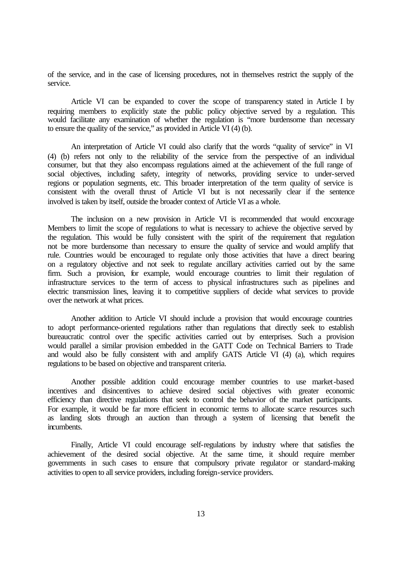of the service, and in the case of licensing procedures, not in themselves restrict the supply of the service.

Article VI can be expanded to cover the scope of transparency stated in Article I by requiring members to explicitly state the public policy objective served by a regulation. This would facilitate any examination of whether the regulation is "more burdensome than necessary to ensure the quality of the service," as provided in Article VI (4) (b).

An interpretation of Article VI could also clarify that the words "quality of service" in VI (4) (b) refers not only to the reliability of the service from the perspective of an individual consumer, but that they also encompass regulations aimed at the achievement of the full range of social objectives, including safety, integrity of networks, providing service to under-served regions or population segments, etc. This broader interpretation of the term quality of service is consistent with the overall thrust of Article VI but is not necessarily clear if the sentence involved is taken by itself, outside the broader context of Article VI as a whole.

The inclusion on a new provision in Article VI is recommended that would encourage Members to limit the scope of regulations to what is necessary to achieve the objective served by the regulation. This would be fully consistent with the spirit of the requirement that regulation not be more burdensome than necessary to ensure the quality of service and would amplify that rule. Countries would be encouraged to regulate only those activities that have a direct bearing on a regulatory objective and not seek to regulate ancillary activities carried out by the same firm. Such a provision, for example, would encourage countries to limit their regulation of infrastructure services to the term of access to physical infrastructures such as pipelines and electric transmission lines, leaving it to competitive suppliers of decide what services to provide over the network at what prices.

Another addition to Article VI should include a provision that would encourage countries to adopt performance-oriented regulations rather than regulations that directly seek to establish bureaucratic control over the specific activities carried out by enterprises. Such a provision would parallel a similar provision embedded in the GATT Code on Technical Barriers to Trade and would also be fully consistent with and amplify GATS Article VI (4) (a), which requires regulations to be based on objective and transparent criteria.

Another possible addition could encourage member countries to use market-based incentives and disincentives to achieve desired social objectives with greater economic efficiency than directive regulations that seek to control the behavior of the market participants. For example, it would be far more efficient in economic terms to allocate scarce resources such as landing slots through an auction than through a system of licensing that benefit the incumbents.

Finally, Article VI could encourage self-regulations by industry where that satisfies the achievement of the desired social objective. At the same time, it should require member governments in such cases to ensure that compulsory private regulator or standard-making activities to open to all service providers, including foreign-service providers.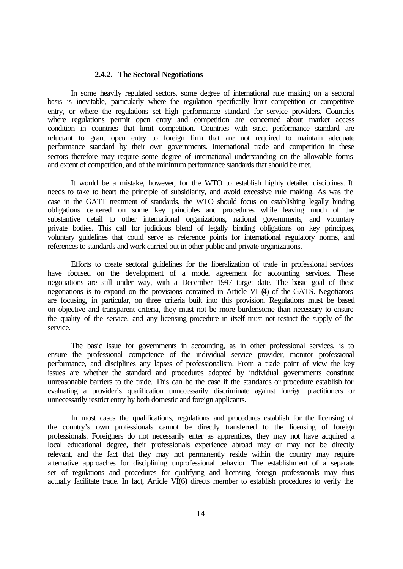#### **2.4.2. The Sectoral Negotiations**

In some heavily regulated sectors, some degree of international rule making on a sectoral basis is inevitable, particularly where the regulation specifically limit competition or competitive entry, or where the regulations set high performance standard for service providers. Countries where regulations permit open entry and competition are concerned about market access condition in countries that limit competition. Countries with strict performance standard are reluctant to grant open entry to foreign firm that are not required to maintain adequate performance standard by their own governments. International trade and competition in these sectors therefore may require some degree of international understanding on the allowable forms and extent of competition, and of the minimum performance standards that should be met.

It would be a mistake, however, for the WTO to establish highly detailed disciplines. It needs to take to heart the principle of subsidiarity, and avoid excessive rule making. As was the case in the GATT treatment of standards, the WTO should focus on establishing legally binding obligations centered on some key principles and procedures while leaving much of the substantive detail to other international organizations, national governments, and voluntary private bodies. This call for judicious blend of legally binding obligations on key principles, voluntary guidelines that could serve as reference points for international regulatory norms, and references to standards and work carried out in other public and private organizations.

Efforts to create sectoral guidelines for the liberalization of trade in professional services have focused on the development of a model agreement for accounting services. These negotiations are still under way, with a December 1997 target date. The basic goal of these negotiations is to expand on the provisions contained in Article VI (4) of the GATS. Negotiators are focusing, in particular, on three criteria built into this provision. Regulations must be based on objective and transparent criteria, they must not be more burdensome than necessary to ensure the quality of the service, and any licensing procedure in itself must not restrict the supply of the service.

The basic issue for governments in accounting, as in other professional services, is to ensure the professional competence of the individual service provider, monitor professional performance, and disciplines any lapses of professionalism. From a trade point of view the key issues are whether the standard and procedures adopted by individual governments constitute unreasonable barriers to the trade. This can be the case if the standards or procedure establish for evaluating a provider's qualification unnecessarily discriminate against foreign practitioners or unnecessarily restrict entry by both domestic and foreign applicants.

In most cases the qualifications, regulations and procedures establish for the licensing of the country's own professionals cannot be directly transferred to the licensing of foreign professionals. Foreigners do not necessarily enter as apprentices, they may not have acquired a local educational degree, their professionals experience abroad may or may not be directly relevant, and the fact that they may not permanently reside within the country may require alternative approaches for disciplining unprofessional behavior. The establishment of a separate set of regulations and procedures for qualifying and licensing foreign professionals may thus actually facilitate trade. In fact, Article VI(6) directs member to establish procedures to verify the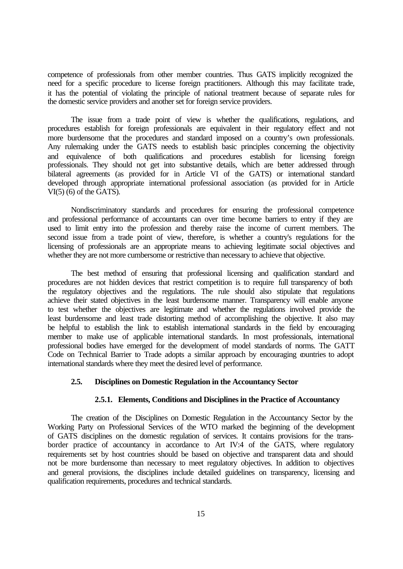competence of professionals from other member countries. Thus GATS implicitly recognized the need for a specific procedure to license foreign practitioners. Although this may facilitate trade, it has the potential of violating the principle of national treatment because of separate rules for the domestic service providers and another set for foreign service providers.

The issue from a trade point of view is whether the qualifications, regulations, and procedures establish for foreign professionals are equivalent in their regulatory effect and not more burdensome that the procedures and standard imposed on a country's own professionals. Any rulemaking under the GATS needs to establish basic principles concerning the objectivity and equivalence of both qualifications and procedures establish for licensing foreign professionals. They should not get into substantive details, which are better addressed through bilateral agreements (as provided for in Article VI of the GATS) or international standard developed through appropriate international professional association (as provided for in Article  $VI(5)$  (6) of the GATS).

Nondiscriminatory standards and procedures for ensuring the professional competence and professional performance of accountants can over time become barriers to entry if they are used to limit entry into the profession and thereby raise the income of current members. The second issue from a trade point of view, therefore, is whether a country's regulations for the licensing of professionals are an appropriate means to achieving legitimate social objectives and whether they are not more cumbersome or restrictive than necessary to achieve that objective.

The best method of ensuring that professional licensing and qualification standard and procedures are not hidden devices that restrict competition is to require full transparency of both the regulatory objectives and the regulations. The rule should also stipulate that regulations achieve their stated objectives in the least burdensome manner. Transparency will enable anyone to test whether the objectives are legitimate and whether the regulations involved provide the least burdensome and least trade distorting method of accomplishing the objective. It also may be helpful to establish the link to establish international standards in the field by encouraging member to make use of applicable international standards. In most professionals, international professional bodies have emerged for the development of model standards of norms. The GATT Code on Technical Barrier to Trade adopts a similar approach by encouraging countries to adopt international standards where they meet the desired level of performance.

#### **2.5. Disciplines on Domestic Regulation in the Accountancy Sector**

#### **2.5.1. Elements, Conditions and Disciplines in the Practice of Accountancy**

The creation of the Disciplines on Domestic Regulation in the Accountancy Sector by the Working Party on Professional Services of the WTO marked the beginning of the development of GATS disciplines on the domestic regulation of services. It contains provisions for the transborder practice of accountancy in accordance to Art IV:4 of the GATS, where regulatory requirements set by host countries should be based on objective and transparent data and should not be more burdensome than necessary to meet regulatory objectives. In addition to objectives and general provisions, the disciplines include detailed guidelines on transparency, licensing and qualification requirements, procedures and technical standards.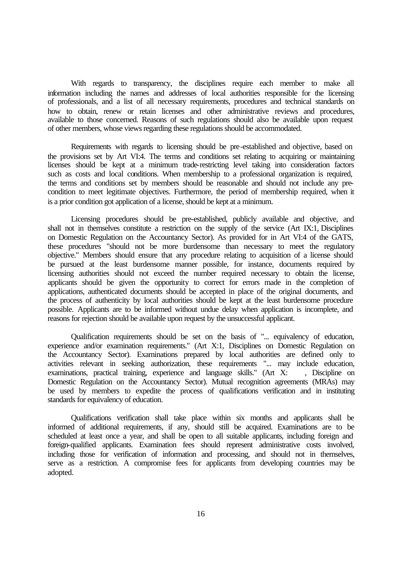With regards to transparency, the disciplines require each member to make all information including the names and addresses of local authorities responsible for the licensing of professionals, and a list of all necessary requirements, procedures and technical standards on how to obtain, renew or retain licenses and other administrative reviews and procedures, available to those concerned. Reasons of such regulations should also be available upon request of other members, whose views regarding these regulations should be accommodated.

Requirements with regards to licensing should be pre-established and objective, based on the provisions set by Art VI:4. The terms and conditions set relating to acquiring or maintaining licenses should be kept at a minimum trade-restricting level taking into consideration factors such as costs and local conditions. When membership to a professional organization is required, the terms and conditions set by members should be reasonable and should not include any precondition to meet legitimate objectives. Furthermore, the period of membership required, when it is a prior condition got application of a license, should be kept at a minimum.

Licensing procedures should be pre-established, publicly available and objective, and shall not in themselves constitute a restriction on the supply of the service (Art IX:1, Disciplines on Domestic Regulation on the Accountancy Sector). As provided for in Art VI:4 of the GATS, these procedures "should not be more burdensome than necessary to meet the regulatory objective." Members should ensure that any procedure relating to acquisition of a license should be pursued at the least burdensome manner possible, for instance, documents required by licensing authorities should not exceed the number required necessary to obtain the license, applicants should be given the opportunity to correct for errors made in the completion of applications, authenticated documents should be accepted in place of the original documents, and the process of authenticity by local authorities should be kept at the least burdensome procedure possible. Applicants are to be informed without undue delay when application is incomplete, and reasons for rejection should be available upon request by the unsuccessful applicant.

Qualification requirements should be set on the basis of "... equivalency of education, experience and/or examination requirements." (Art X:1, Disciplines on Domestic Regulation on the Accountancy Sector). Examinations prepared by local authorities are defined only to activities relevant in seeking authorization, these requirements "... may include education, examinations, practical training, experience and language skills." (Art X: , Discipline on Domestic Regulation on the Accountancy Sector). Mutual recognition agreements (MRAs) may be used by members to expedite the process of qualifications verification and in instituting standards for equivalency of education.

Qualifications verification shall take place within six months and applicants shall be informed of additional requirements, if any, should still be acquired. Examinations are to be scheduled at least once a year, and shall be open to all suitable applicants, including foreign and foreign-qualified applicants. Examination fees should represent administrative costs involved, including those for verification of information and processing, and should not in themselves, serve as a restriction. A compromise fees for applicants from developing countries may be adopted.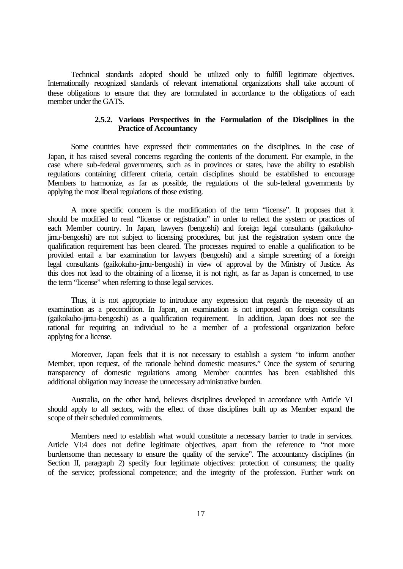Technical standards adopted should be utilized only to fulfill legitimate objectives. Internationally recognized standards of relevant international organizations shall take account of these obligations to ensure that they are formulated in accordance to the obligations of each member under the GATS.

# **2.5.2. Various Perspectives in the Formulation of the Disciplines in the Practice of Accountancy**

Some countries have expressed their commentaries on the disciplines. In the case of Japan, it has raised several concerns regarding the contents of the document. For example, in the case where sub-federal governments, such as in provinces or states, have the ability to establish regulations containing different criteria, certain disciplines should be established to encourage Members to harmonize, as far as possible, the regulations of the sub-federal governments by applying the most liberal regulations of those existing.

A more specific concern is the modification of the term "license". It proposes that it should be modified to read "license or registration" in order to reflect the system or practices of each Member country. In Japan, lawyers (bengoshi) and foreign legal consultants (gaikokuhojimu-bengoshi) are not subject to licensing procedures, but just the registration system once the qualification requirement has been cleared. The processes required to enable a qualification to be provided entail a bar examination for lawyers (bengoshi) and a simple screening of a foreign legal consultants (gaikokuho-jimu-bengoshi) in view of approval by the Ministry of Justice. As this does not lead to the obtaining of a license, it is not right, as far as Japan is concerned, to use the term "license" when referring to those legal services.

Thus, it is not appropriate to introduce any expression that regards the necessity of an examination as a precondition. In Japan, an examination is not imposed on foreign consultants (gaikokuho-jimu-bengoshi) as a qualification requirement. In addition, Japan does not see the rational for requiring an individual to be a member of a professional organization before applying for a license.

Moreover, Japan feels that it is not necessary to establish a system "to inform another Member, upon request, of the rationale behind domestic measures." Once the system of securing transparency of domestic regulations among Member countries has been established this additional obligation may increase the unnecessary administrative burden.

Australia, on the other hand, believes disciplines developed in accordance with Article VI should apply to all sectors, with the effect of those disciplines built up as Member expand the scope of their scheduled commitments.

Members need to establish what would constitute a necessary barrier to trade in services. Article VI:4 does not define legitimate objectives, apart from the reference to "not more burdensome than necessary to ensure the quality of the service". The accountancy disciplines (in Section II, paragraph 2) specify four legitimate objectives: protection of consumers; the quality of the service; professional competence; and the integrity of the profession. Further work on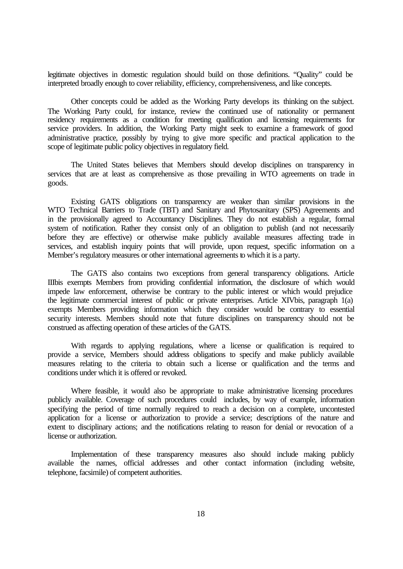legitimate objectives in domestic regulation should build on those definitions. "Quality" could be interpreted broadly enough to cover reliability, efficiency, comprehensiveness, and like concepts.

Other concepts could be added as the Working Party develops its thinking on the subject. The Working Party could, for instance, review the continued use of nationality or permanent residency requirements as a condition for meeting qualification and licensing requirements for service providers. In addition, the Working Party might seek to examine a framework of good administrative practice, possibly by trying to give more specific and practical application to the scope of legitimate public policy objectives in regulatory field.

The United States believes that Members should develop disciplines on transparency in services that are at least as comprehensive as those prevailing in WTO agreements on trade in goods.

Existing GATS obligations on transparency are weaker than similar provisions in the WTO Technical Barriers to Trade (TBT) and Sanitary and Phytosanitary (SPS) Agreements and in the provisionally agreed to Accountancy Disciplines. They do not establish a regular, formal system of notification. Rather they consist only of an obligation to publish (and not necessarily before they are effective) or otherwise make publicly available measures affecting trade in services, and establish inquiry points that will provide, upon request, specific information on a Member's regulatory measures or other international agreements to which it is a party.

The GATS also contains two exceptions from general transparency obligations. Article IIIbis exempts Members from providing confidential information, the disclosure of which would impede law enforcement, otherwise be contrary to the public interest or which would prejudice the legitimate commercial interest of public or private enterprises. Article XIVbis, paragraph 1(a) exempts Members providing information which they consider would be contrary to essential security interests. Members should note that future disciplines on transparency should not be construed as affecting operation of these articles of the GATS.

With regards to applying regulations, where a license or qualification is required to provide a service, Members should address obligations to specify and make publicly available measures relating to the criteria to obtain such a license or qualification and the terms and conditions under which it is offered or revoked.

Where feasible, it would also be appropriate to make administrative licensing procedures publicly available. Coverage of such procedures could includes, by way of example, information specifying the period of time normally required to reach a decision on a complete, uncontested application for a license or authorization to provide a service; descriptions of the nature and extent to disciplinary actions; and the notifications relating to reason for denial or revocation of a license or authorization.

Implementation of these transparency measures also should include making publicly available the names, official addresses and other contact information (including website, telephone, facsimile) of competent authorities.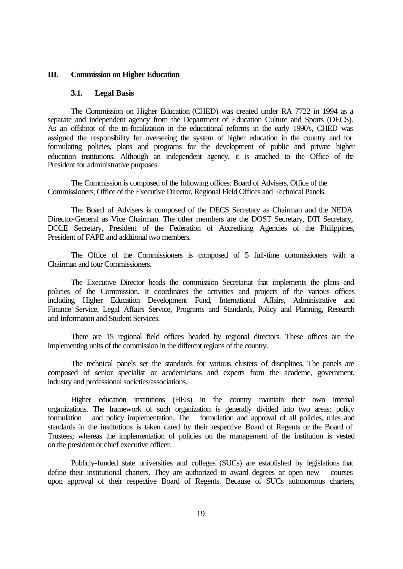### **III. Commission on Higher Education**

#### **3.1. Legal Basis**

The Commission on Higher Education (CHED) was created under RA 7722 in 1994 as a separate and independent agency from the Department of Education Culture and Sports (DECS). As an offshoot of the tri-focalization in the educational reforms in the early 1990's, CHED was assigned the responsibility for overseeing the system of higher education in the country and for formulating policies, plans and programs for the development of public and private higher education institutions. Although an independent agency, it is attached to the Office of the President for administrative purposes.

The Commission is composed of the following offices: Board of Advisers, Office of the Commissioners, Office of the Executive Director, Regional Field Offices and Technical Panels.

The Board of Advisers is composed of the DECS Secretary as Chairman and the NEDA Director-General as Vice Chairman. The other members are the DOST Secretary, DTI Secretary, DOLE Secretary, President of the Federation of Accrediting Agencies of the Philippines, President of FAPE and additional two members.

The Office of the Commissioners is composed of 5 full-time commissioners with a Chairman and four Commissioners.

The Executive Director heads the commission Secretariat that implements the plans and policies of the Commission. It coordinates the activities and projects of the various offices including Higher Education Development Fund, International Affairs, Administrative and Finance Service, Legal Affairs Service, Programs and Standards, Policy and Planning, Research and Information and Student Services.

There are 15 regional field offices headed by regional directors. These offices are the implementing units of the commission in the different regions of the country.

The technical panels set the standards for various clusters of disciplines. The panels are composed of senior specialist or academicians and experts from the academe, government, industry and professional societies/associations.

Higher education institutions (HEIs) in the country maintain their own internal organizations. The framework of such organization is generally divided into two areas: policy formulation and policy implementation. The formulation and approval of all policies, rules and standards in the institutions is taken cared by their respective Board of Regents or the Board of Trustees; whereas the implementation of policies on the management of the institution is vested on the president or chief executive officer.

Publicly-funded state universities and colleges (SUCs) are established by legislations that define their institutional charters. They are authorized to award degrees or open new courses upon approval of their respective Board of Regents. Because of SUCs autonomous charters,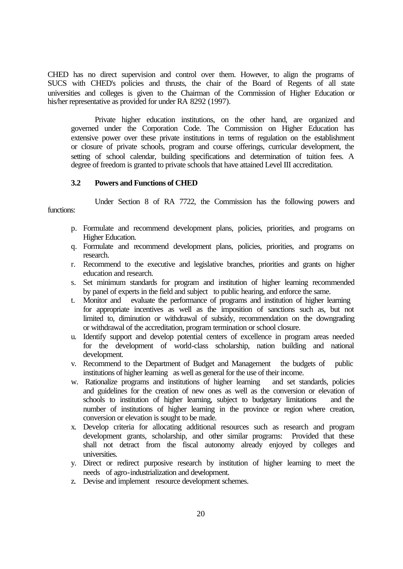CHED has no direct supervision and control over them. However, to align the programs of SUCS with CHED's policies and thrusts, the chair of the Board of Regents of all state universities and colleges is given to the Chairman of the Commission of Higher Education or his/her representative as provided for under RA 8292 (1997).

Private higher education institutions, on the other hand, are organized and governed under the Corporation Code. The Commission on Higher Education has extensive power over these private institutions in terms of regulation on the establishment or closure of private schools, program and course offerings, curricular development, the setting of school calendar, building specifications and determination of tuition fees. A degree of freedom is granted to private schools that have attained Level III accreditation.

# **3.2 Powers and Functions of CHED**

Under Section 8 of RA 7722, the Commission has the following powers and functions:

- p. Formulate and recommend development plans, policies, priorities, and programs on Higher Education.
- q. Formulate and recommend development plans, policies, priorities, and programs on research.
- r. Recommend to the executive and legislative branches, priorities and grants on higher education and research.
- s. Set minimum standards for program and institution of higher learning recommended by panel of experts in the field and subject to public hearing, and enforce the same.
- t. Monitor and evaluate the performance of programs and institution of higher learning for appropriate incentives as well as the imposition of sanctions such as, but not limited to, diminution or withdrawal of subsidy, recommendation on the downgrading or withdrawal of the accreditation, program termination or school closure.
- u. Identify support and develop potential centers of excellence in program areas needed for the development of world-class scholarship, nation building and national development.
- v. Recommend to the Department of Budget and Management the budgets of public institutions of higher learning as well as general for the use of their income.
- w. Rationalize programs and institutions of higher learning and set standards, policies and guidelines for the creation of new ones as well as the conversion or elevation of schools to institution of higher learning, subject to budgetary limitations and the number of institutions of higher learning in the province or region where creation, conversion or elevation is sought to be made.
- x. Develop criteria for allocating additional resources such as research and program development grants, scholarship, and other similar programs: Provided that these shall not detract from the fiscal autonomy already enjoyed by colleges and universities.
- y. Direct or redirect purposive research by institution of higher learning to meet the needs of agro-industrialization and development.
- z. Devise and implement resource development schemes.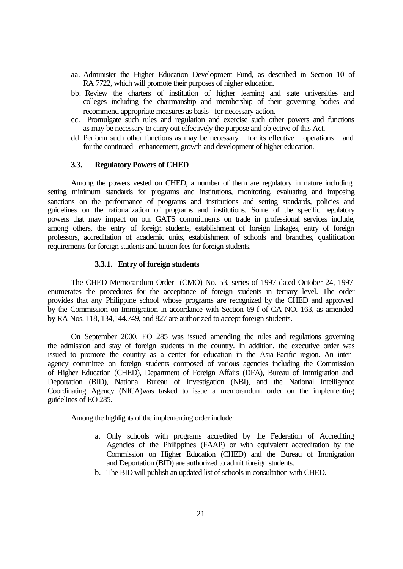- aa. Administer the Higher Education Development Fund, as described in Section 10 of RA 7722, which will promote their purposes of higher education.
- bb. Review the charters of institution of higher learning and state universities and colleges including the chairmanship and membership of their governing bodies and recommend appropriate measures as basis for necessary action.
- cc. Promulgate such rules and regulation and exercise such other powers and functions as may be necessary to carry out effectively the purpose and objective of this Act.
- dd. Perform such other functions as may be necessary for its effective operations and for the continued enhancement, growth and development of higher education.

## **3.3. Regulatory Powers of CHED**

Among the powers vested on CHED, a number of them are regulatory in nature including setting minimum standards for programs and institutions, monitoring, evaluating and imposing sanctions on the performance of programs and institutions and setting standards, policies and guidelines on the rationalization of programs and institutions. Some of the specific regulatory powers that may impact on our GATS commitments on trade in professional services include, among others, the entry of foreign students, establishment of foreign linkages, entry of foreign professors, accreditation of academic units, establishment of schools and branches, qualification requirements for foreign students and tuition fees for foreign students.

### **3.3.1. Entry of foreign students**

The CHED Memorandum Order (CMO) No. 53, series of 1997 dated October 24, 1997 enumerates the procedures for the acceptance of foreign students in tertiary level. The order provides that any Philippine school whose programs are recognized by the CHED and approved by the Commission on Immigration in accordance with Section 69-f of CA NO. 163, as amended by RA Nos. 118, 134,144.749, and 827 are authorized to accept foreign students.

On September 2000, EO 285 was issued amending the rules and regulations governing the admission and stay of foreign students in the country. In addition, the executive order was issued to promote the country as a center for education in the Asia-Pacific region. An interagency committee on foreign students composed of various agencies including the Commission of Higher Education (CHED), Department of Foreign Affairs (DFA), Bureau of Immigration and Deportation (BID), National Bureau of Investigation (NBI), and the National Intelligence Coordinating Agency (NICA)was tasked to issue a memorandum order on the implementing guidelines of EO 285.

Among the highlights of the implementing order include:

- a. Only schools with programs accredited by the Federation of Accrediting Agencies of the Philippines (FAAP) or with equivalent accreditation by the Commission on Higher Education (CHED) and the Bureau of Immigration and Deportation (BID) are authorized to admit foreign students.
- b. The BID will publish an updated list of schools in consultation with CHED.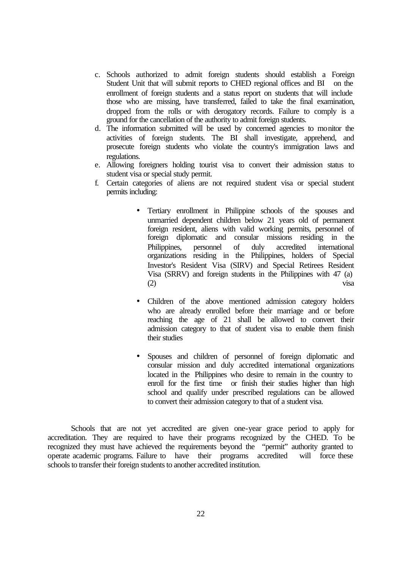- c. Schools authorized to admit foreign students should establish a Foreign Student Unit that will submit reports to CHED regional offices and BI on the enrollment of foreign students and a status report on students that will include those who are missing, have transferred, failed to take the final examination, dropped from the rolls or with derogatory records. Failure to comply is a ground for the cancellation of the authority to admit foreign students.
- d. The information submitted will be used by concerned agencies to monitor the activities of foreign students. The BI shall investigate, apprehend, and prosecute foreign students who violate the country's immigration laws and regulations.
- e. Allowing foreigners holding tourist visa to convert their admission status to student visa or special study permit.
- f. Certain categories of aliens are not required student visa or special student permits including:
	- Tertiary enrollment in Philippine schools of the spouses and unmarried dependent children below 21 years old of permanent foreign resident, aliens with valid working permits, personnel of foreign diplomatic and consular missions residing in the Philippines, personnel of duly accredited international organizations residing in the Philippines, holders of Special Investor's Resident Visa (SIRV) and Special Retirees Resident Visa (SRRV) and foreign students in the Philippines with 47 (a) (2) visa
	- Children of the above mentioned admission category holders who are already enrolled before their marriage and or before reaching the age of 21 shall be allowed to convert their admission category to that of student visa to enable them finish their studies
	- Spouses and children of personnel of foreign diplomatic and consular mission and duly accredited international organizations located in the Philippines who desire to remain in the country to enroll for the first time or finish their studies higher than high school and qualify under prescribed regulations can be allowed to convert their admission category to that of a student visa.

Schools that are not yet accredited are given one-year grace period to apply for accreditation. They are required to have their programs recognized by the CHED. To be recognized they must have achieved the requirements beyond the "permit" authority granted to operate academic programs. Failure to have their programs accredited will force these schools to transfer their foreign students to another accredited institution.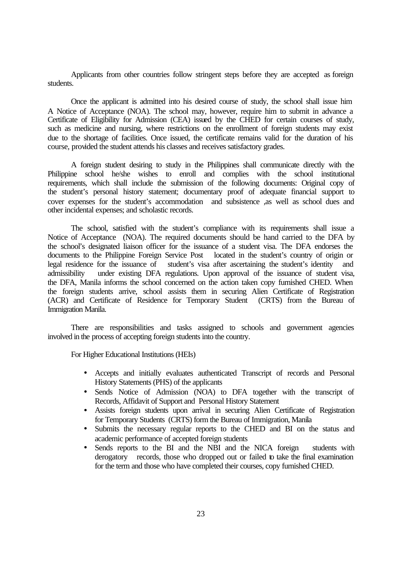Applicants from other countries follow stringent steps before they are accepted as foreign students.

Once the applicant is admitted into his desired course of study, the school shall issue him A Notice of Acceptance (NOA). The school may, however, require him to submit in advance a Certificate of Eligibility for Admission (CEA) issued by the CHED for certain courses of study, such as medicine and nursing, where restrictions on the enrollment of foreign students may exist due to the shortage of facilities. Once issued, the certificate remains valid for the duration of his course, provided the student attends his classes and receives satisfactory grades.

A foreign student desiring to study in the Philippines shall communicate directly with the Philippine school he/she wishes to enroll and complies with the school institutional requirements, which shall include the submission of the following documents: Original copy of the student's personal history statement; documentary proof of adequate financial support to cover expenses for the student's accommodation and subsistence ,as well as school dues and other incidental expenses; and scholastic records.

The school, satisfied with the student's compliance with its requirements shall issue a Notice of Acceptance (NOA). The required documents should be hand carried to the DFA by the school's designated liaison officer for the issuance of a student visa. The DFA endorses the documents to the Philippine Foreign Service Post located in the student's country of origin or legal residence for the issuance of student's visa after ascertaining the student's identity and admissibility under existing DFA regulations. Upon approval of the issuance of student visa, the DFA, Manila informs the school concerned on the action taken copy furnished CHED. When the foreign students arrive, school assists them in securing Alien Certificate of Registration (ACR) and Certificate of Residence for Temporary Student (CRTS) from the Bureau of Immigration Manila.

There are responsibilities and tasks assigned to schools and government agencies involved in the process of accepting foreign students into the country.

For Higher Educational Institutions (HEIs)

- Accepts and initially evaluates authenticated Transcript of records and Personal History Statements (PHS) of the applicants
- Sends Notice of Admission (NOA) to DFA together with the transcript of Records, Affidavit of Support and Personal History Statement
- Assists foreign students upon arrival in securing Alien Certificate of Registration for Temporary Students (CRTS) form the Bureau of Immigration, Manila
- Submits the necessary regular reports to the CHED and BI on the status and academic performance of accepted foreign students
- Sends reports to the BI and the NBI and the NICA foreign students with derogatory records, those who dropped out or failed to take the final examination for the term and those who have completed their courses, copy furnished CHED.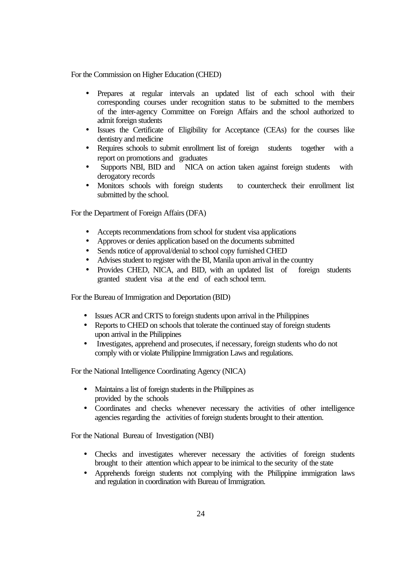For the Commission on Higher Education (CHED)

- Prepares at regular intervals an updated list of each school with their corresponding courses under recognition status to be submitted to the members of the inter-agency Committee on Foreign Affairs and the school authorized to admit foreign students
- Issues the Certificate of Eligibility for Acceptance (CEAs) for the courses like dentistry and medicine
- Requires schools to submit enrollment list of foreign students together with a report on promotions and graduates
- Supports NBI, BID and NICA on action taken against foreign students with derogatory records
- Monitors schools with foreign students to countercheck their enrollment list submitted by the school.

For the Department of Foreign Affairs (DFA)

- Accepts recommendations from school for student visa applications
- Approves or denies application based on the documents submitted
- Sends notice of approval/denial to school copy furnished CHED
- Advises student to register with the BI, Manila upon arrival in the country
- Provides CHED, NICA, and BID, with an updated list of foreign students granted student visa at the end of each school term.

For the Bureau of Immigration and Deportation (BID)

- Issues ACR and CRTS to foreign students upon arrival in the Philippines
- Reports to CHED on schools that tolerate the continued stay of foreign students upon arrival in the Philippines
- Investigates, apprehend and prosecutes, if necessary, foreign students who do not comply with or violate Philippine Immigration Laws and regulations.

For the National Intelligence Coordinating Agency (NICA)

- Maintains a list of foreign students in the Philippines as provided by the schools
- Coordinates and checks whenever necessary the activities of other intelligence agencies regarding the activities of foreign students brought to their attention.

For the National Bureau of Investigation (NBI)

- Checks and investigates wherever necessary the activities of foreign students brought to their attention which appear to be inimical to the security of the state
- Apprehends foreign students not complying with the Philippine immigration laws and regulation in coordination with Bureau of Immigration.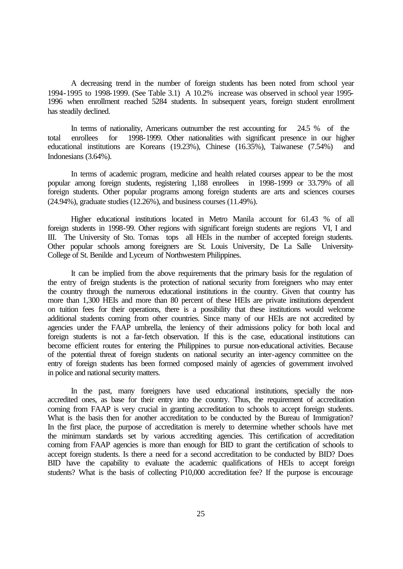A decreasing trend in the number of foreign students has been noted from school year 1994-1995 to 1998-1999. (See Table 3.1) A 10.2% increase was observed in school year 1995- 1996 when enrollment reached 5284 students. In subsequent years, foreign student enrollment has steadily declined.

In terms of nationality, Americans outnumber the rest accounting for 24.5 % of the total enrollees for 1998-1999. Other nationalities with significant presence in our higher educational institutions are Koreans (19.23%), Chinese (16.35%), Taiwanese (7.54%) and Indonesians (3.64%).

In terms of academic program, medicine and health related courses appear to be the most popular among foreign students, registering 1,188 enrollees in 1998-1999 or 33.79% of all foreign students. Other popular programs among foreign students are arts and sciences courses (24.94%), graduate studies (12.26%), and business courses (11.49%).

Higher educational institutions located in Metro Manila account for 61.43 % of all foreign students in 1998-99. Other regions with significant foreign students are regions VI, I and III. The University of Sto. Tomas tops all HEIs in the number of accepted foreign students. Other popular schools among foreigners are St. Louis University, De La Salle University-College of St. Benilde and Lyceum of Northwestern Philippines.

It can be implied from the above requirements that the primary basis for the regulation of the entry of foreign students is the protection of national security from foreigners who may enter the country through the numerous educational institutions in the country. Given that country has more than 1,300 HEIs and more than 80 percent of these HEIs are private institutions dependent on tuition fees for their operations, there is a possibility that these institutions would welcome additional students coming from other countries. Since many of our HEIs are not accredited by agencies under the FAAP umbrella, the leniency of their admissions policy for both local and foreign students is not a far-fetch observation. If this is the case, educational institutions can become efficient routes for entering the Philippines to pursue non-educational activities. Because of the potential threat of foreign students on national security an inter-agency committee on the entry of foreign students has been formed composed mainly of agencies of government involved in police and national security matters.

In the past, many foreigners have used educational institutions, specially the nonaccredited ones, as base for their entry into the country. Thus, the requirement of accreditation coming from FAAP is very crucial in granting accreditation to schools to accept foreign students. What is the basis then for another accreditation to be conducted by the Bureau of Immigration? In the first place, the purpose of accreditation is merely to determine whether schools have met the minimum standards set by various accrediting agencies. This certification of accreditation coming from FAAP agencies is more than enough for BID to grant the certification of schools to accept foreign students. Is there a need for a second accreditation to be conducted by BID? Does BID have the capability to evaluate the academic qualifications of HEIs to accept foreign students? What is the basis of collecting P10,000 accreditation fee? If the purpose is encourage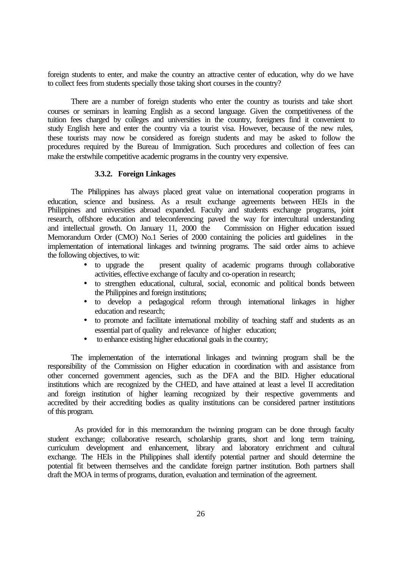foreign students to enter, and make the country an attractive center of education, why do we have to collect fees from students specially those taking short courses in the country?

There are a number of foreign students who enter the country as tourists and take short courses or seminars in learning English as a second language. Given the competitiveness of the tuition fees charged by colleges and universities in the country, foreigners find it convenient to study English here and enter the country via a tourist visa. However, because of the new rules, these tourists may now be considered as foreign students and may be asked to follow the procedures required by the Bureau of Immigration. Such procedures and collection of fees can make the erstwhile competitive academic programs in the country very expensive.

## **3.3.2. Foreign Linkages**

The Philippines has always placed great value on international cooperation programs in education, science and business. As a result exchange agreements between HEIs in the Philippines and universities abroad expanded. Faculty and students exchange programs, joint research, offshore education and teleconferencing paved the way for intercultural understanding and intellectual growth. On January 11, 2000 the Commission on Higher education issued Memorandum Order (CMO) No.1 Series of 2000 containing the policies and guidelines in the implementation of international linkages and twinning programs. The said order aims to achieve the following objectives, to wit:

- to upgrade the present quality of academic programs through collaborative activities, effective exchange of faculty and co-operation in research;
- to strengthen educational, cultural, social, economic and political bonds between the Philippines and foreign institutions;
- to develop a pedagogical reform through international linkages in higher education and research;
- to promote and facilitate international mobility of teaching staff and students as an essential part of quality and relevance of higher education;
- to enhance existing higher educational goals in the country;

The implementation of the international linkages and twinning program shall be the responsibility of the Commission on Higher education in coordination with and assistance from other concerned government agencies, such as the DFA and the BID. Higher educational institutions which are recognized by the CHED, and have attained at least a level II accreditation and foreign institution of higher learning recognized by their respective governments and accredited by their accrediting bodies as quality institutions can be considered partner institutions of this program.

 As provided for in this memorandum the twinning program can be done through faculty student exchange; collaborative research, scholarship grants, short and long term training, curriculum development and enhancement, library and laboratory enrichment and cultural exchange. The HEIs in the Philippines shall identify potential partner and should determine the potential fit between themselves and the candidate foreign partner institution. Both partners shall draft the MOA in terms of programs, duration, evaluation and termination of the agreement.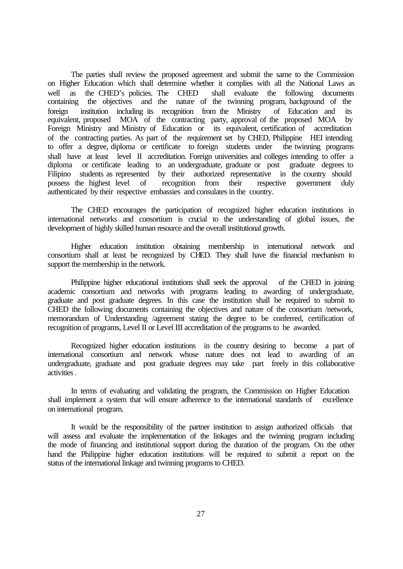The parties shall review the proposed agreement and submit the same to the Commission on Higher Education which shall determine whether it complies with all the National Laws as well as the CHED's policies. The CHED shall evaluate the following documents containing the objectives and the nature of the twinning program, background of the foreign institution including its recognition from the Ministry of Education and its equivalent, proposed MOA of the contracting party, approval of the proposed MOA by Foreign Ministry and Ministry of Education or its equivalent, certification of accreditation of the contracting parties. As part of the requirement set by CHED, Philippine HEI intending to offer a degree, diploma or certificate to foreign students under the twinning programs shall have at least level II accreditation. Foreign universities and colleges intending to offer a diploma or certificate leading to an undergraduate, graduate or post graduate degrees to Filipino students as represented by their authorized representative in the country should possess the highest level of recognition from their respective government duly possess the highest level of recognition from their respective government duly authenticated by their respective embassies and consulates in the country.

The CHED encourages the participation of recognized higher education institutions in international networks and consortium is crucial to the understanding of global issues, the development of highly skilled human resource and the overall institutional growth.

Higher education institution obtaining membership in international network and consortium shall at least be recognized by CHED. They shall have the financial mechanism to support the membership in the network.

Philippine higher educational institutions shall seek the approval of the CHED in joining academic consortium and networks with programs leading to awarding of undergraduate, graduate and post graduate degrees. In this case the institution shall be required to submit to CHED the following documents containing the objectives and nature of the consortium /network, memorandum of Understanding /agreement stating the degree to be conferred, certification of recognition of programs, Level II or Level III accreditation of the programs to be awarded.

Recognized higher education institutions in the country desiring to become a part of international consortium and network whose nature does not lead to awarding of an undergraduate, graduate and post graduate degrees may take part freely in this collaborative activities .

In terms of evaluating and validating the program, the Commission on Higher Education shall implement a system that will ensure adherence to the international standards of excellence on international program.

It would be the responsibility of the partner institution to assign authorized officials that will assess and evaluate the implementation of the linkages and the twinning program including the mode of financing and institutional support during the duration of the program. On the other hand the Philippine higher education institutions will be required to submit a report on the status of the international linkage and twinning programs to CHED.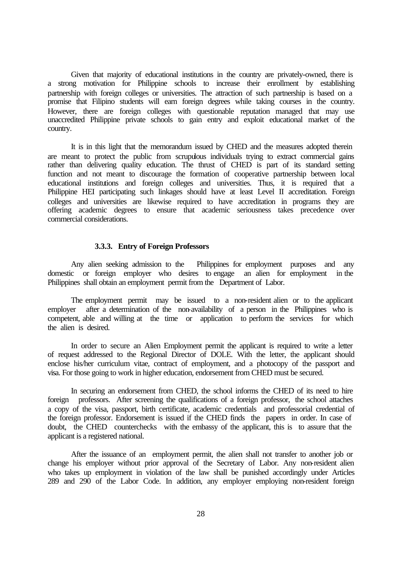Given that majority of educational institutions in the country are privately-owned, there is a strong motivation for Philippine schools to increase their enrollment by establishing partnership with foreign colleges or universities. The attraction of such partnership is based on a promise that Filipino students will earn foreign degrees while taking courses in the country. However, there are foreign colleges with questionable reputation managed that may use unaccredited Philippine private schools to gain entry and exploit educational market of the country.

It is in this light that the memorandum issued by CHED and the measures adopted therein are meant to protect the public from scrupulous individuals trying to extract commercial gains rather than delivering quality education. The thrust of CHED is part of its standard setting function and not meant to discourage the formation of cooperative partnership between local educational institutions and foreign colleges and universities. Thus, it is required that a Philippine HEI participating such linkages should have at least Level II accreditation. Foreign colleges and universities are likewise required to have accreditation in programs they are offering academic degrees to ensure that academic seriousness takes precedence over commercial considerations.

#### **3.3.3. Entry of Foreign Professors**

Any alien seeking admission to the Philippines for employment purposes and any domestic or foreign employer who desires to engage an alien for employment in the Philippines shall obtain an employment permit from the Department of Labor.

The employment permit may be issued to a non-resident alien or to the applicant employer after a determination of the non-availability of a person in the Philippines who is competent, able and willing at the time or application to perform the services for which the alien is desired.

In order to secure an Alien Employment permit the applicant is required to write a letter of request addressed to the Regional Director of DOLE. With the letter, the applicant should enclose his/her curriculum vitae, contract of employment, and a photocopy of the passport and visa. For those going to work in higher education, endorsement from CHED must be secured.

In securing an endorsement from CHED, the school informs the CHED of its need to hire foreign professors. After screening the qualifications of a foreign professor, the school attaches a copy of the visa, passport, birth certificate, academic credentials and professorial credential of the foreign professor. Endorsement is issued if the CHED finds the papers in order. In case of doubt, the CHED counterchecks with the embassy of the applicant, this is to assure that the applicant is a registered national.

After the issuance of an employment permit, the alien shall not transfer to another job or change his employer without prior approval of the Secretary of Labor. Any non-resident alien who takes up employment in violation of the law shall be punished accordingly under Articles 289 and 290 of the Labor Code. In addition, any employer employing non-resident foreign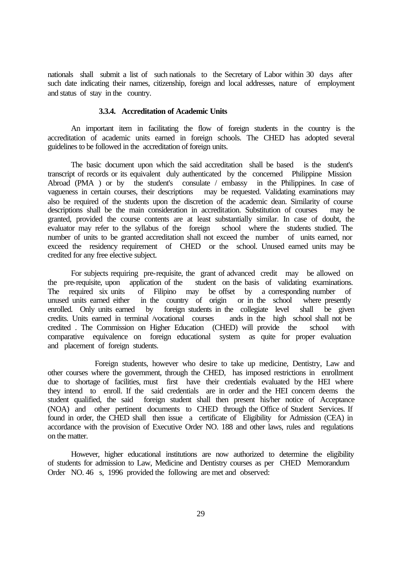nationals shall submit a list of such nationals to the Secretary of Labor within 30 days after such date indicating their names, citizenship, foreign and local addresses, nature of employment and status of stay in the country.

## **3.3.4. Accreditation of Academic Units**

An important item in facilitating the flow of foreign students in the country is the accreditation of academic units earned in foreign schools. The CHED has adopted several guidelines to be followed in the accreditation of foreign units.

The basic document upon which the said accreditation shall be based is the student's transcript of records or its equivalent duly authenticated by the concerned Philippine Mission Abroad (PMA ) or by the student's consulate / embassy in the Philippines. In case of vagueness in certain courses, their descriptions may be requested. Validating examinations may may be requested. Validating examinations may also be required of the students upon the discretion of the academic dean. Similarity of course descriptions shall be the main consideration in accreditation. Substitution of courses may be granted, provided the course contents are at least substantially similar. In case of doubt, the evaluator may refer to the syllabus of the foreign school where the students studied. The number of units to be granted accreditation shall not exceed the number of units earned, nor exceed the residency requirement of CHED or the school. Unused earned units may be credited for any free elective subject.

For subjects requiring pre-requisite, the grant of advanced credit may be allowed on the pre-requisite, upon application of the student on the basis of validating examinations. The required six units of Filipino may be offset by a corresponding number of unused units earned either in the country of origin or in the school where presently enrolled. Only units earned by foreign students in the collegiate level shall be given credits. Units earned in terminal /vocational courses ands in the high school shall not be credited . The Commission on Higher Education (CHED) will provide the school with comparative equivalence on foreign educational system as quite for proper evaluation and placement of foreign students.

Foreign students, however who desire to take up medicine, Dentistry, Law and other courses where the government, through the CHED, has imposed restrictions in enrollment due to shortage of facilities, must first have their credentials evaluated by the HEI where they intend to enroll. If the said credentials are in order and the HEI concern deems the student qualified, the said foreign student shall then present his/her notice of Acceptance (NOA) and other pertinent documents to CHED through the Office of Student Services. If found in order, the CHED shall then issue a certificate of Eligibility for Admission (CEA) in accordance with the provision of Executive Order NO. 188 and other laws, rules and regulations on the matter.

However, higher educational institutions are now authorized to determine the eligibility of students for admission to Law, Medicine and Dentistry courses as per CHED Memorandum Order NO. 46 s, 1996 provided the following are met and observed: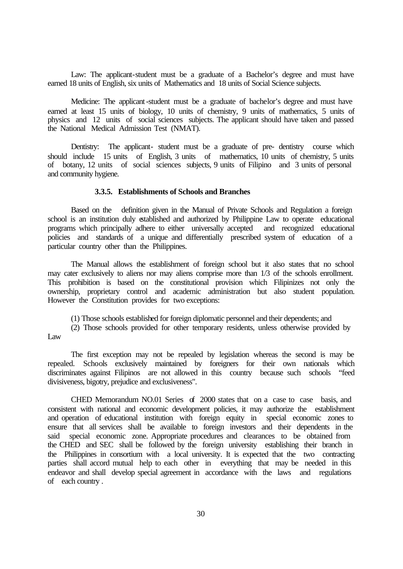Law: The applicant-student must be a graduate of a Bachelor's degree and must have earned 18 units of English, six units of Mathematics and 18 units of Social Science subjects.

Medicine: The applicant-student must be a graduate of bachelor's degree and must have earned at least 15 units of biology, 10 units of chemistry, 9 units of mathematics, 5 units of physics and 12 units of social sciences subjects. The applicant should have taken and passed the National Medical Admission Test (NMAT).

Dentistry: The applicant- student must be a graduate of pre- dentistry course which should include 15 units of English, 3 units of mathematics, 10 units of chemistry, 5 units of botany, 12 units of social sciences subjects, 9 units of Filipino and 3 units of personal and community hygiene.

#### **3.3.5. Establishments of Schools and Branches**

Based on the definition given in the Manual of Private Schools and Regulation a foreign school is an institution duly established and authorized by Philippine Law to operate educational programs which principally adhere to either universally accepted and recognized educational policies and standards of a unique and differentially prescribed system of education of a particular country other than the Philippines.

The Manual allows the establishment of foreign school but it also states that no school may cater exclusively to aliens nor may aliens comprise more than 1/3 of the schools enrollment. This prohibition is based on the constitutional provision which Filipinizes not only the ownership, proprietary control and academic administration but also student population. However the Constitution provides for two exceptions:

(1) Those schools established for foreign diplomatic personnel and their dependents; and

(2) Those schools provided for other temporary residents, unless otherwise provided by Law

The first exception may not be repealed by legislation whereas the second is may be repealed. Schools exclusively maintained by foreigners for their own nationals which discriminates against Filipinos are not allowed in this country because such schools "feed divisiveness, bigotry, prejudice and exclusiveness".

CHED Memorandum NO.01 Series of 2000 states that on a case to case basis, and consistent with national and economic development policies, it may authorize the establishment and operation of educational institution with foreign equity in special economic zones to ensure that all services shall be available to foreign investors and their dependents in the said special economic zone. Appropriate procedures and clearances to be obtained from the CHED and SEC shall be followed by the foreign university establishing their branch in the Philippines in consortium with a local university. It is expected that the two contracting parties shall accord mutual help to each other in everything that may be needed in this endeavor and shall develop special agreement in accordance with the laws and regulations of each country .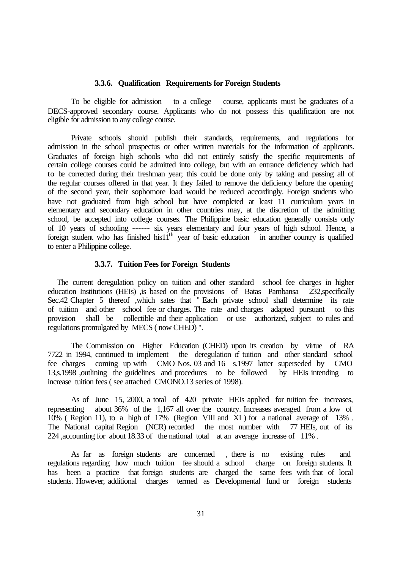#### **3.3.6. Qualification Requirements for Foreign Students**

To be eligible for admission to a college course, applicants must be graduates of a DECS-approved secondary course. Applicants who do not possess this qualification are not eligible for admission to any college course.

Private schools should publish their standards, requirements, and regulations for admission in the school prospectus or other written materials for the information of applicants. Graduates of foreign high schools who did not entirely satisfy the specific requirements of certain college courses could be admitted into college, but with an entrance deficiency which had to be corrected during their freshman year; this could be done only by taking and passing all of the regular courses offered in that year. It they failed to remove the deficiency before the opening of the second year, their sophomore load would be reduced accordingly. Foreign students who have not graduated from high school but have completed at least 11 curriculum years in elementary and secondary education in other countries may, at the discretion of the admitting school, be accepted into college courses. The Philippine basic education generally consists only of 10 years of schooling ------ six years elementary and four years of high school. Hence, a foreign student who has finished his $11<sup>th</sup>$  year of basic education in another country is qualified to enter a Philippine college.

### **3.3.7. Tuition Fees for Foreign Students**

The current deregulation policy on tuition and other standard school fee charges in higher education Institutions (HEIs) ,is based on the provisions of Batas Pambansa 232,specifically Sec.42 Chapter 5 thereof ,which sates that " Each private school shall determine its rate of tuition and other school fee or charges. The rate and charges adapted pursuant to this provision shall be collectible and their application or use authorized, subject to rules and regulations promulgated by MECS ( now CHED) ".

The Commission on Higher Education (CHED) upon its creation by virtue of RA 7722 in 1994, continued to implement the deregulation of tuition and other standard school fee charges coming up with CMO Nos. 03 and 16 s.1997 latter superseded by CMO 13,s.1998 ,outlining the guidelines and procedures to be followed by HEIs intending to increase tuition fees ( see attached CMONO.13 series of 1998).

As of June 15, 2000, a total of 420 private HEIs applied for tuition fee increases, representing about 36% of the 1,167 all over the country. Increases averaged from a low of  $10\%$  ( Region 11), to a high of 17% (Region VIII and XI) for a national average of 13%. The National capital Region (NCR) recorded the most number with 77 HEIs, out of its 224 ,accounting for about 18.33 of the national total at an average increase of 11% .

As far as foreign students are concerned , there is no existing rules and regulations regarding how much tuition fee should a school charge on foreign students. It has been a practice that foreign students are charged the same fees with that of local students. However, additional charges termed as Developmental fund or foreign students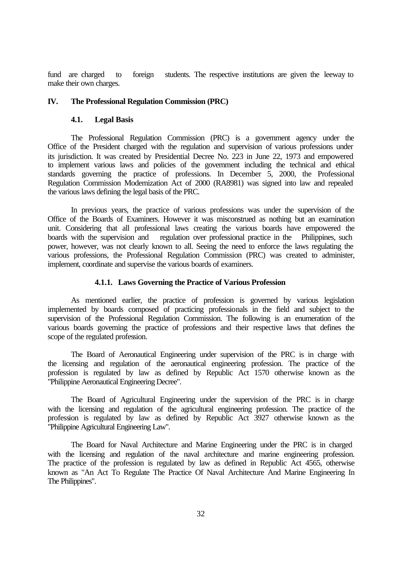fund are charged to foreign students. The respective institutions are given the leeway to make their own charges.

# **IV. The Professional Regulation Commission (PRC)**

## **4.1. Legal Basis**

The Professional Regulation Commission (PRC) is a government agency under the Office of the President charged with the regulation and supervision of various professions under its jurisdiction. It was created by Presidential Decree No. 223 in June 22, 1973 and empowered to implement various laws and policies of the government including the technical and ethical standards governing the practice of professions. In December 5, 2000, the Professional Regulation Commission Modernization Act of 2000 (RA8981) was signed into law and repealed the various laws defining the legal basis of the PRC.

In previous years, the practice of various professions was under the supervision of the Office of the Boards of Examiners. However it was misconstrued as nothing but an examination unit. Considering that all professional laws creating the various boards have empowered the boards with the supervision and regulation over professional practice in the Philippines, such power, however, was not clearly known to all. Seeing the need to enforce the laws regulating the various professions, the Professional Regulation Commission (PRC) was created to administer, implement, coordinate and supervise the various boards of examiners.

## **4.1.1. Laws Governing the Practice of Various Profession**

As mentioned earlier, the practice of profession is governed by various legislation implemented by boards composed of practicing professionals in the field and subject to the supervision of the Professional Regulation Commission. The following is an enumeration of the various boards governing the practice of professions and their respective laws that defines the scope of the regulated profession.

The Board of Aeronautical Engineering under supervision of the PRC is in charge with the licensing and regulation of the aeronautical engineering profession. The practice of the profession is regulated by law as defined by Republic Act 1570 otherwise known as the "Philippine Aeronautical Engineering Decree".

The Board of Agricultural Engineering under the supervision of the PRC is in charge with the licensing and regulation of the agricultural engineering profession. The practice of the profession is regulated by law as defined by Republic Act 3927 otherwise known as the "Philippine Agricultural Engineering Law".

The Board for Naval Architecture and Marine Engineering under the PRC is in charged with the licensing and regulation of the naval architecture and marine engineering profession. The practice of the profession is regulated by law as defined in Republic Act 4565, otherwise known as "An Act To Regulate The Practice Of Naval Architecture And Marine Engineering In The Philippines".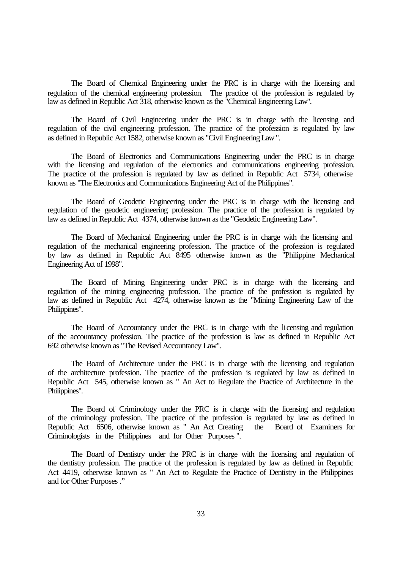The Board of Chemical Engineering under the PRC is in charge with the licensing and regulation of the chemical engineering profession. The practice of the profession is regulated by law as defined in Republic Act 318, otherwise known as the "Chemical Engineering Law".

The Board of Civil Engineering under the PRC is in charge with the licensing and regulation of the civil engineering profession. The practice of the profession is regulated by law as defined in Republic Act 1582, otherwise known as "Civil Engineering Law ".

The Board of Electronics and Communications Engineering under the PRC is in charge with the licensing and regulation of the electronics and communications engineering profession. The practice of the profession is regulated by law as defined in Republic Act 5734, otherwise known as "The Electronics and Communications Engineering Act of the Philippines".

The Board of Geodetic Engineering under the PRC is in charge with the licensing and regulation of the geodetic engineering profession. The practice of the profession is regulated by law as defined in Republic Act 4374, otherwise known as the "Geodetic Engineering Law".

The Board of Mechanical Engineering under the PRC is in charge with the licensing and regulation of the mechanical engineering profession. The practice of the profession is regulated by law as defined in Republic Act 8495 otherwise known as the "Philippine Mechanical Engineering Act of 1998".

The Board of Mining Engineering under PRC is in charge with the licensing and regulation of the mining engineering profession. The practice of the profession is regulated by law as defined in Republic Act 4274, otherwise known as the "Mining Engineering Law of the Philippines".

The Board of Accountancy under the PRC is in charge with the licensing and regulation of the accountancy profession. The practice of the profession is law as defined in Republic Act 692 otherwise known as "The Revised Accountancy Law".

The Board of Architecture under the PRC is in charge with the licensing and regulation of the architecture profession. The practice of the profession is regulated by law as defined in Republic Act 545, otherwise known as " An Act to Regulate the Practice of Architecture in the Philippines".

The Board of Criminology under the PRC is in charge with the licensing and regulation of the criminology profession. The practice of the profession is regulated by law as defined in Republic Act 6506, otherwise known as " An Act Creating the Board of Examiners for Criminologists in the Philippines and for Other Purposes ".

The Board of Dentistry under the PRC is in charge with the licensing and regulation of the dentistry profession. The practice of the profession is regulated by law as defined in Republic Act 4419, otherwise known as " An Act to Regulate the Practice of Dentistry in the Philippines and for Other Purposes ."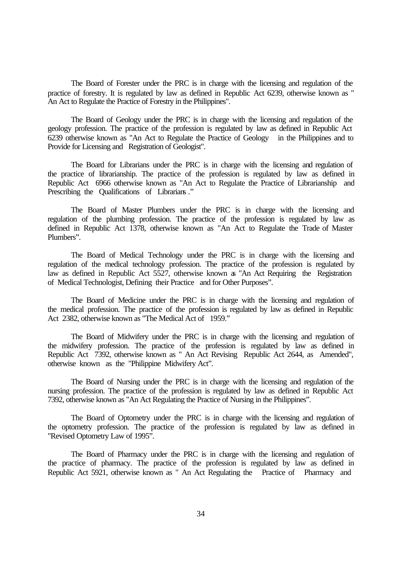The Board of Forester under the PRC is in charge with the licensing and regulation of the practice of forestry. It is regulated by law as defined in Republic Act 6239, otherwise known as " An Act to Regulate the Practice of Forestry in the Philippines".

The Board of Geology under the PRC is in charge with the licensing and regulation of the geology profession. The practice of the profession is regulated by law as defined in Republic Act 6239 otherwise known as "An Act to Regulate the Practice of Geology in the Philippines and to Provide for Licensing and Registration of Geologist".

The Board for Librarians under the PRC is in charge with the licensing and regulation of the practice of librarianship. The practice of the profession is regulated by law as defined in Republic Act 6966 otherwise known as "An Act to Regulate the Practice of Librarianship and Prescribing the Qualifications of Librarians ."

The Board of Master Plumbers under the PRC is in charge with the licensing and regulation of the plumbing profession. The practice of the profession is regulated by law as defined in Republic Act 1378, otherwise known as "An Act to Regulate the Trade of Master Plumbers".

The Board of Medical Technology under the PRC is in charge with the licensing and regulation of the medical technology profession. The practice of the profession is regulated by law as defined in Republic Act 5527, otherwise known as "An Act Requiring the Registration of Medical Technologist, Defining their Practice and for Other Purposes".

The Board of Medicine under the PRC is in charge with the licensing and regulation of the medical profession. The practice of the profession is regulated by law as defined in Republic Act 2382, otherwise known as "The Medical Act of 1959."

The Board of Midwifery under the PRC is in charge with the licensing and regulation of the midwifery profession. The practice of the profession is regulated by law as defined in Republic Act 7392, otherwise known as " An Act Revising Republic Act 2644, as Amended", otherwise known as the "Philippine Midwifery Act".

The Board of Nursing under the PRC is in charge with the licensing and regulation of the nursing profession. The practice of the profession is regulated by law as defined in Republic Act 7392, otherwise known as "An Act Regulating the Practice of Nursing in the Philippines".

The Board of Optometry under the PRC is in charge with the licensing and regulation of the optometry profession. The practice of the profession is regulated by law as defined in "Revised Optometry Law of 1995".

The Board of Pharmacy under the PRC is in charge with the licensing and regulation of the practice of pharmacy. The practice of the profession is regulated by law as defined in Republic Act 5921, otherwise known as " An Act Regulating the Practice of Pharmacy and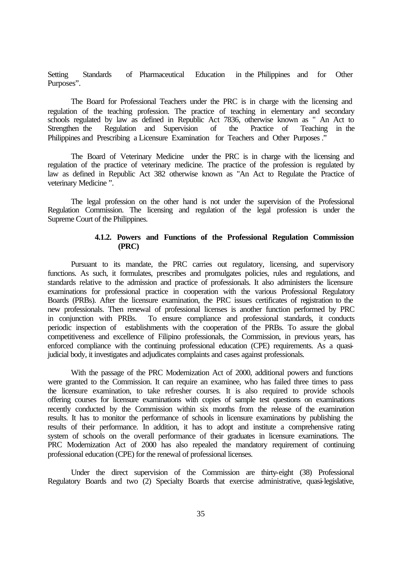Setting Standards of Pharmaceutical Education in the Philippines and for Other Purposes".

The Board for Professional Teachers under the PRC is in charge with the licensing and regulation of the teaching profession. The practice of teaching in elementary and secondary schools regulated by law as defined in Republic Act 7836, otherwise known as " An Act to Strengthen the Regulation and Supervision of the Practice of Teaching in the Philippines and Prescribing a Licensure Examination for Teachers and Other Purposes ."

The Board of Veterinary Medicine under the PRC is in charge with the licensing and regulation of the practice of veterinary medicine. The practice of the profession is regulated by law as defined in Republic Act 382 otherwise known as "An Act to Regulate the Practice of veterinary Medicine ".

The legal profession on the other hand is not under the supervision of the Professional Regulation Commission. The licensing and regulation of the legal profession is under the Supreme Court of the Philippines.

# **4.1.2. Powers and Functions of the Professional Regulation Commission (PRC)**

Pursuant to its mandate, the PRC carries out regulatory, licensing, and supervisory functions. As such, it formulates, prescribes and promulgates policies, rules and regulations, and standards relative to the admission and practice of professionals. It also administers the licensure examinations for professional practice in cooperation with the various Professional Regulatory Boards (PRBs). After the licensure examination, the PRC issues certificates of registration to the new professionals. Then renewal of professional licenses is another function performed by PRC in conjunction with PRBs. To ensure compliance and professional standards, it conducts periodic inspection of establishments with the cooperation of the PRBs. To assure the global competitiveness and excellence of Filipino professionals, the Commission, in previous years, has enforced compliance with the continuing professional education (CPE) requirements. As a quasijudicial body, it investigates and adjudicates complaints and cases against professionals.

With the passage of the PRC Modernization Act of 2000, additional powers and functions were granted to the Commission. It can require an examinee, who has failed three times to pass the licensure examination, to take refresher courses. It is also required to provide schools offering courses for licensure examinations with copies of sample test questions on examinations recently conducted by the Commission within six months from the release of the examination results. It has to monitor the performance of schools in licensure examinations by publishing the results of their performance. In addition, it has to adopt and institute a comprehensive rating system of schools on the overall performance of their graduates in licensure examinations. The PRC Modernization Act of 2000 has also repealed the mandatory requirement of continuing professional education (CPE) for the renewal of professional licenses.

Under the direct supervision of the Commission are thirty-eight (38) Professional Regulatory Boards and two (2) Specialty Boards that exercise administrative, quasi-legislative,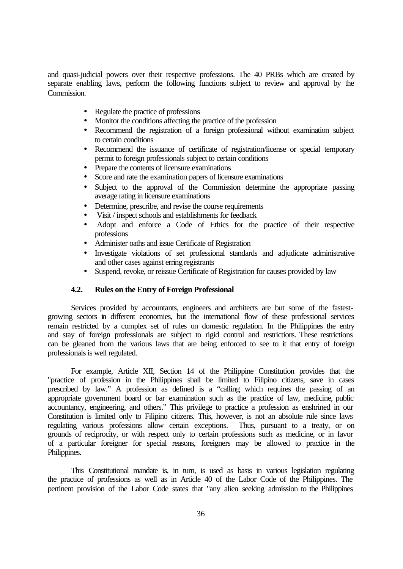and quasi-judicial powers over their respective professions. The 40 PRBs which are created by separate enabling laws, perform the following functions subject to review and approval by the Commission.

- Regulate the practice of professions
- Monitor the conditions affecting the practice of the profession
- Recommend the registration of a foreign professional without examination subject to certain conditions
- Recommend the issuance of certificate of registration/license or special temporary permit to foreign professionals subject to certain conditions
- Prepare the contents of licensure examinations
- Score and rate the examination papers of licensure examinations
- Subject to the approval of the Commission determine the appropriate passing average rating in licensure examinations
- Determine, prescribe, and revise the course requirements
- Visit / inspect schools and establishments for feedback
- Adopt and enforce a Code of Ethics for the practice of their respective professions
- Administer oaths and issue Certificate of Registration
- Investigate violations of set professional standards and adjudicate administrative and other cases against erring registrants
- Suspend, revoke, or reissue Certificate of Registration for causes provided by law

## **4.2. Rules on the Entry of Foreign Professional**

Services provided by accountants, engineers and architects are but some of the fastestgrowing sectors in different economies, but the international flow of these professional services remain restricted by a complex set of rules on domestic regulation. In the Philippines the entry and stay of foreign professionals are subject to rigid control and restrictions. These restrictions can be gleaned from the various laws that are being enforced to see to it that entry of foreign professionals is well regulated.

For example, Article XII, Section 14 of the Philippine Constitution provides that the "practice of profession in the Philippines shall be limited to Filipino citizens, save in cases prescribed by law." A profession as defined is a "calling which requires the passing of an appropriate government board or bar examination such as the practice of law, medicine, public accountancy, engineering, and others." This privilege to practice a profession as enshrined in our Constitution is limited only to Filipino citizens. This, however, is not an absolute rule since laws regulating various professions allow certain exceptions. Thus, pursuant to a treaty, or on grounds of reciprocity, or with respect only to certain professions such as medicine, or in favor of a particular foreigner for special reasons, foreigners may be allowed to practice in the Philippines.

This Constitutional mandate is, in turn, is used as basis in various legislation regulating the practice of professions as well as in Article 40 of the Labor Code of the Philippines. The pertinent provision of the Labor Code states that "any alien seeking admission to the Philippines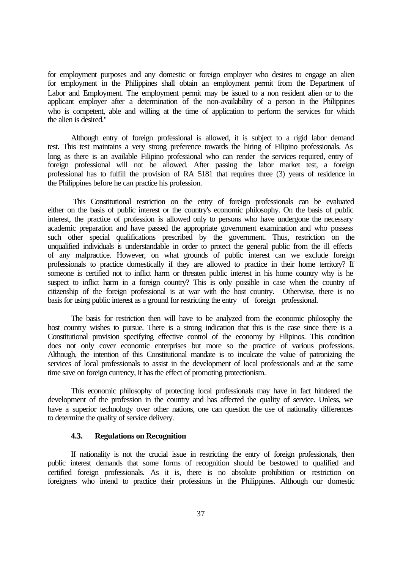for employment purposes and any domestic or foreign employer who desires to engage an alien for employment in the Philippines shall obtain an employment permit from the Department of Labor and Employment. The employment permit may be issued to a non resident alien or to the applicant employer after a determination of the non-availability of a person in the Philippines who is competent, able and willing at the time of application to perform the services for which the alien is desired."

Although entry of foreign professional is allowed, it is subject to a rigid labor demand test. This test maintains a very strong preference towards the hiring of Filipino professionals. As long as there is an available Filipino professional who can render the services required, entry of foreign professional will not be allowed. After passing the labor market test, a foreign professional has to fulfill the provision of RA 5181 that requires three (3) years of residence in the Philippines before he can practice his profession.

 This Constitutional restriction on the entry of foreign professionals can be evaluated either on the basis of public interest or the country's economic philosophy. On the basis of public interest, the practice of profession is allowed only to persons who have undergone the necessary academic preparation and have passed the appropriate government examination and who possess such other special qualifications prescribed by the government. Thus, restriction on the unqualified individuals is understandable in order to protect the general public from the ill effects of any malpractice. However, on what grounds of public interest can we exclude foreign professionals to practice domestically if they are allowed to practice in their home territory? If someone is certified not to inflict harm or threaten public interest in his home country why is he suspect to inflict harm in a foreign country? This is only possible in case when the country of citizenship of the foreign professional is at war with the host country. Otherwise, there is no basis for using public interest as a ground for restricting the entry of foreign professional.

The basis for restriction then will have to be analyzed from the economic philosophy the host country wishes to pursue. There is a strong indication that this is the case since there is a Constitutional provision specifying effective control of the economy by Filipinos. This condition does not only cover economic enterprises but more so the practice of various professions. Although, the intention of this Constitutional mandate is to inculcate the value of patronizing the services of local professionals to assist in the development of local professionals and at the same time save on foreign currency, it has the effect of promoting protectionism.

This economic philosophy of protecting local professionals may have in fact hindered the development of the profession in the country and has affected the quality of service. Unless, we have a superior technology over other nations, one can question the use of nationality differences to determine the quality of service delivery.

### **4.3. Regulations on Recognition**

If nationality is not the crucial issue in restricting the entry of foreign professionals, then public interest demands that some forms of recognition should be bestowed to qualified and certified foreign professionals. As it is, there is no absolute prohibition or restriction on foreigners who intend to practice their professions in the Philippines. Although our domestic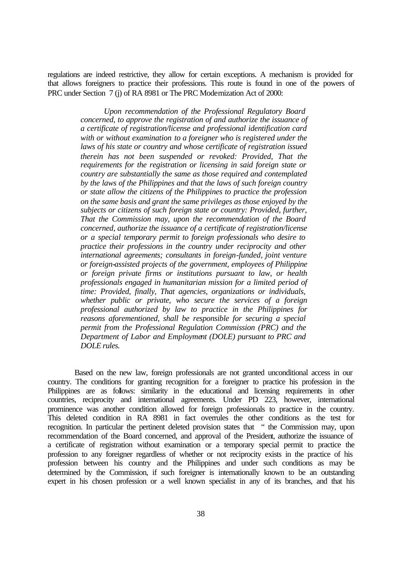regulations are indeed restrictive, they allow for certain exceptions. A mechanism is provided for that allows foreigners to practice their professions. This route is found in one of the powers of PRC under Section 7 (j) of RA 8981 or The PRC Modernization Act of 2000:

> *Upon recommendation of the Professional Regulatory Board concerned, to approve the registration of and authorize the issuance of a certificate of registration/license and professional identification card with or without examination to a foreigner who is registered under the laws of his state or country and whose certificate of registration issued therein has not been suspended or revoked: Provided, That the requirements for the registration or licensing in said foreign state or country are substantially the same as those required and contemplated by the laws of the Philippines and that the laws of such foreign country or state allow the citizens of the Philippines to practice the profession on the same basis and grant the same privileges as those enjoyed by the subjects or citizens of such foreign state or country: Provided, further, That the Commission may, upon the recommendation of the Board concerned, authorize the issuance of a certificate of registration/license or a special temporary permit to foreign professionals who desire to practice their professions in the country under reciprocity and other international agreements; consultants in foreign-funded, joint venture or foreign-assisted projects of the government, employees of Philippine or foreign private firms or institutions pursuant to law, or health professionals engaged in humanitarian mission for a limited period of time: Provided, finally, That agencies, organizations or individuals, whether public or private, who secure the services of a foreign professional authorized by law to practice in the Philippines for reasons aforementioned, shall be responsible for securing a special permit from the Professional Regulation Commission (PRC) and the Department of Labor and Employment (DOLE) pursuant to PRC and DOLE rules.*

 Based on the new law, foreign professionals are not granted unconditional access in our country. The conditions for granting recognition for a foreigner to practice his profession in the Philippines are as follows: similarity in the educational and licensing requirements in other countries, reciprocity and international agreements. Under PD 223, however, international prominence was another condition allowed for foreign professionals to practice in the country. This deleted condition in RA 8981 in fact overrules the other conditions as the test for recognition. In particular the pertinent deleted provision states that " the Commission may, upon recommendation of the Board concerned, and approval of the President, authorize the issuance of a certificate of registration without examination or a temporary special permit to practice the profession to any foreigner regardless of whether or not reciprocity exists in the practice of his profession between his country and the Philippines and under such conditions as may be determined by the Commission, if such foreigner is internationally known to be an outstanding expert in his chosen profession or a well known specialist in any of its branches, and that his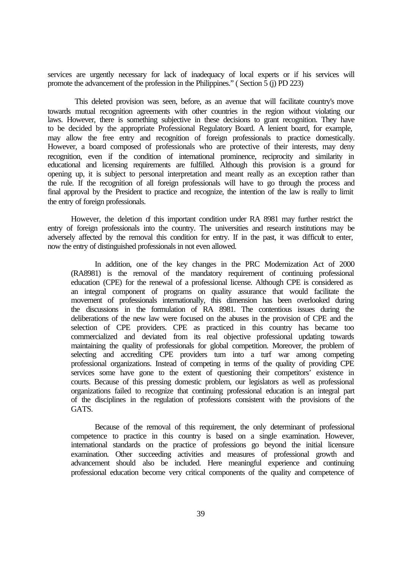services are urgently necessary for lack of inadequacy of local experts or if his services will promote the advancement of the profession in the Philippines." ( Section 5 (j) PD 223)

 This deleted provision was seen, before, as an avenue that will facilitate country's move towards mutual recognition agreements with other countries in the region without violating our laws. However, there is something subjective in these decisions to grant recognition. They have to be decided by the appropriate Professional Regulatory Board. A lenient board, for example, may allow the free entry and recognition of foreign professionals to practice domestically. However, a board composed of professionals who are protective of their interests, may deny recognition, even if the condition of international prominence, reciprocity and similarity in educational and licensing requirements are fulfilled. Although this provision is a ground for opening up, it is subject to personal interpretation and meant really as an exception rather than the rule. If the recognition of all foreign professionals will have to go through the process and final approval by the President to practice and recognize, the intention of the law is really to limit the entry of foreign professionals.

However, the deletion of this important condition under RA 8981 may further restrict the entry of foreign professionals into the country. The universities and research institutions may be adversely affected by the removal this condition for entry. If in the past, it was difficult to enter, now the entry of distinguished professionals in not even allowed.

In addition, one of the key changes in the PRC Modernization Act of 2000 (RA8981) is the removal of the mandatory requirement of continuing professional education (CPE) for the renewal of a professional license. Although CPE is considered as an integral component of programs on quality assurance that would facilitate the movement of professionals internationally, this dimension has been overlooked during the discussions in the formulation of RA 8981. The contentious issues during the deliberations of the new law were focused on the abuses in the provision of CPE and the selection of CPE providers. CPE as practiced in this country has became too commercialized and deviated from its real objective professional updating towards maintaining the quality of professionals for global competition. Moreover, the problem of selecting and accrediting CPE providers turn into a turf war among competing professional organizations. Instead of competing in terms of the quality of providing CPE services some have gone to the extent of questioning their competitors' existence in courts. Because of this pressing domestic problem, our legislators as well as professional organizations failed to recognize that continuing professional education is an integral part of the disciplines in the regulation of professions consistent with the provisions of the GATS.

Because of the removal of this requirement, the only determinant of professional competence to practice in this country is based on a single examination. However, international standards on the practice of professions go beyond the initial licensure examination. Other succeeding activities and measures of professional growth and advancement should also be included. Here meaningful experience and continuing professional education become very critical components of the quality and competence of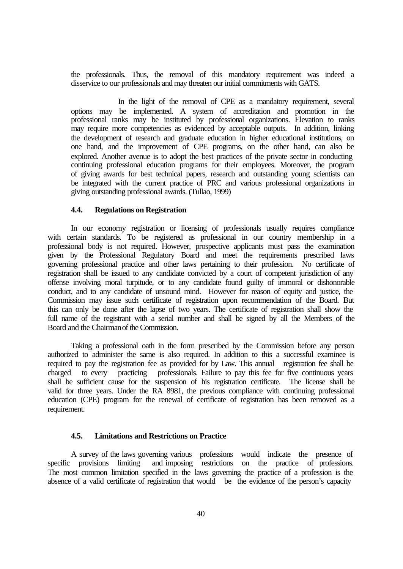the professionals. Thus, the removal of this mandatory requirement was indeed a disservice to our professionals and may threaten our initial commitments with GATS.

In the light of the removal of CPE as a mandatory requirement, several options may be implemented. A system of accreditation and promotion in the professional ranks may be instituted by professional organizations. Elevation to ranks may require more competencies as evidenced by acceptable outputs. In addition, linking the development of research and graduate education in higher educational institutions, on one hand, and the improvement of CPE programs, on the other hand, can also be explored. Another avenue is to adopt the best practices of the private sector in conducting continuing professional education programs for their employees. Moreover, the program of giving awards for best technical papers, research and outstanding young scientists can be integrated with the current practice of PRC and various professional organizations in giving outstanding professional awards. (Tullao, 1999)

### **4.4. Regulations on Registration**

In our economy registration or licensing of professionals usually requires compliance with certain standards. To be registered as professional in our country membership in a professional body is not required. However, prospective applicants must pass the examination given by the Professional Regulatory Board and meet the requirements prescribed laws governing professional practice and other laws pertaining to their profession. No certificate of registration shall be issued to any candidate convicted by a court of competent jurisdiction of any offense involving moral turpitude, or to any candidate found guilty of immoral or dishonorable conduct, and to any candidate of unsound mind. However for reason of equity and justice, the Commission may issue such certificate of registration upon recommendation of the Board. But this can only be done after the lapse of two years. The certificate of registration shall show the full name of the registrant with a serial number and shall be signed by all the Members of the Board and the Chairman of the Commission.

Taking a professional oath in the form prescribed by the Commission before any person authorized to administer the same is also required. In addition to this a successful examinee is required to pay the registration fee as provided for by Law. This annual registration fee shall be charged to every practicing professionals. Failure to pay this fee for five continuous years shall be sufficient cause for the suspension of his registration certificate. The license shall be valid for three years. Under the RA 8981, the previous compliance with continuing professional education (CPE) program for the renewal of certificate of registration has been removed as a requirement.

# **4.5. Limitations and Restrictions on Practice**

A survey of the laws governing various professions would indicate the presence of specific provisions limiting and imposing restrictions on the practice of professions. The most common limitation specified in the laws governing the practice of a profession is the absence of a valid certificate of registration that would be the evidence of the person's capacity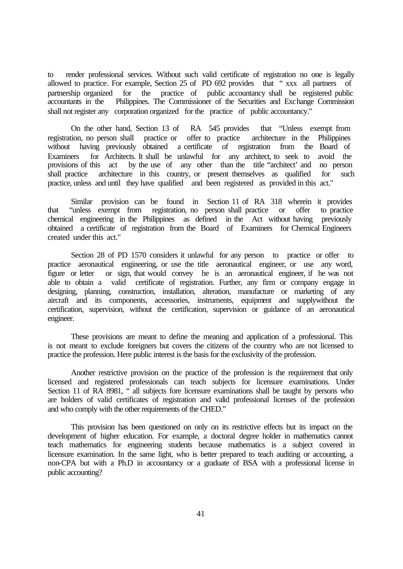to render professional services. Without such valid certificate of registration no one is legally allowed to practice. For example, Section 25 of PD 692 provides that " xxx all partners of partnership organized for the practice of public accountancy shall be registered public accountants in the Philippines. The Commissioner of the Securities and Exchange Commission Philippines. The Commissioner of the Securities and Exchange Commission shall not register any corporation organized for the practice of public accountancy."

On the other hand, Section 13 of RA 545 provides that "Unless exempt from registration, no person shall practice or offer to practice architecture in the Philippines without having previously obtained a certificate of registration from the Board of Examiners for Architects. It shall be unlawful for any architect, to seek to avoid the provisions of this act by the use of any other than the title "architect' and no person shall practice architecture in this country, or present themselves as qualified for such practice, unless and until they have qualified and been registered as provided in this act."

Similar provision can be found in Section 11 of RA 318 wherein it provides that "unless exempt from registration, no person shall practice or offer to practice chemical engineering in the Philippines as defined in the Act without having previously obtained a certificate of registration from the Board of Examiners for Chemical Engineers created under this act."

Section 28 of PD 1570 considers it unlawful for any person to practice or offer to practice aeronautical engineering, or use the title aeronautical engineer, or use any word, figure or letter or sign, that would convey he is an aeronautical engineer, if he was not able to obtain a valid certificate of registration. Further, any firm or company engage in designing, planning, construction, installation, alteration, manufacture or marketing of any aircraft and its components, accessories, instruments, equipment and supplywithout the certification, supervision, without the certification, supervision or guidance of an aeronautical engineer.

These provisions are meant to define the meaning and application of a professional. This is not meant to exclude foreigners but covers the citizens of the country who are not licensed to practice the profession. Here public interest is the basis for the exclusivity of the profession.

Another restrictive provision on the practice of the profession is the requirement that only licensed and registered professionals can teach subjects for licensure examinations. Under Section 11 of RA 8981, " all subjects fore licensure examinations shall be taught by persons who are holders of valid certificates of registration and valid professional licenses of the profession and who comply with the other requirements of the CHED."

This provision has been questioned on only on its restrictive effects but its impact on the development of higher education. For example, a doctoral degree holder in mathematics cannot teach mathematics for engineering students because mathematics is a subject covered in licensure examination. In the same light, who is better prepared to teach auditing or accounting, a non-CPA but with a Ph.D in accountancy or a graduate of BSA with a professional license in public accounting?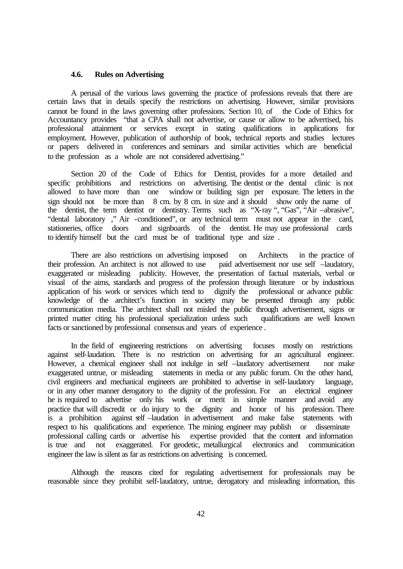## **4.6. Rules on Advertising**

A perusal of the various laws governing the practice of professions reveals that there are certain laws that in details specify the restrictions on advertising. However, similar provisions cannot be found in the laws governing other professions. Section 10, of the Code of Ethics for Accountancy provides "that a CPA shall not advertise, or cause or allow to be advertised, his professional attainment or services except in stating qualifications in applications for employment. However, publication of authorship of book, technical reports and studies lectures or papers delivered in conferences and seminars and similar activities which are beneficial to the profession as a whole are not considered advertising."

Section 20 of the Code of Ethics for Dentist, provides for a more detailed and specific prohibitions and restrictions on advertising. The dentist or the dental clinic is not allowed to have more than one window or building sign per exposure. The letters in the sign should not be more than 8 cm. by 8 cm. in size and it should show only the name of the dentist, the term dentist or dentistry. Terms such as "X-ray", "Gas", "Air –abrasive", "dental laboratory ," Air -conditioned", or any technical term must not appear in the card, and signboards of the dentist. He may use professional cards to identify himself but the card must be of traditional type and size .

There are also restrictions on advertising imposed on Architects in the practice of their profession. An architect is not allowed to use paid advertisement nor use self –laudatory, exaggerated or misleading publicity. However, the presentation of factual materials, verbal or visual of the aims, standards and progress of the profession through literature or by industrious application of his work or services which tend to dignify the professional or advance public knowledge of the architect's function in society may be presented through any public communication media. The architect shall not misled the public through advertisement, signs or printed matter citing his professional specialization unless such qualifications are well known facts or sanctioned by professional consensus and years of experience .

In the field of engineering restrictions on advertising focuses mostly on restrictions against self-laudation. There is no restriction on advertising for an agricultural engineer. However, a chemical engineer shall not indulge in self –laudatory advertisement nor make exaggerated untrue, or misleading statements in media or any public forum. On the other hand, civil engineers and mechanical engineers are prohibited to advertise in self-laudatory language, or in any other manner derogatory to the dignity of the profession. For an electrical engineer he is required to advertise only his work or merit in simple manner and avoid any practice that will discredit or do injury to the dignity and honor of his profession. There is a prohibition against self –laudation in advertisement and make false statements with against self –laudation in advertisement and make false statements with respect to his qualifications and experience. The mining engineer may publish or disseminate professional calling cards or advertise his expertise provided that the content and information is true and not exaggerated. For geodetic, metallurgical electronics and communication engineer the law is silent as far as restrictions on advertising is concerned.

Although the reasons cited for regulating advertisement for professionals may be reasonable since they prohibit self-laudatory, untrue, derogatory and misleading information, this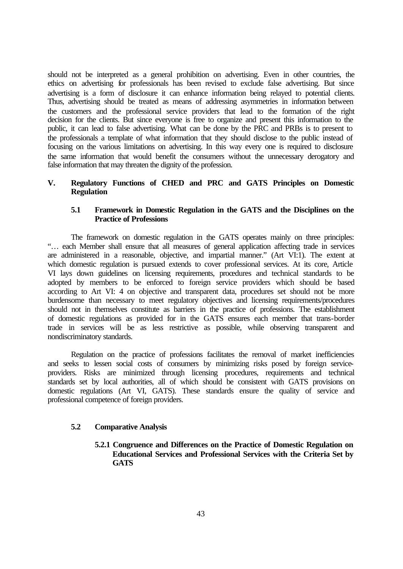should not be interpreted as a general prohibition on advertising. Even in other countries, the ethics on advertising for professionals has been revised to exclude false advertising. But since advertising is a form of disclosure it can enhance information being relayed to potential clients. Thus, advertising should be treated as means of addressing asymmetries in information between the customers and the professional service providers that lead to the formation of the right decision for the clients. But since everyone is free to organize and present this information to the public, it can lead to false advertising. What can be done by the PRC and PRBs is to present to the professionals a template of what information that they should disclose to the public instead of focusing on the various limitations on advertising. In this way every one is required to disclosure the same information that would benefit the consumers without the unnecessary derogatory and false information that may threaten the dignity of the profession.

# **V. Regulatory Functions of CHED and PRC and GATS Principles on Domestic Regulation**

# **5.1 Framework in Domestic Regulation in the GATS and the Disciplines on the Practice of Professions**

The framework on domestic regulation in the GATS operates mainly on three principles: "… each Member shall ensure that all measures of general application affecting trade in services are administered in a reasonable, objective, and impartial manner." (Art VI:1). The extent at which domestic regulation is pursued extends to cover professional services. At its core, Article VI lays down guidelines on licensing requirements, procedures and technical standards to be adopted by members to be enforced to foreign service providers which should be based according to Art VI: 4 on objective and transparent data, procedures set should not be more burdensome than necessary to meet regulatory objectives and licensing requirements/procedures should not in themselves constitute as barriers in the practice of professions. The establishment of domestic regulations as provided for in the GATS ensures each member that trans-border trade in services will be as less restrictive as possible, while observing transparent and nondiscriminatory standards.

Regulation on the practice of professions facilitates the removal of market inefficiencies and seeks to lessen social costs of consumers by minimizing risks posed by foreign serviceproviders. Risks are minimized through licensing procedures, requirements and technical standards set by local authorities, all of which should be consistent with GATS provisions on domestic regulations (Art VI, GATS). These standards ensure the quality of service and professional competence of foreign providers.

# **5.2 Comparative Analysis**

**5.2.1 Congruence and Differences on the Practice of Domestic Regulation on Educational Services and Professional Services with the Criteria Set by GATS**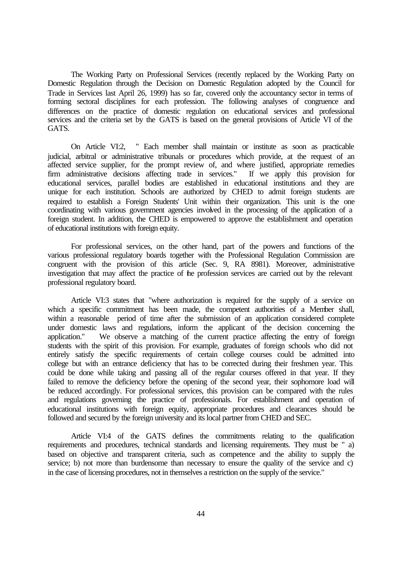The Working Party on Professional Services (recently replaced by the Working Party on Domestic Regulation through the Decision on Domestic Regulation adopted by the Council for Trade in Services last April 26, 1999) has so far, covered only the accountancy sector in terms of forming sectoral disciplines for each profession. The following analyses of congruence and differences on the practice of domestic regulation on educational services and professional services and the criteria set by the GATS is based on the general provisions of Article VI of the GATS.

On Article VI:2, " Each member shall maintain or institute as soon as practicable judicial, arbitral or administrative tribunals or procedures which provide, at the request of an affected service supplier, for the prompt review of, and where justified, appropriate remedies firm administrative decisions affecting trade in services." If we apply this provision for educational services, parallel bodies are established in educational institutions and they are unique for each institution. Schools are authorized by CHED to admit foreign students are required to establish a Foreign Students' Unit within their organization. This unit is the one coordinating with various government agencies involved in the processing of the application of a foreign student. In addition, the CHED is empowered to approve the establishment and operation of educational institutions with foreign equity.

For professional services, on the other hand, part of the powers and functions of the various professional regulatory boards together with the Professional Regulation Commission are congruent with the provision of this article (Sec. 9, RA 8981). Moreover, administrative investigation that may affect the practice of the profession services are carried out by the relevant professional regulatory board.

Article VI:3 states that "where authorization is required for the supply of a service on which a specific commitment has been made, the competent authorities of a Member shall, within a reasonable period of time after the submission of an application considered complete under domestic laws and regulations, inform the applicant of the decision concerning the application." We observe a matching of the current practice affecting the entry of foreign students with the spirit of this provision. For example, graduates of foreign schools who did not entirely satisfy the specific requirements of certain college courses could be admitted into college but with an entrance deficiency that has to be corrected during their freshmen year. This could be done while taking and passing all of the regular courses offered in that year. If they failed to remove the deficiency before the opening of the second year, their sophomore load will be reduced accordingly. For professional services, this provision can be compared with the rules and regulations governing the practice of professionals. For establishment and operation of educational institutions with foreign equity, appropriate procedures and clearances should be followed and secured by the foreign university and its local partner from CHED and SEC.

Article VI:4 of the GATS defines the commitments relating to the qualification requirements and procedures, technical standards and licensing requirements. They must be " a) based on objective and transparent criteria, such as competence and the ability to supply the service; b) not more than burdensome than necessary to ensure the quality of the service and c) in the case of licensing procedures, not in themselves a restriction on the supply of the service."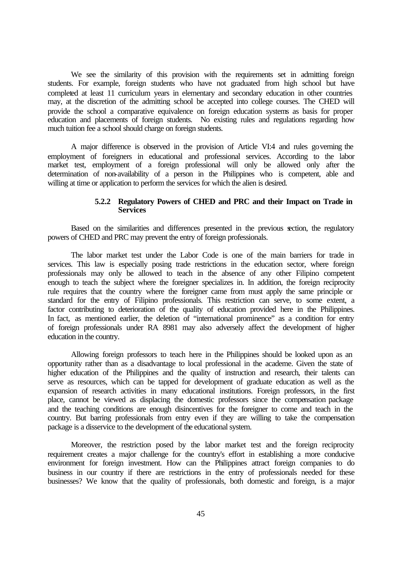We see the similarity of this provision with the requirements set in admitting foreign students. For example, foreign students who have not graduated from high school but have completed at least 11 curriculum years in elementary and secondary education in other countries may, at the discretion of the admitting school be accepted into college courses. The CHED will provide the school a comparative equivalence on foreign education systems as basis for proper education and placements of foreign students. No existing rules and regulations regarding how much tuition fee a school should charge on foreign students.

A major difference is observed in the provision of Article VI:4 and rules governing the employment of foreigners in educational and professional services. According to the labor market test, employment of a foreign professional will only be allowed only after the determination of non-availability of a person in the Philippines who is competent, able and willing at time or application to perform the services for which the alien is desired.

## **5.2.2 Regulatory Powers of CHED and PRC and their Impact on Trade in Services**

Based on the similarities and differences presented in the previous section, the regulatory powers of CHED and PRC may prevent the entry of foreign professionals.

The labor market test under the Labor Code is one of the main barriers for trade in services. This law is especially posing trade restrictions in the education sector, where foreign professionals may only be allowed to teach in the absence of any other Filipino competent enough to teach the subject where the foreigner specializes in. In addition, the foreign reciprocity rule requires that the country where the foreigner came from must apply the same principle or standard for the entry of Filipino professionals. This restriction can serve, to some extent, a factor contributing to deterioration of the quality of education provided here in the Philippines. In fact, as mentioned earlier, the deletion of "international prominence" as a condition for entry of foreign professionals under RA 8981 may also adversely affect the development of higher education in the country.

Allowing foreign professors to teach here in the Philippines should be looked upon as an opportunity rather than as a disadvantage to local professional in the academe. Given the state of higher education of the Philippines and the quality of instruction and research, their talents can serve as resources, which can be tapped for development of graduate education as well as the expansion of research activities in many educational institutions. Foreign professors, in the first place, cannot be viewed as displacing the domestic professors since the compensation package and the teaching conditions are enough disincentives for the foreigner to come and teach in the country. But barring professionals from entry even if they are willing to take the compensation package is a disservice to the development of the educational system.

Moreover, the restriction posed by the labor market test and the foreign reciprocity requirement creates a major challenge for the country's effort in establishing a more conducive environment for foreign investment. How can the Philippines attract foreign companies to do business in our country if there are restrictions in the entry of professionals needed for these businesses? We know that the quality of professionals, both domestic and foreign, is a major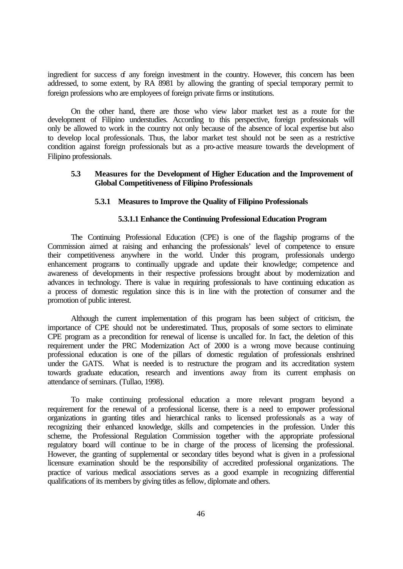ingredient for success of any foreign investment in the country. However, this concern has been addressed, to some extent, by RA 8981 by allowing the granting of special temporary permit to foreign professions who are employees of foreign private firms or institutions.

On the other hand, there are those who view labor market test as a route for the development of Filipino understudies. According to this perspective, foreign professionals will only be allowed to work in the country not only because of the absence of local expertise but also to develop local professionals. Thus, the labor market test should not be seen as a restrictive condition against foreign professionals but as a pro-active measure towards the development of Filipino professionals.

# **5.3 Measures for the Development of Higher Education and the Improvement of Global Competitiveness of Filipino Professionals**

## **5.3.1 Measures to Improve the Quality of Filipino Professionals**

# **5.3.1.1 Enhance the Continuing Professional Education Program**

The Continuing Professional Education (CPE) is one of the flagship programs of the Commission aimed at raising and enhancing the professionals' level of competence to ensure their competitiveness anywhere in the world. Under this program, professionals undergo enhancement programs to continually upgrade and update their knowledge; competence and awareness of developments in their respective professions brought about by modernization and advances in technology. There is value in requiring professionals to have continuing education as a process of domestic regulation since this is in line with the protection of consumer and the promotion of public interest.

Although the current implementation of this program has been subject of criticism, the importance of CPE should not be underestimated. Thus, proposals of some sectors to eliminate CPE program as a precondition for renewal of license is uncalled for. In fact, the deletion of this requirement under the PRC Modernization Act of 2000 is a wrong move because continuing professional education is one of the pillars of domestic regulation of professionals enshrined under the GATS. What is needed is to restructure the program and its accreditation system towards graduate education, research and inventions away from its current emphasis on attendance of seminars. (Tullao, 1998).

To make continuing professional education a more relevant program beyond a requirement for the renewal of a professional license, there is a need to empower professional organizations in granting titles and hierarchical ranks to licensed professionals as a way of recognizing their enhanced knowledge, skills and competencies in the profession. Under this scheme, the Professional Regulation Commission together with the appropriate professional regulatory board will continue to be in charge of the process of licensing the professional. However, the granting of supplemental or secondary titles beyond what is given in a professional licensure examination should be the responsibility of accredited professional organizations. The practice of various medical associations serves as a good example in recognizing differential qualifications of its members by giving titles as fellow, diplomate and others.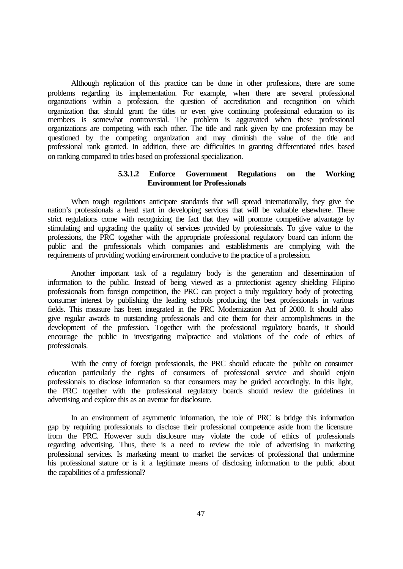Although replication of this practice can be done in other professions, there are some problems regarding its implementation. For example, when there are several professional organizations within a profession, the question of accreditation and recognition on which organization that should grant the titles or even give continuing professional education to its members is somewhat controversial. The problem is aggravated when these professional organizations are competing with each other. The title and rank given by one profession may be questioned by the competing organization and may diminish the value of the title and professional rank granted. In addition, there are difficulties in granting differentiated titles based on ranking compared to titles based on professional specialization.

# **5.3.1.2 Enforce Government Regulations on the Working Environment for Professionals**

When tough regulations anticipate standards that will spread internationally, they give the nation's professionals a head start in developing services that will be valuable elsewhere. These strict regulations come with recognizing the fact that they will promote competitive advantage by stimulating and upgrading the quality of services provided by professionals. To give value to the professions, the PRC together with the appropriate professional regulatory board can inform the public and the professionals which companies and establishments are complying with the requirements of providing working environment conducive to the practice of a profession.

Another important task of a regulatory body is the generation and dissemination of information to the public. Instead of being viewed as a protectionist agency shielding Filipino professionals from foreign competition, the PRC can project a truly regulatory body of protecting consumer interest by publishing the leading schools producing the best professionals in various fields. This measure has been integrated in the PRC Modernization Act of 2000. It should also give regular awards to outstanding professionals and cite them for their accomplishments in the development of the profession. Together with the professional regulatory boards, it should encourage the public in investigating malpractice and violations of the code of ethics of professionals.

With the entry of foreign professionals, the PRC should educate the public on consumer education particularly the rights of consumers of professional service and should enjoin professionals to disclose information so that consumers may be guided accordingly. In this light, the PRC together with the professional regulatory boards should review the guidelines in advertising and explore this as an avenue for disclosure.

In an environment of asymmetric information, the role of PRC is bridge this information gap by requiring professionals to disclose their professional competence aside from the licensure from the PRC. However such disclosure may violate the code of ethics of professionals regarding advertising. Thus, there is a need to review the role of advertising in marketing professional services. Is marketing meant to market the services of professional that undermine his professional stature or is it a legitimate means of disclosing information to the public about the capabilities of a professional?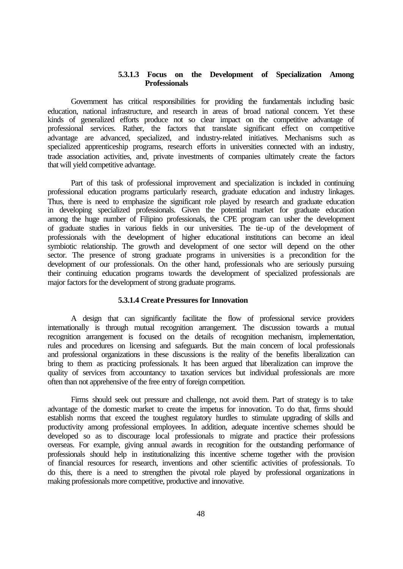# **5.3.1.3 Focus on the Development of Specialization Among Professionals**

Government has critical responsibilities for providing the fundamentals including basic education, national infrastructure, and research in areas of broad national concern. Yet these kinds of generalized efforts produce not so clear impact on the competitive advantage of professional services. Rather, the factors that translate significant effect on competitive advantage are advanced, specialized, and industry-related initiatives. Mechanisms such as specialized apprenticeship programs, research efforts in universities connected with an industry, trade association activities, and, private investments of companies ultimately create the factors that will yield competitive advantage.

Part of this task of professional improvement and specialization is included in continuing professional education programs particularly research, graduate education and industry linkages. Thus, there is need to emphasize the significant role played by research and graduate education in developing specialized professionals. Given the potential market for graduate education among the huge number of Filipino professionals, the CPE program can usher the development of graduate studies in various fields in our universities. The tie-up of the development of professionals with the development of higher educational institutions can become an ideal symbiotic relationship. The growth and development of one sector will depend on the other sector. The presence of strong graduate programs in universities is a precondition for the development of our professionals. On the other hand, professionals who are seriously pursuing their continuing education programs towards the development of specialized professionals are major factors for the development of strong graduate programs.

## **5.3.1.4 Create Pressures for Innovation**

A design that can significantly facilitate the flow of professional service providers internationally is through mutual recognition arrangement. The discussion towards a mutual recognition arrangement is focused on the details of recognition mechanism, implementation, rules and procedures on licensing and safeguards. But the main concern of local professionals and professional organizations in these discussions is the reality of the benefits liberalization can bring to them as practicing professionals. It has been argued that liberalization can improve the quality of services from accountancy to taxation services but individual professionals are more often than not apprehensive of the free entry of foreign competition.

Firms should seek out pressure and challenge, not avoid them. Part of strategy is to take advantage of the domestic market to create the impetus for innovation. To do that, firms should establish norms that exceed the toughest regulatory hurdles to stimulate upgrading of skills and productivity among professional employees. In addition, adequate incentive schemes should be developed so as to discourage local professionals to migrate and practice their professions overseas. For example, giving annual awards in recognition for the outstanding performance of professionals should help in institutionalizing this incentive scheme together with the provision of financial resources for research, inventions and other scientific activities of professionals. To do this, there is a need to strengthen the pivotal role played by professional organizations in making professionals more competitive, productive and innovative.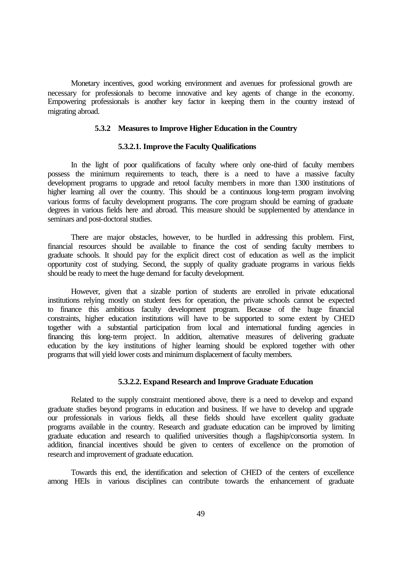Monetary incentives, good working environment and avenues for professional growth are necessary for professionals to become innovative and key agents of change in the economy. Empowering professionals is another key factor in keeping them in the country instead of migrating abroad.

### **5.3.2 Measures to Improve Higher Education in the Country**

## **5.3.2.1. Improve the Faculty Qualifications**

In the light of poor qualifications of faculty where only one-third of faculty members possess the minimum requirements to teach, there is a need to have a massive faculty development programs to upgrade and retool faculty members in more than 1300 institutions of higher learning all over the country. This should be a continuous long-term program involving various forms of faculty development programs. The core program should be earning of graduate degrees in various fields here and abroad. This measure should be supplemented by attendance in seminars and post-doctoral studies.

There are major obstacles, however, to be hurdled in addressing this problem. First, financial resources should be available to finance the cost of sending faculty members to graduate schools. It should pay for the explicit direct cost of education as well as the implicit opportunity cost of studying. Second, the supply of quality graduate programs in various fields should be ready to meet the huge demand for faculty development.

However, given that a sizable portion of students are enrolled in private educational institutions relying mostly on student fees for operation, the private schools cannot be expected to finance this ambitious faculty development program. Because of the huge financial constraints, higher education institutions will have to be supported to some extent by CHED together with a substantial participation from local and international funding agencies in financing this long-term project. In addition, alternative measures of delivering graduate education by the key institutions of higher learning should be explored together with other programs that will yield lower costs and minimum displacement of faculty members.

# **5.3.2.2. Expand Research and Improve Graduate Education**

Related to the supply constraint mentioned above, there is a need to develop and expand graduate studies beyond programs in education and business. If we have to develop and upgrade our professionals in various fields, all these fields should have excellent quality graduate programs available in the country. Research and graduate education can be improved by limiting graduate education and research to qualified universities though a flagship/consortia system. In addition, financial incentives should be given to centers of excellence on the promotion of research and improvement of graduate education.

Towards this end, the identification and selection of CHED of the centers of excellence among HEIs in various disciplines can contribute towards the enhancement of graduate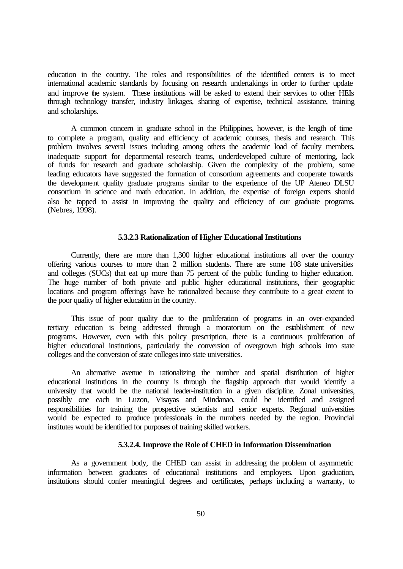education in the country. The roles and responsibilities of the identified centers is to meet international academic standards by focusing on research undertakings in order to further update and improve the system. These institutions will be asked to extend their services to other HEIs through technology transfer, industry linkages, sharing of expertise, technical assistance, training and scholarships.

A common concern in graduate school in the Philippines, however, is the length of time to complete a program, quality and efficiency of academic courses, thesis and research. This problem involves several issues including among others the academic load of faculty members, inadequate support for departmental research teams, underdeveloped culture of mentoring, lack of funds for research and graduate scholarship. Given the complexity of the problem, some leading educators have suggested the formation of consortium agreements and cooperate towards the development quality graduate programs similar to the experience of the UP Ateneo DLSU consortium in science and math education. In addition, the expertise of foreign experts should also be tapped to assist in improving the quality and efficiency of our graduate programs. (Nebres, 1998).

#### **5.3.2.3 Rationalization of Higher Educational Institutions**

Currently, there are more than 1,300 higher educational institutions all over the country offering various courses to more than 2 million students. There are some 108 state universities and colleges (SUCs) that eat up more than 75 percent of the public funding to higher education. The huge number of both private and public higher educational institutions, their geographic locations and program offerings have be rationalized because they contribute to a great extent to the poor quality of higher education in the country.

This issue of poor quality due to the proliferation of programs in an over-expanded tertiary education is being addressed through a moratorium on the establishment of new programs. However, even with this policy prescription, there is a continuous proliferation of higher educational institutions, particularly the conversion of overgrown high schools into state colleges and the conversion of state colleges into state universities.

An alternative avenue in rationalizing the number and spatial distribution of higher educational institutions in the country is through the flagship approach that would identify a university that would be the national leader-institution in a given discipline. Zonal universities, possibly one each in Luzon, Visayas and Mindanao, could be identified and assigned responsibilities for training the prospective scientists and senior experts. Regional universities would be expected to produce professionals in the numbers needed by the region. Provincial institutes would be identified for purposes of training skilled workers.

### **5.3.2.4. Improve the Role of CHED in Information Dissemination**

As a government body, the CHED can assist in addressing the problem of asymmetric information between graduates of educational institutions and employers. Upon graduation, institutions should confer meaningful degrees and certificates, perhaps including a warranty, to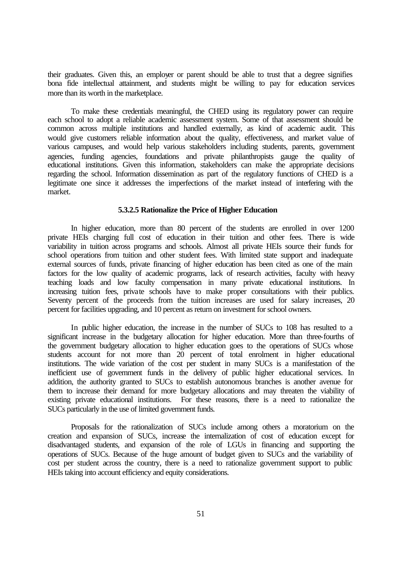their graduates. Given this, an employer or parent should be able to trust that a degree signifies bona fide intellectual attainment, and students might be willing to pay for education services more than its worth in the marketplace.

To make these credentials meaningful, the CHED using its regulatory power can require each school to adopt a reliable academic assessment system. Some of that assessment should be common across multiple institutions and handled externally, as kind of academic audit. This would give customers reliable information about the quality, effectiveness, and market value of various campuses, and would help various stakeholders including students, parents, government agencies, funding agencies, foundations and private philanthropists gauge the quality of educational institutions. Given this information, stakeholders can make the appropriate decisions regarding the school. Information dissemination as part of the regulatory functions of CHED is a legitimate one since it addresses the imperfections of the market instead of interfering with the market.

#### **5.3.2.5 Rationalize the Price of Higher Education**

In higher education, more than 80 percent of the students are enrolled in over 1200 private HEIs charging full cost of education in their tuition and other fees. There is wide variability in tuition across programs and schools. Almost all private HEIs source their funds for school operations from tuition and other student fees. With limited state support and inadequate external sources of funds, private financing of higher education has been cited as one of the main factors for the low quality of academic programs, lack of research activities, faculty with heavy teaching loads and low faculty compensation in many private educational institutions. In increasing tuition fees, private schools have to make proper consultations with their publics. Seventy percent of the proceeds from the tuition increases are used for salary increases, 20 percent for facilities upgrading, and 10 percent as return on investment for school owners.

In public higher education, the increase in the number of SUCs to 108 has resulted to a significant increase in the budgetary allocation for higher education. More than three-fourths of the government budgetary allocation to higher education goes to the operations of SUCs whose students account for not more than 20 percent of total enrolment in higher educational institutions. The wide variation of the cost per student in many SUCs is a manifestation of the inefficient use of government funds in the delivery of public higher educational services. In addition, the authority granted to SUCs to establish autonomous branches is another avenue for them to increase their demand for more budgetary allocations and may threaten the viability of existing private educational institutions. For these reasons, there is a need to rationalize the SUCs particularly in the use of limited government funds.

Proposals for the rationalization of SUCs include among others a moratorium on the creation and expansion of SUCs, increase the internalization of cost of education except for disadvantaged students, and expansion of the role of LGUs in financing and supporting the operations of SUCs. Because of the huge amount of budget given to SUCs and the variability of cost per student across the country, there is a need to rationalize government support to public HEIs taking into account efficiency and equity considerations.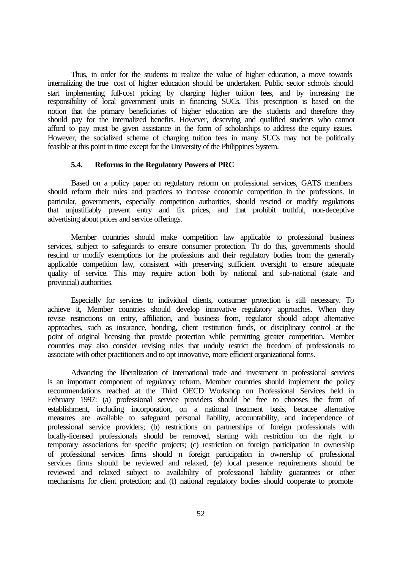Thus, in order for the students to realize the value of higher education, a move towards internalizing the true cost of higher education should be undertaken. Public sector schools should start implementing full-cost pricing by charging higher tuition fees, and by increasing the responsibility of local government units in financing SUCs. This prescription is based on the notion that the primary beneficiaries of higher education are the students and therefore they should pay for the internalized benefits. However, deserving and qualified students who cannot afford to pay must be given assistance in the form of scholarships to address the equity issues. However, the socialized scheme of charging tuition fees in many SUCs may not be politically feasible at this point in time except for the University of the Philippines System.

### **5.4. Reforms in the Regulatory Powers of PRC**

Based on a policy paper on regulatory reform on professional services, GATS members should reform their rules and practices to increase economic competition in the professions. In particular, governments, especially competition authorities, should rescind or modify regulations that unjustifiably prevent entry and fix prices, and that prohibit truthful, non-deceptive advertising about prices and service offerings.

Member countries should make competition law applicable to professional business services, subject to safeguards to ensure consumer protection. To do this, governments should rescind or modify exemptions for the professions and their regulatory bodies from the generally applicable competition law, consistent with preserving sufficient oversight to ensure adequate quality of service. This may require action both by national and sub-national (state and provincial) authorities.

Especially for services to individual clients, consumer protection is still necessary. To achieve it, Member countries should develop innovative regulatory approaches. When they revise restrictions on entry, affiliation, and business from, regulator should adopt alternative approaches, such as insurance, bonding, client restitution funds, or disciplinary control at the point of original licensing that provide protection while permitting greater competition. Member countries may also consider revising rules that unduly restrict the freedom of professionals to associate with other practitioners and to opt innovative, more efficient organizational forms.

Advancing the liberalization of international trade and investment in professional services is an important component of regulatory reform. Member countries should implement the policy recommendations reached at the Third OECD Workshop on Professional Services held in February 1997: (a) professional service providers should be free to chooses the form of establishment, including incorporation, on a national treatment basis, because alternative measures are available to safeguard personal liability, accountability, and independence of professional service providers; (b) restrictions on partnerships of foreign professionals with locally-licensed professionals should be removed, starting with restriction on the right to temporary associations for specific projects; (c) restriction on foreign participation in ownership of professional services firms should n foreign participation in ownership of professional services firms should be reviewed and relaxed, (e) local presence requirements should be reviewed and relaxed subject to availability of professional liability guarantees or other mechanisms for client protection; and (f) national regulatory bodies should cooperate to promote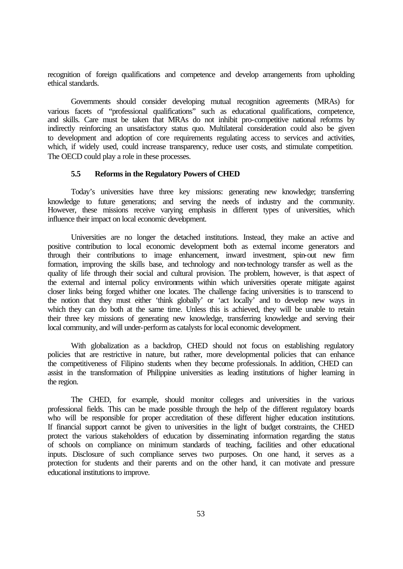recognition of foreign qualifications and competence and develop arrangements from upholding ethical standards.

Governments should consider developing mutual recognition agreements (MRAs) for various facets of "professional qualifications" such as educational qualifications, competence, and skills. Care must be taken that MRAs do not inhibit pro-competitive national reforms by indirectly reinforcing an unsatisfactory status quo. Multilateral consideration could also be given to development and adoption of core requirements regulating access to services and activities, which, if widely used, could increase transparency, reduce user costs, and stimulate competition. The OECD could play a role in these processes.

### **5.5 Reforms in the Regulatory Powers of CHED**

Today's universities have three key missions: generating new knowledge; transferring knowledge to future generations; and serving the needs of industry and the community. However, these missions receive varying emphasis in different types of universities, which influence their impact on local economic development.

Universities are no longer the detached institutions. Instead, they make an active and positive contribution to local economic development both as external income generators and through their contributions to image enhancement, inward investment, spin-out new firm formation, improving the skills base, and technology and non-technology transfer as well as the quality of life through their social and cultural provision. The problem, however, is that aspect of the external and internal policy environments within which universities operate mitigate against closer links being forged whither one locates. The challenge facing universities is to transcend to the notion that they must either 'think globally' or 'act locally' and to develop new ways in which they can do both at the same time. Unless this is achieved, they will be unable to retain their three key missions of generating new knowledge, transferring knowledge and serving their local community, and will under-perform as catalysts for local economic development.

With globalization as a backdrop, CHED should not focus on establishing regulatory policies that are restrictive in nature, but rather, more developmental policies that can enhance the competitiveness of Filipino students when they become professionals. In addition, CHED can assist in the transformation of Philippine universities as leading institutions of higher learning in the region.

The CHED, for example, should monitor colleges and universities in the various professional fields. This can be made possible through the help of the different regulatory boards who will be responsible for proper accreditation of these different higher education institutions. If financial support cannot be given to universities in the light of budget constraints, the CHED protect the various stakeholders of education by disseminating information regarding the status of schools on compliance on minimum standards of teaching, facilities and other educational inputs. Disclosure of such compliance serves two purposes. On one hand, it serves as a protection for students and their parents and on the other hand, it can motivate and pressure educational institutions to improve.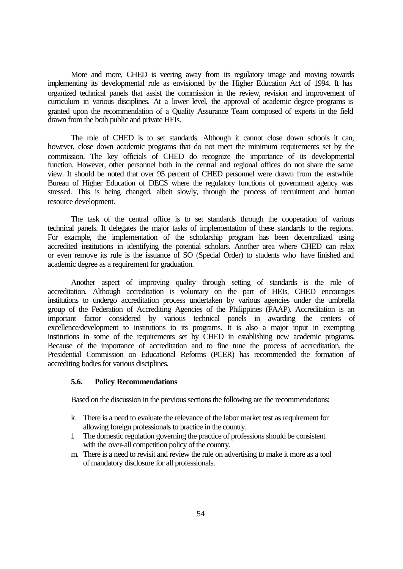More and more, CHED is veering away from its regulatory image and moving towards implementing its developmental role as envisioned by the Higher Education Act of 1994. It has organized technical panels that assist the commission in the review, revision and improvement of curriculum in various disciplines. At a lower level, the approval of academic degree programs is granted upon the recommendation of a Quality Assurance Team composed of experts in the field drawn from the both public and private HEIs.

The role of CHED is to set standards. Although it cannot close down schools it can, however, close down academic programs that do not meet the minimum requirements set by the commission. The key officials of CHED do recognize the importance of its developmental function. However, other personnel both in the central and regional offices do not share the same view. It should be noted that over 95 percent of CHED personnel were drawn from the erstwhile Bureau of Higher Education of DECS where the regulatory functions of government agency was stressed. This is being changed, albeit slowly, through the process of recruitment and human resource development.

The task of the central office is to set standards through the cooperation of various technical panels. It delegates the major tasks of implementation of these standards to the regions. For example, the implementation of the scholarship program has been decentralized using accredited institutions in identifying the potential scholars. Another area where CHED can relax or even remove its rule is the issuance of SO (Special Order) to students who have finished and academic degree as a requirement for graduation.

Another aspect of improving quality through setting of standards is the role of accreditation. Although accreditation is voluntary on the part of HEIs, CHED encourages institutions to undergo accreditation process undertaken by various agencies under the umbrella group of the Federation of Accrediting Agencies of the Philippines (FAAP). Accreditation is an important factor considered by various technical panels in awarding the centers of excellence/development to institutions to its programs. It is also a major input in exempting institutions in some of the requirements set by CHED in establishing new academic programs. Because of the importance of accreditation and to fine tune the process of accreditation, the Presidential Commission on Educational Reforms (PCER) has recommended the formation of accrediting bodies for various disciplines.

#### **5.6. Policy Recommendations**

Based on the discussion in the previous sections the following are the recommendations:

- k. There is a need to evaluate the relevance of the labor market test as requirement for allowing foreign professionals to practice in the country.
- l. The domestic regulation governing the practice of professions should be consistent with the over-all competition policy of the country.
- m. There is a need to revisit and review the rule on advertising to make it more as a tool of mandatory disclosure for all professionals.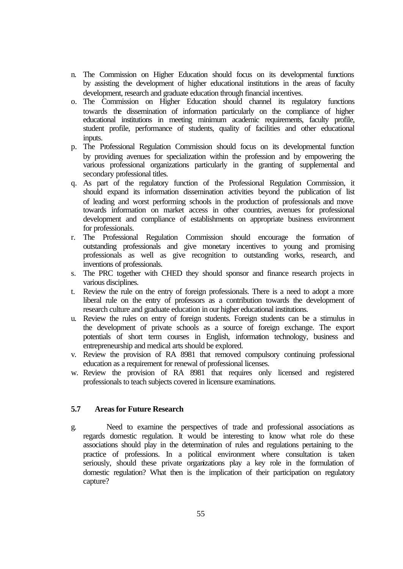- n. The Commission on Higher Education should focus on its developmental functions by assisting the development of higher educational institutions in the areas of faculty development, research and graduate education through financial incentives.
- o. The Commission on Higher Education should channel its regulatory functions towards the dissemination of information particularly on the compliance of higher educational institutions in meeting minimum academic requirements, faculty profile, student profile, performance of students, quality of facilities and other educational inputs.
- p. The Professional Regulation Commission should focus on its developmental function by providing avenues for specialization within the profession and by empowering the various professional organizations particularly in the granting of supplemental and secondary professional titles.
- q. As part of the regulatory function of the Professional Regulation Commission, it should expand its information dissemination activities beyond the publication of list of leading and worst performing schools in the production of professionals and move towards information on market access in other countries, avenues for professional development and compliance of establishments on appropriate business environment for professionals.
- r. The Professional Regulation Commission should encourage the formation of outstanding professionals and give monetary incentives to young and promising professionals as well as give recognition to outstanding works, research, and inventions of professionals.
- s. The PRC together with CHED they should sponsor and finance research projects in various disciplines.
- t. Review the rule on the entry of foreign professionals. There is a need to adopt a more liberal rule on the entry of professors as a contribution towards the development of research culture and graduate education in our higher educational institutions.
- u. Review the rules on entry of foreign students. Foreign students can be a stimulus in the development of private schools as a source of foreign exchange. The export potentials of short term courses in English, information technology, business and entrepreneurship and medical arts should be explored.
- v. Review the provision of RA 8981 that removed compulsory continuing professional education as a requirement for renewal of professional licenses.
- w. Review the provision of RA 8981 that requires only licensed and registered professionals to teach subjects covered in licensure examinations.

### **5.7 Areas for Future Research**

g. Need to examine the perspectives of trade and professional associations as regards domestic regulation. It would be interesting to know what role do these associations should play in the determination of rules and regulations pertaining to the practice of professions. In a political environment where consultation is taken seriously, should these private organizations play a key role in the formulation of domestic regulation? What then is the implication of their participation on regulatory capture?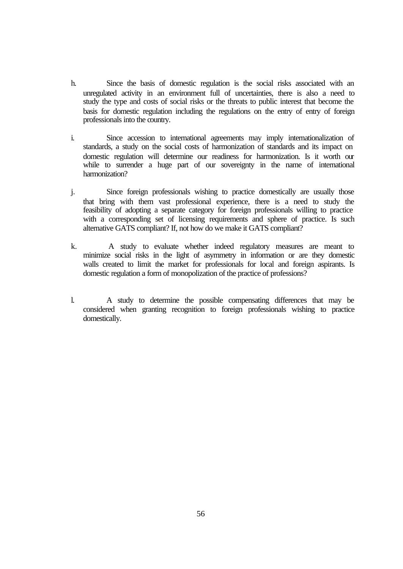- h. Since the basis of domestic regulation is the social risks associated with an unregulated activity in an environment full of uncertainties, there is also a need to study the type and costs of social risks or the threats to public interest that become the basis for domestic regulation including the regulations on the entry of entry of foreign professionals into the country.
- i. Since accession to international agreements may imply internationalization of standards, a study on the social costs of harmonization of standards and its impact on domestic regulation will determine our readiness for harmonization. Is it worth our while to surrender a huge part of our sovereignty in the name of international harmonization?
- j. Since foreign professionals wishing to practice domestically are usually those that bring with them vast professional experience, there is a need to study the feasibility of adopting a separate category for foreign professionals willing to practice with a corresponding set of licensing requirements and sphere of practice. Is such alternative GATS compliant? If, not how do we make it GATS compliant?
- k. A study to evaluate whether indeed regulatory measures are meant to minimize social risks in the light of asymmetry in information or are they domestic walls created to limit the market for professionals for local and foreign aspirants. Is domestic regulation a form of monopolization of the practice of professions?
- l. A study to determine the possible compensating differences that may be considered when granting recognition to foreign professionals wishing to practice domestically.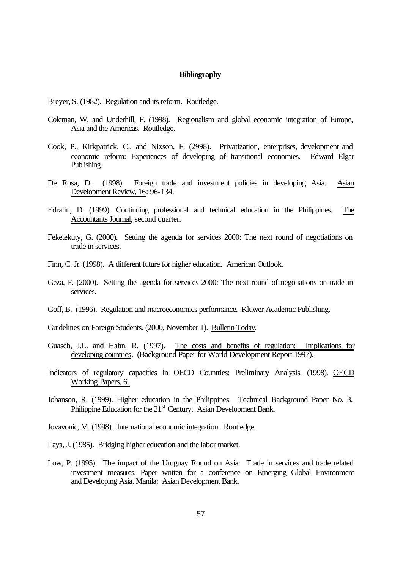#### **Bibliography**

Breyer, S. (1982). Regulation and its reform. Routledge.

- Coleman, W. and Underhill, F. (1998). Regionalism and global economic integration of Europe, Asia and the Americas. Routledge.
- Cook, P., Kirkpatrick, C., and Nixson, F. (2998). Privatization, enterprises, development and economic reform: Experiences of developing of transitional economies. Edward Elgar Publishing.
- De Rosa, D. (1998). Foreign trade and investment policies in developing Asia. Asian Development Review, 16: 96-134.
- Edralin, D. (1999). Continuing professional and technical education in the Philippines. The Accountants Journal, second quarter.
- Feketekuty, G. (2000). Setting the agenda for services 2000: The next round of negotiations on trade in services.
- Finn, C. Jr. (1998). A different future for higher education. American Outlook.
- Geza, F. (2000). Setting the agenda for services 2000: The next round of negotiations on trade in services.
- Goff, B. (1996). Regulation and macroeconomics performance. Kluwer Academic Publishing.

Guidelines on Foreign Students. (2000, November 1). Bulletin Today.

- Guasch, J.L. and Hahn, R. (1997). The costs and benefits of regulation: Implications for developing countries. (Background Paper for World Development Report 1997).
- Indicators of regulatory capacities in OECD Countries: Preliminary Analysis. (1998). OECD Working Papers, 6.
- Johanson, R. (1999). Higher education in the Philippines. Technical Background Paper No. 3. Philippine Education for the 21<sup>st</sup> Century. Asian Development Bank.
- Jovavonic, M. (1998). International economic integration. Routledge.
- Laya, J. (1985). Bridging higher education and the labor market.
- Low, P. (1995). The impact of the Uruguay Round on Asia: Trade in services and trade related investment measures. Paper written for a conference on Emerging Global Environment and Developing Asia. Manila: Asian Development Bank.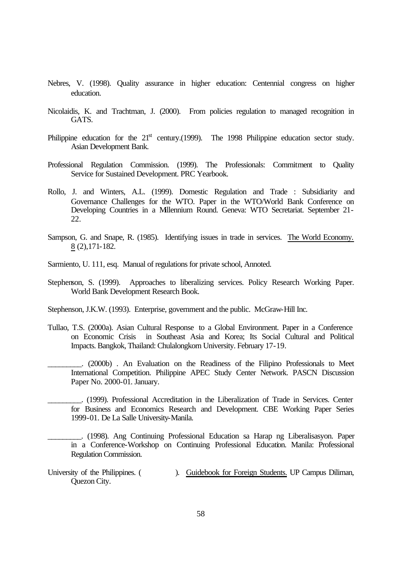- Nebres, V. (1998). Quality assurance in higher education: Centennial congress on higher education.
- Nicolaidis, K. and Trachtman, J. (2000). From policies regulation to managed recognition in GATS.
- Philippine education for the  $21<sup>st</sup>$  century.(1999). The 1998 Philippine education sector study. Asian Development Bank.
- Professional Regulation Commission. (1999). The Professionals: Commitment to Quality Service for Sustained Development. PRC Yearbook.
- Rollo, J. and Winters, A.L. (1999). Domestic Regulation and Trade : Subsidiarity and Governance Challenges for the WTO. Paper in the WTO/World Bank Conference on Developing Countries in a Millennium Round. Geneva: WTO Secretariat. September 21- 22.
- Sampson, G. and Snape, R. (1985). Identifying issues in trade in services. The World Economy. 8 (2),171-182.
- Sarmiento, U. 111, esq. Manual of regulations for private school, Annoted.
- Stephenson, S. (1999). Approaches to liberalizing services. Policy Research Working Paper. World Bank Development Research Book.

Stephenson, J.K.W. (1993). Enterprise, government and the public. McGraw-Hill Inc.

- Tullao, T.S. (2000a). Asian Cultural Response to a Global Environment. Paper in a Conference on Economic Crisis in Southeast Asia and Korea; Its Social Cultural and Political Impacts. Bangkok, Thailand: Chulalongkorn University. February 17-19.
	- \_\_\_\_\_\_\_\_\_. (2000b) . An Evaluation on the Readiness of the Filipino Professionals to Meet International Competition. Philippine APEC Study Center Network. PASCN Discussion Paper No. 2000-01. January.
	- \_\_\_\_\_\_\_\_\_. (1999). Professional Accreditation in the Liberalization of Trade in Services. Center for Business and Economics Research and Development. CBE Working Paper Series 1999-01. De La Salle University-Manila.

\_\_\_\_\_\_\_\_\_. (1998). Ang Continuing Professional Education sa Harap ng Liberalisasyon. Paper in a Conference-Workshop on Continuing Professional Education. Manila: Professional Regulation Commission.

University of the Philippines. ( ). Guidebook for Foreign Students. UP Campus Diliman, Quezon City.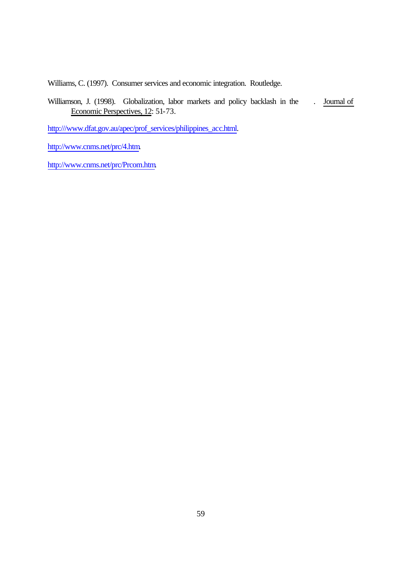Williams, C. (1997). Consumer services and economic integration. Routledge.

Williamson, J. (1998). Globalization, labor markets and policy backlash in the . Journal of Economic Perspectives, 12: 51-73.

http:///www.dfat.gov.au/apec/prof\_services/philippines\_acc.html.

http://www.cnms.net/prc/4.htm.

http://www.cnms.net/prc/Prcom.htm.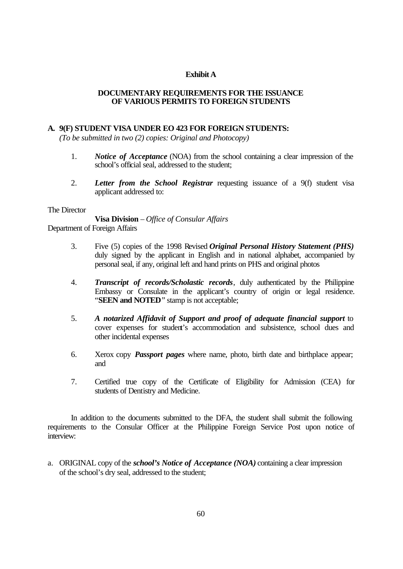### **Exhibit A**

### **DOCUMENTARY REQUIREMENTS FOR THE ISSUANCE OF VARIOUS PERMITS TO FOREIGN STUDENTS**

### **A. 9(F) STUDENT VISA UNDER EO 423 FOR FOREIGN STUDENTS:**

*(To be submitted in two (2) copies: Original and Photocopy)*

- 1. *Notice of Acceptance* (NOA) from the school containing a clear impression of the school's official seal, addressed to the student;
- 2. *Letter from the School Registrar* requesting issuance of a 9(f) student visa applicant addressed to:

### The Director

**Visa Division** – *Office of Consular Affairs* Department of Foreign Affairs

- 3. Five (5) copies of the 1998 Revised *Original Personal History Statement (PHS)* duly signed by the applicant in English and in national alphabet, accompanied by personal seal, if any, original left and hand prints on PHS and original photos
- 4. *Transcript of records/Scholastic records*, duly authenticated by the Philippine Embassy or Consulate in the applicant's country of origin or legal residence. "**SEEN and NOTED**" stamp is not acceptable;
- 5. *A notarized Affidavit of Support and proof of adequate financial support* to cover expenses for student's accommodation and subsistence, school dues and other incidental expenses
- 6. Xerox copy *Passport pages* where name, photo, birth date and birthplace appear; and
- 7. Certified true copy of the Certificate of Eligibility for Admission (CEA) for students of Dentistry and Medicine.

In addition to the documents submitted to the DFA, the student shall submit the following requirements to the Consular Officer at the Philippine Foreign Service Post upon notice of interview:

a. ORIGINAL copy of the *school's Notice of Acceptance (NOA)* containing a clear impression of the school's dry seal, addressed to the student;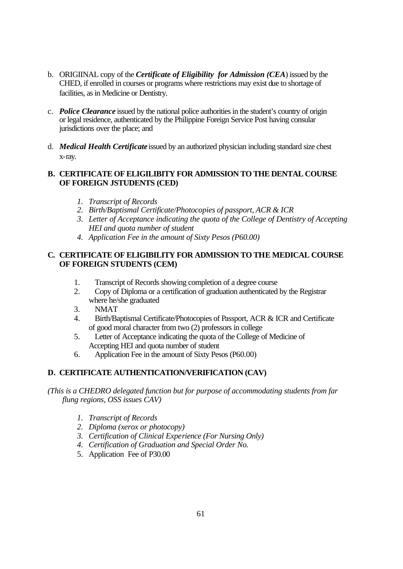- b. ORIGIINAL copy of the *Certificate of Eligibility for Admission (CEA*) issued by the CHED, if enrolled in courses or programs where restrictions may exist due to shortage of facilities, as in Medicine or Dentistry.
- c. *Police Clearance* issued by the national police authorities in the student's country of origin or legal residence, authenticated by the Philippine Foreign Service Post having consular jurisdictions over the place; and
- d. *Medical Health Certificate* issued by an authorized physician including standard size chest x-ray.

# **B. CERTIFICATE OF ELIGILIBITY FOR ADMISSION TO THE DENTAL COURSE OF FOREIGN JSTUDENTS (CED)**

- *1. Transcript of Records*
- *2. Birth/Baptismal Certificate/Photocopies of passport, ACR & ICR*
- *3. Letter of Acceptance indicating the quota of the College of Dentistry of Accepting HEI and quota number of student*
- *4. Application Fee in the amount of Sixty Pesos (P60.00)*

# **C. CERTIFICATE OF ELIGIBILITY FOR ADMISSION TO THE MEDICAL COURSE OF FOREIGN STUDENTS (CEM)**

- 1. Transcript of Records showing completion of a degree course
- 2. Copy of Diploma or a certification of graduation authenticated by the Registrar where he/she graduated
- 3. NMAT
- 4. Birth/Baptismal Certificate/Photocopies of Passport, ACR & ICR and Certificate of good moral character from two (2) professors in college
- 5. Letter of Acceptance indicating the quota of the College of Medicine of Accepting HEI and quota number of student
- 6. Application Fee in the amount of Sixty Pesos (P60.00)

# **D. CERTIFICATE AUTHENTICATION/VERIFICATION (CAV)**

## *(This is a CHEDRO delegated function but for purpose of accommodating students from far flung regions, OSS issues CAV)*

- *1. Transcript of Records*
- *2. Diploma (xerox or photocopy)*
- *3. Certification of Clinical Experience (For Nursing Only)*
- *4. Certification of Graduation and Special Order No.*
- 5. Application Fee of P30.00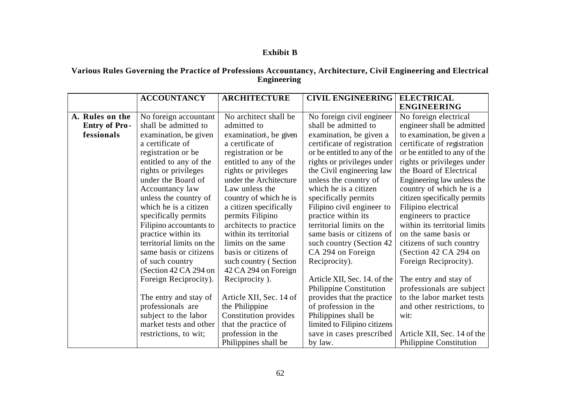# **Exhibit B**

## **Various Rules Governing the Practice of Professions Accountancy, Architecture, Civil Engineering and Electrical Engineering**

|                      | <b>ACCOUNTANCY</b>                             | <b>ARCHITECTURE</b>                       | <b>CIVIL ENGINEERING</b>     | <b>ELECTRICAL</b>                                      |
|----------------------|------------------------------------------------|-------------------------------------------|------------------------------|--------------------------------------------------------|
|                      |                                                |                                           |                              | <b>ENGINEERING</b>                                     |
| A. Rules on the      | No foreign accountant                          | No architect shall be                     | No foreign civil engineer    | No foreign electrical                                  |
| <b>Entry of Pro-</b> | shall be admitted to                           | admitted to                               | shall be admitted to         | engineer shall be admitted                             |
| fessionals           | examination, be given                          | examination, be given                     | examination, be given a      | to examination, be given a                             |
|                      | a certificate of                               | a certificate of                          | certificate of registration  | certificate of registration                            |
|                      | registration or be                             | registration or be                        | or be entitled to any of the | or be entitled to any of the                           |
|                      | entitled to any of the                         | entitled to any of the                    | rights or privileges under   | rights or privileges under                             |
|                      | rights or privileges                           | rights or privileges                      | the Civil engineering law    | the Board of Electrical                                |
|                      | under the Board of                             | under the Architecture                    | unless the country of        | Engineering law unless the                             |
|                      | Accountancy law                                | Law unless the                            | which he is a citizen        | country of which he is a                               |
|                      | unless the country of                          | country of which he is                    | specifically permits         | citizen specifically permits                           |
|                      | which he is a citizen                          | a citizen specifically                    | Filipino civil engineer to   | Filipino electrical                                    |
|                      | specifically permits                           | permits Filipino                          | practice within its          | engineers to practice                                  |
|                      | Filipino accountants to                        | architects to practice                    | territorial limits on the    | within its territorial limits                          |
|                      | practice within its                            | within its territorial                    | same basis or citizens of    | on the same basis or                                   |
|                      | territorial limits on the                      | limits on the same                        | such country (Section 42)    | citizens of such country                               |
|                      | same basis or citizens                         | basis or citizens of                      | CA 294 on Foreign            | (Section 42 CA 294 on                                  |
|                      | of such country                                | such country (Section                     | Reciprocity).                | Foreign Reciprocity).                                  |
|                      | (Section 42 CA 294 on                          | 42 CA 294 on Foreign                      |                              |                                                        |
|                      | Foreign Reciprocity).                          | Reciprocity).                             | Article XII, Sec. 14. of the | The entry and stay of                                  |
|                      |                                                |                                           | Philippine Constitution      | professionals are subject                              |
|                      | The entry and stay of                          | Article XII, Sec. 14 of                   | provides that the practice   | to the labor market tests                              |
|                      | professionals are                              | the Philippine                            | of profession in the         | and other restrictions, to                             |
|                      | subject to the labor<br>market tests and other | Constitution provides                     | Philippines shall be         | wit:                                                   |
|                      |                                                | that the practice of                      | limited to Filipino citizens |                                                        |
|                      | restrictions, to wit;                          | profession in the<br>Philippines shall be | save in cases prescribed     | Article XII, Sec. 14 of the<br>Philippine Constitution |
|                      |                                                |                                           | by law.                      |                                                        |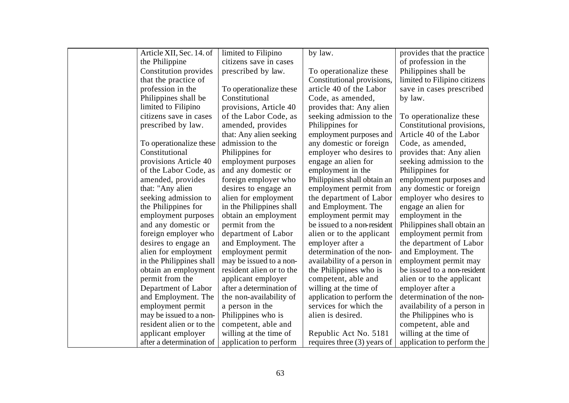| Article XII, Sec. 14. of | limited to Filipino      | by law.                     | provides that the practice   |
|--------------------------|--------------------------|-----------------------------|------------------------------|
| the Philippine           | citizens save in cases   |                             | of profession in the         |
| Constitution provides    | prescribed by law.       | To operationalize these     | Philippines shall be         |
| that the practice of     |                          | Constitutional provisions,  | limited to Filipino citizens |
| profession in the        | To operationalize these  | article 40 of the Labor     | save in cases prescribed     |
| Philippines shall be     | Constitutional           | Code, as amended,           | by law.                      |
| limited to Filipino      | provisions, Article 40   | provides that: Any alien    |                              |
| citizens save in cases   | of the Labor Code, as    | seeking admission to the    | To operationalize these      |
| prescribed by law.       | amended, provides        | Philippines for             | Constitutional provisions,   |
|                          | that: Any alien seeking  | employment purposes and     | Article 40 of the Labor      |
| To operationalize these  | admission to the         | any domestic or foreign     | Code, as amended,            |
| Constitutional           | Philippines for          | employer who desires to     | provides that: Any alien     |
| provisions Article 40    | employment purposes      | engage an alien for         | seeking admission to the     |
| of the Labor Code, as    | and any domestic or      | employment in the           | Philippines for              |
| amended, provides        | foreign employer who     | Philippines shall obtain an | employment purposes and      |
| that: "Any alien         | desires to engage an     | employment permit from      | any domestic or foreign      |
| seeking admission to     | alien for employment     | the department of Labor     | employer who desires to      |
| the Philippines for      | in the Philippines shall | and Employment. The         | engage an alien for          |
| employment purposes      | obtain an employment     | employment permit may       | employment in the            |
| and any domestic or      | permit from the          | be issued to a non-resident | Philippines shall obtain an  |
| foreign employer who     | department of Labor      | alien or to the applicant   | employment permit from       |
| desires to engage an     | and Employment. The      | employer after a            | the department of Labor      |
| alien for employment     | employment permit        | determination of the non-   | and Employment. The          |
| in the Philippines shall | may be issued to a non-  | availability of a person in | employment permit may        |
| obtain an employment     | resident alien or to the | the Philippines who is      | be issued to a non-resident  |
| permit from the          | applicant employer       | competent, able and         | alien or to the applicant    |
| Department of Labor      | after a determination of | willing at the time of      | employer after a             |
| and Employment. The      | the non-availability of  | application to perform the  | determination of the non-    |
| employment permit        | a person in the          | services for which the      | availability of a person in  |
| may be issued to a non-  | Philippines who is       | alien is desired.           | the Philippines who is       |
| resident alien or to the | competent, able and      |                             | competent, able and          |
| applicant employer       | willing at the time of   | Republic Act No. 5181       | willing at the time of       |
| after a determination of | application to perform   | requires three (3) years of | application to perform the   |
|                          |                          |                             |                              |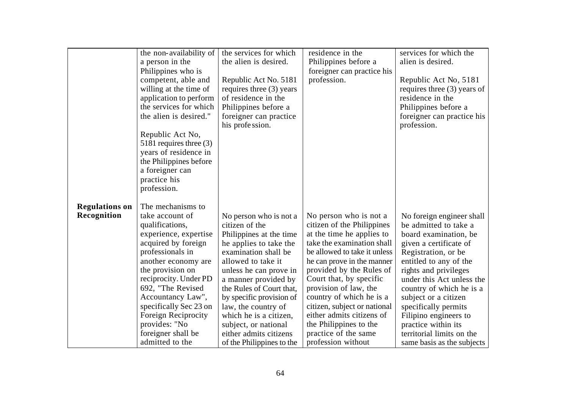|                       | the non-availability of   | the services for which                         | residence in the             | services for which the        |
|-----------------------|---------------------------|------------------------------------------------|------------------------------|-------------------------------|
|                       | a person in the           | the alien is desired.                          | Philippines before a         | alien is desired.             |
|                       |                           |                                                |                              |                               |
|                       | Philippines who is        |                                                | foreigner can practice his   |                               |
|                       | competent, able and       | Republic Act No. 5181                          | profession.                  | Republic Act No, 5181         |
|                       | willing at the time of    | requires three (3) years                       |                              | requires three $(3)$ years of |
|                       | application to perform    | of residence in the                            |                              | residence in the              |
|                       | the services for which    | Philippines before a                           |                              | Philippines before a          |
|                       | the alien is desired."    | foreigner can practice                         |                              | foreigner can practice his    |
|                       |                           | his profession.                                |                              | profession.                   |
|                       | Republic Act No,          |                                                |                              |                               |
|                       | 5181 requires three $(3)$ |                                                |                              |                               |
|                       | years of residence in     |                                                |                              |                               |
|                       | the Philippines before    |                                                |                              |                               |
|                       | a foreigner can           |                                                |                              |                               |
|                       | practice his              |                                                |                              |                               |
|                       | profession.               |                                                |                              |                               |
|                       |                           |                                                |                              |                               |
| <b>Regulations on</b> | The mechanisms to         |                                                |                              |                               |
| Recognition           | take account of           | No person who is not a                         | No person who is not a       | No foreign engineer shall     |
|                       | qualifications,           | citizen of the                                 | citizen of the Philippines   | be admitted to take a         |
|                       | experience, expertise     | Philippines at the time                        | at the time he applies to    | board examination, be         |
|                       | acquired by foreign       |                                                | take the examination shall   |                               |
|                       | professionals in          | he applies to take the<br>examination shall be | be allowed to take it unless | given a certificate of        |
|                       |                           |                                                |                              | Registration, or be.          |
|                       | another economy are       | allowed to take it                             | he can prove in the manner   | entitled to any of the        |
|                       | the provision on          | unless he can prove in                         | provided by the Rules of     | rights and privileges         |
|                       | reciprocity. Under PD     | a manner provided by                           | Court that, by specific      | under this Act unless the     |
|                       | 692, "The Revised         | the Rules of Court that,                       | provision of law, the        | country of which he is a      |
|                       | Accountancy Law",         | by specific provision of                       | country of which he is a     | subject or a citizen          |
|                       | specifically Sec 23 on    | law, the country of                            | citizen, subject or national | specifically permits          |
|                       | Foreign Reciprocity       | which he is a citizen,                         | either admits citizens of    | Filipino engineers to         |
|                       | provides: "No             | subject, or national                           | the Philippines to the       | practice within its           |
|                       | foreigner shall be        | either admits citizens                         | practice of the same         | territorial limits on the     |
|                       | admitted to the           | of the Philippines to the                      | profession without           | same basis as the subjects    |
|                       |                           |                                                |                              |                               |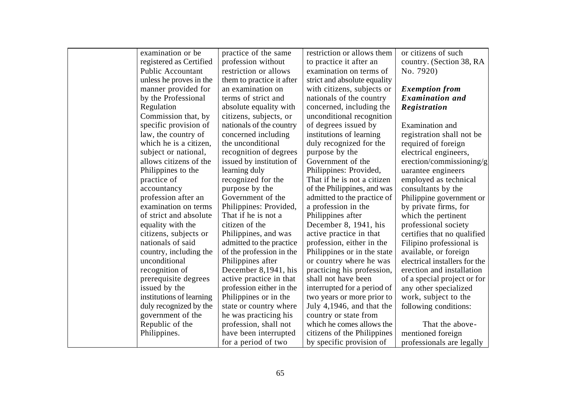| examination or be        | practice of the same      | restriction or allows them   | or citizens of such           |
|--------------------------|---------------------------|------------------------------|-------------------------------|
| registered as Certified  | profession without        | to practice it after an      | country. (Section 38, RA      |
| <b>Public Accountant</b> | restriction or allows     | examination on terms of      | No. 7920)                     |
| unless he proves in the  | them to practice it after | strict and absolute equality |                               |
| manner provided for      | an examination on         | with citizens, subjects or   | <b>Exemption from</b>         |
| by the Professional      | terms of strict and       | nationals of the country     | <b>Examination</b> and        |
| Regulation               | absolute equality with    | concerned, including the     | Registration                  |
| Commission that, by      | citizens, subjects, or    | unconditional recognition    |                               |
| specific provision of    | nationals of the country  | of degrees issued by         | Examination and               |
| law, the country of      | concerned including       | institutions of learning     | registration shall not be     |
| which he is a citizen,   | the unconditional         | duly recognized for the      | required of foreign           |
| subject or national,     | recognition of degrees    | purpose by the               | electrical engineers,         |
| allows citizens of the   | issued by institution of  | Government of the            | erection/commissioning/g      |
| Philippines to the       | learning duly             | Philippines: Provided,       | uarantee engineers            |
| practice of              | recognized for the        | That if he is not a citizen  | employed as technical         |
| accountancy              | purpose by the            | of the Philippines, and was  | consultants by the            |
| profession after an      | Government of the         | admitted to the practice of  | Philippine government or      |
| examination on terms     | Philippines: Provided,    | a profession in the          | by private firms, for         |
| of strict and absolute   | That if he is not a       | Philippines after            | which the pertinent           |
| equality with the        | citizen of the            | December 8, 1941, his        | professional society          |
| citizens, subjects or    | Philippines, and was      | active practice in that      | certifies that no qualified   |
| nationals of said        | admitted to the practice  | profession, either in the    | Filipino professional is      |
| country, including the   | of the profession in the  | Philippines or in the state  | available, or foreign         |
| unconditional            | Philippines after         | or country where he was      | electrical installers for the |
| recognition of           | December 8,1941, his      | practicing his profession,   | erection and installation     |
| prerequisite degrees     | active practice in that   | shall not have been          | of a special project or for   |
| issued by the            | profession either in the  | interrupted for a period of  | any other specialized         |
| institutions of learning | Philippines or in the     | two years or more prior to   | work, subject to the          |
| duly recognized by the   | state or country where    | July 4,1946, and that the    | following conditions:         |
| government of the        | he was practicing his     | country or state from        |                               |
| Republic of the          | profession, shall not     | which he comes allows the    | That the above-               |
| Philippines.             | have been interrupted     | citizens of the Philippines  | mentioned foreign             |
|                          | for a period of two       | by specific provision of     | professionals are legally     |
|                          |                           |                              |                               |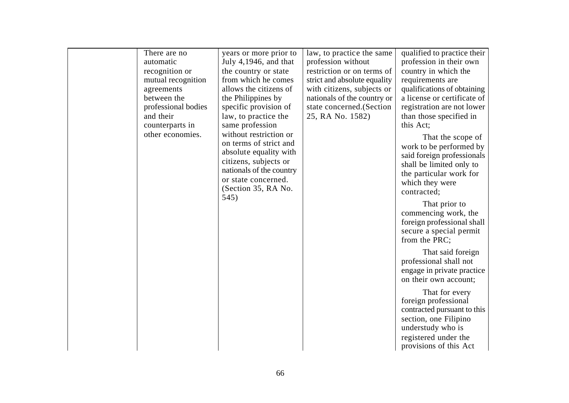| There are no<br>automatic<br>recognition or<br>mutual recognition<br>agreements<br>between the<br>professional bodies<br>and their<br>counterparts in<br>other economies. | years or more prior to<br>July 4,1946, and that<br>the country or state<br>from which he comes<br>allows the citizens of<br>the Philippines by<br>specific provision of<br>law, to practice the<br>same profession<br>without restriction or<br>on terms of strict and<br>absolute equality with<br>citizens, subjects or | law, to practice the same<br>profession without<br>restriction or on terms of<br>strict and absolute equality<br>with citizens, subjects or<br>nationals of the country or<br>state concerned. (Section<br>25, RA No. 1582) | qualified to practice their<br>profession in their own<br>country in which the<br>requirements are<br>qualifications of obtaining<br>a license or certificate of<br>registration are not lower<br>than those specified in<br>this Act;<br>That the scope of<br>work to be performed by<br>said foreign professionals<br>shall be limited only to |
|---------------------------------------------------------------------------------------------------------------------------------------------------------------------------|---------------------------------------------------------------------------------------------------------------------------------------------------------------------------------------------------------------------------------------------------------------------------------------------------------------------------|-----------------------------------------------------------------------------------------------------------------------------------------------------------------------------------------------------------------------------|--------------------------------------------------------------------------------------------------------------------------------------------------------------------------------------------------------------------------------------------------------------------------------------------------------------------------------------------------|
|                                                                                                                                                                           | nationals of the country<br>or state concerned.<br>(Section 35, RA No.<br>545)                                                                                                                                                                                                                                            |                                                                                                                                                                                                                             | the particular work for<br>which they were<br>contracted;<br>That prior to<br>commencing work, the<br>foreign professional shall<br>secure a special permit<br>from the PRC;<br>That said foreign<br>professional shall not<br>engage in private practice<br>on their own account;                                                               |
|                                                                                                                                                                           |                                                                                                                                                                                                                                                                                                                           |                                                                                                                                                                                                                             | That for every<br>foreign professional<br>contracted pursuant to this<br>section, one Filipino<br>understudy who is<br>registered under the<br>provisions of this Act                                                                                                                                                                            |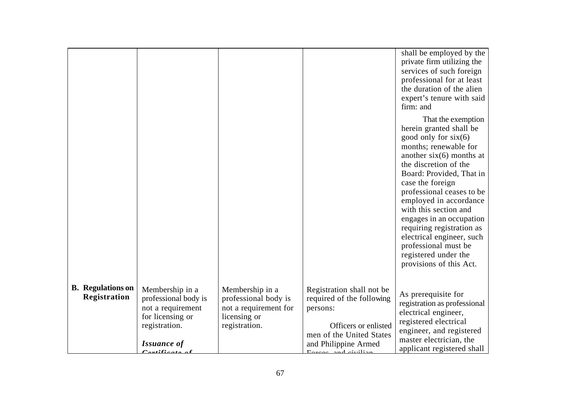|                                          |                                                                                                                                                                                |                                                                                                   |                                                                                                                                                                   | shall be employed by the<br>private firm utilizing the<br>services of such foreign<br>professional for at least<br>the duration of the alien<br>expert's tenure with said<br>firm: and                                                                                                                                                                                                                                                                   |
|------------------------------------------|--------------------------------------------------------------------------------------------------------------------------------------------------------------------------------|---------------------------------------------------------------------------------------------------|-------------------------------------------------------------------------------------------------------------------------------------------------------------------|----------------------------------------------------------------------------------------------------------------------------------------------------------------------------------------------------------------------------------------------------------------------------------------------------------------------------------------------------------------------------------------------------------------------------------------------------------|
|                                          |                                                                                                                                                                                |                                                                                                   |                                                                                                                                                                   | That the exemption<br>herein granted shall be<br>good only for $six(6)$<br>months; renewable for<br>another $six(6)$ months at<br>the discretion of the<br>Board: Provided, That in<br>case the foreign<br>professional ceases to be<br>employed in accordance<br>with this section and<br>engages in an occupation<br>requiring registration as<br>electrical engineer, such<br>professional must be<br>registered under the<br>provisions of this Act. |
| <b>B.</b> Regulations on<br>Registration | Membership in a<br>professional body is<br>not a requirement<br>for licensing or<br>registration.<br><b>Issuance of</b><br>$\mathcal{L}^{\bullet} \mathcal{L}^{\bullet}$ and a | Membership in a<br>professional body is<br>not a requirement for<br>licensing or<br>registration. | Registration shall not be<br>required of the following<br>persons:<br>Officers or enlisted<br>men of the United States<br>and Philippine Armed<br>Eason and dull. | As prerequisite for<br>registration as professional<br>electrical engineer,<br>registered electrical<br>engineer, and registered<br>master electrician, the<br>applicant registered shall                                                                                                                                                                                                                                                                |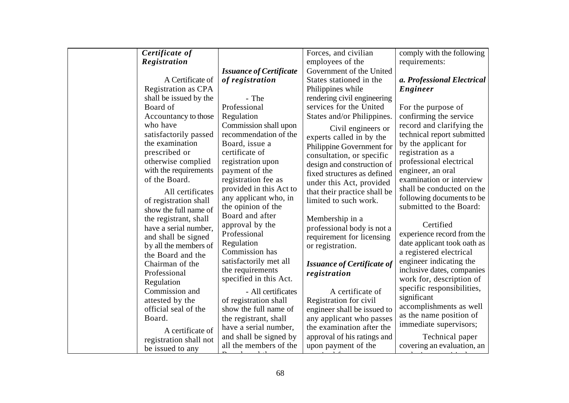| Certificate of        |                                         |                                            | Forces, and civilian                         | comply with the following                             |
|-----------------------|-----------------------------------------|--------------------------------------------|----------------------------------------------|-------------------------------------------------------|
| Registration          |                                         |                                            | employees of the<br>Government of the United | requirements:                                         |
|                       | A Certificate of                        | <b>Issuance of Certificate</b>             | States stationed in the                      |                                                       |
|                       |                                         | of registration                            |                                              | a. Professional Electrical                            |
|                       | Registration as CPA                     |                                            | Philippines while                            | Engineer                                              |
|                       | shall be issued by the                  | - The                                      | rendering civil engineering                  |                                                       |
| Board of              | Professional                            |                                            | services for the United                      | For the purpose of                                    |
|                       | Regulation<br>Accountancy to those      |                                            | States and/or Philippines.                   | confirming the service                                |
| who have              |                                         | Commission shall upon                      | Civil engineers or                           | record and clarifying the                             |
|                       | satisfactorily passed                   | recommendation of the                      | experts called in by the                     | technical report submitted                            |
| the examination       | Board, issue a                          |                                            | Philippine Government for                    | by the applicant for                                  |
| prescribed or         | certificate of                          |                                            | consultation, or specific                    | registration as a                                     |
| otherwise complied    |                                         | registration upon                          | design and construction of                   | professional electrical                               |
|                       | with the requirements<br>payment of the |                                            | fixed structures as defined                  | engineer, an oral                                     |
| of the Board.         |                                         | registration fee as                        | under this Act, provided                     | examination or interview                              |
|                       | All certificates                        | provided in this Act to                    | that their practice shall be                 | shall be conducted on the                             |
| of registration shall |                                         | any applicant who, in                      | limited to such work.                        | following documents to be                             |
|                       | show the full name of                   | the opinion of the<br>Board and after      |                                              | submitted to the Board:                               |
| the registrant, shall |                                         |                                            | Membership in a                              | Certified                                             |
|                       | have a serial number,<br>Professional   | approval by the                            | professional body is not a                   |                                                       |
| and shall be signed   |                                         |                                            | requirement for licensing                    | experience record from the                            |
|                       | Regulation<br>by all the members of     | Commission has                             | or registration.                             | date applicant took oath as                           |
| the Board and the     |                                         |                                            |                                              | a registered electrical                               |
| Chairman of the       |                                         | satisfactorily met all<br>the requirements | <b>Issuance of Certificate of</b>            | engineer indicating the<br>inclusive dates, companies |
| Professional          |                                         | specified in this Act.                     | registration                                 | work for, description of                              |
| Regulation            |                                         |                                            |                                              | specific responsibilities,                            |
| Commission and        |                                         | - All certificates                         | A certificate of                             | significant                                           |
| attested by the       |                                         | of registration shall                      | Registration for civil                       | accomplishments as well                               |
| official seal of the  |                                         | show the full name of                      | engineer shall be issued to                  | as the name position of                               |
| Board.                |                                         | the registrant, shall                      | any applicant who passes                     | immediate supervisors;                                |
|                       | A certificate of                        | have a serial number,                      | the examination after the                    |                                                       |
|                       | registration shall not                  | and shall be signed by                     | approval of his ratings and                  | Technical paper                                       |
| be issued to any      |                                         | all the members of the                     | upon payment of the                          | covering an evaluation, an                            |
|                       |                                         |                                            |                                              |                                                       |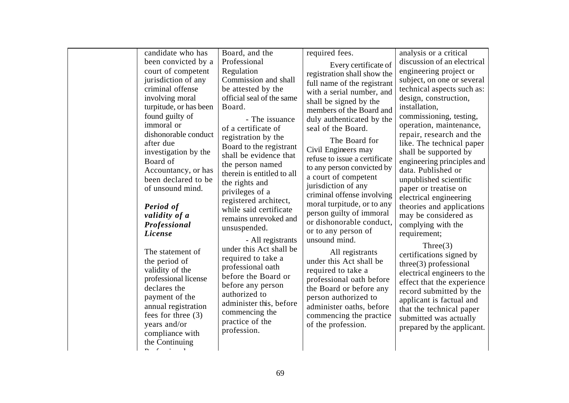| candidate who has                                                                                                                                                                                                  | Board, and the                                                                                                                                                                                                                              | required fees.                                                                                                                                                                                                                                                         | analysis or a critical                                                                                                                                                                                                                                                                    |
|--------------------------------------------------------------------------------------------------------------------------------------------------------------------------------------------------------------------|---------------------------------------------------------------------------------------------------------------------------------------------------------------------------------------------------------------------------------------------|------------------------------------------------------------------------------------------------------------------------------------------------------------------------------------------------------------------------------------------------------------------------|-------------------------------------------------------------------------------------------------------------------------------------------------------------------------------------------------------------------------------------------------------------------------------------------|
| been convicted by a                                                                                                                                                                                                | Professional                                                                                                                                                                                                                                | Every certificate of                                                                                                                                                                                                                                                   | discussion of an electrical                                                                                                                                                                                                                                                               |
| court of competent                                                                                                                                                                                                 | Regulation                                                                                                                                                                                                                                  | registration shall show the                                                                                                                                                                                                                                            | engineering project or                                                                                                                                                                                                                                                                    |
| jurisdiction of any                                                                                                                                                                                                | Commission and shall                                                                                                                                                                                                                        | full name of the registrant                                                                                                                                                                                                                                            | subject, on one or several                                                                                                                                                                                                                                                                |
| criminal offense                                                                                                                                                                                                   | be attested by the                                                                                                                                                                                                                          | with a serial number, and                                                                                                                                                                                                                                              | technical aspects such as:                                                                                                                                                                                                                                                                |
| involving moral<br>turpitude, or has been                                                                                                                                                                          | official seal of the same<br>Board.                                                                                                                                                                                                         | shall be signed by the<br>members of the Board and                                                                                                                                                                                                                     | design, construction,<br>installation,                                                                                                                                                                                                                                                    |
| found guilty of<br>immoral or                                                                                                                                                                                      | - The issuance<br>of a certificate of                                                                                                                                                                                                       | duly authenticated by the<br>seal of the Board.                                                                                                                                                                                                                        | commissioning, testing,<br>operation, maintenance,                                                                                                                                                                                                                                        |
| dishonorable conduct<br>after due<br>investigation by the<br>Board of<br>Accountancy, or has<br>been declared to be<br>of unsound mind.<br><b>Period</b> of<br>validity of a<br>Professional                       | registration by the<br>Board to the registrant<br>shall be evidence that<br>the person named<br>therein is entitled to all<br>the rights and<br>privileges of a<br>registered architect,<br>while said certificate<br>remains unrevoked and | The Board for<br>Civil Engineers may<br>refuse to issue a certificate<br>to any person convicted by<br>a court of competent<br>jurisdiction of any<br>criminal offense involving<br>moral turpitude, or to any<br>person guilty of immoral<br>or dishonorable conduct, | repair, research and the<br>like. The technical paper<br>shall be supported by<br>engineering principles and<br>data. Published or<br>unpublished scientific<br>paper or treatise on<br>electrical engineering<br>theories and applications<br>may be considered as<br>complying with the |
| <i>License</i>                                                                                                                                                                                                     | unsuspended.<br>- All registrants                                                                                                                                                                                                           | or to any person of<br>unsound mind.                                                                                                                                                                                                                                   | requirement;                                                                                                                                                                                                                                                                              |
| The statement of<br>the period of<br>validity of the<br>professional license<br>declares the<br>payment of the<br>annual registration<br>fees for three $(3)$<br>years and/or<br>compliance with<br>the Continuing | under this Act shall be<br>required to take a<br>professional oath<br>before the Board or<br>before any person<br>authorized to<br>administer this, before<br>commencing the<br>practice of the<br>profession.                              | All registrants<br>under this Act shall be<br>required to take a<br>professional oath before<br>the Board or before any<br>person authorized to<br>administer oaths, before<br>commencing the practice<br>of the profession.                                           | Three(3)<br>certifications signed by<br>three(3) professional<br>electrical engineers to the<br>effect that the experience<br>record submitted by the<br>applicant is factual and<br>that the technical paper<br>submitted was actually<br>prepared by the applicant.                     |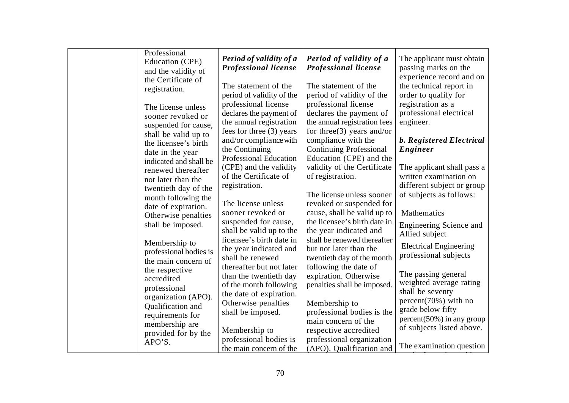| Professional           |                               |                                |                                 |
|------------------------|-------------------------------|--------------------------------|---------------------------------|
| Education (CPE)        | Period of validity of a       | Period of validity of a        | The applicant must obtain       |
| and the validity of    | <b>Professional license</b>   | <b>Professional license</b>    | passing marks on the            |
| the Certificate of     |                               |                                | experience record and on        |
| registration.          | The statement of the          | The statement of the           | the technical report in         |
|                        | period of validity of the     | period of validity of the      | order to qualify for            |
| The license unless     | professional license          | professional license           | registration as a               |
| sooner revoked or      | declares the payment of       | declares the payment of        | professional electrical         |
| suspended for cause,   | the annual registration       | the annual registration fees   | engineer.                       |
| shall be valid up to   | fees for three (3) years      | for three $(3)$ years and/or   |                                 |
| the licensee's birth   | and/or compliance with        | compliance with the            | <b>b.</b> Registered Electrical |
| date in the year       | the Continuing                | <b>Continuing Professional</b> | Engineer                        |
| indicated and shall be | <b>Professional Education</b> | Education (CPE) and the        |                                 |
| renewed thereafter     | (CPE) and the validity        | validity of the Certificate    | The applicant shall pass a      |
| not later than the     | of the Certificate of         | of registration.               | written examination on          |
| twentieth day of the   | registration.                 |                                | different subject or group      |
|                        |                               | The license unless sooner      | of subjects as follows:         |
| month following the    | The license unless            | revoked or suspended for       |                                 |
| date of expiration.    | sooner revoked or             | cause, shall be valid up to    | Mathematics                     |
| Otherwise penalties    | suspended for cause,          | the licensee's birth date in   |                                 |
| shall be imposed.      | shall be valid up to the      | the year indicated and         | Engineering Science and         |
|                        | licensee's birth date in      | shall be renewed thereafter    | Allied subject                  |
| Membership to          | the year indicated and        | but not later than the         | <b>Electrical Engineering</b>   |
| professional bodies is | shall be renewed              | twentieth day of the month     | professional subjects           |
| the main concern of    | thereafter but not later      | following the date of          |                                 |
| the respective         | than the twentieth day        | expiration. Otherwise          | The passing general             |
| accredited             | of the month following        | penalties shall be imposed.    | weighted average rating         |
| professional           | the date of expiration.       |                                | shall be seventy                |
| organization (APO).    | Otherwise penalties           | Membership to                  | $percent(70%)$ with no          |
| Qualification and      | shall be imposed.             | professional bodies is the     | grade below fifty               |
| requirements for       |                               | main concern of the            | $percent(50\%)$ in any group    |
| membership are         |                               | respective accredited          | of subjects listed above.       |
| provided for by the    | Membership to                 |                                |                                 |
| APO'S.                 | professional bodies is        | professional organization      | The examination question        |
|                        | the main concern of the       | (APO). Qualification and       |                                 |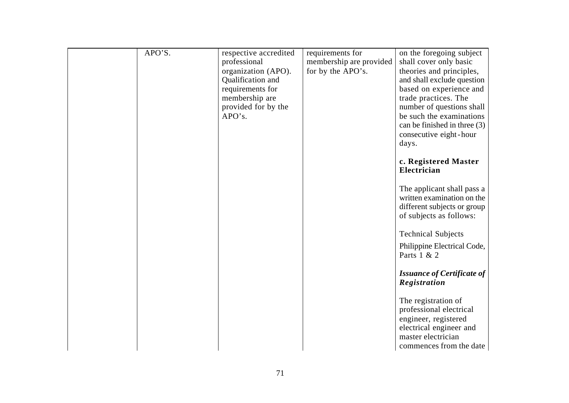| APO'S. | respective accredited | requirements for        | on the foregoing subject                      |
|--------|-----------------------|-------------------------|-----------------------------------------------|
|        | professional          | membership are provided | shall cover only basic                        |
|        | organization (APO).   | for by the APO's.       | theories and principles,                      |
|        | Qualification and     |                         | and shall exclude question                    |
|        | requirements for      |                         | based on experience and                       |
|        | membership are        |                         | trade practices. The                          |
|        | provided for by the   |                         | number of questions shall                     |
|        | APO's.                |                         | be such the examinations                      |
|        |                       |                         | can be finished in three (3)                  |
|        |                       |                         | consecutive eight-hour                        |
|        |                       |                         | days.                                         |
|        |                       |                         |                                               |
|        |                       |                         | c. Registered Master                          |
|        |                       |                         | Electrician                                   |
|        |                       |                         |                                               |
|        |                       |                         | The applicant shall pass a                    |
|        |                       |                         | written examination on the                    |
|        |                       |                         | different subjects or group                   |
|        |                       |                         | of subjects as follows:                       |
|        |                       |                         | <b>Technical Subjects</b>                     |
|        |                       |                         |                                               |
|        |                       |                         | Philippine Electrical Code,                   |
|        |                       |                         | Parts 1 & 2                                   |
|        |                       |                         |                                               |
|        |                       |                         | <b>Issuance of Certificate of</b>             |
|        |                       |                         | Registration                                  |
|        |                       |                         | The registration of                           |
|        |                       |                         | professional electrical                       |
|        |                       |                         | engineer, registered                          |
|        |                       |                         | electrical engineer and                       |
|        |                       |                         |                                               |
|        |                       |                         |                                               |
|        |                       |                         | master electrician<br>commences from the date |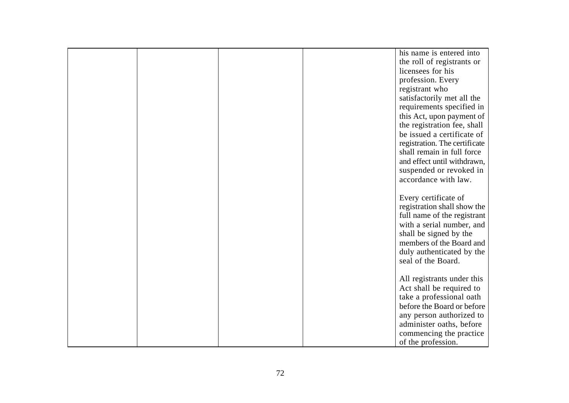|  |  | his name is entered into      |
|--|--|-------------------------------|
|  |  | the roll of registrants or    |
|  |  | licensees for his             |
|  |  | profession. Every             |
|  |  | registrant who                |
|  |  | satisfactorily met all the    |
|  |  | requirements specified in     |
|  |  | this Act, upon payment of     |
|  |  | the registration fee, shall   |
|  |  | be issued a certificate of    |
|  |  | registration. The certificate |
|  |  | shall remain in full force    |
|  |  | and effect until withdrawn,   |
|  |  | suspended or revoked in       |
|  |  | accordance with law.          |
|  |  |                               |
|  |  | Every certificate of          |
|  |  | registration shall show the   |
|  |  | full name of the registrant   |
|  |  | with a serial number, and     |
|  |  | shall be signed by the        |
|  |  | members of the Board and      |
|  |  | duly authenticated by the     |
|  |  | seal of the Board.            |
|  |  |                               |
|  |  | All registrants under this    |
|  |  | Act shall be required to      |
|  |  | take a professional oath      |
|  |  | before the Board or before    |
|  |  | any person authorized to      |
|  |  | administer oaths, before      |
|  |  | commencing the practice       |
|  |  | of the profession.            |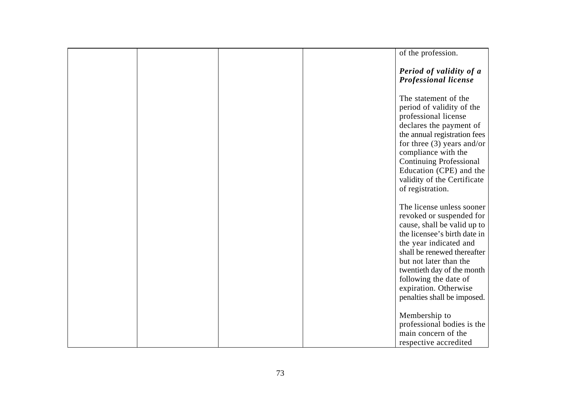|  |  | of the profession.                                                                                                                                                                                                                                                                                                     |
|--|--|------------------------------------------------------------------------------------------------------------------------------------------------------------------------------------------------------------------------------------------------------------------------------------------------------------------------|
|  |  | Period of validity of a<br><b>Professional license</b>                                                                                                                                                                                                                                                                 |
|  |  | The statement of the<br>period of validity of the<br>professional license<br>declares the payment of<br>the annual registration fees<br>for three $(3)$ years and/or<br>compliance with the<br><b>Continuing Professional</b><br>Education (CPE) and the<br>validity of the Certificate<br>of registration.            |
|  |  | The license unless sooner<br>revoked or suspended for<br>cause, shall be valid up to<br>the licensee's birth date in<br>the year indicated and<br>shall be renewed thereafter<br>but not later than the<br>twentieth day of the month<br>following the date of<br>expiration. Otherwise<br>penalties shall be imposed. |
|  |  | Membership to<br>professional bodies is the<br>main concern of the<br>respective accredited                                                                                                                                                                                                                            |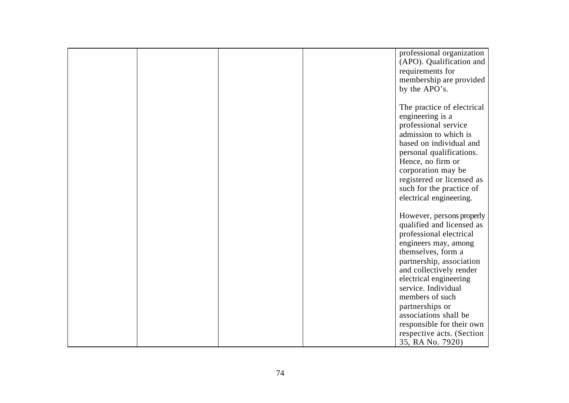|  |  | professional organization<br>(APO). Qualification and |
|--|--|-------------------------------------------------------|
|  |  | requirements for                                      |
|  |  | membership are provided                               |
|  |  | by the APO's.                                         |
|  |  |                                                       |
|  |  | The practice of electrical                            |
|  |  | engineering is a                                      |
|  |  | professional service                                  |
|  |  | admission to which is                                 |
|  |  | based on individual and                               |
|  |  | personal qualifications.                              |
|  |  | Hence, no firm or                                     |
|  |  | corporation may be                                    |
|  |  | registered or licensed as<br>such for the practice of |
|  |  | electrical engineering.                               |
|  |  |                                                       |
|  |  | However, persons properly                             |
|  |  | qualified and licensed as                             |
|  |  | professional electrical                               |
|  |  | engineers may, among                                  |
|  |  | themselves, form a                                    |
|  |  | partnership, association                              |
|  |  | and collectively render                               |
|  |  | electrical engineering                                |
|  |  | service. Individual                                   |
|  |  | members of such                                       |
|  |  | partnerships or                                       |
|  |  | associations shall be                                 |
|  |  | responsible for their own                             |
|  |  | respective acts. (Section                             |
|  |  | 35, RA No. 7920)                                      |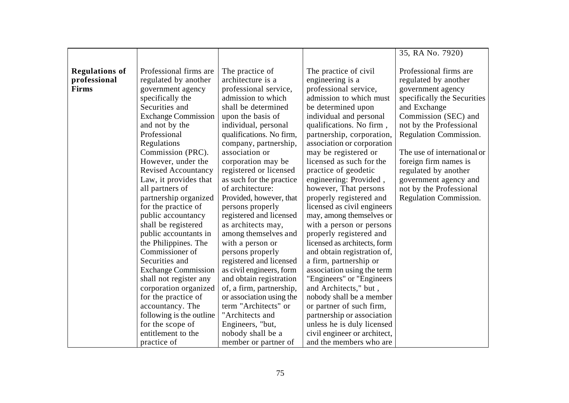| <b>Regulations of</b><br>Professional firms are<br>The practice of<br>The practice of civil<br>Professional firms are<br>professional<br>architecture is a<br>regulated by another<br>engineering is a<br>regulated by another<br><b>Firms</b><br>professional service,<br>professional service,<br>government agency<br>government agency<br>admission to which must<br>specifically the<br>admission to which<br>Securities and<br>shall be determined<br>be determined upon<br>and Exchange<br>Commission (SEC) and<br><b>Exchange Commission</b><br>individual and personal<br>upon the basis of<br>and not by the<br>qualifications. No firm,<br>not by the Professional<br>individual, personal<br>Professional<br>partnership, corporation,<br>qualifications. No firm,<br>Regulations<br>company, partnership,<br>association or corporation<br>Commission (PRC).<br>association or<br>may be registered or<br>However, under the<br>licensed as such for the<br>foreign firm names is<br>corporation may be<br>practice of geodetic<br><b>Revised Accountancy</b><br>registered or licensed<br>regulated by another<br>engineering: Provided,<br>Law, it provides that<br>as such for the practice<br>of architecture:<br>all partners of<br>however, That persons<br>not by the Professional |                       |                         |                         | 35, RA No. 7920)            |
|--------------------------------------------------------------------------------------------------------------------------------------------------------------------------------------------------------------------------------------------------------------------------------------------------------------------------------------------------------------------------------------------------------------------------------------------------------------------------------------------------------------------------------------------------------------------------------------------------------------------------------------------------------------------------------------------------------------------------------------------------------------------------------------------------------------------------------------------------------------------------------------------------------------------------------------------------------------------------------------------------------------------------------------------------------------------------------------------------------------------------------------------------------------------------------------------------------------------------------------------------------------------------------------------------------|-----------------------|-------------------------|-------------------------|-----------------------------|
|                                                                                                                                                                                                                                                                                                                                                                                                                                                                                                                                                                                                                                                                                                                                                                                                                                                                                                                                                                                                                                                                                                                                                                                                                                                                                                        |                       |                         |                         |                             |
|                                                                                                                                                                                                                                                                                                                                                                                                                                                                                                                                                                                                                                                                                                                                                                                                                                                                                                                                                                                                                                                                                                                                                                                                                                                                                                        |                       |                         |                         |                             |
|                                                                                                                                                                                                                                                                                                                                                                                                                                                                                                                                                                                                                                                                                                                                                                                                                                                                                                                                                                                                                                                                                                                                                                                                                                                                                                        |                       |                         |                         |                             |
|                                                                                                                                                                                                                                                                                                                                                                                                                                                                                                                                                                                                                                                                                                                                                                                                                                                                                                                                                                                                                                                                                                                                                                                                                                                                                                        |                       |                         |                         |                             |
|                                                                                                                                                                                                                                                                                                                                                                                                                                                                                                                                                                                                                                                                                                                                                                                                                                                                                                                                                                                                                                                                                                                                                                                                                                                                                                        |                       |                         |                         | specifically the Securities |
|                                                                                                                                                                                                                                                                                                                                                                                                                                                                                                                                                                                                                                                                                                                                                                                                                                                                                                                                                                                                                                                                                                                                                                                                                                                                                                        |                       |                         |                         |                             |
|                                                                                                                                                                                                                                                                                                                                                                                                                                                                                                                                                                                                                                                                                                                                                                                                                                                                                                                                                                                                                                                                                                                                                                                                                                                                                                        |                       |                         |                         |                             |
|                                                                                                                                                                                                                                                                                                                                                                                                                                                                                                                                                                                                                                                                                                                                                                                                                                                                                                                                                                                                                                                                                                                                                                                                                                                                                                        |                       |                         |                         |                             |
|                                                                                                                                                                                                                                                                                                                                                                                                                                                                                                                                                                                                                                                                                                                                                                                                                                                                                                                                                                                                                                                                                                                                                                                                                                                                                                        |                       |                         |                         | Regulation Commission.      |
|                                                                                                                                                                                                                                                                                                                                                                                                                                                                                                                                                                                                                                                                                                                                                                                                                                                                                                                                                                                                                                                                                                                                                                                                                                                                                                        |                       |                         |                         |                             |
|                                                                                                                                                                                                                                                                                                                                                                                                                                                                                                                                                                                                                                                                                                                                                                                                                                                                                                                                                                                                                                                                                                                                                                                                                                                                                                        |                       |                         |                         | The use of international or |
|                                                                                                                                                                                                                                                                                                                                                                                                                                                                                                                                                                                                                                                                                                                                                                                                                                                                                                                                                                                                                                                                                                                                                                                                                                                                                                        |                       |                         |                         |                             |
|                                                                                                                                                                                                                                                                                                                                                                                                                                                                                                                                                                                                                                                                                                                                                                                                                                                                                                                                                                                                                                                                                                                                                                                                                                                                                                        |                       |                         |                         |                             |
|                                                                                                                                                                                                                                                                                                                                                                                                                                                                                                                                                                                                                                                                                                                                                                                                                                                                                                                                                                                                                                                                                                                                                                                                                                                                                                        |                       |                         |                         | government agency and       |
|                                                                                                                                                                                                                                                                                                                                                                                                                                                                                                                                                                                                                                                                                                                                                                                                                                                                                                                                                                                                                                                                                                                                                                                                                                                                                                        |                       |                         |                         |                             |
|                                                                                                                                                                                                                                                                                                                                                                                                                                                                                                                                                                                                                                                                                                                                                                                                                                                                                                                                                                                                                                                                                                                                                                                                                                                                                                        | partnership organized | Provided, however, that | properly registered and | Regulation Commission.      |
| for the practice of<br>licensed as civil engineers<br>persons properly                                                                                                                                                                                                                                                                                                                                                                                                                                                                                                                                                                                                                                                                                                                                                                                                                                                                                                                                                                                                                                                                                                                                                                                                                                 |                       |                         |                         |                             |
| public accountancy<br>registered and licensed<br>may, among themselves or                                                                                                                                                                                                                                                                                                                                                                                                                                                                                                                                                                                                                                                                                                                                                                                                                                                                                                                                                                                                                                                                                                                                                                                                                              |                       |                         |                         |                             |
| shall be registered<br>with a person or persons<br>as architects may,                                                                                                                                                                                                                                                                                                                                                                                                                                                                                                                                                                                                                                                                                                                                                                                                                                                                                                                                                                                                                                                                                                                                                                                                                                  |                       |                         |                         |                             |
| public accountants in<br>among themselves and<br>properly registered and                                                                                                                                                                                                                                                                                                                                                                                                                                                                                                                                                                                                                                                                                                                                                                                                                                                                                                                                                                                                                                                                                                                                                                                                                               |                       |                         |                         |                             |
| the Philippines. The<br>licensed as architects, form<br>with a person or                                                                                                                                                                                                                                                                                                                                                                                                                                                                                                                                                                                                                                                                                                                                                                                                                                                                                                                                                                                                                                                                                                                                                                                                                               |                       |                         |                         |                             |
| Commissioner of<br>persons properly<br>and obtain registration of,                                                                                                                                                                                                                                                                                                                                                                                                                                                                                                                                                                                                                                                                                                                                                                                                                                                                                                                                                                                                                                                                                                                                                                                                                                     |                       |                         |                         |                             |
| registered and licensed<br>Securities and<br>a firm, partnership or                                                                                                                                                                                                                                                                                                                                                                                                                                                                                                                                                                                                                                                                                                                                                                                                                                                                                                                                                                                                                                                                                                                                                                                                                                    |                       |                         |                         |                             |
| <b>Exchange Commission</b><br>as civil engineers, form<br>association using the term                                                                                                                                                                                                                                                                                                                                                                                                                                                                                                                                                                                                                                                                                                                                                                                                                                                                                                                                                                                                                                                                                                                                                                                                                   |                       |                         |                         |                             |
| and obtain registration<br>"Engineers" or "Engineers"<br>shall not register any                                                                                                                                                                                                                                                                                                                                                                                                                                                                                                                                                                                                                                                                                                                                                                                                                                                                                                                                                                                                                                                                                                                                                                                                                        |                       |                         |                         |                             |
| corporation organized<br>of, a firm, partnership,<br>and Architects," but,                                                                                                                                                                                                                                                                                                                                                                                                                                                                                                                                                                                                                                                                                                                                                                                                                                                                                                                                                                                                                                                                                                                                                                                                                             |                       |                         |                         |                             |
| for the practice of<br>or association using the<br>nobody shall be a member                                                                                                                                                                                                                                                                                                                                                                                                                                                                                                                                                                                                                                                                                                                                                                                                                                                                                                                                                                                                                                                                                                                                                                                                                            |                       |                         |                         |                             |
| term "Architects" or<br>accountancy. The<br>or partner of such firm,                                                                                                                                                                                                                                                                                                                                                                                                                                                                                                                                                                                                                                                                                                                                                                                                                                                                                                                                                                                                                                                                                                                                                                                                                                   |                       |                         |                         |                             |
| following is the outline<br>"Architects and<br>partnership or association                                                                                                                                                                                                                                                                                                                                                                                                                                                                                                                                                                                                                                                                                                                                                                                                                                                                                                                                                                                                                                                                                                                                                                                                                              |                       |                         |                         |                             |
| for the scope of<br>unless he is duly licensed<br>Engineers, "but,                                                                                                                                                                                                                                                                                                                                                                                                                                                                                                                                                                                                                                                                                                                                                                                                                                                                                                                                                                                                                                                                                                                                                                                                                                     |                       |                         |                         |                             |
| entitlement to the<br>nobody shall be a<br>civil engineer or architect,                                                                                                                                                                                                                                                                                                                                                                                                                                                                                                                                                                                                                                                                                                                                                                                                                                                                                                                                                                                                                                                                                                                                                                                                                                |                       |                         |                         |                             |
| and the members who are<br>practice of<br>member or partner of                                                                                                                                                                                                                                                                                                                                                                                                                                                                                                                                                                                                                                                                                                                                                                                                                                                                                                                                                                                                                                                                                                                                                                                                                                         |                       |                         |                         |                             |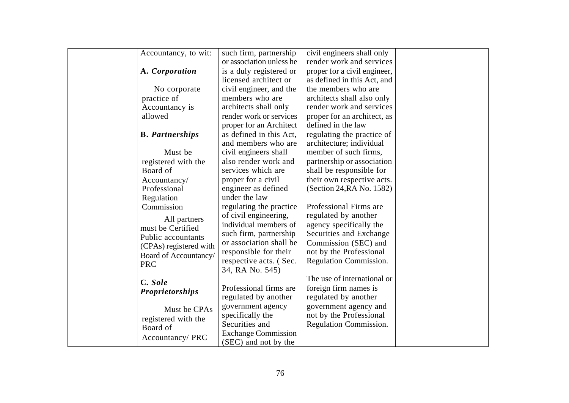| Accountancy, to wit:   | such firm, partnership                         | civil engineers shall only                       |  |
|------------------------|------------------------------------------------|--------------------------------------------------|--|
|                        | or association unless he                       | render work and services                         |  |
| A. Corporation         | is a duly registered or                        | proper for a civil engineer,                     |  |
|                        | licensed architect or                          | as defined in this Act, and                      |  |
| No corporate           | civil engineer, and the                        | the members who are                              |  |
| practice of            | members who are                                | architects shall also only                       |  |
| Accountancy is         | architects shall only                          | render work and services                         |  |
| allowed                | render work or services                        | proper for an architect, as                      |  |
|                        | proper for an Architect                        | defined in the law                               |  |
| <b>B.</b> Partnerships | as defined in this Act,                        | regulating the practice of                       |  |
|                        | and members who are                            | architecture; individual                         |  |
| Must be                | civil engineers shall                          | member of such firms,                            |  |
| registered with the    | also render work and                           | partnership or association                       |  |
| Board of               | services which are                             | shall be responsible for                         |  |
| Accountancy/           | proper for a civil                             | their own respective acts.                       |  |
| Professional           | engineer as defined                            | (Section 24, RA No. 1582)                        |  |
| Regulation             | under the law                                  |                                                  |  |
| Commission             | regulating the practice                        | Professional Firms are                           |  |
| All partners           | of civil engineering,                          | regulated by another                             |  |
| must be Certified      | individual members of                          | agency specifically the                          |  |
| Public accountants     | such firm, partnership                         | Securities and Exchange                          |  |
| (CPAs) registered with | or association shall be                        | Commission (SEC) and                             |  |
| Board of Accountancy/  | responsible for their                          | not by the Professional                          |  |
| <b>PRC</b>             | respective acts. (Sec.                         | Regulation Commission.                           |  |
|                        | 34, RA No. 545)                                | The use of international or                      |  |
| C. Sole                |                                                |                                                  |  |
| <b>Proprietorships</b> | Professional firms are<br>regulated by another | foreign firm names is<br>regulated by another    |  |
|                        | government agency                              |                                                  |  |
| Must be CPAs           | specifically the                               | government agency and<br>not by the Professional |  |
| registered with the    | Securities and                                 | Regulation Commission.                           |  |
| Board of               | <b>Exchange Commission</b>                     |                                                  |  |
| Accountancy/PRC        | (SEC) and not by the                           |                                                  |  |
|                        |                                                |                                                  |  |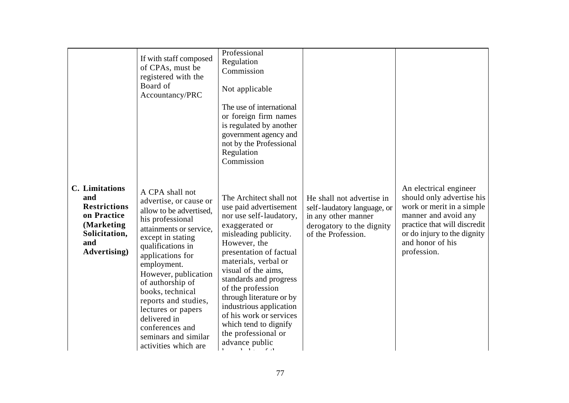|                                                                                                                                  | If with staff composed<br>of CPAs, must be<br>registered with the<br>Board of<br>Accountancy/PRC                                                                                                                                                                                                                                                                                                  | Professional<br>Regulation<br>Commission<br>Not applicable<br>The use of international<br>or foreign firm names<br>is regulated by another<br>government agency and<br>not by the Professional<br>Regulation<br>Commission                                                                                                                                                                                           |                                                                                                                                    |                                                                                                                                                                                                            |
|----------------------------------------------------------------------------------------------------------------------------------|---------------------------------------------------------------------------------------------------------------------------------------------------------------------------------------------------------------------------------------------------------------------------------------------------------------------------------------------------------------------------------------------------|----------------------------------------------------------------------------------------------------------------------------------------------------------------------------------------------------------------------------------------------------------------------------------------------------------------------------------------------------------------------------------------------------------------------|------------------------------------------------------------------------------------------------------------------------------------|------------------------------------------------------------------------------------------------------------------------------------------------------------------------------------------------------------|
| <b>C.</b> Limitations<br>and<br><b>Restrictions</b><br>on Practice<br>(Marketing<br>Solicitation,<br>and<br><b>Advertising</b> ) | A CPA shall not<br>advertise, or cause or<br>allow to be advertised,<br>his professional<br>attainments or service,<br>except in stating<br>qualifications in<br>applications for<br>employment.<br>However, publication<br>of authorship of<br>books, technical<br>reports and studies,<br>lectures or papers<br>delivered in<br>conferences and<br>seminars and similar<br>activities which are | The Architect shall not<br>use paid advertisement<br>nor use self-laudatory,<br>exaggerated or<br>misleading publicity.<br>However, the<br>presentation of factual<br>materials, verbal or<br>visual of the aims,<br>standards and progress<br>of the profession<br>through literature or by<br>industrious application<br>of his work or services<br>which tend to dignify<br>the professional or<br>advance public | He shall not advertise in<br>self-laudatory language, or<br>in any other manner<br>derogatory to the dignity<br>of the Profession. | An electrical engineer<br>should only advertise his<br>work or merit in a simple<br>manner and avoid any<br>practice that will discredit<br>or do injury to the dignity<br>and honor of his<br>profession. |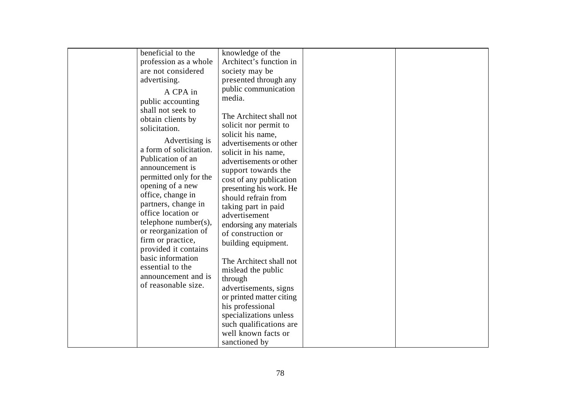| beneficial to the                                                                                                                                                                                                                                                                                                                                                                                                   | knowledge of the                                                                                                                                                                                                                                                                                                                                                                                                                     |  |
|---------------------------------------------------------------------------------------------------------------------------------------------------------------------------------------------------------------------------------------------------------------------------------------------------------------------------------------------------------------------------------------------------------------------|--------------------------------------------------------------------------------------------------------------------------------------------------------------------------------------------------------------------------------------------------------------------------------------------------------------------------------------------------------------------------------------------------------------------------------------|--|
|                                                                                                                                                                                                                                                                                                                                                                                                                     |                                                                                                                                                                                                                                                                                                                                                                                                                                      |  |
| are not considered                                                                                                                                                                                                                                                                                                                                                                                                  | society may be                                                                                                                                                                                                                                                                                                                                                                                                                       |  |
| advertising.                                                                                                                                                                                                                                                                                                                                                                                                        | presented through any                                                                                                                                                                                                                                                                                                                                                                                                                |  |
| profession as a whole<br>A CPA in<br>public accounting<br>shall not seek to<br>obtain clients by<br>solicitation.<br>Advertising is<br>a form of solicitation.<br>Publication of an<br>announcement is<br>permitted only for the<br>opening of a new<br>office, change in<br>partners, change in<br>office location or<br>telephone number(s),<br>or reorganization of<br>firm or practice,<br>provided it contains | Architect's function in<br>public communication<br>media.<br>The Architect shall not<br>solicit nor permit to<br>solicit his name,<br>advertisements or other<br>solicit in his name,<br>advertisements or other<br>support towards the<br>cost of any publication<br>presenting his work. He<br>should refrain from<br>taking part in paid<br>advertisement<br>endorsing any materials<br>of construction or<br>building equipment. |  |
| basic information<br>essential to the                                                                                                                                                                                                                                                                                                                                                                               | The Architect shall not<br>mislead the public                                                                                                                                                                                                                                                                                                                                                                                        |  |
| announcement and is                                                                                                                                                                                                                                                                                                                                                                                                 | through                                                                                                                                                                                                                                                                                                                                                                                                                              |  |
| of reasonable size.                                                                                                                                                                                                                                                                                                                                                                                                 | advertisements, signs<br>or printed matter citing                                                                                                                                                                                                                                                                                                                                                                                    |  |
|                                                                                                                                                                                                                                                                                                                                                                                                                     | his professional                                                                                                                                                                                                                                                                                                                                                                                                                     |  |
|                                                                                                                                                                                                                                                                                                                                                                                                                     | specializations unless                                                                                                                                                                                                                                                                                                                                                                                                               |  |
|                                                                                                                                                                                                                                                                                                                                                                                                                     | such qualifications are                                                                                                                                                                                                                                                                                                                                                                                                              |  |
|                                                                                                                                                                                                                                                                                                                                                                                                                     | well known facts or                                                                                                                                                                                                                                                                                                                                                                                                                  |  |
|                                                                                                                                                                                                                                                                                                                                                                                                                     |                                                                                                                                                                                                                                                                                                                                                                                                                                      |  |
|                                                                                                                                                                                                                                                                                                                                                                                                                     | sanctioned by                                                                                                                                                                                                                                                                                                                                                                                                                        |  |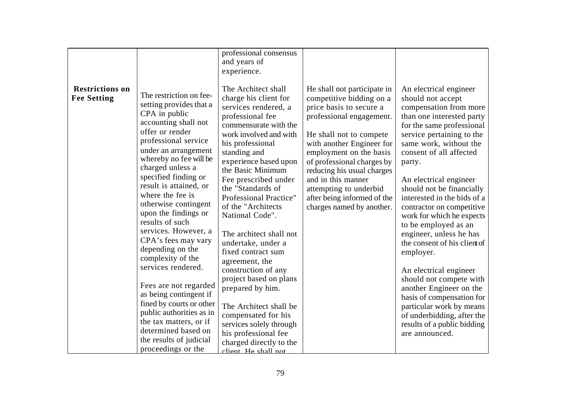| <b>Restrictions on</b><br><b>Fee Setting</b> | The restriction on fee-<br>setting provides that a<br>CPA in public<br>accounting shall not<br>offer or render<br>professional service<br>under an arrangement<br>whereby no fee will be<br>charged unless a<br>specified finding or<br>result is attained, or                                                                                                                                                 | professional consensus<br>and years of<br>experience.<br>The Architect shall<br>charge his client for<br>services rendered, a<br>professional fee<br>commensurate with the<br>work involved and with<br>his professional<br>standing and<br>experience based upon<br>the Basic Minimum<br>Fee prescribed under<br>the "Standards of                                                 | He shall not participate in<br>competitive bidding on a<br>price basis to secure a<br>professional engagement.<br>He shall not to compete<br>with another Engineer for<br>employment on the basis<br>of professional charges by<br>reducing his usual charges<br>and in this manner | An electrical engineer<br>should not accept<br>compensation from more<br>than one interested party<br>for the same professional<br>service pertaining to the<br>same work, without the<br>consent of all affected<br>party.<br>An electrical engineer<br>should not be financially                                                                                                                            |
|----------------------------------------------|----------------------------------------------------------------------------------------------------------------------------------------------------------------------------------------------------------------------------------------------------------------------------------------------------------------------------------------------------------------------------------------------------------------|-------------------------------------------------------------------------------------------------------------------------------------------------------------------------------------------------------------------------------------------------------------------------------------------------------------------------------------------------------------------------------------|-------------------------------------------------------------------------------------------------------------------------------------------------------------------------------------------------------------------------------------------------------------------------------------|---------------------------------------------------------------------------------------------------------------------------------------------------------------------------------------------------------------------------------------------------------------------------------------------------------------------------------------------------------------------------------------------------------------|
|                                              | where the fee is<br>otherwise contingent<br>upon the findings or<br>results of such<br>services. However, a<br>CPA's fees may vary<br>depending on the<br>complexity of the<br>services rendered.<br>Fees are not regarded<br>as being contingent if<br>fined by courts or other<br>public authorities as in<br>the tax matters, or if<br>determined based on<br>the results of judicial<br>proceedings or the | Professional Practice"<br>of the "Architects<br>National Code".<br>The architect shall not<br>undertake, under a<br>fixed contract sum<br>agreement, the<br>construction of any<br>project based on plans<br>prepared by him.<br>The Architect shall be<br>compensated for his<br>services solely through<br>his professional fee<br>charged directly to the<br>client He shall not | attempting to underbid<br>after being informed of the<br>charges named by another.                                                                                                                                                                                                  | interested in the bids of a<br>contractor on competitive<br>work for which he expects<br>to be employed as an<br>engineer, unless he has<br>the consent of his client of<br>employer.<br>An electrical engineer<br>should not compete with<br>another Engineer on the<br>basis of compensation for<br>particular work by means<br>of underbidding, after the<br>results of a public bidding<br>are announced. |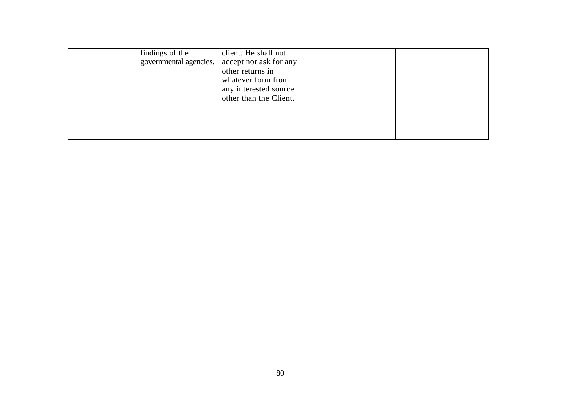| findings of the<br>governmental agencies. | client. He shall not<br>accept nor ask for any<br>other returns in<br>whatever form from<br>any interested source<br>other than the Client. |  |  |
|-------------------------------------------|---------------------------------------------------------------------------------------------------------------------------------------------|--|--|
|-------------------------------------------|---------------------------------------------------------------------------------------------------------------------------------------------|--|--|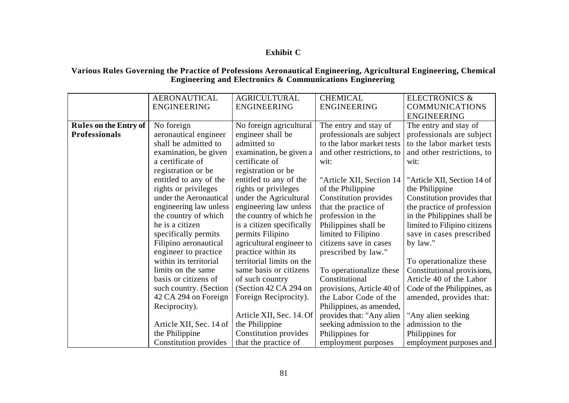# **Exhibit C**

### **Various Rules Governing the Practice of Professions Aeronautical Engineering, Agricultural Engineering, Chemical Engineering and Electronics & Communications Engineering**

|                              | <b>AERONAUTICAL</b>     | <b>AGRICULTURAL</b>       | <b>CHEMICAL</b>            | <b>ELECTRONICS &amp;</b>     |
|------------------------------|-------------------------|---------------------------|----------------------------|------------------------------|
|                              | <b>ENGINEERING</b>      | <b>ENGINEERING</b>        | <b>ENGINEERING</b>         | <b>COMMUNICATIONS</b>        |
|                              |                         |                           |                            | <b>ENGINEERING</b>           |
| <b>Rules on the Entry of</b> | No foreign              | No foreign agricultural   | The entry and stay of      | The entry and stay of        |
| <b>Professionals</b>         | aeronautical engineer   | engineer shall be         | professionals are subject  | professionals are subject    |
|                              | shall be admitted to    | admitted to               | to the labor market tests  | to the labor market tests    |
|                              | examination, be given   | examination, be given a   | and other restrictions, to | and other restrictions, to   |
|                              | a certificate of        | certificate of            | wit:                       | wit:                         |
|                              | registration or be      | registration or be        |                            |                              |
|                              | entitled to any of the  | entitled to any of the    | "Article XII, Section 14   | "Article XII, Section 14 of  |
|                              | rights or privileges    | rights or privileges      | of the Philippine          | the Philippine               |
|                              | under the Aeronautical  | under the Agricultural    | Constitution provides      | Constitution provides that   |
|                              | engineering law unless  | engineering law unless    | that the practice of       | the practice of profession   |
|                              | the country of which    | the country of which he   | profession in the          | in the Philippines shall be  |
|                              | he is a citizen         | is a citizen specifically | Philippines shall be       | limited to Filipino citizens |
|                              | specifically permits    | permits Filipino          | limited to Filipino        | save in cases prescribed     |
|                              | Filipino aeronautical   | agricultural engineer to  | citizens save in cases     | by law."                     |
|                              | engineer to practice    | practice within its       | prescribed by law."        |                              |
|                              | within its territorial  | territorial limits on the |                            | To operationalize these      |
|                              | limits on the same      | same basis or citizens    | To operationalize these    | Constitutional provisions,   |
|                              | basis or citizens of    | of such country           | Constitutional             | Article 40 of the Labor      |
|                              | such country. (Section  | (Section 42 CA 294 on     | provisions, Article 40 of  | Code of the Philippines, as  |
|                              | 42 CA 294 on Foreign    | Foreign Reciprocity).     | the Labor Code of the      | amended, provides that:      |
|                              | Reciprocity).           |                           | Philippines, as amended,   |                              |
|                              |                         | Article XII, Sec. 14. Of  | provides that: "Any alien  | "Any alien seeking           |
|                              | Article XII, Sec. 14 of | the Philippine            | seeking admission to the   | admission to the             |
|                              | the Philippine          | Constitution provides     | Philippines for            | Philippines for              |
|                              | Constitution provides   | that the practice of      | employment purposes        | employment purposes and      |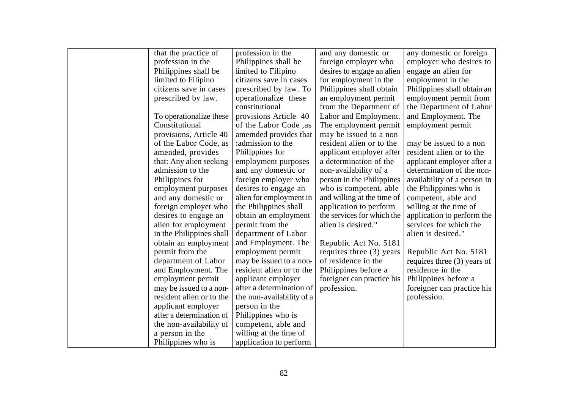| that the practice of     | profession in the         | and any domestic or        | any domestic or foreign       |
|--------------------------|---------------------------|----------------------------|-------------------------------|
| profession in the        | Philippines shall be      | foreign employer who       | employer who desires to       |
| Philippines shall be     | limited to Filipino       | desires to engage an alien | engage an alien for           |
| limited to Filipino      | citizens save in cases    | for employment in the      | employment in the             |
| citizens save in cases   | prescribed by law. To     | Philippines shall obtain   | Philippines shall obtain an   |
| prescribed by law.       | operationalize these      | an employment permit       | employment permit from        |
|                          | constitutional            | from the Department of     | the Department of Labor       |
| To operationalize these  | provisions Article 40     | Labor and Employment.      | and Employment. The           |
| Constitutional           | of the Labor Code, as     | The employment permit      | employment permit             |
| provisions, Article 40   | amemded provides that     | may be issued to a non     |                               |
| of the Labor Code, as    | :admission to the         | resident alien or to the   | may be issued to a non        |
| amended, provides        | Philippines for           | applicant employer after   | resident alien or to the      |
| that: Any alien seeking  | employment purposes       | a determination of the     | applicant employer after a    |
| admission to the         | and any domestic or       | non-availability of a      | determination of the non-     |
| Philippines for          | foreign employer who      | person in the Philippines  | availability of a person in   |
| employment purposes      | desires to engage an      | who is competent, able     | the Philippines who is        |
| and any domestic or      | alien for employment in   | and willing at the time of | competent, able and           |
| foreign employer who     | the Philippines shall     | application to perform     | willing at the time of        |
| desires to engage an     | obtain an employment      | the services for which the | application to perform the    |
| alien for employment     | permit from the           | alien is desired."         | services for which the        |
| in the Philippines shall | department of Labor       |                            | alien is desired."            |
| obtain an employment     | and Employment. The       | Republic Act No. 5181      |                               |
| permit from the          | employment permit         | requires three (3) years   | Republic Act No. 5181         |
| department of Labor      | may be issued to a non-   | of residence in the        | requires three $(3)$ years of |
| and Employment. The      | resident alien or to the  | Philippines before a       | residence in the              |
| employment permit        | applicant employer        | foreigner can practice his | Philippines before a          |
| may be issued to a non-  | after a determination of  | profession.                | foreigner can practice his    |
| resident alien or to the | the non-availability of a |                            | profession.                   |
| applicant employer       | person in the             |                            |                               |
| after a determination of | Philippines who is        |                            |                               |
| the non-availability of  | competent, able and       |                            |                               |
| a person in the          | willing at the time of    |                            |                               |
| Philippines who is       | application to perform    |                            |                               |
|                          |                           |                            |                               |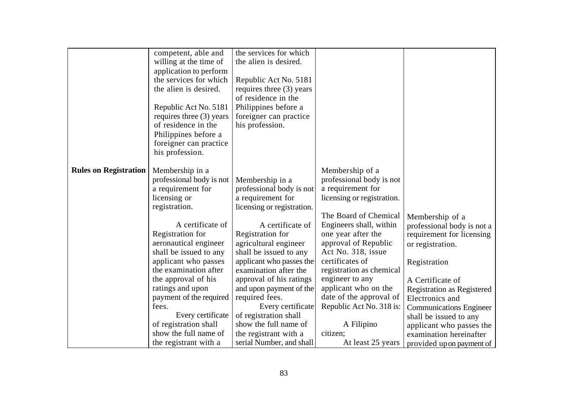| the services for which<br>competent, able and<br>willing at the time of<br>the alien is desired.<br>application to perform<br>the services for which<br>Republic Act No. 5181<br>the alien is desired.<br>requires three (3) years<br>of residence in the<br>Philippines before a<br>Republic Act No. 5181<br>requires three (3) years<br>foreigner can practice<br>of residence in the<br>his profession.<br>Philippines before a<br>foreigner can practice<br>his profession.<br><b>Rules on Registration</b><br>Membership in a<br>Membership of a<br>professional body is not<br>professional body is not<br>Membership in a<br>a requirement for<br>a requirement for<br>professional body is not<br>licensing or<br>a requirement for<br>licensing or registration.<br>registration.<br>licensing or registration.<br>The Board of Chemical<br>Membership of a<br>A certificate of<br>Engineers shall, within<br>A certificate of<br>professional body is not a<br>Registration for<br>Registration for<br>one year after the<br>requirement for licensing<br>approval of Republic<br>aeronautical engineer<br>agricultural engineer<br>or registration.<br>Act No. 318, issue<br>shall be issued to any<br>shall be issued to any<br>certificates of<br>applicant who passes<br>applicant who passes the<br>Registration<br>the examination after<br>registration as chemical<br>examination after the<br>engineer to any<br>the approval of his<br>approval of his ratings<br>A Certificate of<br>applicant who on the<br>ratings and upon<br>and upon payment of the<br><b>Registration as Registered</b> |  |                         |  |
|--------------------------------------------------------------------------------------------------------------------------------------------------------------------------------------------------------------------------------------------------------------------------------------------------------------------------------------------------------------------------------------------------------------------------------------------------------------------------------------------------------------------------------------------------------------------------------------------------------------------------------------------------------------------------------------------------------------------------------------------------------------------------------------------------------------------------------------------------------------------------------------------------------------------------------------------------------------------------------------------------------------------------------------------------------------------------------------------------------------------------------------------------------------------------------------------------------------------------------------------------------------------------------------------------------------------------------------------------------------------------------------------------------------------------------------------------------------------------------------------------------------------------------------------------------------------------------------------------------------------|--|-------------------------|--|
|                                                                                                                                                                                                                                                                                                                                                                                                                                                                                                                                                                                                                                                                                                                                                                                                                                                                                                                                                                                                                                                                                                                                                                                                                                                                                                                                                                                                                                                                                                                                                                                                                    |  |                         |  |
|                                                                                                                                                                                                                                                                                                                                                                                                                                                                                                                                                                                                                                                                                                                                                                                                                                                                                                                                                                                                                                                                                                                                                                                                                                                                                                                                                                                                                                                                                                                                                                                                                    |  |                         |  |
|                                                                                                                                                                                                                                                                                                                                                                                                                                                                                                                                                                                                                                                                                                                                                                                                                                                                                                                                                                                                                                                                                                                                                                                                                                                                                                                                                                                                                                                                                                                                                                                                                    |  |                         |  |
|                                                                                                                                                                                                                                                                                                                                                                                                                                                                                                                                                                                                                                                                                                                                                                                                                                                                                                                                                                                                                                                                                                                                                                                                                                                                                                                                                                                                                                                                                                                                                                                                                    |  |                         |  |
|                                                                                                                                                                                                                                                                                                                                                                                                                                                                                                                                                                                                                                                                                                                                                                                                                                                                                                                                                                                                                                                                                                                                                                                                                                                                                                                                                                                                                                                                                                                                                                                                                    |  |                         |  |
|                                                                                                                                                                                                                                                                                                                                                                                                                                                                                                                                                                                                                                                                                                                                                                                                                                                                                                                                                                                                                                                                                                                                                                                                                                                                                                                                                                                                                                                                                                                                                                                                                    |  |                         |  |
|                                                                                                                                                                                                                                                                                                                                                                                                                                                                                                                                                                                                                                                                                                                                                                                                                                                                                                                                                                                                                                                                                                                                                                                                                                                                                                                                                                                                                                                                                                                                                                                                                    |  |                         |  |
|                                                                                                                                                                                                                                                                                                                                                                                                                                                                                                                                                                                                                                                                                                                                                                                                                                                                                                                                                                                                                                                                                                                                                                                                                                                                                                                                                                                                                                                                                                                                                                                                                    |  |                         |  |
|                                                                                                                                                                                                                                                                                                                                                                                                                                                                                                                                                                                                                                                                                                                                                                                                                                                                                                                                                                                                                                                                                                                                                                                                                                                                                                                                                                                                                                                                                                                                                                                                                    |  |                         |  |
|                                                                                                                                                                                                                                                                                                                                                                                                                                                                                                                                                                                                                                                                                                                                                                                                                                                                                                                                                                                                                                                                                                                                                                                                                                                                                                                                                                                                                                                                                                                                                                                                                    |  |                         |  |
|                                                                                                                                                                                                                                                                                                                                                                                                                                                                                                                                                                                                                                                                                                                                                                                                                                                                                                                                                                                                                                                                                                                                                                                                                                                                                                                                                                                                                                                                                                                                                                                                                    |  |                         |  |
|                                                                                                                                                                                                                                                                                                                                                                                                                                                                                                                                                                                                                                                                                                                                                                                                                                                                                                                                                                                                                                                                                                                                                                                                                                                                                                                                                                                                                                                                                                                                                                                                                    |  |                         |  |
|                                                                                                                                                                                                                                                                                                                                                                                                                                                                                                                                                                                                                                                                                                                                                                                                                                                                                                                                                                                                                                                                                                                                                                                                                                                                                                                                                                                                                                                                                                                                                                                                                    |  |                         |  |
|                                                                                                                                                                                                                                                                                                                                                                                                                                                                                                                                                                                                                                                                                                                                                                                                                                                                                                                                                                                                                                                                                                                                                                                                                                                                                                                                                                                                                                                                                                                                                                                                                    |  |                         |  |
|                                                                                                                                                                                                                                                                                                                                                                                                                                                                                                                                                                                                                                                                                                                                                                                                                                                                                                                                                                                                                                                                                                                                                                                                                                                                                                                                                                                                                                                                                                                                                                                                                    |  |                         |  |
|                                                                                                                                                                                                                                                                                                                                                                                                                                                                                                                                                                                                                                                                                                                                                                                                                                                                                                                                                                                                                                                                                                                                                                                                                                                                                                                                                                                                                                                                                                                                                                                                                    |  |                         |  |
|                                                                                                                                                                                                                                                                                                                                                                                                                                                                                                                                                                                                                                                                                                                                                                                                                                                                                                                                                                                                                                                                                                                                                                                                                                                                                                                                                                                                                                                                                                                                                                                                                    |  |                         |  |
|                                                                                                                                                                                                                                                                                                                                                                                                                                                                                                                                                                                                                                                                                                                                                                                                                                                                                                                                                                                                                                                                                                                                                                                                                                                                                                                                                                                                                                                                                                                                                                                                                    |  |                         |  |
|                                                                                                                                                                                                                                                                                                                                                                                                                                                                                                                                                                                                                                                                                                                                                                                                                                                                                                                                                                                                                                                                                                                                                                                                                                                                                                                                                                                                                                                                                                                                                                                                                    |  |                         |  |
|                                                                                                                                                                                                                                                                                                                                                                                                                                                                                                                                                                                                                                                                                                                                                                                                                                                                                                                                                                                                                                                                                                                                                                                                                                                                                                                                                                                                                                                                                                                                                                                                                    |  |                         |  |
|                                                                                                                                                                                                                                                                                                                                                                                                                                                                                                                                                                                                                                                                                                                                                                                                                                                                                                                                                                                                                                                                                                                                                                                                                                                                                                                                                                                                                                                                                                                                                                                                                    |  |                         |  |
|                                                                                                                                                                                                                                                                                                                                                                                                                                                                                                                                                                                                                                                                                                                                                                                                                                                                                                                                                                                                                                                                                                                                                                                                                                                                                                                                                                                                                                                                                                                                                                                                                    |  |                         |  |
|                                                                                                                                                                                                                                                                                                                                                                                                                                                                                                                                                                                                                                                                                                                                                                                                                                                                                                                                                                                                                                                                                                                                                                                                                                                                                                                                                                                                                                                                                                                                                                                                                    |  |                         |  |
|                                                                                                                                                                                                                                                                                                                                                                                                                                                                                                                                                                                                                                                                                                                                                                                                                                                                                                                                                                                                                                                                                                                                                                                                                                                                                                                                                                                                                                                                                                                                                                                                                    |  |                         |  |
|                                                                                                                                                                                                                                                                                                                                                                                                                                                                                                                                                                                                                                                                                                                                                                                                                                                                                                                                                                                                                                                                                                                                                                                                                                                                                                                                                                                                                                                                                                                                                                                                                    |  |                         |  |
|                                                                                                                                                                                                                                                                                                                                                                                                                                                                                                                                                                                                                                                                                                                                                                                                                                                                                                                                                                                                                                                                                                                                                                                                                                                                                                                                                                                                                                                                                                                                                                                                                    |  |                         |  |
|                                                                                                                                                                                                                                                                                                                                                                                                                                                                                                                                                                                                                                                                                                                                                                                                                                                                                                                                                                                                                                                                                                                                                                                                                                                                                                                                                                                                                                                                                                                                                                                                                    |  |                         |  |
| payment of the required<br>required fees.<br>Electronics and                                                                                                                                                                                                                                                                                                                                                                                                                                                                                                                                                                                                                                                                                                                                                                                                                                                                                                                                                                                                                                                                                                                                                                                                                                                                                                                                                                                                                                                                                                                                                       |  | date of the approval of |  |
| Republic Act No. 318 is:<br>fees.<br>Every certificate                                                                                                                                                                                                                                                                                                                                                                                                                                                                                                                                                                                                                                                                                                                                                                                                                                                                                                                                                                                                                                                                                                                                                                                                                                                                                                                                                                                                                                                                                                                                                             |  |                         |  |
| <b>Communications Engineer</b><br>Every certificate<br>of registration shall                                                                                                                                                                                                                                                                                                                                                                                                                                                                                                                                                                                                                                                                                                                                                                                                                                                                                                                                                                                                                                                                                                                                                                                                                                                                                                                                                                                                                                                                                                                                       |  |                         |  |
| shall be issued to any<br>of registration shall<br>show the full name of<br>A Filipino                                                                                                                                                                                                                                                                                                                                                                                                                                                                                                                                                                                                                                                                                                                                                                                                                                                                                                                                                                                                                                                                                                                                                                                                                                                                                                                                                                                                                                                                                                                             |  |                         |  |
| applicant who passes the<br>show the full name of<br>citizen;<br>the registrant with a<br>examination hereinafter                                                                                                                                                                                                                                                                                                                                                                                                                                                                                                                                                                                                                                                                                                                                                                                                                                                                                                                                                                                                                                                                                                                                                                                                                                                                                                                                                                                                                                                                                                  |  |                         |  |
| the registrant with a<br>serial Number, and shall<br>At least 25 years                                                                                                                                                                                                                                                                                                                                                                                                                                                                                                                                                                                                                                                                                                                                                                                                                                                                                                                                                                                                                                                                                                                                                                                                                                                                                                                                                                                                                                                                                                                                             |  |                         |  |
| provided upon payment of                                                                                                                                                                                                                                                                                                                                                                                                                                                                                                                                                                                                                                                                                                                                                                                                                                                                                                                                                                                                                                                                                                                                                                                                                                                                                                                                                                                                                                                                                                                                                                                           |  |                         |  |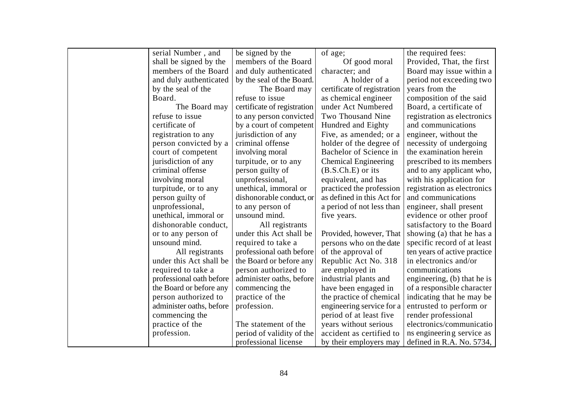| serial Number, and       | be signed by the            | of age;                     | the required fees:           |
|--------------------------|-----------------------------|-----------------------------|------------------------------|
| shall be signed by the   | members of the Board        | Of good moral               | Provided, That, the first    |
| members of the Board     | and duly authenticated      | character; and              | Board may issue within a     |
| and duly authenticated   | by the seal of the Board.   | A holder of a               | period not exceeding two     |
| by the seal of the       | The Board may               | certificate of registration | years from the               |
| Board.                   | refuse to issue             | as chemical engineer        | composition of the said      |
| The Board may            | certificate of registration | under Act Numbered          | Board, a certificate of      |
| refuse to issue          | to any person convicted     | Two Thousand Nine           | registration as electronics  |
| certificate of           | by a court of competent     | Hundred and Eighty          | and communications           |
| registration to any      | jurisdiction of any         | Five, as amended; or a      | engineer, without the        |
| person convicted by a    | criminal offense            | holder of the degree of     | necessity of undergoing      |
| court of competent       | involving moral             | Bachelor of Science in      | the examination herein       |
| jurisdiction of any      | turpitude, or to any        | <b>Chemical Engineering</b> | prescribed to its members    |
| criminal offense         | person guilty of            | $(B.S.Ch.E)$ or its         | and to any applicant who,    |
| involving moral          | unprofessional,             | equivalent, and has         | with his application for     |
| turpitude, or to any     | unethical, immoral or       | practiced the profession    | registration as electronics  |
| person guilty of         | dishonorable conduct, or    | as defined in this Act for  | and communications           |
| unprofessional,          | to any person of            | a period of not less than   | engineer, shall present      |
| unethical, immoral or    | unsound mind.               | five years.                 | evidence or other proof      |
| dishonorable conduct,    | All registrants             |                             | satisfactory to the Board    |
| or to any person of      | under this Act shall be     | Provided, however, That     | showing (a) that he has a    |
| unsound mind.            | required to take a          | persons who on the date     | specific record of at least  |
| All registrants          | professional oath before    | of the approval of          | ten years of active practice |
| under this Act shall be  | the Board or before any     | Republic Act No. 318        | in electronics and/or        |
| required to take a       | person authorized to        | are employed in             | communications               |
| professional oath before | administer oaths, before    | industrial plants and       | engineering, (b) that he is  |
| the Board or before any  | commencing the              | have been engaged in        | of a responsible character   |
| person authorized to     | practice of the             | the practice of chemical    | indicating that he may be    |
| administer oaths, before | profession.                 | engineering service for a   | entrusted to perform or      |
| commencing the           |                             | period of at least five     | render professional          |
| practice of the          | The statement of the        | years without serious       | electronics/communicatio     |
| profession.              | period of validity of the   | accident as certified to    | ns engineering service as    |
|                          | professional license        | by their employers may      | defined in R.A. No. $5734$ , |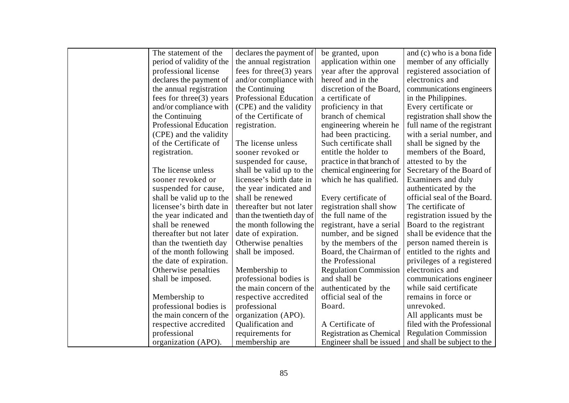| The statement of the          | declares the payment of    | be granted, upon                | and (c) who is a bona fide   |
|-------------------------------|----------------------------|---------------------------------|------------------------------|
| period of validity of the     | the annual registration    | application within one          | member of any officially     |
| professional license          | fees for three $(3)$ years | year after the approval         | registered association of    |
| declares the payment of       | and/or compliance with     | hereof and in the               | electronics and              |
| the annual registration       | the Continuing             | discretion of the Board,        | communications engineers     |
| fees for three $(3)$ years    | Professional Education     | a certificate of                | in the Philippines.          |
| and/or compliance with        | (CPE) and the validity     | proficiency in that             | Every certificate or         |
| the Continuing                | of the Certificate of      | branch of chemical              | registration shall show the  |
| <b>Professional Education</b> | registration.              | engineering wherein he          | full name of the registrant  |
| (CPE) and the validity        |                            | had been practicing.            | with a serial number, and    |
| of the Certificate of         | The license unless         | Such certificate shall          | shall be signed by the       |
| registration.                 | sooner revoked or          | entitle the holder to           | members of the Board,        |
|                               | suspended for cause,       | practice in that branch of      | attested to by the           |
| The license unless            | shall be valid up to the   | chemical engineering for        | Secretary of the Board of    |
| sooner revoked or             | licensee's birth date in   | which he has qualified.         | Examiners and duly           |
| suspended for cause,          | the year indicated and     |                                 | authenticated by the         |
| shall be valid up to the      | shall be renewed           | Every certificate of            | official seal of the Board.  |
| licensee's birth date in      | thereafter but not later   | registration shall show         | The certificate of           |
| the year indicated and        | than the twentieth day of  | the full name of the            | registration issued by the   |
| shall be renewed              | the month following the    | registrant, have a serial       | Board to the registrant      |
| thereafter but not later      | date of expiration.        | number, and be signed           | shall be evidence that the   |
| than the twentieth day        | Otherwise penalties        | by the members of the           | person named therein is      |
| of the month following        | shall be imposed.          | Board, the Chairman of          | entitled to the rights and   |
| the date of expiration.       |                            | the Professional                | privileges of a registered   |
| Otherwise penalties           | Membership to              | <b>Regulation Commission</b>    | electronics and              |
| shall be imposed.             | professional bodies is     | and shall be                    | communications engineer      |
|                               | the main concern of the    | authenticated by the            | while said certificate       |
| Membership to                 | respective accredited      | official seal of the            | remains in force or          |
| professional bodies is        | professional               | Board.                          | unrevoked.                   |
| the main concern of the       | organization (APO).        |                                 | All applicants must be       |
| respective accredited         | Qualification and          | A Certificate of                | filed with the Professional  |
| professional                  | requirements for           | <b>Registration as Chemical</b> | <b>Regulation Commission</b> |
| organization (APO).           | membership are             | Engineer shall be issued        | and shall be subject to the  |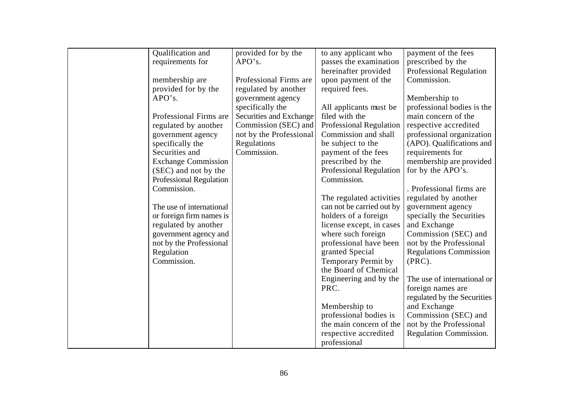| requirements for<br>APO's.<br>passes the examination<br>prescribed by the<br>hereinafter provided<br><b>Professional Regulation</b><br>Professional Firms are<br>Commission.<br>membership are<br>upon payment of the<br>provided for by the<br>required fees.<br>regulated by another<br>APO's.<br>Membership to<br>government agency<br>specifically the<br>professional bodies is the<br>All applicants must be<br>Securities and Exchange<br>filed with the<br>Professional Firms are<br>main concern of the<br>Commission (SEC) and<br><b>Professional Regulation</b><br>respective accredited<br>regulated by another<br>Commission and shall<br>not by the Professional<br>professional organization<br>government agency<br>(APO). Qualifications and<br>Regulations<br>be subject to the<br>specifically the<br>Securities and<br>Commission.<br>requirements for<br>payment of the fees<br><b>Exchange Commission</b><br>prescribed by the<br>membership are provided<br><b>Professional Regulation</b><br>for by the APO's.<br>(SEC) and not by the<br>Commission.<br><b>Professional Regulation</b><br>. Professional firms are<br>Commission.<br>regulated by another<br>The regulated activities<br>can not be carried out by<br>government agency<br>The use of international<br>or foreign firm names is<br>holders of a foreign<br>specially the Securities<br>regulated by another<br>license except, in cases<br>and Exchange<br>where such foreign<br>Commission (SEC) and<br>government agency and<br>not by the Professional<br>professional have been<br>not by the Professional<br>granted Special<br><b>Regulations Commission</b><br>Regulation<br><b>Temporary Permit by</b><br>Commission.<br>$(PRC)$ .<br>the Board of Chemical<br>Engineering and by the<br>The use of international or<br>PRC.<br>foreign names are<br>regulated by the Securities<br>Membership to<br>and Exchange<br>professional bodies is<br>Commission (SEC) and<br>the main concern of the<br>not by the Professional<br>Regulation Commission.<br>respective accredited<br>professional |                   |                     |                      |                     |
|-----------------------------------------------------------------------------------------------------------------------------------------------------------------------------------------------------------------------------------------------------------------------------------------------------------------------------------------------------------------------------------------------------------------------------------------------------------------------------------------------------------------------------------------------------------------------------------------------------------------------------------------------------------------------------------------------------------------------------------------------------------------------------------------------------------------------------------------------------------------------------------------------------------------------------------------------------------------------------------------------------------------------------------------------------------------------------------------------------------------------------------------------------------------------------------------------------------------------------------------------------------------------------------------------------------------------------------------------------------------------------------------------------------------------------------------------------------------------------------------------------------------------------------------------------------------------------------------------------------------------------------------------------------------------------------------------------------------------------------------------------------------------------------------------------------------------------------------------------------------------------------------------------------------------------------------------------------------------------------------------------------------------------------------------------------------------------------------------|-------------------|---------------------|----------------------|---------------------|
|                                                                                                                                                                                                                                                                                                                                                                                                                                                                                                                                                                                                                                                                                                                                                                                                                                                                                                                                                                                                                                                                                                                                                                                                                                                                                                                                                                                                                                                                                                                                                                                                                                                                                                                                                                                                                                                                                                                                                                                                                                                                                               | Qualification and | provided for by the | to any applicant who | payment of the fees |
|                                                                                                                                                                                                                                                                                                                                                                                                                                                                                                                                                                                                                                                                                                                                                                                                                                                                                                                                                                                                                                                                                                                                                                                                                                                                                                                                                                                                                                                                                                                                                                                                                                                                                                                                                                                                                                                                                                                                                                                                                                                                                               |                   |                     |                      |                     |
|                                                                                                                                                                                                                                                                                                                                                                                                                                                                                                                                                                                                                                                                                                                                                                                                                                                                                                                                                                                                                                                                                                                                                                                                                                                                                                                                                                                                                                                                                                                                                                                                                                                                                                                                                                                                                                                                                                                                                                                                                                                                                               |                   |                     |                      |                     |
|                                                                                                                                                                                                                                                                                                                                                                                                                                                                                                                                                                                                                                                                                                                                                                                                                                                                                                                                                                                                                                                                                                                                                                                                                                                                                                                                                                                                                                                                                                                                                                                                                                                                                                                                                                                                                                                                                                                                                                                                                                                                                               |                   |                     |                      |                     |
|                                                                                                                                                                                                                                                                                                                                                                                                                                                                                                                                                                                                                                                                                                                                                                                                                                                                                                                                                                                                                                                                                                                                                                                                                                                                                                                                                                                                                                                                                                                                                                                                                                                                                                                                                                                                                                                                                                                                                                                                                                                                                               |                   |                     |                      |                     |
|                                                                                                                                                                                                                                                                                                                                                                                                                                                                                                                                                                                                                                                                                                                                                                                                                                                                                                                                                                                                                                                                                                                                                                                                                                                                                                                                                                                                                                                                                                                                                                                                                                                                                                                                                                                                                                                                                                                                                                                                                                                                                               |                   |                     |                      |                     |
|                                                                                                                                                                                                                                                                                                                                                                                                                                                                                                                                                                                                                                                                                                                                                                                                                                                                                                                                                                                                                                                                                                                                                                                                                                                                                                                                                                                                                                                                                                                                                                                                                                                                                                                                                                                                                                                                                                                                                                                                                                                                                               |                   |                     |                      |                     |
|                                                                                                                                                                                                                                                                                                                                                                                                                                                                                                                                                                                                                                                                                                                                                                                                                                                                                                                                                                                                                                                                                                                                                                                                                                                                                                                                                                                                                                                                                                                                                                                                                                                                                                                                                                                                                                                                                                                                                                                                                                                                                               |                   |                     |                      |                     |
|                                                                                                                                                                                                                                                                                                                                                                                                                                                                                                                                                                                                                                                                                                                                                                                                                                                                                                                                                                                                                                                                                                                                                                                                                                                                                                                                                                                                                                                                                                                                                                                                                                                                                                                                                                                                                                                                                                                                                                                                                                                                                               |                   |                     |                      |                     |
|                                                                                                                                                                                                                                                                                                                                                                                                                                                                                                                                                                                                                                                                                                                                                                                                                                                                                                                                                                                                                                                                                                                                                                                                                                                                                                                                                                                                                                                                                                                                                                                                                                                                                                                                                                                                                                                                                                                                                                                                                                                                                               |                   |                     |                      |                     |
|                                                                                                                                                                                                                                                                                                                                                                                                                                                                                                                                                                                                                                                                                                                                                                                                                                                                                                                                                                                                                                                                                                                                                                                                                                                                                                                                                                                                                                                                                                                                                                                                                                                                                                                                                                                                                                                                                                                                                                                                                                                                                               |                   |                     |                      |                     |
|                                                                                                                                                                                                                                                                                                                                                                                                                                                                                                                                                                                                                                                                                                                                                                                                                                                                                                                                                                                                                                                                                                                                                                                                                                                                                                                                                                                                                                                                                                                                                                                                                                                                                                                                                                                                                                                                                                                                                                                                                                                                                               |                   |                     |                      |                     |
|                                                                                                                                                                                                                                                                                                                                                                                                                                                                                                                                                                                                                                                                                                                                                                                                                                                                                                                                                                                                                                                                                                                                                                                                                                                                                                                                                                                                                                                                                                                                                                                                                                                                                                                                                                                                                                                                                                                                                                                                                                                                                               |                   |                     |                      |                     |
|                                                                                                                                                                                                                                                                                                                                                                                                                                                                                                                                                                                                                                                                                                                                                                                                                                                                                                                                                                                                                                                                                                                                                                                                                                                                                                                                                                                                                                                                                                                                                                                                                                                                                                                                                                                                                                                                                                                                                                                                                                                                                               |                   |                     |                      |                     |
|                                                                                                                                                                                                                                                                                                                                                                                                                                                                                                                                                                                                                                                                                                                                                                                                                                                                                                                                                                                                                                                                                                                                                                                                                                                                                                                                                                                                                                                                                                                                                                                                                                                                                                                                                                                                                                                                                                                                                                                                                                                                                               |                   |                     |                      |                     |
|                                                                                                                                                                                                                                                                                                                                                                                                                                                                                                                                                                                                                                                                                                                                                                                                                                                                                                                                                                                                                                                                                                                                                                                                                                                                                                                                                                                                                                                                                                                                                                                                                                                                                                                                                                                                                                                                                                                                                                                                                                                                                               |                   |                     |                      |                     |
|                                                                                                                                                                                                                                                                                                                                                                                                                                                                                                                                                                                                                                                                                                                                                                                                                                                                                                                                                                                                                                                                                                                                                                                                                                                                                                                                                                                                                                                                                                                                                                                                                                                                                                                                                                                                                                                                                                                                                                                                                                                                                               |                   |                     |                      |                     |
|                                                                                                                                                                                                                                                                                                                                                                                                                                                                                                                                                                                                                                                                                                                                                                                                                                                                                                                                                                                                                                                                                                                                                                                                                                                                                                                                                                                                                                                                                                                                                                                                                                                                                                                                                                                                                                                                                                                                                                                                                                                                                               |                   |                     |                      |                     |
|                                                                                                                                                                                                                                                                                                                                                                                                                                                                                                                                                                                                                                                                                                                                                                                                                                                                                                                                                                                                                                                                                                                                                                                                                                                                                                                                                                                                                                                                                                                                                                                                                                                                                                                                                                                                                                                                                                                                                                                                                                                                                               |                   |                     |                      |                     |
|                                                                                                                                                                                                                                                                                                                                                                                                                                                                                                                                                                                                                                                                                                                                                                                                                                                                                                                                                                                                                                                                                                                                                                                                                                                                                                                                                                                                                                                                                                                                                                                                                                                                                                                                                                                                                                                                                                                                                                                                                                                                                               |                   |                     |                      |                     |
|                                                                                                                                                                                                                                                                                                                                                                                                                                                                                                                                                                                                                                                                                                                                                                                                                                                                                                                                                                                                                                                                                                                                                                                                                                                                                                                                                                                                                                                                                                                                                                                                                                                                                                                                                                                                                                                                                                                                                                                                                                                                                               |                   |                     |                      |                     |
|                                                                                                                                                                                                                                                                                                                                                                                                                                                                                                                                                                                                                                                                                                                                                                                                                                                                                                                                                                                                                                                                                                                                                                                                                                                                                                                                                                                                                                                                                                                                                                                                                                                                                                                                                                                                                                                                                                                                                                                                                                                                                               |                   |                     |                      |                     |
|                                                                                                                                                                                                                                                                                                                                                                                                                                                                                                                                                                                                                                                                                                                                                                                                                                                                                                                                                                                                                                                                                                                                                                                                                                                                                                                                                                                                                                                                                                                                                                                                                                                                                                                                                                                                                                                                                                                                                                                                                                                                                               |                   |                     |                      |                     |
|                                                                                                                                                                                                                                                                                                                                                                                                                                                                                                                                                                                                                                                                                                                                                                                                                                                                                                                                                                                                                                                                                                                                                                                                                                                                                                                                                                                                                                                                                                                                                                                                                                                                                                                                                                                                                                                                                                                                                                                                                                                                                               |                   |                     |                      |                     |
|                                                                                                                                                                                                                                                                                                                                                                                                                                                                                                                                                                                                                                                                                                                                                                                                                                                                                                                                                                                                                                                                                                                                                                                                                                                                                                                                                                                                                                                                                                                                                                                                                                                                                                                                                                                                                                                                                                                                                                                                                                                                                               |                   |                     |                      |                     |
|                                                                                                                                                                                                                                                                                                                                                                                                                                                                                                                                                                                                                                                                                                                                                                                                                                                                                                                                                                                                                                                                                                                                                                                                                                                                                                                                                                                                                                                                                                                                                                                                                                                                                                                                                                                                                                                                                                                                                                                                                                                                                               |                   |                     |                      |                     |
|                                                                                                                                                                                                                                                                                                                                                                                                                                                                                                                                                                                                                                                                                                                                                                                                                                                                                                                                                                                                                                                                                                                                                                                                                                                                                                                                                                                                                                                                                                                                                                                                                                                                                                                                                                                                                                                                                                                                                                                                                                                                                               |                   |                     |                      |                     |
|                                                                                                                                                                                                                                                                                                                                                                                                                                                                                                                                                                                                                                                                                                                                                                                                                                                                                                                                                                                                                                                                                                                                                                                                                                                                                                                                                                                                                                                                                                                                                                                                                                                                                                                                                                                                                                                                                                                                                                                                                                                                                               |                   |                     |                      |                     |
|                                                                                                                                                                                                                                                                                                                                                                                                                                                                                                                                                                                                                                                                                                                                                                                                                                                                                                                                                                                                                                                                                                                                                                                                                                                                                                                                                                                                                                                                                                                                                                                                                                                                                                                                                                                                                                                                                                                                                                                                                                                                                               |                   |                     |                      |                     |
|                                                                                                                                                                                                                                                                                                                                                                                                                                                                                                                                                                                                                                                                                                                                                                                                                                                                                                                                                                                                                                                                                                                                                                                                                                                                                                                                                                                                                                                                                                                                                                                                                                                                                                                                                                                                                                                                                                                                                                                                                                                                                               |                   |                     |                      |                     |
|                                                                                                                                                                                                                                                                                                                                                                                                                                                                                                                                                                                                                                                                                                                                                                                                                                                                                                                                                                                                                                                                                                                                                                                                                                                                                                                                                                                                                                                                                                                                                                                                                                                                                                                                                                                                                                                                                                                                                                                                                                                                                               |                   |                     |                      |                     |
|                                                                                                                                                                                                                                                                                                                                                                                                                                                                                                                                                                                                                                                                                                                                                                                                                                                                                                                                                                                                                                                                                                                                                                                                                                                                                                                                                                                                                                                                                                                                                                                                                                                                                                                                                                                                                                                                                                                                                                                                                                                                                               |                   |                     |                      |                     |
|                                                                                                                                                                                                                                                                                                                                                                                                                                                                                                                                                                                                                                                                                                                                                                                                                                                                                                                                                                                                                                                                                                                                                                                                                                                                                                                                                                                                                                                                                                                                                                                                                                                                                                                                                                                                                                                                                                                                                                                                                                                                                               |                   |                     |                      |                     |
|                                                                                                                                                                                                                                                                                                                                                                                                                                                                                                                                                                                                                                                                                                                                                                                                                                                                                                                                                                                                                                                                                                                                                                                                                                                                                                                                                                                                                                                                                                                                                                                                                                                                                                                                                                                                                                                                                                                                                                                                                                                                                               |                   |                     |                      |                     |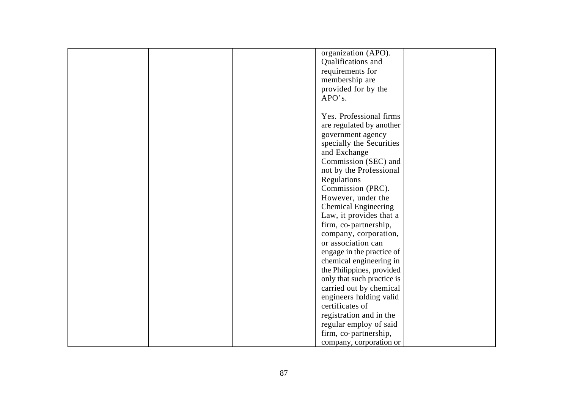|  | organization (APO).         |  |
|--|-----------------------------|--|
|  | Qualifications and          |  |
|  | requirements for            |  |
|  | membership are              |  |
|  | provided for by the         |  |
|  | APO's.                      |  |
|  |                             |  |
|  | Yes. Professional firms     |  |
|  | are regulated by another    |  |
|  | government agency           |  |
|  | specially the Securities    |  |
|  | and Exchange                |  |
|  | Commission (SEC) and        |  |
|  | not by the Professional     |  |
|  | Regulations                 |  |
|  | Commission (PRC).           |  |
|  | However, under the          |  |
|  | <b>Chemical Engineering</b> |  |
|  | Law, it provides that a     |  |
|  | firm, co-partnership,       |  |
|  | company, corporation,       |  |
|  |                             |  |
|  | or association can          |  |
|  | engage in the practice of   |  |
|  | chemical engineering in     |  |
|  | the Philippines, provided   |  |
|  | only that such practice is  |  |
|  | carried out by chemical     |  |
|  | engineers holding valid     |  |
|  | certificates of             |  |
|  | registration and in the     |  |
|  | regular employ of said      |  |
|  | firm, co-partnership,       |  |
|  | company, corporation or     |  |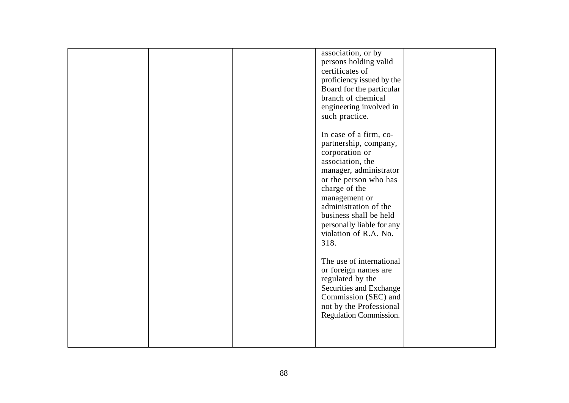|  | association, or by<br>persons holding valid<br>certificates of<br>proficiency issued by the<br>Board for the particular                                                      |  |
|--|------------------------------------------------------------------------------------------------------------------------------------------------------------------------------|--|
|  | branch of chemical<br>engineering involved in<br>such practice.                                                                                                              |  |
|  | In case of a firm, co-<br>partnership, company,<br>corporation or<br>association, the<br>manager, administrator<br>or the person who has                                     |  |
|  | charge of the<br>management or<br>administration of the<br>business shall be held<br>personally liable for any<br>violation of R.A. No.<br>318.                              |  |
|  | The use of international<br>or foreign names are<br>regulated by the<br>Securities and Exchange<br>Commission (SEC) and<br>not by the Professional<br>Regulation Commission. |  |
|  |                                                                                                                                                                              |  |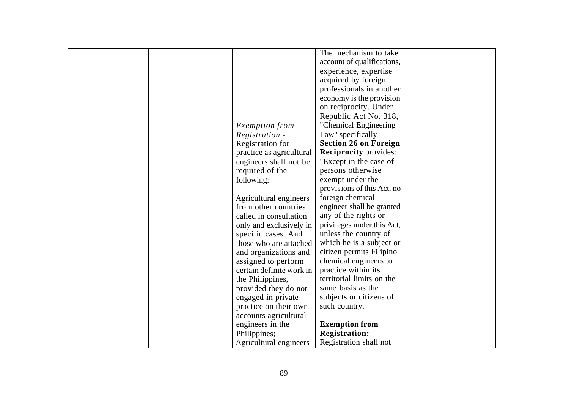|  |                          | The mechanism to take        |  |
|--|--------------------------|------------------------------|--|
|  |                          | account of qualifications,   |  |
|  |                          | experience, expertise        |  |
|  |                          | acquired by foreign          |  |
|  |                          | professionals in another     |  |
|  |                          | economy is the provision     |  |
|  |                          | on reciprocity. Under        |  |
|  |                          | Republic Act No. 318,        |  |
|  | <i>Exemption from</i>    | "Chemical Engineering        |  |
|  | Registration -           | Law" specifically            |  |
|  | Registration for         | <b>Section 26 on Foreign</b> |  |
|  | practice as agricultural | <b>Reciprocity provides:</b> |  |
|  | engineers shall not be   | "Except in the case of       |  |
|  | required of the          | persons otherwise            |  |
|  | following:               | exempt under the             |  |
|  |                          | provisions of this Act, no   |  |
|  | Agricultural engineers   | foreign chemical             |  |
|  | from other countries     | engineer shall be granted    |  |
|  | called in consultation   | any of the rights or         |  |
|  | only and exclusively in  | privileges under this Act,   |  |
|  | specific cases. And      | unless the country of        |  |
|  | those who are attached   | which he is a subject or     |  |
|  | and organizations and    | citizen permits Filipino     |  |
|  | assigned to perform      | chemical engineers to        |  |
|  | certain definite work in | practice within its          |  |
|  | the Philippines,         | territorial limits on the    |  |
|  | provided they do not     | same basis as the            |  |
|  | engaged in private       | subjects or citizens of      |  |
|  | practice on their own    | such country.                |  |
|  | accounts agricultural    |                              |  |
|  | engineers in the         | <b>Exemption from</b>        |  |
|  | Philippines;             | <b>Registration:</b>         |  |
|  | Agricultural engineers   | Registration shall not       |  |
|  |                          |                              |  |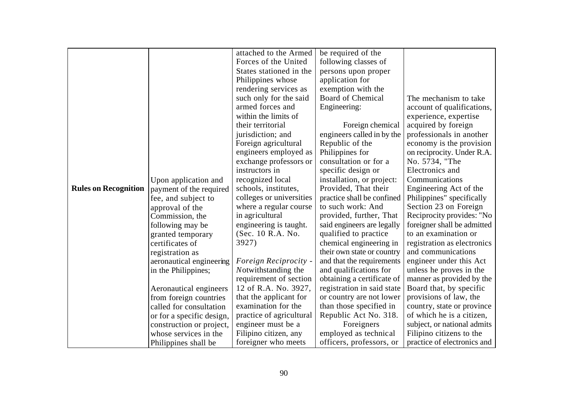|                             |                           | attached to the Armed    | be required of the         |                             |
|-----------------------------|---------------------------|--------------------------|----------------------------|-----------------------------|
|                             |                           | Forces of the United     | following classes of       |                             |
|                             |                           | States stationed in the  | persons upon proper        |                             |
|                             |                           | Philippines whose        | application for            |                             |
|                             |                           | rendering services as    | exemption with the         |                             |
|                             |                           | such only for the said   | <b>Board of Chemical</b>   | The mechanism to take       |
|                             |                           | armed forces and         | Engineering:               | account of qualifications,  |
|                             |                           | within the limits of     |                            | experience, expertise       |
|                             |                           | their territorial        | Foreign chemical           | acquired by foreign         |
|                             |                           | jurisdiction; and        | engineers called in by the | professionals in another    |
|                             |                           | Foreign agricultural     | Republic of the            | economy is the provision    |
|                             |                           | engineers employed as    | Philippines for            | on reciprocity. Under R.A.  |
|                             |                           | exchange professors or   | consultation or for a      | No. 5734, "The              |
|                             |                           | instructors in           | specific design or         | Electronics and             |
|                             | Upon application and      | recognized local         | installation, or project:  | Communications              |
| <b>Rules on Recognition</b> | payment of the required   | schools, institutes,     | Provided, That their       | Engineering Act of the      |
|                             | fee, and subject to       | colleges or universities | practice shall be confined | Philippines" specifically   |
|                             | approval of the           | where a regular course   | to such work: And          | Section 23 on Foreign       |
|                             | Commission, the           | in agricultural          | provided, further, That    | Reciprocity provides: "No   |
|                             | following may be          | engineering is taught.   | said engineers are legally | foreigner shall be admitted |
|                             | granted temporary         | (Sec. 10 R.A. No.        | qualified to practice      | to an examination or        |
|                             | certificates of           | 3927)                    | chemical engineering in    | registration as electronics |
|                             | registration as           |                          | their own state or country | and communications          |
|                             | aeronautical engineering  | Foreign Reciprocity -    | and that the requirements  | engineer under this Act     |
|                             | in the Philippines;       | Notwithstanding the      | and qualifications for     | unless he proves in the     |
|                             |                           | requirement of section   | obtaining a certificate of | manner as provided by the   |
|                             | Aeronautical engineers    | 12 of R.A. No. 3927,     | registration in said state | Board that, by specific     |
|                             | from foreign countries    | that the applicant for   | or country are not lower   | provisions of law, the      |
|                             | called for consultation   | examination for the      | than those specified in    | country, state or province  |
|                             | or for a specific design, | practice of agricultural | Republic Act No. 318.      | of which he is a citizen,   |
|                             | construction or project,  | engineer must be a       | Foreigners                 | subject, or national admits |
|                             | whose services in the     | Filipino citizen, any    | employed as technical      | Filipino citizens to the    |
|                             | Philippines shall be      | foreigner who meets      | officers, professors, or   | practice of electronics and |
|                             |                           |                          |                            |                             |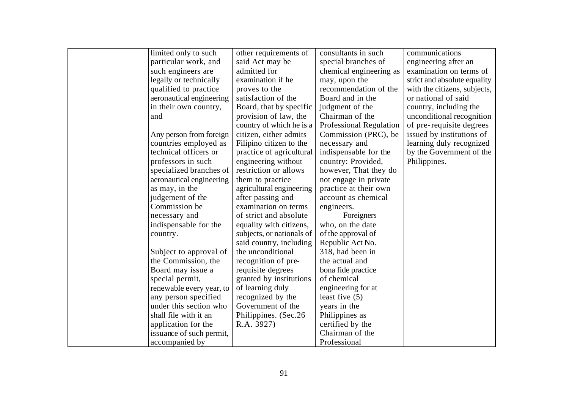| limited only to such     | other requirements of     | consultants in such     | communications               |
|--------------------------|---------------------------|-------------------------|------------------------------|
| particular work, and     | said Act may be           | special branches of     | engineering after an         |
| such engineers are       | admitted for              | chemical engineering as | examination on terms of      |
| legally or technically   | examination if he         | may, upon the           | strict and absolute equality |
| qualified to practice    | proves to the             | recommendation of the   | with the citizens, subjects, |
| aeronautical engineering | satisfaction of the       | Board and in the        | or national of said          |
| in their own country,    | Board, that by specific   | judgment of the         | country, including the       |
| and                      | provision of law, the     | Chairman of the         | unconditional recognition    |
|                          | country of which he is a  | Professional Regulation | of pre-requisite degrees     |
| Any person from foreign  | citizen, either admits    | Commission (PRC), be    | issued by institutions of    |
| countries employed as    | Filipino citizen to the   | necessary and           | learning duly recognized     |
| technical officers or    | practice of agricultural  | indispensable for the   | by the Government of the     |
| professors in such       | engineering without       | country: Provided,      | Philippines.                 |
| specialized branches of  | restriction or allows     | however, That they do   |                              |
| aeronautical engineering | them to practice          | not engage in private   |                              |
| as may, in the           | agricultural engineering  | practice at their own   |                              |
| judgement of the         | after passing and         | account as chemical     |                              |
| Commission be            | examination on terms      | engineers.              |                              |
| necessary and            | of strict and absolute    | Foreigners              |                              |
| indispensable for the    | equality with citizens,   | who, on the date        |                              |
| country.                 | subjects, or nationals of | of the approval of      |                              |
|                          | said country, including   | Republic Act No.        |                              |
| Subject to approval of   | the unconditional         | 318, had been in        |                              |
| the Commission, the      | recognition of pre-       | the actual and          |                              |
| Board may issue a        | requisite degrees         | bona fide practice      |                              |
| special permit,          | granted by institutions   | of chemical             |                              |
| renewable every year, to | of learning duly          | engineering for at      |                              |
| any person specified     | recognized by the         | least five $(5)$        |                              |
| under this section who   | Government of the         | years in the            |                              |
| shall file with it an    | Philippines. (Sec.26)     | Philippines as          |                              |
| application for the      | R.A. 3927)                | certified by the        |                              |
| issuance of such permit, |                           | Chairman of the         |                              |
| accompanied by           |                           | Professional            |                              |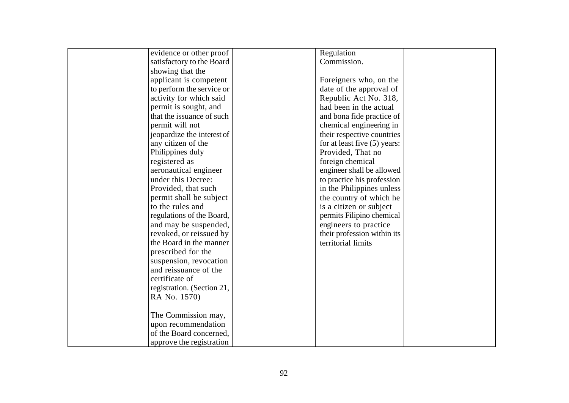| evidence or other proof    | Regulation                   |
|----------------------------|------------------------------|
| satisfactory to the Board  | Commission.                  |
| showing that the           |                              |
| applicant is competent     | Foreigners who, on the       |
| to perform the service or  | date of the approval of      |
| activity for which said    | Republic Act No. 318,        |
| permit is sought, and      | had been in the actual       |
| that the issuance of such  | and bona fide practice of    |
| permit will not            | chemical engineering in      |
| jeopardize the interest of | their respective countries   |
| any citizen of the         | for at least five (5) years: |
| Philippines duly           | Provided, That no            |
| registered as              | foreign chemical             |
| aeronautical engineer      | engineer shall be allowed    |
| under this Decree:         | to practice his profession   |
| Provided, that such        | in the Philippines unless    |
| permit shall be subject    | the country of which he      |
| to the rules and           | is a citizen or subject      |
| regulations of the Board,  | permits Filipino chemical    |
| and may be suspended,      | engineers to practice        |
| revoked, or reissued by    | their profession within its  |
| the Board in the manner    | territorial limits           |
| prescribed for the         |                              |
| suspension, revocation     |                              |
| and reissuance of the      |                              |
| certificate of             |                              |
| registration. (Section 21, |                              |
| RA No. 1570)               |                              |
|                            |                              |
| The Commission may,        |                              |
| upon recommendation        |                              |
| of the Board concerned.    |                              |
| approve the registration   |                              |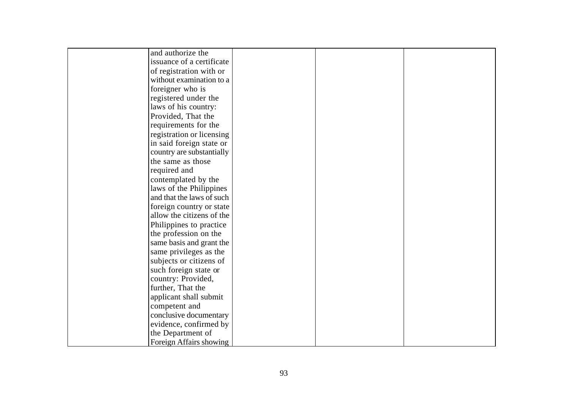| and authorize the         |  |  |
|---------------------------|--|--|
| issuance of a certificate |  |  |
| of registration with or   |  |  |
| without examination to a  |  |  |
| foreigner who is          |  |  |
| registered under the      |  |  |
| laws of his country:      |  |  |
| Provided, That the        |  |  |
| requirements for the      |  |  |
| registration or licensing |  |  |
| in said foreign state or  |  |  |
| country are substantially |  |  |
| the same as those         |  |  |
| required and              |  |  |
| contemplated by the       |  |  |
| laws of the Philippines   |  |  |
| and that the laws of such |  |  |
| foreign country or state  |  |  |
| allow the citizens of the |  |  |
| Philippines to practice   |  |  |
| the profession on the     |  |  |
| same basis and grant the  |  |  |
| same privileges as the    |  |  |
| subjects or citizens of   |  |  |
| such foreign state or     |  |  |
| country: Provided,        |  |  |
| further, That the         |  |  |
| applicant shall submit    |  |  |
| competent and             |  |  |
| conclusive documentary    |  |  |
| evidence, confirmed by    |  |  |
| the Department of         |  |  |
| Foreign Affairs showing   |  |  |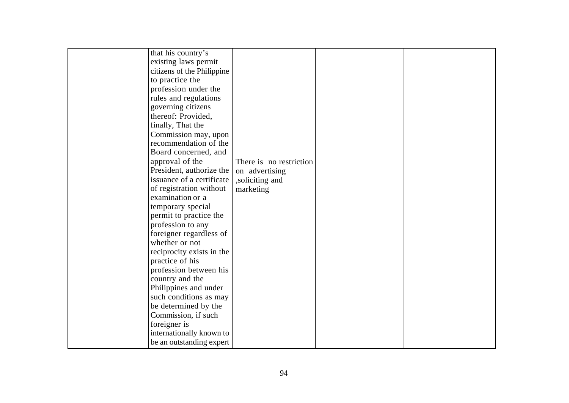| that his country's         |                         |  |
|----------------------------|-------------------------|--|
| existing laws permit       |                         |  |
| citizens of the Philippine |                         |  |
| to practice the            |                         |  |
| profession under the       |                         |  |
| rules and regulations      |                         |  |
| governing citizens         |                         |  |
| thereof: Provided,         |                         |  |
| finally, That the          |                         |  |
| Commission may, upon       |                         |  |
| recommendation of the      |                         |  |
| Board concerned, and       |                         |  |
| approval of the            | There is no restriction |  |
| President, authorize the   | on advertising          |  |
| issuance of a certificate  | ,soliciting and         |  |
| of registration without    | marketing               |  |
| examination or a           |                         |  |
| temporary special          |                         |  |
| permit to practice the     |                         |  |
| profession to any          |                         |  |
| foreigner regardless of    |                         |  |
| whether or not             |                         |  |
| reciprocity exists in the  |                         |  |
| practice of his            |                         |  |
| profession between his     |                         |  |
| country and the            |                         |  |
| Philippines and under      |                         |  |
| such conditions as may     |                         |  |
| be determined by the       |                         |  |
| Commission, if such        |                         |  |
| foreigner is               |                         |  |
| internationally known to   |                         |  |
| be an outstanding expert   |                         |  |
|                            |                         |  |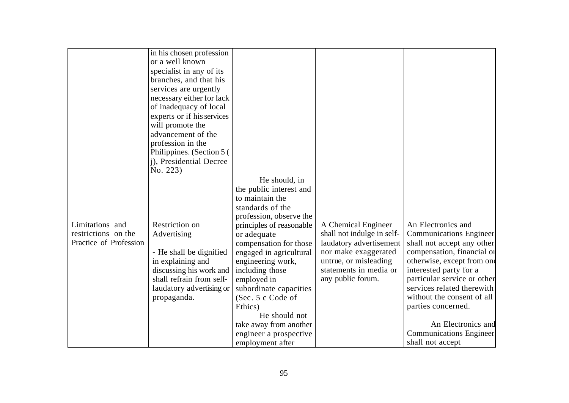|                        | in his chosen profession   |                          |                            |                                |
|------------------------|----------------------------|--------------------------|----------------------------|--------------------------------|
|                        | or a well known            |                          |                            |                                |
|                        | specialist in any of its   |                          |                            |                                |
|                        | branches, and that his     |                          |                            |                                |
|                        | services are urgently      |                          |                            |                                |
|                        | necessary either for lack  |                          |                            |                                |
|                        | of inadequacy of local     |                          |                            |                                |
|                        | experts or if his services |                          |                            |                                |
|                        | will promote the           |                          |                            |                                |
|                        | advancement of the         |                          |                            |                                |
|                        | profession in the          |                          |                            |                                |
|                        | Philippines. (Section 5)   |                          |                            |                                |
|                        | j), Presidential Decree    |                          |                            |                                |
|                        | No. 223)                   |                          |                            |                                |
|                        |                            | He should, in            |                            |                                |
|                        |                            | the public interest and  |                            |                                |
|                        |                            | to maintain the          |                            |                                |
|                        |                            | standards of the         |                            |                                |
|                        |                            | profession, observe the  |                            |                                |
| Limitations and        | Restriction on             | principles of reasonable | A Chemical Engineer        | An Electronics and             |
| restrictions on the    | Advertising                | or adequate              | shall not indulge in self- | <b>Communications Engineer</b> |
| Practice of Profession |                            | compensation for those   | laudatory advertisement    | shall not accept any other     |
|                        | - He shall be dignified    | engaged in agricultural  | nor make exaggerated       | compensation, financial or     |
|                        | in explaining and          | engineering work,        | untrue, or misleading      | otherwise, except from one     |
|                        | discussing his work and    | including those          | statements in media or     | interested party for a         |
|                        | shall refrain from self-   | employed in              | any public forum.          | particular service or other    |
|                        | laudatory advertising or   | subordinate capacities   |                            | services related therewith     |
|                        | propaganda.                | (Sec. 5 c Code of        |                            | without the consent of all     |
|                        |                            | Ethics)                  |                            | parties concerned.             |
|                        |                            | He should not            |                            |                                |
|                        |                            | take away from another   |                            | An Electronics and             |
|                        |                            | engineer a prospective   |                            | <b>Communications Engineer</b> |
|                        |                            | employment after         |                            | shall not accept               |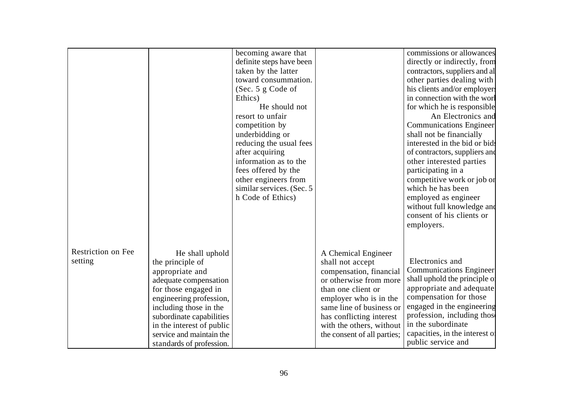|                    |                           |                           |                             | commissions or allowances      |
|--------------------|---------------------------|---------------------------|-----------------------------|--------------------------------|
|                    |                           | becoming aware that       |                             |                                |
|                    |                           | definite steps have been  |                             | directly or indirectly, from   |
|                    |                           | taken by the latter       |                             | contractors, suppliers and all |
|                    |                           | toward consummation.      |                             | other parties dealing with     |
|                    |                           | (Sec. $5 g$ Code of       |                             | his clients and/or employers   |
|                    |                           | Ethics)                   |                             | in connection with the worl    |
|                    |                           | He should not             |                             | for which he is responsible    |
|                    |                           | resort to unfair          |                             | An Electronics and             |
|                    |                           | competition by            |                             | <b>Communications Engineer</b> |
|                    |                           | underbidding or           |                             | shall not be financially       |
|                    |                           | reducing the usual fees   |                             | interested in the bid or bids  |
|                    |                           | after acquiring           |                             | of contractors, suppliers and  |
|                    |                           | information as to the     |                             | other interested parties       |
|                    |                           | fees offered by the       |                             | participating in a             |
|                    |                           | other engineers from      |                             | competitive work or job or     |
|                    |                           | similar services. (Sec. 5 |                             | which he has been              |
|                    |                           | h Code of Ethics)         |                             | employed as engineer           |
|                    |                           |                           |                             | without full knowledge and     |
|                    |                           |                           |                             | consent of his clients or      |
|                    |                           |                           |                             | employers.                     |
|                    |                           |                           |                             |                                |
|                    |                           |                           |                             |                                |
| Restriction on Fee | He shall uphold           |                           | A Chemical Engineer         |                                |
| setting            | the principle of          |                           | shall not accept            | Electronics and                |
|                    | appropriate and           |                           | compensation, financial     | <b>Communications Engineer</b> |
|                    | adequate compensation     |                           | or otherwise from more      | shall uphold the principle of  |
|                    | for those engaged in      |                           | than one client or          | appropriate and adequate       |
|                    | engineering profession,   |                           | employer who is in the      | compensation for those         |
|                    |                           |                           | same line of business or    | engaged in the engineering     |
|                    | including those in the    |                           |                             | profession, including those    |
|                    | subordinate capabilities  |                           | has conflicting interest    | in the subordinate             |
|                    | in the interest of public |                           | with the others, without    |                                |
|                    | service and maintain the  |                           | the consent of all parties; | capacities, in the interest of |
|                    | standards of profession.  |                           |                             | public service and             |
|                    |                           |                           |                             |                                |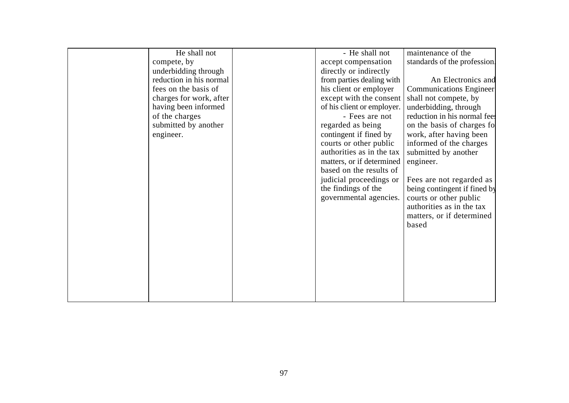| He shall not            | - He shall not             | maintenance of the             |
|-------------------------|----------------------------|--------------------------------|
| compete, by             | accept compensation        | standards of the profession.   |
| underbidding through    | directly or indirectly     |                                |
| reduction in his normal | from parties dealing with  | An Electronics and             |
| fees on the basis of    | his client or employer     | <b>Communications Engineer</b> |
| charges for work, after | except with the consent    | shall not compete, by          |
| having been informed    | of his client or employer. | underbidding, through          |
| of the charges          | - Fees are not             | reduction in his normal fee.   |
| submitted by another    | regarded as being          | on the basis of charges fo     |
| engineer.               | contingent if fined by     | work, after having been        |
|                         | courts or other public     | informed of the charges        |
|                         | authorities as in the tax  | submitted by another           |
|                         | matters, or if determined  | engineer.                      |
|                         | based on the results of    |                                |
|                         | judicial proceedings or    | Fees are not regarded as       |
|                         | the findings of the        | being contingent if fined by   |
|                         | governmental agencies.     | courts or other public         |
|                         |                            | authorities as in the tax      |
|                         |                            | matters, or if determined      |
|                         |                            | based                          |
|                         |                            |                                |
|                         |                            |                                |
|                         |                            |                                |
|                         |                            |                                |
|                         |                            |                                |
|                         |                            |                                |
|                         |                            |                                |
|                         |                            |                                |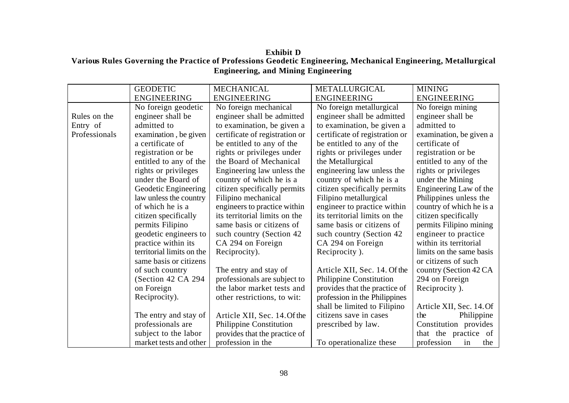**Exhibit D Various Rules Governing the Practice of Professions Geodetic Engineering, Mechanical Engineering, Metallurgical Engineering, and Mining Engineering**

|               | <b>GEODETIC</b>           | <b>MECHANICAL</b>              | <b>METALLURGICAL</b>           | <b>MINING</b>            |
|---------------|---------------------------|--------------------------------|--------------------------------|--------------------------|
|               | <b>ENGINEERING</b>        | <b>ENGINEERING</b>             | <b>ENGINEERING</b>             | <b>ENGINEERING</b>       |
|               | No foreign geodetic       | No foreign mechanical          | No foreign metallurgical       | No foreign mining        |
| Rules on the  | engineer shall be         | engineer shall be admitted     | engineer shall be admitted     | engineer shall be        |
| Entry of      | admitted to               | to examination, be given a     | to examination, be given a     | admitted to              |
| Professionals | examination, be given     | certificate of registration or | certificate of registration or | examination, be given a  |
|               | a certificate of          | be entitled to any of the      | be entitled to any of the      | certificate of           |
|               | registration or be        | rights or privileges under     | rights or privileges under     | registration or be       |
|               | entitled to any of the    | the Board of Mechanical        | the Metallurgical              | entitled to any of the   |
|               | rights or privileges      | Engineering law unless the     | engineering law unless the     | rights or privileges     |
|               | under the Board of        | country of which he is a       | country of which he is a       | under the Mining         |
|               | Geodetic Engineering      | citizen specifically permits   | citizen specifically permits   | Engineering Law of the   |
|               | law unless the country    | Filipino mechanical            | Filipino metallurgical         | Philippines unless the   |
|               | of which he is a          | engineers to practice within   | engineer to practice within    | country of which he is a |
|               | citizen specifically      | its territorial limits on the  | its territorial limits on the  | citizen specifically     |
|               | permits Filipino          | same basis or citizens of      | same basis or citizens of      | permits Filipino mining  |
|               | geodetic engineers to     | such country (Section 42)      | such country (Section 42)      | engineer to practice     |
|               | practice within its       | CA 294 on Foreign              | CA 294 on Foreign              | within its territorial   |
|               | territorial limits on the | Reciprocity).                  | Reciprocity).                  | limits on the same basis |
|               | same basis or citizens    |                                |                                | or citizens of such      |
|               | of such country           | The entry and stay of          | Article XII, Sec. 14. Of the   | country (Section 42 CA   |
|               | (Section 42 CA 294        | professionals are subject to   | Philippine Constitution        | 294 on Foreign           |
|               | on Foreign                | the labor market tests and     | provides that the practice of  | Reciprocity).            |
|               | Reciprocity).             | other restrictions, to wit:    | profession in the Philippines  |                          |
|               |                           |                                | shall be limited to Filipino   | Article XII, Sec. 14. Of |
|               | The entry and stay of     | Article XII, Sec. 14. Of the   | citizens save in cases         | Philippine<br>the        |
|               | professionals are         | Philippine Constitution        | prescribed by law.             | Constitution provides    |
|               | subject to the labor      | provides that the practice of  |                                | that the practice of     |
|               | market tests and other    | profession in the              | To operationalize these        | profession<br>the<br>in  |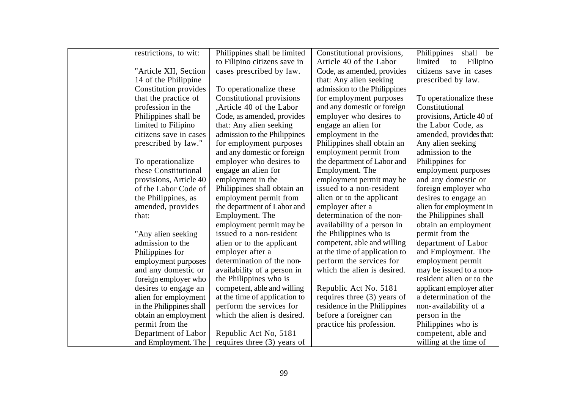| restrictions, to wit:    | Philippines shall be limited  | Constitutional provisions,    | Philippines<br>shall be   |
|--------------------------|-------------------------------|-------------------------------|---------------------------|
|                          | to Filipino citizens save in  | Article 40 of the Labor       | Filipino<br>limited<br>to |
| "Article XII, Section    | cases prescribed by law.      | Code, as amended, provides    | citizens save in cases    |
| 14 of the Philippine     |                               | that: Any alien seeking       | prescribed by law.        |
| Constitution provides    | To operationalize these       | admission to the Philippines  |                           |
| that the practice of     | Constitutional provisions     | for employment purposes       | To operationalize these   |
| profession in the        | Article 40 of the Labor       | and any domestic or foreign   | Constitutional            |
| Philippines shall be     | Code, as amended, provides    | employer who desires to       | provisions, Article 40 of |
| limited to Filipino      | that: Any alien seeking       | engage an alien for           | the Labor Code, as        |
| citizens save in cases   | admission to the Philippines  | employment in the             | amended, provides that:   |
| prescribed by law."      | for employment purposes       | Philippines shall obtain an   | Any alien seeking         |
|                          | and any domestic or foreign   | employment permit from        | admission to the          |
| To operationalize        | employer who desires to       | the department of Labor and   | Philippines for           |
| these Constitutional     | engage an alien for           | Employment. The               | employment purposes       |
| provisions, Article 40   | employment in the             | employment permit may be      | and any domestic or       |
| of the Labor Code of     | Philippines shall obtain an   | issued to a non-resident      | foreign employer who      |
| the Philippines, as      | employment permit from        | alien or to the applicant     | desires to engage an      |
| amended, provides        | the department of Labor and   | employer after a              | alien for employment in   |
| that:                    | Employment. The               | determination of the non-     | the Philippines shall     |
|                          | employment permit may be      | availability of a person in   | obtain an employment      |
| "Any alien seeking       | issued to a non-resident      | the Philippines who is        | permit from the           |
| admission to the         | alien or to the applicant     | competent, able and willing   | department of Labor       |
| Philippines for          | employer after a              | at the time of application to | and Employment. The       |
| employment purposes      | determination of the non-     | perform the services for      | employment permit         |
| and any domestic or      | availability of a person in   | which the alien is desired.   | may be issued to a non-   |
| foreign employer who     | the Philippines who is        |                               | resident alien or to the  |
| desires to engage an     | competent, able and willing   | Republic Act No. 5181         | applicant employer after  |
| alien for employment     | at the time of application to | requires three (3) years of   | a determination of the    |
| in the Philippines shall | perform the services for      | residence in the Philippines  | non-availability of a     |
| obtain an employment     | which the alien is desired.   | before a foreigner can        | person in the             |
| permit from the          |                               | practice his profession.      | Philippines who is        |
| Department of Labor      | Republic Act No, 5181         |                               | competent, able and       |
| and Employment. The      | requires three (3) years of   |                               | willing at the time of    |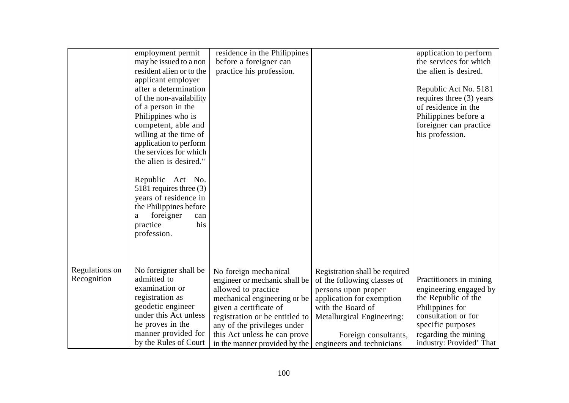|                | employment permit        | residence in the Philippines   |                                | application to perform   |
|----------------|--------------------------|--------------------------------|--------------------------------|--------------------------|
|                | may be issued to a non   | before a foreigner can         |                                | the services for which   |
|                | resident alien or to the | practice his profession.       |                                | the alien is desired.    |
|                | applicant employer       |                                |                                |                          |
|                | after a determination    |                                |                                | Republic Act No. 5181    |
|                | of the non-availability  |                                |                                | requires three (3) years |
|                | of a person in the       |                                |                                | of residence in the      |
|                | Philippines who is       |                                |                                | Philippines before a     |
|                | competent, able and      |                                |                                | foreigner can practice   |
|                | willing at the time of   |                                |                                | his profession.          |
|                | application to perform   |                                |                                |                          |
|                | the services for which   |                                |                                |                          |
|                | the alien is desired."   |                                |                                |                          |
|                |                          |                                |                                |                          |
|                | Republic Act No.         |                                |                                |                          |
|                | 5181 requires three (3)  |                                |                                |                          |
|                | years of residence in    |                                |                                |                          |
|                | the Philippines before   |                                |                                |                          |
|                | foreigner<br>a<br>can    |                                |                                |                          |
|                | his<br>practice          |                                |                                |                          |
|                | profession.              |                                |                                |                          |
|                |                          |                                |                                |                          |
|                |                          |                                |                                |                          |
|                |                          |                                |                                |                          |
| Regulations on | No foreigner shall be    | No foreign mechanical          | Registration shall be required |                          |
| Recognition    | admitted to              | engineer or mechanic shall be  | of the following classes of    | Practitioners in mining  |
|                | examination or           | allowed to practice            | persons upon proper            | engineering engaged by   |
|                | registration as          | mechanical engineering or be   | application for exemption      | the Republic of the      |
|                | geodetic engineer        | given a certificate of         | with the Board of              | Philippines for          |
|                | under this Act unless    | registration or be entitled to | Metallurgical Engineering:     | consultation or for      |
|                | he proves in the         | any of the privileges under    |                                | specific purposes        |
|                | manner provided for      | this Act unless he can prove   | Foreign consultants,           | regarding the mining     |
|                | by the Rules of Court    | in the manner provided by the  | engineers and technicians      | industry: Provided' That |
|                |                          |                                |                                |                          |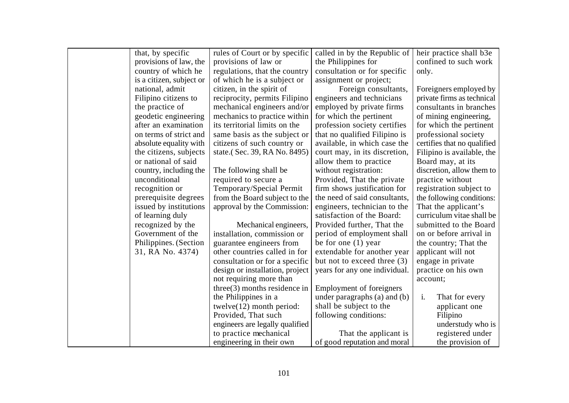| that, by specific        | rules of Court or by specific                          | called in by the Republic of                            | heir practice shall b3e     |
|--------------------------|--------------------------------------------------------|---------------------------------------------------------|-----------------------------|
| provisions of law, the   | provisions of law or                                   | the Philippines for                                     | confined to such work       |
| country of which he      | regulations, that the country                          | consultation or for specific                            | only.                       |
| is a citizen, subject or | of which he is a subject or                            | assignment or project;                                  |                             |
| national, admit          | citizen, in the spirit of                              | Foreign consultants,                                    | Foreigners employed by      |
| Filipino citizens to     | reciprocity, permits Filipino                          | engineers and technicians                               | private firms as technical  |
| the practice of          | mechanical engineers and/or                            | employed by private firms                               | consultants in branches     |
| geodetic engineering     | mechanics to practice within                           | for which the pertinent                                 | of mining engineering,      |
| after an examination     | its territorial limits on the                          | profession society certifies                            | for which the pertinent     |
| on terms of strict and   | same basis as the subject or                           | that no qualified Filipino is                           | professional society        |
| absolute equality with   | citizens of such country or                            | available, in which case the                            | certifies that no qualified |
| the citizens, subjects   | state.(Sec. 39, RA No. 8495)                           | court may, in its discretion,                           | Filipino is available, the  |
| or national of said      |                                                        | allow them to practice                                  | Board may, at its           |
| country, including the   | The following shall be                                 | without registration:                                   | discretion, allow them to   |
| unconditional            | required to secure a                                   | Provided, That the private                              | practice without            |
| recognition or           | Temporary/Special Permit                               | firm shows justification for                            | registration subject to     |
| prerequisite degrees     | from the Board subject to the                          | the need of said consultants,                           | the following conditions:   |
| issued by institutions   | approval by the Commission:                            | engineers, technician to the                            | That the applicant's        |
| of learning duly         |                                                        | satisfaction of the Board:                              | curriculum vitae shall be   |
| recognized by the        | Mechanical engineers,                                  | Provided further, That the                              | submitted to the Board      |
| Government of the        | installation, commission or                            | period of employment shall                              | on or before arrival in     |
| Philippines. (Section    | guarantee engineers from                               | be for one $(1)$ year                                   | the country; That the       |
| 31, RA No. 4374)         | other countries called in for                          | extendable for another year                             | applicant will not          |
|                          | consultation or for a specific                         | but not to exceed three (3)                             | engage in private           |
|                          | design or installation, project                        | years for any one individual.                           | practice on his own         |
|                          | not requiring more than                                |                                                         | account;                    |
|                          | $three(3)$ months residence in<br>the Philippines in a | <b>Employment of foreigners</b>                         | $\mathbf{i}$ .              |
|                          |                                                        | under paragraphs (a) and (b)<br>shall be subject to the | That for every              |
|                          | twelve $(12)$ month period:<br>Provided, That such     | following conditions:                                   | applicant one<br>Filipino   |
|                          | engineers are legally qualified                        |                                                         | understudy who is           |
|                          | to practice mechanical                                 | That the applicant is                                   | registered under            |
|                          | engineering in their own                               | of good reputation and moral                            | the provision of            |
|                          |                                                        |                                                         |                             |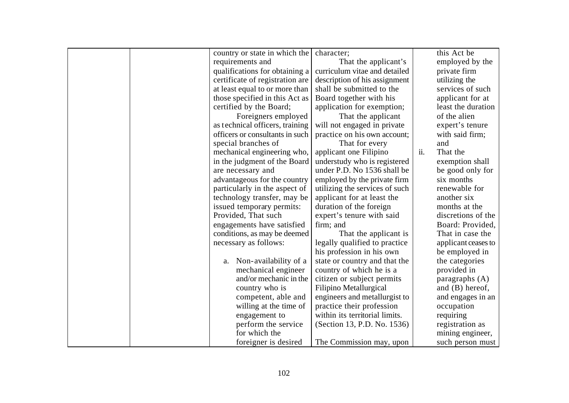|  | country or state in which the   | character;                     |     | this Act be         |
|--|---------------------------------|--------------------------------|-----|---------------------|
|  | requirements and                | That the applicant's           |     | employed by the     |
|  | qualifications for obtaining a  | curriculum vitae and detailed  |     | private firm        |
|  | certificate of registration are | description of his assignment  |     | utilizing the       |
|  | at least equal to or more than  | shall be submitted to the      |     | services of such    |
|  | those specified in this Act as  | Board together with his        |     | applicant for at    |
|  | certified by the Board;         | application for exemption;     |     | least the duration  |
|  | Foreigners employed             | That the applicant             |     | of the alien        |
|  | as technical officers, training | will not engaged in private    |     | expert's tenure     |
|  | officers or consultants in such | practice on his own account;   |     | with said firm;     |
|  | special branches of             | That for every                 |     | and                 |
|  | mechanical engineering who,     | applicant one Filipino         | ii. | That the            |
|  | in the judgment of the Board    | understudy who is registered   |     | exemption shall     |
|  | are necessary and               | under P.D. No 1536 shall be    |     | be good only for    |
|  | advantageous for the country    | employed by the private firm   |     | six months          |
|  | particularly in the aspect of   | utilizing the services of such |     | renewable for       |
|  | technology transfer, may be     | applicant for at least the     |     | another six         |
|  | issued temporary permits:       | duration of the foreign        |     | months at the       |
|  | Provided, That such             | expert's tenure with said      |     | discretions of the  |
|  | engagements have satisfied      | firm; and                      |     | Board: Provided,    |
|  | conditions, as may be deemed    | That the applicant is          |     | That in case the    |
|  | necessary as follows:           | legally qualified to practice  |     | applicant ceases to |
|  |                                 | his profession in his own      |     | be employed in      |
|  | Non-availability of a<br>a.     | state or country and that the  |     | the categories      |
|  | mechanical engineer             | country of which he is a       |     | provided in         |
|  | and/or mechanic in the          | citizen or subject permits     |     | paragraphs $(A)$    |
|  | country who is                  | Filipino Metallurgical         |     | and $(B)$ hereof,   |
|  | competent, able and             | engineers and metallurgist to  |     | and engages in an   |
|  | willing at the time of          | practice their profession      |     | occupation          |
|  | engagement to                   | within its territorial limits. |     | requiring           |
|  | perform the service             | (Section 13, P.D. No. 1536)    |     | registration as     |
|  | for which the                   |                                |     | mining engineer,    |
|  | foreigner is desired            | The Commission may, upon       |     | such person must    |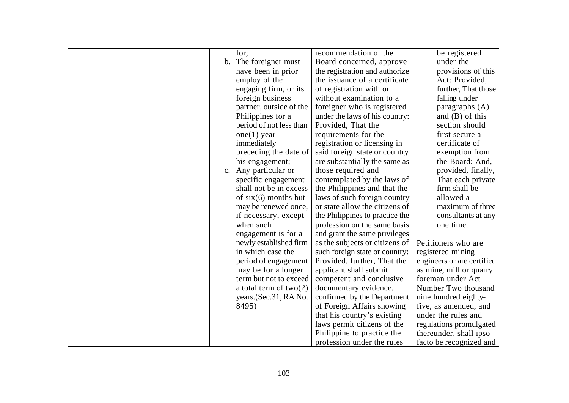|    | for;                          | recommendation of the           | be registered              |
|----|-------------------------------|---------------------------------|----------------------------|
|    | b. The foreigner must         | Board concerned, approve        | under the                  |
|    | have been in prior            | the registration and authorize  | provisions of this         |
|    | employ of the                 | the issuance of a certificate   | Act: Provided,             |
|    | engaging firm, or its         | of registration with or         | further, That those        |
|    | foreign business              | without examination to a        | falling under              |
|    | partner, outside of the       | foreigner who is registered     | paragraphs $(A)$           |
|    | Philippines for a             | under the laws of his country:  | and $(B)$ of this          |
|    | period of not less than       | Provided, That the              | section should             |
|    | $one(1)$ year                 | requirements for the            | first secure a             |
|    | immediately                   | registration or licensing in    | certificate of             |
|    | preceding the date of         | said foreign state or country   | exemption from             |
|    | his engagement;               | are substantially the same as   | the Board: And,            |
| c. | Any particular or             | those required and              | provided, finally,         |
|    | specific engagement           | contemplated by the laws of     | That each private          |
|    | shall not be in excess        | the Philippines and that the    | firm shall be              |
|    | of $\text{six}(6)$ months but | laws of such foreign country    | allowed a                  |
|    | may be renewed once,          | or state allow the citizens of  | maximum of three           |
|    | if necessary, except          | the Philippines to practice the | consultants at any         |
|    | when such                     | profession on the same basis    | one time.                  |
|    | engagement is for a           | and grant the same privileges   |                            |
|    | newly established firm        | as the subjects or citizens of  | Petitioners who are        |
|    | in which case the             | such foreign state or country:  | registered mining          |
|    | period of engagement          | Provided, further, That the     | engineers or are certified |
|    | may be for a longer           | applicant shall submit          | as mine, mill or quarry    |
|    | term but not to exceed        | competent and conclusive        | foreman under Act          |
|    | a total term of $two(2)$      | documentary evidence,           | Number Two thousand        |
|    | years.(Sec.31, RA No.         | confirmed by the Department     | nine hundred eighty-       |
|    | 8495)                         | of Foreign Affairs showing      | five, as amended, and      |
|    |                               | that his country's existing     | under the rules and        |
|    |                               | laws permit citizens of the     | regulations promulgated    |
|    |                               | Philippine to practice the      | thereunder, shall ipso-    |
|    |                               | profession under the rules      | facto be recognized and    |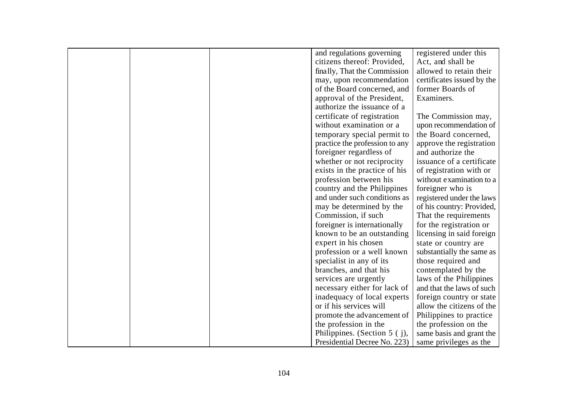|  | and regulations governing      | registered under this      |
|--|--------------------------------|----------------------------|
|  | citizens thereof: Provided,    | Act, and shall be          |
|  | finally, That the Commission   | allowed to retain their    |
|  | may, upon recommendation       | certificates issued by the |
|  | of the Board concerned, and    | former Boards of           |
|  | approval of the President,     | Examiners.                 |
|  | authorize the issuance of a    |                            |
|  | certificate of registration    | The Commission may,        |
|  | without examination or a       | upon recommendation of     |
|  | temporary special permit to    | the Board concerned,       |
|  | practice the profession to any | approve the registration   |
|  | foreigner regardless of        | and authorize the          |
|  | whether or not reciprocity     | issuance of a certificate  |
|  | exists in the practice of his  | of registration with or    |
|  | profession between his         | without examination to a   |
|  | country and the Philippines    | foreigner who is           |
|  | and under such conditions as   | registered under the laws  |
|  | may be determined by the       | of his country: Provided,  |
|  | Commission, if such            | That the requirements      |
|  | foreigner is internationally   | for the registration or    |
|  | known to be an outstanding     | licensing in said foreign  |
|  | expert in his chosen           | state or country are       |
|  | profession or a well known     | substantially the same as  |
|  | specialist in any of its       | those required and         |
|  | branches, and that his         | contemplated by the        |
|  | services are urgently          | laws of the Philippines    |
|  | necessary either for lack of   | and that the laws of such  |
|  | inadequacy of local experts    | foreign country or state   |
|  | or if his services will        | allow the citizens of the  |
|  | promote the advancement of     | Philippines to practice    |
|  | the profession in the          | the profession on the      |
|  | Philippines. (Section $5$ (j), | same basis and grant the   |
|  | Presidential Decree No. 223)   | same privileges as the     |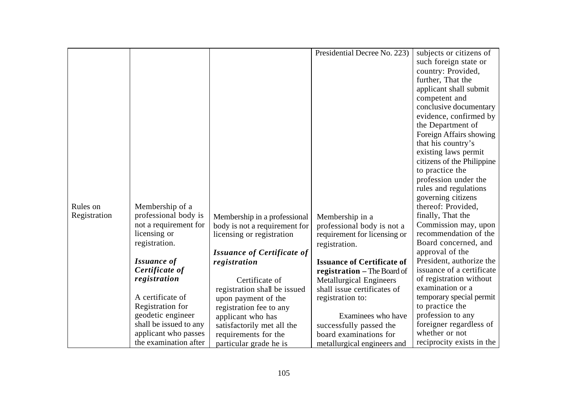| such foreign state or<br>country: Provided,<br>further, That the<br>applicant shall submit<br>competent and<br>conclusive documentary<br>evidence, confirmed by<br>the Department of<br>Foreign Affairs showing<br>that his country's<br>existing laws permit<br>citizens of the Philippine<br>to practice the<br>profession under the<br>rules and regulations<br>governing citizens<br>thereof: Provided,<br>Rules on<br>Membership of a<br>professional body is<br>finally, That the<br>Registration<br>Membership in a professional<br>Membership in a<br>not a requirement for<br>Commission may, upon<br>body is not a requirement for<br>professional body is not a<br>licensing or<br>recommendation of the<br>requirement for licensing or<br>licensing or registration<br>Board concerned, and<br>registration.<br>registration.<br>approval of the<br><b>Issuance of Certificate of</b><br>President, authorize the<br><b>Issuance of</b><br><b>Issuance of Certificate of</b><br>registration<br>issuance of a certificate<br>Certificate of<br>registration - The Board of<br>registration<br>of registration without<br>Certificate of<br><b>Metallurgical Engineers</b><br>examination or a<br>shall issue certificates of<br>registration shall be issued<br>A certificate of<br>temporary special permit<br>registration to:<br>upon payment of the<br>to practice the<br>Registration for<br>registration fee to any<br>geodetic engineer<br>profession to any<br>Examinees who have<br>applicant who has<br>shall be issued to any<br>foreigner regardless of<br>successfully passed the<br>satisfactorily met all the<br>whether or not<br>applicant who passes<br>requirements for the<br>board examinations for<br>the examination after |  |                        | Presidential Decree No. 223) | subjects or citizens of   |
|----------------------------------------------------------------------------------------------------------------------------------------------------------------------------------------------------------------------------------------------------------------------------------------------------------------------------------------------------------------------------------------------------------------------------------------------------------------------------------------------------------------------------------------------------------------------------------------------------------------------------------------------------------------------------------------------------------------------------------------------------------------------------------------------------------------------------------------------------------------------------------------------------------------------------------------------------------------------------------------------------------------------------------------------------------------------------------------------------------------------------------------------------------------------------------------------------------------------------------------------------------------------------------------------------------------------------------------------------------------------------------------------------------------------------------------------------------------------------------------------------------------------------------------------------------------------------------------------------------------------------------------------------------------------------------------------------------------------------------------------------------------|--|------------------------|------------------------------|---------------------------|
|                                                                                                                                                                                                                                                                                                                                                                                                                                                                                                                                                                                                                                                                                                                                                                                                                                                                                                                                                                                                                                                                                                                                                                                                                                                                                                                                                                                                                                                                                                                                                                                                                                                                                                                                                                |  |                        |                              |                           |
|                                                                                                                                                                                                                                                                                                                                                                                                                                                                                                                                                                                                                                                                                                                                                                                                                                                                                                                                                                                                                                                                                                                                                                                                                                                                                                                                                                                                                                                                                                                                                                                                                                                                                                                                                                |  |                        |                              |                           |
|                                                                                                                                                                                                                                                                                                                                                                                                                                                                                                                                                                                                                                                                                                                                                                                                                                                                                                                                                                                                                                                                                                                                                                                                                                                                                                                                                                                                                                                                                                                                                                                                                                                                                                                                                                |  |                        |                              |                           |
|                                                                                                                                                                                                                                                                                                                                                                                                                                                                                                                                                                                                                                                                                                                                                                                                                                                                                                                                                                                                                                                                                                                                                                                                                                                                                                                                                                                                                                                                                                                                                                                                                                                                                                                                                                |  |                        |                              |                           |
|                                                                                                                                                                                                                                                                                                                                                                                                                                                                                                                                                                                                                                                                                                                                                                                                                                                                                                                                                                                                                                                                                                                                                                                                                                                                                                                                                                                                                                                                                                                                                                                                                                                                                                                                                                |  |                        |                              |                           |
|                                                                                                                                                                                                                                                                                                                                                                                                                                                                                                                                                                                                                                                                                                                                                                                                                                                                                                                                                                                                                                                                                                                                                                                                                                                                                                                                                                                                                                                                                                                                                                                                                                                                                                                                                                |  |                        |                              |                           |
|                                                                                                                                                                                                                                                                                                                                                                                                                                                                                                                                                                                                                                                                                                                                                                                                                                                                                                                                                                                                                                                                                                                                                                                                                                                                                                                                                                                                                                                                                                                                                                                                                                                                                                                                                                |  |                        |                              |                           |
|                                                                                                                                                                                                                                                                                                                                                                                                                                                                                                                                                                                                                                                                                                                                                                                                                                                                                                                                                                                                                                                                                                                                                                                                                                                                                                                                                                                                                                                                                                                                                                                                                                                                                                                                                                |  |                        |                              |                           |
|                                                                                                                                                                                                                                                                                                                                                                                                                                                                                                                                                                                                                                                                                                                                                                                                                                                                                                                                                                                                                                                                                                                                                                                                                                                                                                                                                                                                                                                                                                                                                                                                                                                                                                                                                                |  |                        |                              |                           |
|                                                                                                                                                                                                                                                                                                                                                                                                                                                                                                                                                                                                                                                                                                                                                                                                                                                                                                                                                                                                                                                                                                                                                                                                                                                                                                                                                                                                                                                                                                                                                                                                                                                                                                                                                                |  |                        |                              |                           |
|                                                                                                                                                                                                                                                                                                                                                                                                                                                                                                                                                                                                                                                                                                                                                                                                                                                                                                                                                                                                                                                                                                                                                                                                                                                                                                                                                                                                                                                                                                                                                                                                                                                                                                                                                                |  |                        |                              |                           |
|                                                                                                                                                                                                                                                                                                                                                                                                                                                                                                                                                                                                                                                                                                                                                                                                                                                                                                                                                                                                                                                                                                                                                                                                                                                                                                                                                                                                                                                                                                                                                                                                                                                                                                                                                                |  |                        |                              |                           |
|                                                                                                                                                                                                                                                                                                                                                                                                                                                                                                                                                                                                                                                                                                                                                                                                                                                                                                                                                                                                                                                                                                                                                                                                                                                                                                                                                                                                                                                                                                                                                                                                                                                                                                                                                                |  |                        |                              |                           |
|                                                                                                                                                                                                                                                                                                                                                                                                                                                                                                                                                                                                                                                                                                                                                                                                                                                                                                                                                                                                                                                                                                                                                                                                                                                                                                                                                                                                                                                                                                                                                                                                                                                                                                                                                                |  |                        |                              |                           |
|                                                                                                                                                                                                                                                                                                                                                                                                                                                                                                                                                                                                                                                                                                                                                                                                                                                                                                                                                                                                                                                                                                                                                                                                                                                                                                                                                                                                                                                                                                                                                                                                                                                                                                                                                                |  |                        |                              |                           |
|                                                                                                                                                                                                                                                                                                                                                                                                                                                                                                                                                                                                                                                                                                                                                                                                                                                                                                                                                                                                                                                                                                                                                                                                                                                                                                                                                                                                                                                                                                                                                                                                                                                                                                                                                                |  |                        |                              |                           |
|                                                                                                                                                                                                                                                                                                                                                                                                                                                                                                                                                                                                                                                                                                                                                                                                                                                                                                                                                                                                                                                                                                                                                                                                                                                                                                                                                                                                                                                                                                                                                                                                                                                                                                                                                                |  |                        |                              |                           |
|                                                                                                                                                                                                                                                                                                                                                                                                                                                                                                                                                                                                                                                                                                                                                                                                                                                                                                                                                                                                                                                                                                                                                                                                                                                                                                                                                                                                                                                                                                                                                                                                                                                                                                                                                                |  |                        |                              |                           |
|                                                                                                                                                                                                                                                                                                                                                                                                                                                                                                                                                                                                                                                                                                                                                                                                                                                                                                                                                                                                                                                                                                                                                                                                                                                                                                                                                                                                                                                                                                                                                                                                                                                                                                                                                                |  |                        |                              |                           |
|                                                                                                                                                                                                                                                                                                                                                                                                                                                                                                                                                                                                                                                                                                                                                                                                                                                                                                                                                                                                                                                                                                                                                                                                                                                                                                                                                                                                                                                                                                                                                                                                                                                                                                                                                                |  |                        |                              |                           |
|                                                                                                                                                                                                                                                                                                                                                                                                                                                                                                                                                                                                                                                                                                                                                                                                                                                                                                                                                                                                                                                                                                                                                                                                                                                                                                                                                                                                                                                                                                                                                                                                                                                                                                                                                                |  |                        |                              |                           |
|                                                                                                                                                                                                                                                                                                                                                                                                                                                                                                                                                                                                                                                                                                                                                                                                                                                                                                                                                                                                                                                                                                                                                                                                                                                                                                                                                                                                                                                                                                                                                                                                                                                                                                                                                                |  |                        |                              |                           |
|                                                                                                                                                                                                                                                                                                                                                                                                                                                                                                                                                                                                                                                                                                                                                                                                                                                                                                                                                                                                                                                                                                                                                                                                                                                                                                                                                                                                                                                                                                                                                                                                                                                                                                                                                                |  |                        |                              |                           |
|                                                                                                                                                                                                                                                                                                                                                                                                                                                                                                                                                                                                                                                                                                                                                                                                                                                                                                                                                                                                                                                                                                                                                                                                                                                                                                                                                                                                                                                                                                                                                                                                                                                                                                                                                                |  |                        |                              |                           |
|                                                                                                                                                                                                                                                                                                                                                                                                                                                                                                                                                                                                                                                                                                                                                                                                                                                                                                                                                                                                                                                                                                                                                                                                                                                                                                                                                                                                                                                                                                                                                                                                                                                                                                                                                                |  |                        |                              |                           |
|                                                                                                                                                                                                                                                                                                                                                                                                                                                                                                                                                                                                                                                                                                                                                                                                                                                                                                                                                                                                                                                                                                                                                                                                                                                                                                                                                                                                                                                                                                                                                                                                                                                                                                                                                                |  |                        |                              |                           |
|                                                                                                                                                                                                                                                                                                                                                                                                                                                                                                                                                                                                                                                                                                                                                                                                                                                                                                                                                                                                                                                                                                                                                                                                                                                                                                                                                                                                                                                                                                                                                                                                                                                                                                                                                                |  |                        |                              |                           |
|                                                                                                                                                                                                                                                                                                                                                                                                                                                                                                                                                                                                                                                                                                                                                                                                                                                                                                                                                                                                                                                                                                                                                                                                                                                                                                                                                                                                                                                                                                                                                                                                                                                                                                                                                                |  |                        |                              |                           |
|                                                                                                                                                                                                                                                                                                                                                                                                                                                                                                                                                                                                                                                                                                                                                                                                                                                                                                                                                                                                                                                                                                                                                                                                                                                                                                                                                                                                                                                                                                                                                                                                                                                                                                                                                                |  |                        |                              |                           |
|                                                                                                                                                                                                                                                                                                                                                                                                                                                                                                                                                                                                                                                                                                                                                                                                                                                                                                                                                                                                                                                                                                                                                                                                                                                                                                                                                                                                                                                                                                                                                                                                                                                                                                                                                                |  |                        |                              |                           |
|                                                                                                                                                                                                                                                                                                                                                                                                                                                                                                                                                                                                                                                                                                                                                                                                                                                                                                                                                                                                                                                                                                                                                                                                                                                                                                                                                                                                                                                                                                                                                                                                                                                                                                                                                                |  |                        |                              |                           |
|                                                                                                                                                                                                                                                                                                                                                                                                                                                                                                                                                                                                                                                                                                                                                                                                                                                                                                                                                                                                                                                                                                                                                                                                                                                                                                                                                                                                                                                                                                                                                                                                                                                                                                                                                                |  | particular grade he is | metallurgical engineers and  | reciprocity exists in the |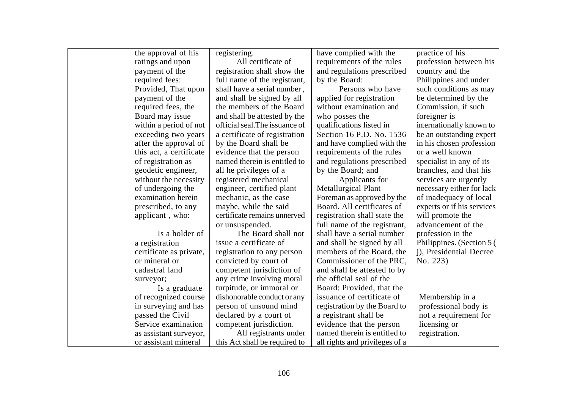| the approval of his     | registering.                   | have complied with the         | practice of his            |
|-------------------------|--------------------------------|--------------------------------|----------------------------|
| ratings and upon        | All certificate of             | requirements of the rules      | profession between his     |
| payment of the          | registration shall show the    | and regulations prescribed     | country and the            |
| required fees:          | full name of the registrant,   | by the Board:                  | Philippines and under      |
| Provided, That upon     | shall have a serial number,    | Persons who have               | such conditions as may     |
| payment of the          | and shall be signed by all     | applied for registration       | be determined by the       |
| required fees, the      | the members of the Board       | without examination and        | Commission, if such        |
| Board may issue         | and shall be attested by the   | who posses the                 | foreigner is               |
| within a period of not  | official seal. The issuance of | qualifications listed in       | internationally known to   |
| exceeding two years     | a certificate of registration  | Section 16 P.D. No. 1536       | be an outstanding expert   |
| after the approval of   | by the Board shall be          | and have complied with the     | in his chosen profession   |
| this act, a certificate | evidence that the person       | requirements of the rules      | or a well known            |
| of registration as      | named therein is entitled to   | and regulations prescribed     | specialist in any of its   |
| geodetic engineer,      | all he privileges of a         | by the Board; and              | branches, and that his     |
| without the necessity   | registered mechanical          | Applicants for                 | services are urgently      |
| of undergoing the       | engineer, certified plant      | <b>Metallurgical Plant</b>     | necessary either for lack  |
| examination herein      | mechanic, as the case          | Foreman as approved by the     | of inadequacy of local     |
| prescribed, to any      | maybe, while the said          | Board. All certificates of     | experts or if his services |
| applicant, who:         | certificate remains unnerved   | registration shall state the   | will promote the           |
|                         | or unsuspended.                | full name of the registrant,   | advancement of the         |
| Is a holder of          | The Board shall not            | shall have a serial number     | profession in the          |
| a registration          | issue a certificate of         | and shall be signed by all     | Philippines. (Section 5)   |
| certificate as private, | registration to any person     | members of the Board, the      | j), Presidential Decree    |
| or mineral or           | convicted by court of          | Commissioner of the PRC,       | No. 223)                   |
| cadastral land          | competent jurisdiction of      | and shall be attested to by    |                            |
| surveyor;               | any crime involving moral      | the official seal of the       |                            |
| Is a graduate           | turpitude, or immoral or       | Board: Provided, that the      |                            |
| of recognized course    | dishonorable conduct or any    | issuance of certificate of     | Membership in a            |
| in surveying and has    | person of unsound mind         | registration by the Board to   | professional body is       |
| passed the Civil        | declared by a court of         | a registrant shall be          | not a requirement for      |
| Service examination     | competent jurisdiction.        | evidence that the person       | licensing or               |
| as assistant surveyor,  | All registrants under          | named therein is entitled to   | registration.              |
| or assistant mineral    | this Act shall be required to  | all rights and privileges of a |                            |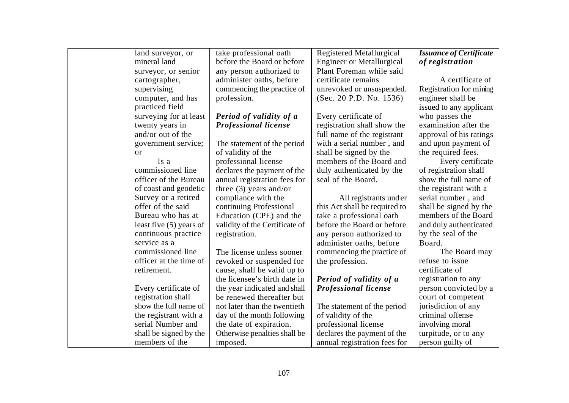| land surveyor, or       | take professional oath         | <b>Registered Metallurgical</b>  | <b>Issuance of Certificate</b> |
|-------------------------|--------------------------------|----------------------------------|--------------------------------|
| mineral land            | before the Board or before     | <b>Engineer or Metallurgical</b> | of registration                |
| surveyor, or senior     | any person authorized to       | Plant Foreman while said         |                                |
| cartographer,           | administer oaths, before       | certificate remains              | A certificate of               |
| supervising             | commencing the practice of     | unrevoked or unsuspended.        | Registration for mining        |
| computer, and has       | profession.                    | (Sec. 20 P.D. No. 1536)          | engineer shall be              |
| practiced field         |                                |                                  | issued to any applicant        |
| surveying for at least  | Period of validity of a        | Every certificate of             | who passes the                 |
| twenty years in         | <b>Professional license</b>    | registration shall show the      | examination after the          |
| and/or out of the       |                                | full name of the registrant      | approval of his ratings        |
| government service;     | The statement of the period    | with a serial number, and        | and upon payment of            |
| <b>or</b>               | of validity of the             | shall be signed by the           | the required fees.             |
| Is a                    | professional license           | members of the Board and         | Every certificate              |
| commissioned line       | declares the payment of the    | duly authenticated by the        | of registration shall          |
| officer of the Bureau   | annual registration fees for   | seal of the Board.               | show the full name of          |
| of coast and geodetic   | three $(3)$ years and/or       |                                  | the registrant with a          |
| Survey or a retired     | compliance with the            | All registrants under            | serial number, and             |
| offer of the said       | continuing Professional        | this Act shall be required to    | shall be signed by the         |
| Bureau who has at       | Education (CPE) and the        | take a professional oath         | members of the Board           |
| least five (5) years of | validity of the Certificate of | before the Board or before       | and duly authenticated         |
| continuous practice     | registration.                  | any person authorized to         | by the seal of the             |
| service as a            |                                | administer oaths, before         | Board.                         |
| commissioned line       | The license unless sooner      | commencing the practice of       | The Board may                  |
| officer at the time of  | revoked or suspended for       | the profession.                  | refuse to issue                |
| retirement.             | cause, shall be valid up to    |                                  | certificate of                 |
|                         | the licensee's birth date in   | Period of validity of a          | registration to any            |
| Every certificate of    | the year indicated and shall   | <b>Professional license</b>      | person convicted by a          |
| registration shall      | be renewed thereafter but      |                                  | court of competent             |
| show the full name of   | not later than the twentieth   | The statement of the period      | jurisdiction of any            |
| the registrant with a   | day of the month following     | of validity of the               | criminal offense               |
| serial Number and       | the date of expiration.        | professional license             | involving moral                |
| shall be signed by the  | Otherwise penalties shall be   | declares the payment of the      | turpitude, or to any           |
| members of the          | imposed.                       | annual registration fees for     | person guilty of               |
|                         |                                |                                  |                                |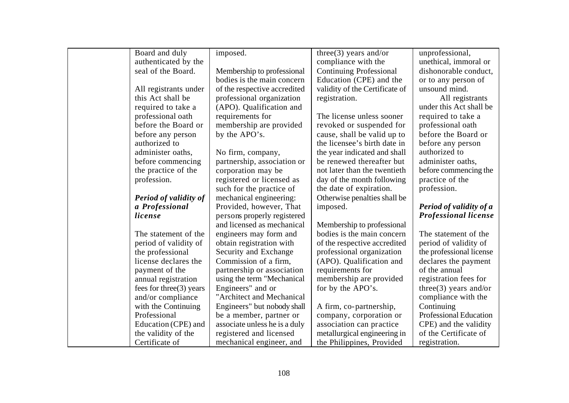| Board and duly               | imposed.                      | three $(3)$ years and/or       | unprofessional,               |
|------------------------------|-------------------------------|--------------------------------|-------------------------------|
| authenticated by the         |                               | compliance with the            | unethical, immoral or         |
| seal of the Board.           | Membership to professional    | <b>Continuing Professional</b> | dishonorable conduct,         |
|                              | bodies is the main concern    | Education (CPE) and the        | or to any person of           |
| All registrants under        | of the respective accredited  | validity of the Certificate of | unsound mind.                 |
| this Act shall be            | professional organization     | registration.                  | All registrants               |
| required to take a           | (APO). Qualification and      |                                | under this Act shall be       |
| professional oath            | requirements for              | The license unless sooner      | required to take a            |
| before the Board or          | membership are provided       | revoked or suspended for       | professional oath             |
| before any person            | by the APO's.                 | cause, shall be valid up to    | before the Board or           |
| authorized to                |                               | the licensee's birth date in   | before any person             |
| administer oaths,            | No firm, company,             | the year indicated and shall   | authorized to                 |
| before commencing            | partnership, association or   | be renewed thereafter but      | administer oaths,             |
| the practice of the          | corporation may be            | not later than the twentieth   | before commencing the         |
| profession.                  | registered or licensed as     | day of the month following     | practice of the               |
|                              | such for the practice of      | the date of expiration.        | profession.                   |
| <b>Period of validity of</b> | mechanical engineering:       | Otherwise penalties shall be   |                               |
| a Professional               | Provided, however, That       | imposed.                       | Period of validity of a       |
| license                      | persons properly registered   |                                | <b>Professional license</b>   |
|                              | and licensed as mechanical    | Membership to professional     |                               |
| The statement of the         | engineers may form and        | bodies is the main concern     | The statement of the          |
| period of validity of        | obtain registration with      | of the respective accredited   | period of validity of         |
| the professional             | Security and Exchange         | professional organization      | the professional license      |
| license declares the         | Commission of a firm,         | (APO). Qualification and       | declares the payment          |
| payment of the               | partnership or association    | requirements for               | of the annual                 |
| annual registration          | using the term "Mechanical    | membership are provided        | registration fees for         |
| fees for three $(3)$ years   | Engineers" and or             | for by the APO's.              | $three(3)$ years and/or       |
| and/or compliance            | "Architect and Mechanical     |                                | compliance with the           |
| with the Continuing          | Engineers" but nobody shall   | A firm, co-partnership,        | Continuing                    |
| Professional                 | be a member, partner or       | company, corporation or        | <b>Professional Education</b> |
| Education (CPE) and          | associate unless he is a duly | association can practice       | CPE) and the validity         |
| the validity of the          | registered and licensed       | metallurgical engineering in   | of the Certificate of         |
| Certificate of               | mechanical engineer, and      | the Philippines, Provided      | registration.                 |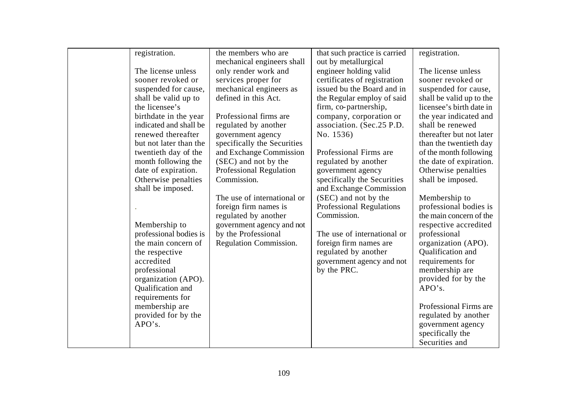| registration.          | the members who are         | that such practice is carried            | registration.            |
|------------------------|-----------------------------|------------------------------------------|--------------------------|
|                        | mechanical engineers shall  | out by metallurgical                     |                          |
| The license unless     | only render work and        | engineer holding valid                   | The license unless       |
| sooner revoked or      | services proper for         | certificates of registration             | sooner revoked or        |
| suspended for cause,   | mechanical engineers as     | issued bu the Board and in               | suspended for cause,     |
| shall be valid up to   | defined in this Act.        | the Regular employ of said               | shall be valid up to the |
| the licensee's         |                             | firm, co-partnership,                    | licensee's birth date in |
| birthdate in the year  | Professional firms are      | company, corporation or                  | the year indicated and   |
| indicated and shall be | regulated by another        | association. (Sec.25 P.D.                | shall be renewed         |
| renewed thereafter     | government agency           | No. 1536)                                | thereafter but not later |
| but not later than the | specifically the Securities |                                          | than the twentieth day   |
| twentieth day of the   | and Exchange Commission     | Professional Firms are                   | of the month following   |
| month following the    | (SEC) and not by the        | regulated by another                     | the date of expiration.  |
| date of expiration.    | Professional Regulation     | government agency                        | Otherwise penalties      |
| Otherwise penalties    | Commission.                 | specifically the Securities              | shall be imposed.        |
| shall be imposed.      |                             | and Exchange Commission                  |                          |
|                        | The use of international or | (SEC) and not by the                     | Membership to            |
|                        | foreign firm names is       | <b>Professional Regulations</b>          | professional bodies is   |
|                        | regulated by another        | Commission.                              | the main concern of the  |
| Membership to          | government agency and not   |                                          | respective accredited    |
| professional bodies is | by the Professional         | The use of international or              | professional             |
| the main concern of    | Regulation Commission.      | foreign firm names are                   | organization (APO).      |
| the respective         |                             | regulated by another                     | Qualification and        |
| accredited             |                             |                                          | requirements for         |
| professional           |                             | government agency and not<br>by the PRC. | membership are           |
|                        |                             |                                          | provided for by the      |
| organization (APO).    |                             |                                          | APO's.                   |
| Qualification and      |                             |                                          |                          |
| requirements for       |                             |                                          |                          |
| membership are         |                             |                                          | Professional Firms are   |
| provided for by the    |                             |                                          | regulated by another     |
| APO's.                 |                             |                                          | government agency        |
|                        |                             |                                          | specifically the         |
|                        |                             |                                          | Securities and           |
|                        |                             |                                          |                          |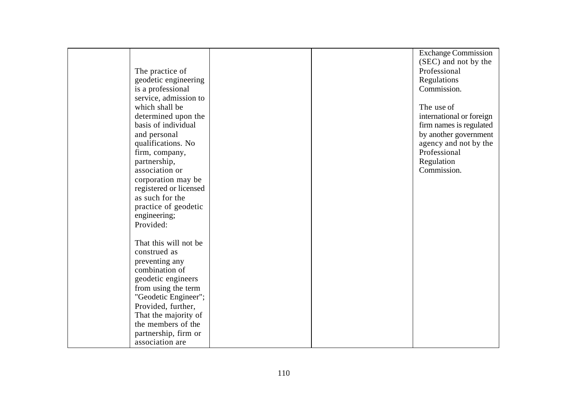|                        |  | <b>Exchange Commission</b> |
|------------------------|--|----------------------------|
|                        |  | (SEC) and not by the       |
| The practice of        |  | Professional               |
| geodetic engineering   |  | Regulations                |
| is a professional      |  | Commission.                |
| service, admission to  |  |                            |
| which shall be         |  | The use of                 |
| determined upon the    |  | international or foreign   |
| basis of individual    |  | firm names is regulated    |
| and personal           |  | by another government      |
| qualifications. No     |  | agency and not by the      |
| firm, company,         |  | Professional               |
| partnership,           |  | Regulation                 |
| association or         |  | Commission.                |
| corporation may be     |  |                            |
| registered or licensed |  |                            |
| as such for the        |  |                            |
| practice of geodetic   |  |                            |
| engineering;           |  |                            |
| Provided:              |  |                            |
|                        |  |                            |
| That this will not be  |  |                            |
| construed as           |  |                            |
| preventing any         |  |                            |
| combination of         |  |                            |
| geodetic engineers     |  |                            |
| from using the term    |  |                            |
| "Geodetic Engineer";   |  |                            |
| Provided, further,     |  |                            |
| That the majority of   |  |                            |
| the members of the     |  |                            |
| partnership, firm or   |  |                            |
| association are        |  |                            |
|                        |  |                            |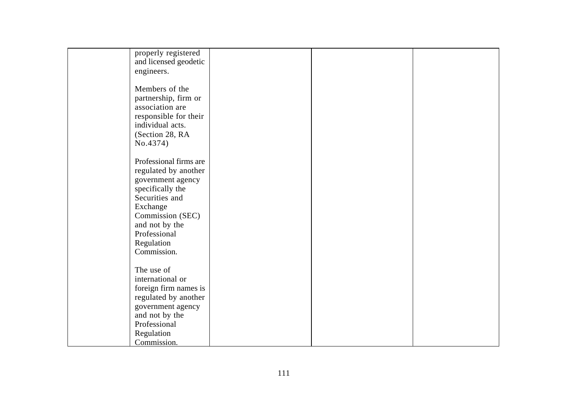| properly registered<br>and licensed geodetic |  |  |
|----------------------------------------------|--|--|
|                                              |  |  |
| engineers.                                   |  |  |
| Members of the                               |  |  |
|                                              |  |  |
| partnership, firm or                         |  |  |
| association are                              |  |  |
| responsible for their                        |  |  |
| individual acts.                             |  |  |
| (Section 28, RA                              |  |  |
| No.4374)                                     |  |  |
|                                              |  |  |
| Professional firms are                       |  |  |
| regulated by another                         |  |  |
| government agency                            |  |  |
| specifically the                             |  |  |
| Securities and                               |  |  |
| Exchange                                     |  |  |
| Commission (SEC)                             |  |  |
| and not by the                               |  |  |
| Professional                                 |  |  |
| Regulation                                   |  |  |
| Commission.                                  |  |  |
|                                              |  |  |
| The use of                                   |  |  |
| international or                             |  |  |
| foreign firm names is                        |  |  |
| regulated by another                         |  |  |
| government agency                            |  |  |
| and not by the                               |  |  |
| Professional                                 |  |  |
| Regulation                                   |  |  |
| Commission.                                  |  |  |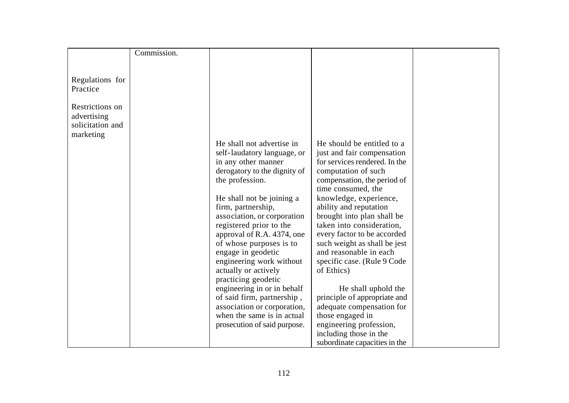|                  | Commission. |                                                                                                                                                                                                                                                                                                                                        |                                                                                                                                                                                                                                                                                                                                                                                                                                       |  |
|------------------|-------------|----------------------------------------------------------------------------------------------------------------------------------------------------------------------------------------------------------------------------------------------------------------------------------------------------------------------------------------|---------------------------------------------------------------------------------------------------------------------------------------------------------------------------------------------------------------------------------------------------------------------------------------------------------------------------------------------------------------------------------------------------------------------------------------|--|
|                  |             |                                                                                                                                                                                                                                                                                                                                        |                                                                                                                                                                                                                                                                                                                                                                                                                                       |  |
|                  |             |                                                                                                                                                                                                                                                                                                                                        |                                                                                                                                                                                                                                                                                                                                                                                                                                       |  |
| Regulations for  |             |                                                                                                                                                                                                                                                                                                                                        |                                                                                                                                                                                                                                                                                                                                                                                                                                       |  |
| Practice         |             |                                                                                                                                                                                                                                                                                                                                        |                                                                                                                                                                                                                                                                                                                                                                                                                                       |  |
| Restrictions on  |             |                                                                                                                                                                                                                                                                                                                                        |                                                                                                                                                                                                                                                                                                                                                                                                                                       |  |
| advertising      |             |                                                                                                                                                                                                                                                                                                                                        |                                                                                                                                                                                                                                                                                                                                                                                                                                       |  |
| solicitation and |             |                                                                                                                                                                                                                                                                                                                                        |                                                                                                                                                                                                                                                                                                                                                                                                                                       |  |
| marketing        |             |                                                                                                                                                                                                                                                                                                                                        |                                                                                                                                                                                                                                                                                                                                                                                                                                       |  |
|                  |             | He shall not advertise in                                                                                                                                                                                                                                                                                                              | He should be entitled to a                                                                                                                                                                                                                                                                                                                                                                                                            |  |
|                  |             | self-laudatory language, or                                                                                                                                                                                                                                                                                                            | just and fair compensation                                                                                                                                                                                                                                                                                                                                                                                                            |  |
|                  |             | in any other manner                                                                                                                                                                                                                                                                                                                    | for services rendered. In the                                                                                                                                                                                                                                                                                                                                                                                                         |  |
|                  |             | derogatory to the dignity of                                                                                                                                                                                                                                                                                                           | computation of such                                                                                                                                                                                                                                                                                                                                                                                                                   |  |
|                  |             |                                                                                                                                                                                                                                                                                                                                        |                                                                                                                                                                                                                                                                                                                                                                                                                                       |  |
|                  |             |                                                                                                                                                                                                                                                                                                                                        |                                                                                                                                                                                                                                                                                                                                                                                                                                       |  |
|                  |             |                                                                                                                                                                                                                                                                                                                                        |                                                                                                                                                                                                                                                                                                                                                                                                                                       |  |
|                  |             |                                                                                                                                                                                                                                                                                                                                        |                                                                                                                                                                                                                                                                                                                                                                                                                                       |  |
|                  |             |                                                                                                                                                                                                                                                                                                                                        |                                                                                                                                                                                                                                                                                                                                                                                                                                       |  |
|                  |             |                                                                                                                                                                                                                                                                                                                                        |                                                                                                                                                                                                                                                                                                                                                                                                                                       |  |
|                  |             |                                                                                                                                                                                                                                                                                                                                        |                                                                                                                                                                                                                                                                                                                                                                                                                                       |  |
|                  |             |                                                                                                                                                                                                                                                                                                                                        | and reasonable in each                                                                                                                                                                                                                                                                                                                                                                                                                |  |
|                  |             | engineering work without                                                                                                                                                                                                                                                                                                               |                                                                                                                                                                                                                                                                                                                                                                                                                                       |  |
|                  |             | actually or actively                                                                                                                                                                                                                                                                                                                   | of Ethics)                                                                                                                                                                                                                                                                                                                                                                                                                            |  |
|                  |             | practicing geodetic                                                                                                                                                                                                                                                                                                                    |                                                                                                                                                                                                                                                                                                                                                                                                                                       |  |
|                  |             | engineering in or in behalf                                                                                                                                                                                                                                                                                                            | He shall uphold the                                                                                                                                                                                                                                                                                                                                                                                                                   |  |
|                  |             |                                                                                                                                                                                                                                                                                                                                        |                                                                                                                                                                                                                                                                                                                                                                                                                                       |  |
|                  |             |                                                                                                                                                                                                                                                                                                                                        |                                                                                                                                                                                                                                                                                                                                                                                                                                       |  |
|                  |             |                                                                                                                                                                                                                                                                                                                                        |                                                                                                                                                                                                                                                                                                                                                                                                                                       |  |
|                  |             |                                                                                                                                                                                                                                                                                                                                        |                                                                                                                                                                                                                                                                                                                                                                                                                                       |  |
|                  |             |                                                                                                                                                                                                                                                                                                                                        |                                                                                                                                                                                                                                                                                                                                                                                                                                       |  |
|                  |             | the profession.<br>He shall not be joining a<br>firm, partnership,<br>association, or corporation<br>registered prior to the<br>approval of R.A. 4374, one<br>of whose purposes is to<br>engage in geodetic<br>of said firm, partnership,<br>association or corporation,<br>when the same is in actual<br>prosecution of said purpose. | compensation, the period of<br>time consumed, the<br>knowledge, experience,<br>ability and reputation<br>brought into plan shall be<br>taken into consideration,<br>every factor to be accorded<br>such weight as shall be jest<br>specific case. (Rule 9 Code<br>principle of appropriate and<br>adequate compensation for<br>those engaged in<br>engineering profession,<br>including those in the<br>subordinate capacities in the |  |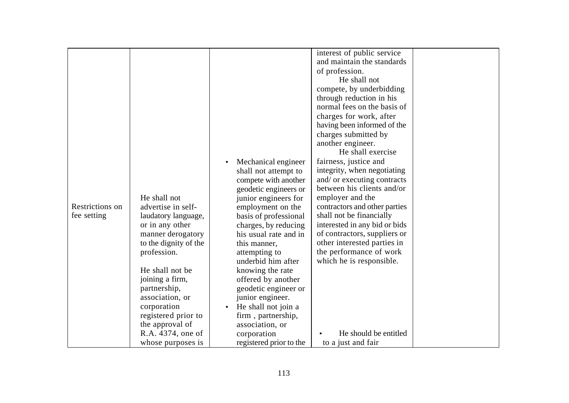| Restrictions on<br>fee setting | He shall not<br>advertise in self-<br>laudatory language,<br>or in any other<br>manner derogatory<br>to the dignity of the<br>profession.<br>He shall not be<br>joining a firm,<br>partnership,<br>association, or<br>corporation | Mechanical engineer<br>$\bullet$<br>shall not attempt to<br>compete with another<br>geodetic engineers or<br>junior engineers for<br>employment on the<br>basis of professional<br>charges, by reducing<br>his usual rate and in<br>this manner,<br>attempting to<br>underbid him after<br>knowing the rate<br>offered by another<br>geodetic engineer or<br>junior engineer.<br>He shall not join a | interest of public service<br>and maintain the standards<br>of profession.<br>He shall not<br>compete, by underbidding<br>through reduction in his<br>normal fees on the basis of<br>charges for work, after<br>having been informed of the<br>charges submitted by<br>another engineer.<br>He shall exercise<br>fairness, justice and<br>integrity, when negotiating<br>and/ or executing contracts<br>between his clients and/or<br>employer and the<br>contractors and other parties<br>shall not be financially<br>interested in any bid or bids<br>of contractors, suppliers or<br>other interested parties in<br>the performance of work<br>which he is responsible. |  |
|--------------------------------|-----------------------------------------------------------------------------------------------------------------------------------------------------------------------------------------------------------------------------------|------------------------------------------------------------------------------------------------------------------------------------------------------------------------------------------------------------------------------------------------------------------------------------------------------------------------------------------------------------------------------------------------------|----------------------------------------------------------------------------------------------------------------------------------------------------------------------------------------------------------------------------------------------------------------------------------------------------------------------------------------------------------------------------------------------------------------------------------------------------------------------------------------------------------------------------------------------------------------------------------------------------------------------------------------------------------------------------|--|
|                                |                                                                                                                                                                                                                                   |                                                                                                                                                                                                                                                                                                                                                                                                      |                                                                                                                                                                                                                                                                                                                                                                                                                                                                                                                                                                                                                                                                            |  |
|                                |                                                                                                                                                                                                                                   |                                                                                                                                                                                                                                                                                                                                                                                                      |                                                                                                                                                                                                                                                                                                                                                                                                                                                                                                                                                                                                                                                                            |  |
|                                | registered prior to                                                                                                                                                                                                               | firm, partnership,                                                                                                                                                                                                                                                                                                                                                                                   |                                                                                                                                                                                                                                                                                                                                                                                                                                                                                                                                                                                                                                                                            |  |
|                                | the approval of                                                                                                                                                                                                                   | association, or                                                                                                                                                                                                                                                                                                                                                                                      |                                                                                                                                                                                                                                                                                                                                                                                                                                                                                                                                                                                                                                                                            |  |
|                                | R.A. 4374, one of                                                                                                                                                                                                                 | corporation                                                                                                                                                                                                                                                                                                                                                                                          | He should be entitled                                                                                                                                                                                                                                                                                                                                                                                                                                                                                                                                                                                                                                                      |  |
|                                | whose purposes is                                                                                                                                                                                                                 | registered prior to the                                                                                                                                                                                                                                                                                                                                                                              | to a just and fair                                                                                                                                                                                                                                                                                                                                                                                                                                                                                                                                                                                                                                                         |  |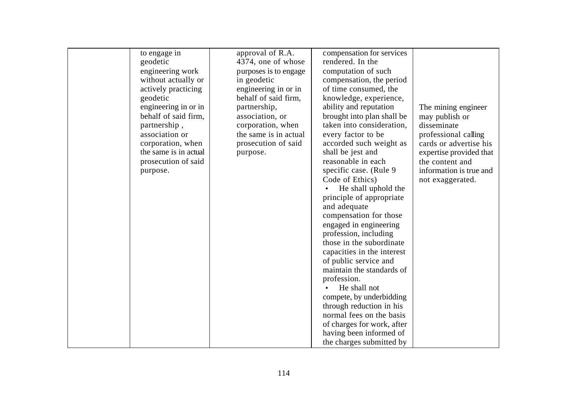| to engage in          | approval of R.A.      | compensation for services                |                         |
|-----------------------|-----------------------|------------------------------------------|-------------------------|
| geodetic              | 4374, one of whose    | rendered. In the                         |                         |
| engineering work      | purposes is to engage | computation of such                      |                         |
| without actually or   | in geodetic           | compensation, the period                 |                         |
| actively practicing   | engineering in or in  | of time consumed, the                    |                         |
| geodetic              | behalf of said firm,  | knowledge, experience,                   |                         |
| engineering in or in  | partnership,          | ability and reputation                   | The mining engineer     |
| behalf of said firm,  | association, or       | brought into plan shall be               | may publish or          |
| partnership,          | corporation, when     | taken into consideration,                | disseminate             |
| association or        | the same is in actual | every factor to be                       | professional calling    |
| corporation, when     | prosecution of said   | accorded such weight as                  | cards or advertise his  |
| the same is in actual | purpose.              | shall be jest and                        | expertise provided that |
| prosecution of said   |                       | reasonable in each                       | the content and         |
| purpose.              |                       | specific case. (Rule 9)                  | information is true and |
|                       |                       | Code of Ethics)                          | not exaggerated.        |
|                       |                       | He shall uphold the                      |                         |
|                       |                       | principle of appropriate<br>and adequate |                         |
|                       |                       | compensation for those                   |                         |
|                       |                       | engaged in engineering                   |                         |
|                       |                       | profession, including                    |                         |
|                       |                       | those in the subordinate                 |                         |
|                       |                       | capacities in the interest               |                         |
|                       |                       | of public service and                    |                         |
|                       |                       | maintain the standards of                |                         |
|                       |                       | profession.                              |                         |
|                       |                       | He shall not                             |                         |
|                       |                       | compete, by underbidding                 |                         |
|                       |                       | through reduction in his                 |                         |
|                       |                       | normal fees on the basis                 |                         |
|                       |                       | of charges for work, after               |                         |
|                       |                       | having been informed of                  |                         |
|                       |                       | the charges submitted by                 |                         |

another engineer.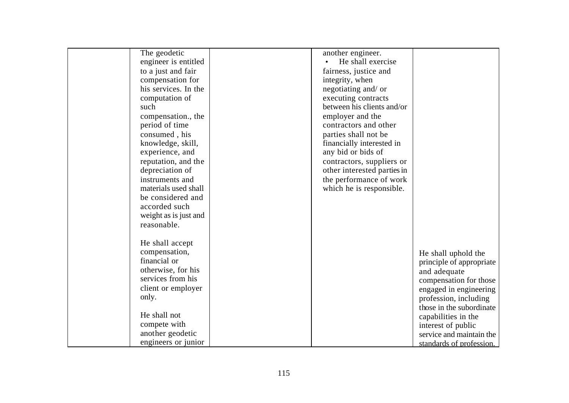| The geodetic          | another engineer.           |                          |
|-----------------------|-----------------------------|--------------------------|
| engineer is entitled  | He shall exercise           |                          |
| to a just and fair    | fairness, justice and       |                          |
| compensation for      | integrity, when             |                          |
| his services. In the  | negotiating and/ or         |                          |
| computation of        | executing contracts         |                          |
| such                  | between his clients and/or  |                          |
| compensation., the    | employer and the            |                          |
| period of time        | contractors and other       |                          |
| consumed, his         | parties shall not be        |                          |
| knowledge, skill,     | financially interested in   |                          |
| experience, and       | any bid or bids of          |                          |
| reputation, and the   | contractors, suppliers or   |                          |
| depreciation of       | other interested parties in |                          |
| instruments and       | the performance of work     |                          |
| materials used shall  | which he is responsible.    |                          |
| be considered and     |                             |                          |
| accorded such         |                             |                          |
| weight as is just and |                             |                          |
| reasonable.           |                             |                          |
|                       |                             |                          |
| He shall accept       |                             |                          |
| compensation,         |                             | He shall uphold the      |
| financial or          |                             | principle of appropriate |
| otherwise, for his    |                             | and adequate             |
| services from his     |                             | compensation for those   |
| client or employer    |                             | engaged in engineering   |
| only.                 |                             | profession, including    |
|                       |                             | those in the subordinate |
| He shall not          |                             | capabilities in the      |
| compete with          |                             | interest of public       |
| another geodetic      |                             | service and maintain the |
| engineers or junior   |                             |                          |
|                       |                             | standards of profession. |